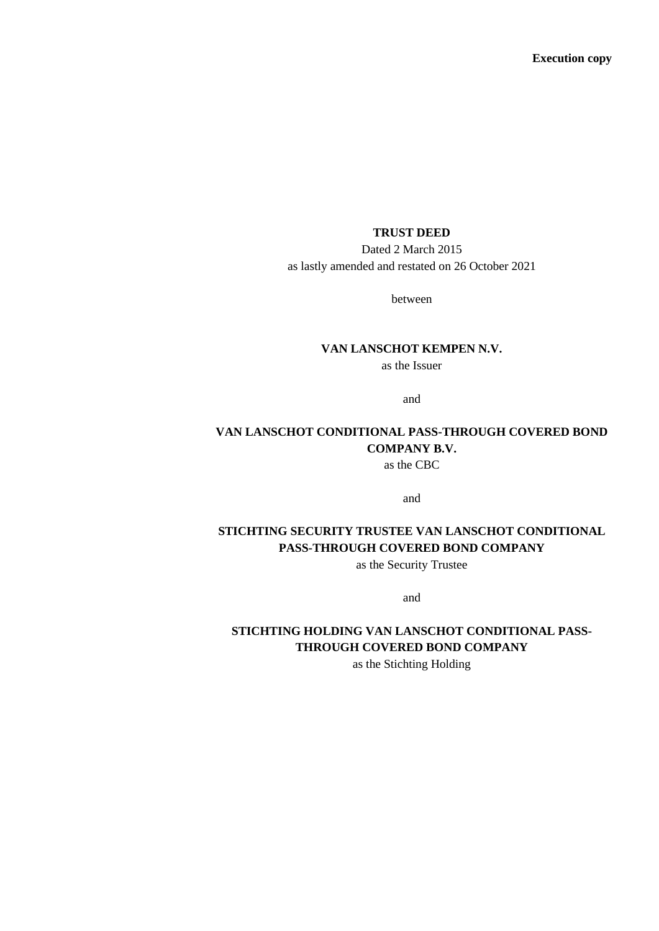### **TRUST DEED**

Dated 2 March 2015 as lastly amended and restated on 26 October 2021

between

### **VAN LANSCHOT KEMPEN N.V.**

as the Issuer

and

### **VAN LANSCHOT CONDITIONAL PASS-THROUGH COVERED BOND COMPANY B.V.** as the CBC

and

# **STICHTING SECURITY TRUSTEE VAN LANSCHOT CONDITIONAL PASS-THROUGH COVERED BOND COMPANY**

as the Security Trustee

and

# **STICHTING HOLDING VAN LANSCHOT CONDITIONAL PASS-THROUGH COVERED BOND COMPANY**

as the Stichting Holding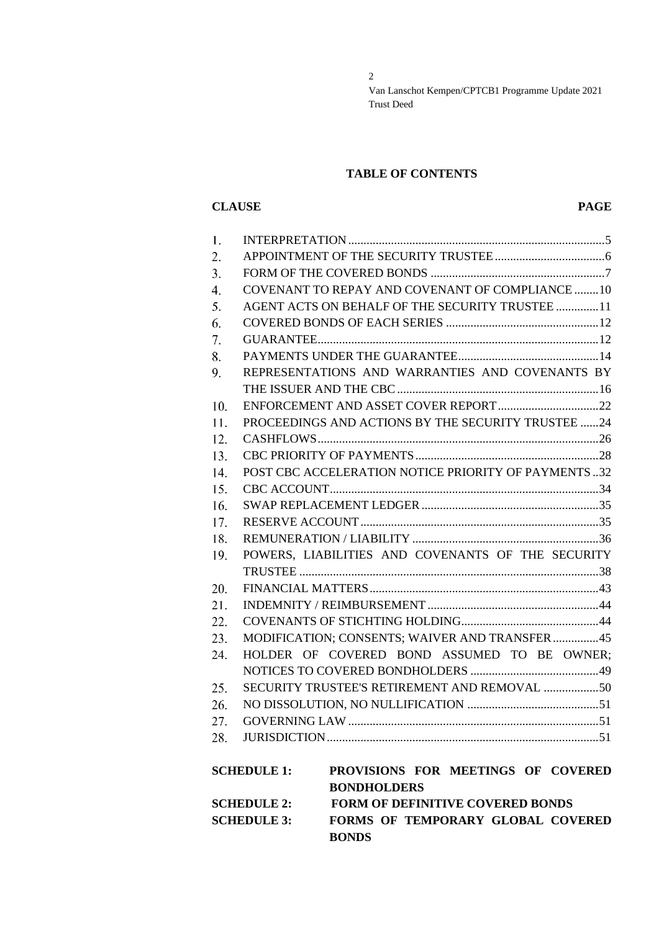### **TABLE OF CONTENTS**

# **CLAUSE PAGE**

| 1.  |                    |                                                     |  |
|-----|--------------------|-----------------------------------------------------|--|
| 2.  |                    |                                                     |  |
| 3.  |                    |                                                     |  |
| 4.  |                    | COVENANT TO REPAY AND COVENANT OF COMPLIANCE 10     |  |
| 5.  |                    | AGENT ACTS ON BEHALF OF THE SECURITY TRUSTEE11      |  |
| 6.  |                    |                                                     |  |
| 7.  |                    |                                                     |  |
| 8.  |                    |                                                     |  |
| 9.  |                    | REPRESENTATIONS AND WARRANTIES AND COVENANTS BY     |  |
|     |                    |                                                     |  |
| 10. |                    |                                                     |  |
| 11. |                    | PROCEEDINGS AND ACTIONS BY THE SECURITY TRUSTEE 24  |  |
| 12. |                    |                                                     |  |
| 13. |                    |                                                     |  |
| 14. |                    | POST CBC ACCELERATION NOTICE PRIORITY OF PAYMENTS32 |  |
| 15. |                    |                                                     |  |
| 16. |                    |                                                     |  |
| 17. |                    |                                                     |  |
| 18. |                    |                                                     |  |
| 19. |                    | POWERS, LIABILITIES AND COVENANTS OF THE SECURITY   |  |
|     |                    |                                                     |  |
| 20. |                    |                                                     |  |
| 21. |                    |                                                     |  |
| 22. |                    |                                                     |  |
| 23. |                    | MODIFICATION; CONSENTS; WAIVER AND TRANSFER45       |  |
| 24. |                    | HOLDER OF COVERED BOND ASSUMED TO BE OWNER;         |  |
|     |                    |                                                     |  |
| 25. |                    |                                                     |  |
| 26. |                    |                                                     |  |
| 27. |                    |                                                     |  |
|     |                    |                                                     |  |
|     |                    |                                                     |  |
|     | <b>SCHEDULE 1:</b> | PROVISIONS FOR MEETINGS OF COVERED                  |  |
|     |                    | <b>BONDHOLDERS</b>                                  |  |
|     | <b>SCHEDULE 2:</b> | <b>FORM OF DEFINITIVE COVERED BONDS</b>             |  |
|     | <b>SCHEDULE 3:</b> | FORMS OF TEMPORARY GLOBAL COVERED                   |  |
|     |                    | <b>BONDS</b>                                        |  |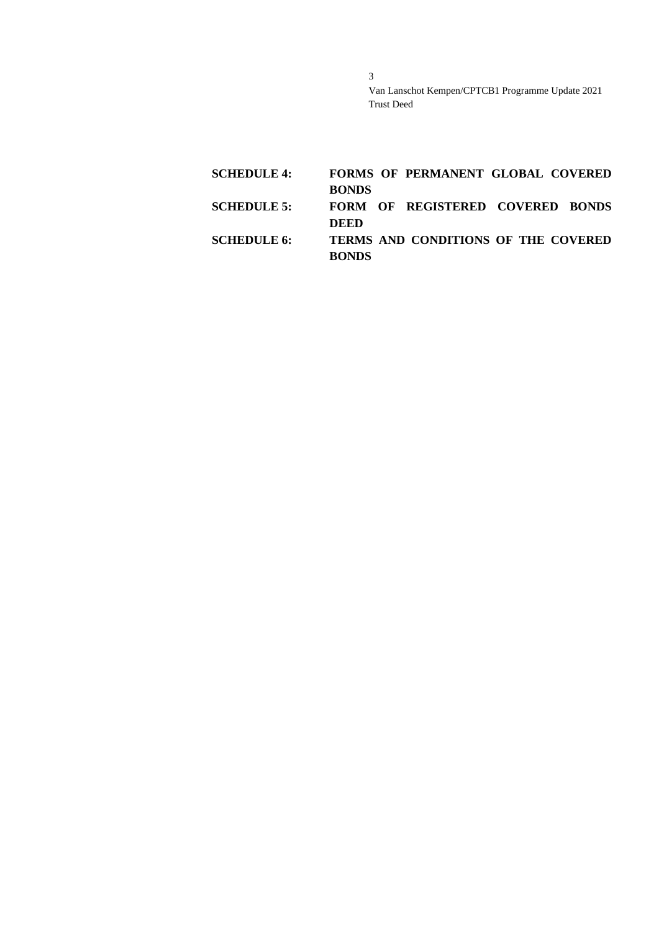| <b>SCHEDULE 4:</b> |              | <b>FORMS OF PERMANENT GLOBAL COVERED</b> |  |
|--------------------|--------------|------------------------------------------|--|
|                    | <b>BONDS</b> |                                          |  |
| <b>SCHEDULE 5:</b> |              | FORM OF REGISTERED COVERED BONDS         |  |
|                    | DEED         |                                          |  |
| <b>SCHEDULE 6:</b> |              | TERMS AND CONDITIONS OF THE COVERED      |  |
|                    | <b>BONDS</b> |                                          |  |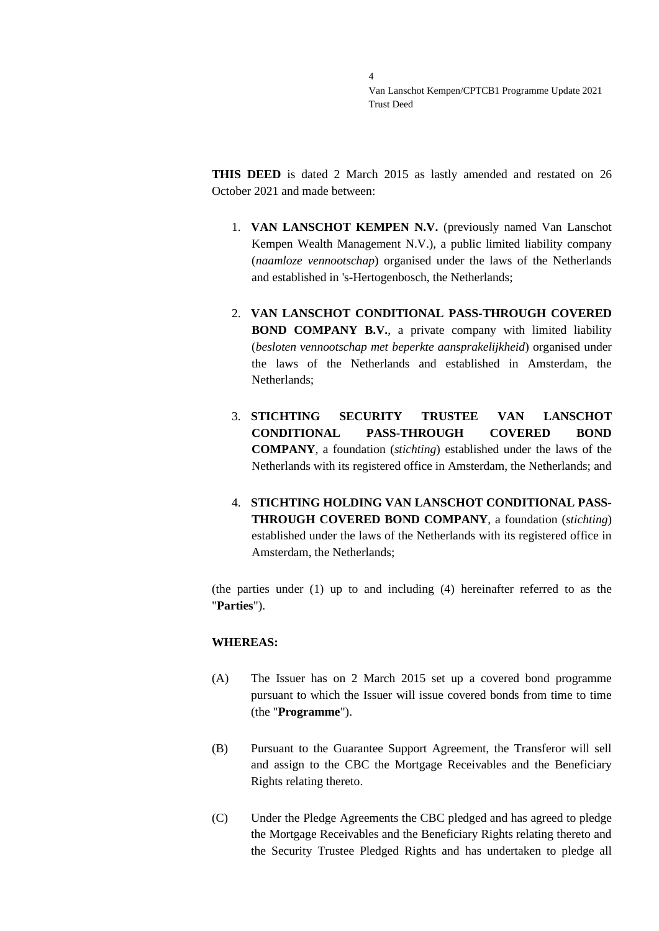**THIS DEED** is dated 2 March 2015 as lastly amended and restated on 26 October 2021 and made between:

- 1. **VAN LANSCHOT KEMPEN N.V.** (previously named Van Lanschot Kempen Wealth Management N.V.), a public limited liability company (*naamloze vennootschap*) organised under the laws of the Netherlands and established in 's-Hertogenbosch, the Netherlands;
- 2. **VAN LANSCHOT CONDITIONAL PASS-THROUGH COVERED BOND COMPANY B.V.**, a private company with limited liability (*besloten vennootschap met beperkte aansprakelijkheid*) organised under the laws of the Netherlands and established in Amsterdam, the Netherlands;
- 3. **STICHTING SECURITY TRUSTEE VAN LANSCHOT CONDITIONAL PASS-THROUGH COVERED BOND COMPANY**, a foundation (*stichting*) established under the laws of the Netherlands with its registered office in Amsterdam, the Netherlands; and
- 4. **STICHTING HOLDING VAN LANSCHOT CONDITIONAL PASS-THROUGH COVERED BOND COMPANY**, a foundation (*stichting*) established under the laws of the Netherlands with its registered office in Amsterdam, the Netherlands;

(the parties under (1) up to and including (4) hereinafter referred to as the "**Parties**").

### **WHEREAS:**

- (A) The Issuer has on 2 March 2015 set up a covered bond programme pursuant to which the Issuer will issue covered bonds from time to time (the "**Programme**").
- (B) Pursuant to the Guarantee Support Agreement, the Transferor will sell and assign to the CBC the Mortgage Receivables and the Beneficiary Rights relating thereto.
- (C) Under the Pledge Agreements the CBC pledged and has agreed to pledge the Mortgage Receivables and the Beneficiary Rights relating thereto and the Security Trustee Pledged Rights and has undertaken to pledge all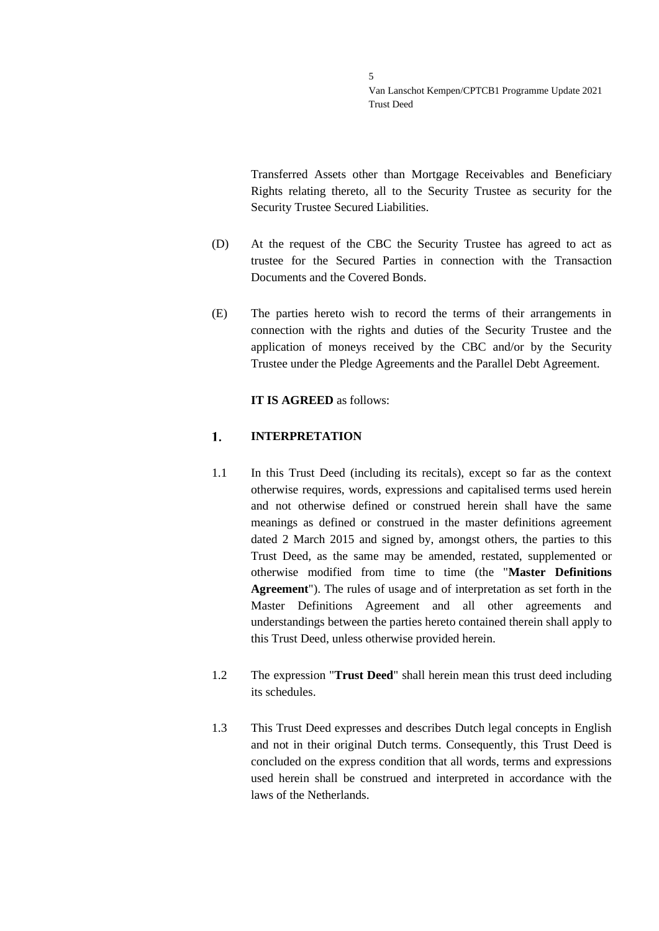Transferred Assets other than Mortgage Receivables and Beneficiary Rights relating thereto, all to the Security Trustee as security for the Security Trustee Secured Liabilities.

- (D) At the request of the CBC the Security Trustee has agreed to act as trustee for the Secured Parties in connection with the Transaction Documents and the Covered Bonds.
- (E) The parties hereto wish to record the terms of their arrangements in connection with the rights and duties of the Security Trustee and the application of moneys received by the CBC and/or by the Security Trustee under the Pledge Agreements and the Parallel Debt Agreement.

### **IT IS AGREED** as follows:

#### <span id="page-4-0"></span> $1.$ **INTERPRETATION**

- 1.1 In this Trust Deed (including its recitals), except so far as the context otherwise requires, words, expressions and capitalised terms used herein and not otherwise defined or construed herein shall have the same meanings as defined or construed in the master definitions agreement dated 2 March 2015 and signed by, amongst others, the parties to this Trust Deed, as the same may be amended, restated, supplemented or otherwise modified from time to time (the "**Master Definitions Agreement**"). The rules of usage and of interpretation as set forth in the Master Definitions Agreement and all other agreements and understandings between the parties hereto contained therein shall apply to this Trust Deed, unless otherwise provided herein.
- 1.2 The expression "**Trust Deed**" shall herein mean this trust deed including its schedules.
- 1.3 This Trust Deed expresses and describes Dutch legal concepts in English and not in their original Dutch terms. Consequently, this Trust Deed is concluded on the express condition that all words, terms and expressions used herein shall be construed and interpreted in accordance with the laws of the Netherlands.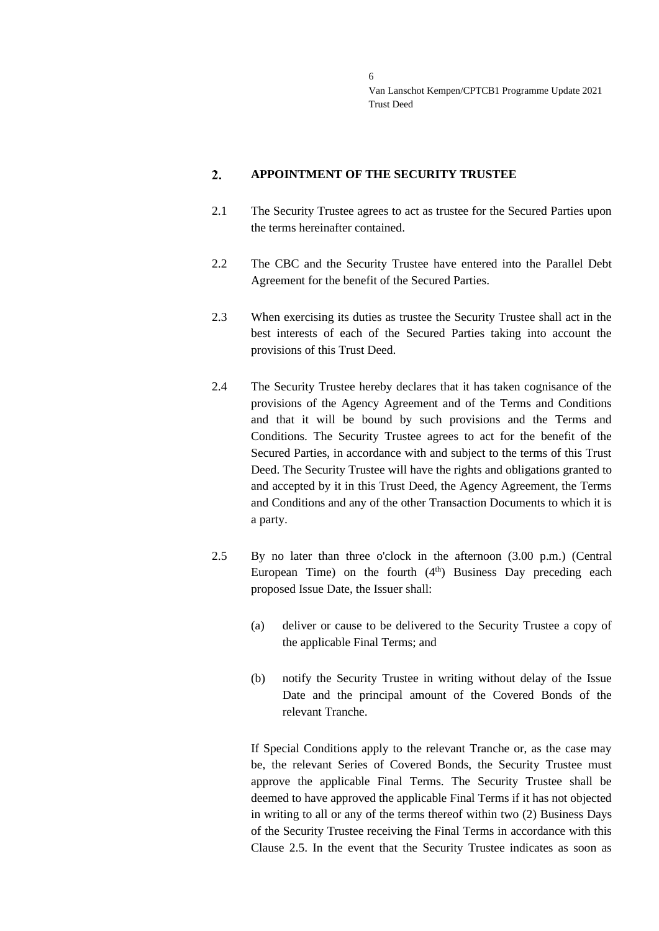#### <span id="page-5-0"></span> $2.$ **APPOINTMENT OF THE SECURITY TRUSTEE**

- 2.1 The Security Trustee agrees to act as trustee for the Secured Parties upon the terms hereinafter contained.
- 2.2 The CBC and the Security Trustee have entered into the Parallel Debt Agreement for the benefit of the Secured Parties.
- 2.3 When exercising its duties as trustee the Security Trustee shall act in the best interests of each of the Secured Parties taking into account the provisions of this Trust Deed.
- 2.4 The Security Trustee hereby declares that it has taken cognisance of the provisions of the Agency Agreement and of the Terms and Conditions and that it will be bound by such provisions and the Terms and Conditions. The Security Trustee agrees to act for the benefit of the Secured Parties, in accordance with and subject to the terms of this Trust Deed. The Security Trustee will have the rights and obligations granted to and accepted by it in this Trust Deed, the Agency Agreement, the Terms and Conditions and any of the other Transaction Documents to which it is a party.
- <span id="page-5-1"></span>2.5 By no later than three o'clock in the afternoon (3.00 p.m.) (Central European Time) on the fourth  $(4<sup>th</sup>)$  Business Day preceding each proposed Issue Date, the Issuer shall:
	- (a) deliver or cause to be delivered to the Security Trustee a copy of the applicable Final Terms; and
	- (b) notify the Security Trustee in writing without delay of the Issue Date and the principal amount of the Covered Bonds of the relevant Tranche.

If Special Conditions apply to the relevant Tranche or, as the case may be, the relevant Series of Covered Bonds, the Security Trustee must approve the applicable Final Terms. The Security Trustee shall be deemed to have approved the applicable Final Terms if it has not objected in writing to all or any of the terms thereof within two (2) Business Days of the Security Trustee receiving the Final Terms in accordance with this Clause [2.5.](#page-5-1) In the event that the Security Trustee indicates as soon as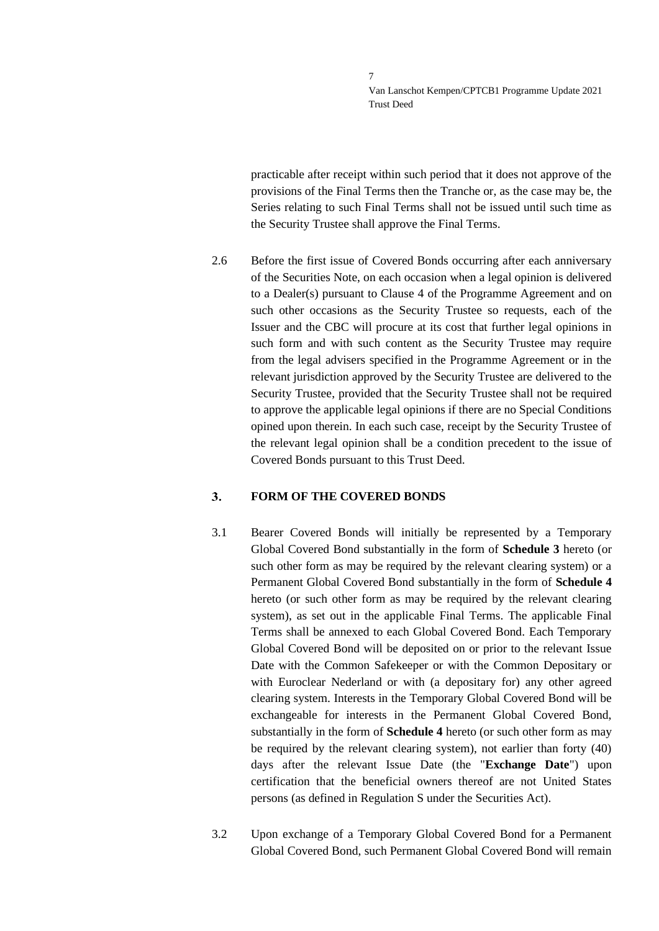practicable after receipt within such period that it does not approve of the provisions of the Final Terms then the Tranche or, as the case may be, the Series relating to such Final Terms shall not be issued until such time as the Security Trustee shall approve the Final Terms.

2.6 Before the first issue of Covered Bonds occurring after each anniversary of the Securities Note, on each occasion when a legal opinion is delivered to a Dealer(s) pursuant to Clause 4 of the Programme Agreement and on such other occasions as the Security Trustee so requests, each of the Issuer and the CBC will procure at its cost that further legal opinions in such form and with such content as the Security Trustee may require from the legal advisers specified in the Programme Agreement or in the relevant jurisdiction approved by the Security Trustee are delivered to the Security Trustee, provided that the Security Trustee shall not be required to approve the applicable legal opinions if there are no Special Conditions opined upon therein. In each such case, receipt by the Security Trustee of the relevant legal opinion shall be a condition precedent to the issue of Covered Bonds pursuant to this Trust Deed.

#### <span id="page-6-0"></span> $3<sub>1</sub>$ **FORM OF THE COVERED BONDS**

- 3.1 Bearer Covered Bonds will initially be represented by a Temporary Global Covered Bond substantially in the form of **Schedule 3** hereto (or such other form as may be required by the relevant clearing system) or a Permanent Global Covered Bond substantially in the form of **Schedule 4** hereto (or such other form as may be required by the relevant clearing system), as set out in the applicable Final Terms. The applicable Final Terms shall be annexed to each Global Covered Bond. Each Temporary Global Covered Bond will be deposited on or prior to the relevant Issue Date with the Common Safekeeper or with the Common Depositary or with Euroclear Nederland or with (a depositary for) any other agreed clearing system. Interests in the Temporary Global Covered Bond will be exchangeable for interests in the Permanent Global Covered Bond, substantially in the form of **Schedule 4** hereto (or such other form as may be required by the relevant clearing system), not earlier than forty (40) days after the relevant Issue Date (the "**Exchange Date**") upon certification that the beneficial owners thereof are not United States persons (as defined in Regulation S under the Securities Act).
- 3.2 Upon exchange of a Temporary Global Covered Bond for a Permanent Global Covered Bond, such Permanent Global Covered Bond will remain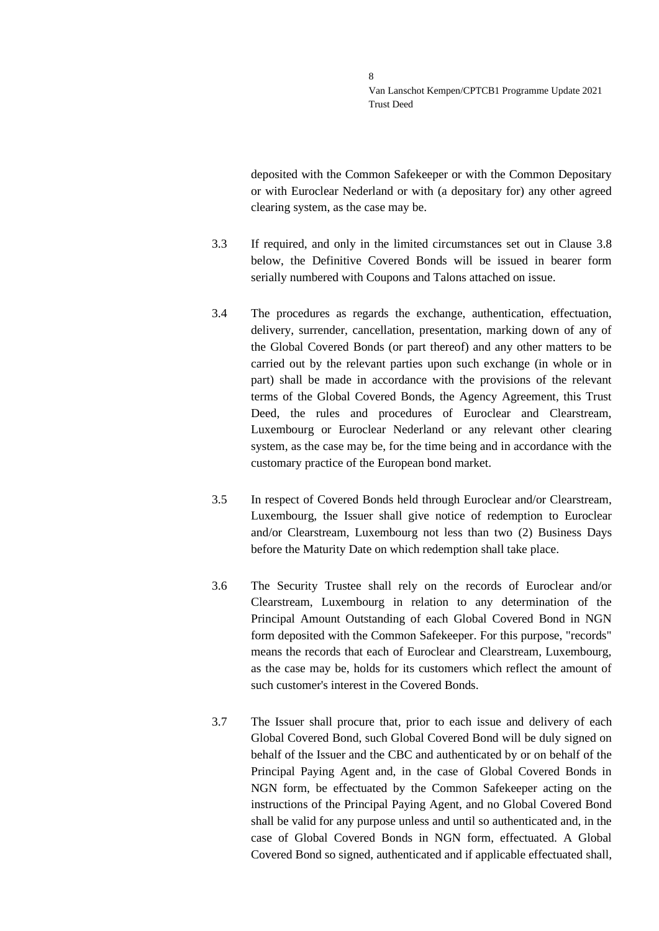deposited with the Common Safekeeper or with the Common Depositary or with Euroclear Nederland or with (a depositary for) any other agreed clearing system, as the case may be.

- 3.3 If required, and only in the limited circumstances set out in Clause [3.8](#page-8-0) below, the Definitive Covered Bonds will be issued in bearer form serially numbered with Coupons and Talons attached on issue.
- 3.4 The procedures as regards the exchange, authentication, effectuation, delivery, surrender, cancellation, presentation, marking down of any of the Global Covered Bonds (or part thereof) and any other matters to be carried out by the relevant parties upon such exchange (in whole or in part) shall be made in accordance with the provisions of the relevant terms of the Global Covered Bonds, the Agency Agreement, this Trust Deed, the rules and procedures of Euroclear and Clearstream, Luxembourg or Euroclear Nederland or any relevant other clearing system, as the case may be, for the time being and in accordance with the customary practice of the European bond market.
- 3.5 In respect of Covered Bonds held through Euroclear and/or Clearstream, Luxembourg, the Issuer shall give notice of redemption to Euroclear and/or Clearstream, Luxembourg not less than two (2) Business Days before the Maturity Date on which redemption shall take place.
- 3.6 The Security Trustee shall rely on the records of Euroclear and/or Clearstream, Luxembourg in relation to any determination of the Principal Amount Outstanding of each Global Covered Bond in NGN form deposited with the Common Safekeeper. For this purpose, "records" means the records that each of Euroclear and Clearstream, Luxembourg, as the case may be, holds for its customers which reflect the amount of such customer's interest in the Covered Bonds.
- 3.7 The Issuer shall procure that, prior to each issue and delivery of each Global Covered Bond, such Global Covered Bond will be duly signed on behalf of the Issuer and the CBC and authenticated by or on behalf of the Principal Paying Agent and, in the case of Global Covered Bonds in NGN form, be effectuated by the Common Safekeeper acting on the instructions of the Principal Paying Agent, and no Global Covered Bond shall be valid for any purpose unless and until so authenticated and, in the case of Global Covered Bonds in NGN form, effectuated. A Global Covered Bond so signed, authenticated and if applicable effectuated shall,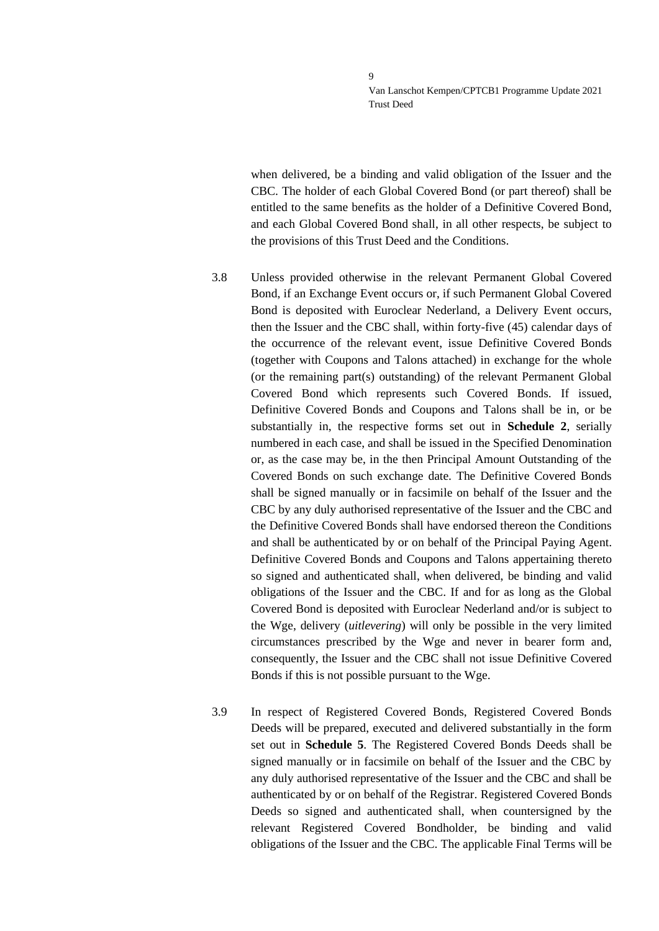when delivered, be a binding and valid obligation of the Issuer and the CBC. The holder of each Global Covered Bond (or part thereof) shall be entitled to the same benefits as the holder of a Definitive Covered Bond, and each Global Covered Bond shall, in all other respects, be subject to the provisions of this Trust Deed and the Conditions.

- <span id="page-8-0"></span>3.8 Unless provided otherwise in the relevant Permanent Global Covered Bond, if an Exchange Event occurs or, if such Permanent Global Covered Bond is deposited with Euroclear Nederland, a Delivery Event occurs, then the Issuer and the CBC shall, within forty-five (45) calendar days of the occurrence of the relevant event, issue Definitive Covered Bonds (together with Coupons and Talons attached) in exchange for the whole (or the remaining part(s) outstanding) of the relevant Permanent Global Covered Bond which represents such Covered Bonds. If issued, Definitive Covered Bonds and Coupons and Talons shall be in, or be substantially in, the respective forms set out in **Schedule 2**, serially numbered in each case, and shall be issued in the Specified Denomination or, as the case may be, in the then Principal Amount Outstanding of the Covered Bonds on such exchange date. The Definitive Covered Bonds shall be signed manually or in facsimile on behalf of the Issuer and the CBC by any duly authorised representative of the Issuer and the CBC and the Definitive Covered Bonds shall have endorsed thereon the Conditions and shall be authenticated by or on behalf of the Principal Paying Agent. Definitive Covered Bonds and Coupons and Talons appertaining thereto so signed and authenticated shall, when delivered, be binding and valid obligations of the Issuer and the CBC. If and for as long as the Global Covered Bond is deposited with Euroclear Nederland and/or is subject to the Wge, delivery (*uitlevering*) will only be possible in the very limited circumstances prescribed by the Wge and never in bearer form and, consequently, the Issuer and the CBC shall not issue Definitive Covered Bonds if this is not possible pursuant to the Wge.
- 3.9 In respect of Registered Covered Bonds, Registered Covered Bonds Deeds will be prepared, executed and delivered substantially in the form set out in **Schedule 5**. The Registered Covered Bonds Deeds shall be signed manually or in facsimile on behalf of the Issuer and the CBC by any duly authorised representative of the Issuer and the CBC and shall be authenticated by or on behalf of the Registrar. Registered Covered Bonds Deeds so signed and authenticated shall, when countersigned by the relevant Registered Covered Bondholder, be binding and valid obligations of the Issuer and the CBC. The applicable Final Terms will be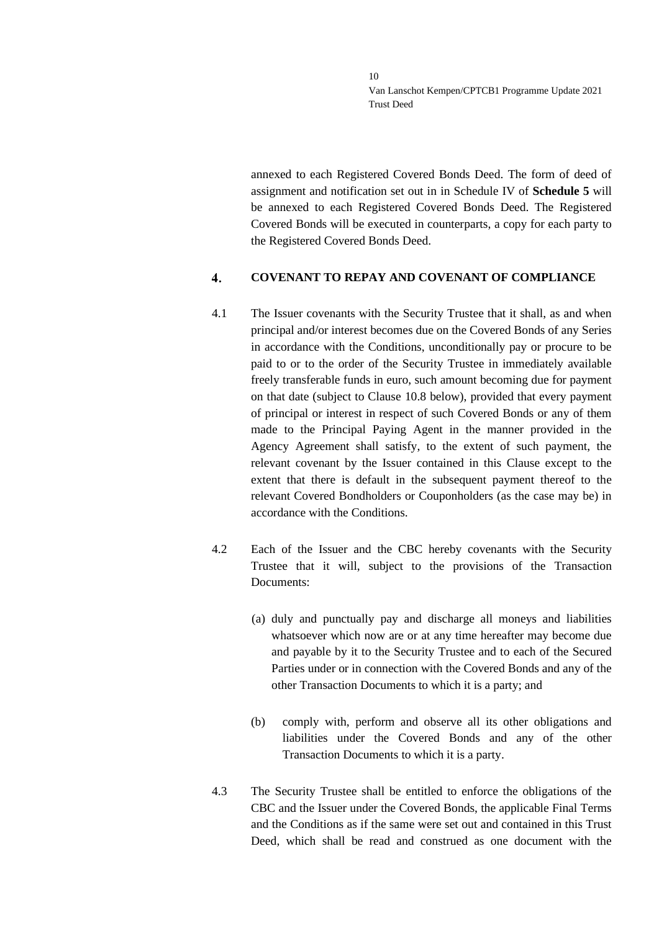annexed to each Registered Covered Bonds Deed. The form of deed of assignment and notification set out in in Schedule IV of **Schedule 5** will be annexed to each Registered Covered Bonds Deed. The Registered Covered Bonds will be executed in counterparts, a copy for each party to the Registered Covered Bonds Deed.

#### <span id="page-9-0"></span> $\overline{\mathbf{4}}$ . **COVENANT TO REPAY AND COVENANT OF COMPLIANCE**

- 4.1 The Issuer covenants with the Security Trustee that it shall, as and when principal and/or interest becomes due on the Covered Bonds of any Series in accordance with the Conditions, unconditionally pay or procure to be paid to or to the order of the Security Trustee in immediately available freely transferable funds in euro, such amount becoming due for payment on that date (subject to Clause [10.8](#page-22-0) below), provided that every payment of principal or interest in respect of such Covered Bonds or any of them made to the Principal Paying Agent in the manner provided in the Agency Agreement shall satisfy, to the extent of such payment, the relevant covenant by the Issuer contained in this Clause except to the extent that there is default in the subsequent payment thereof to the relevant Covered Bondholders or Couponholders (as the case may be) in accordance with the Conditions.
- 4.2 Each of the Issuer and the CBC hereby covenants with the Security Trustee that it will, subject to the provisions of the Transaction Documents:
	- (a) duly and punctually pay and discharge all moneys and liabilities whatsoever which now are or at any time hereafter may become due and payable by it to the Security Trustee and to each of the Secured Parties under or in connection with the Covered Bonds and any of the other Transaction Documents to which it is a party; and
	- (b) comply with, perform and observe all its other obligations and liabilities under the Covered Bonds and any of the other Transaction Documents to which it is a party.
- 4.3 The Security Trustee shall be entitled to enforce the obligations of the CBC and the Issuer under the Covered Bonds, the applicable Final Terms and the Conditions as if the same were set out and contained in this Trust Deed, which shall be read and construed as one document with the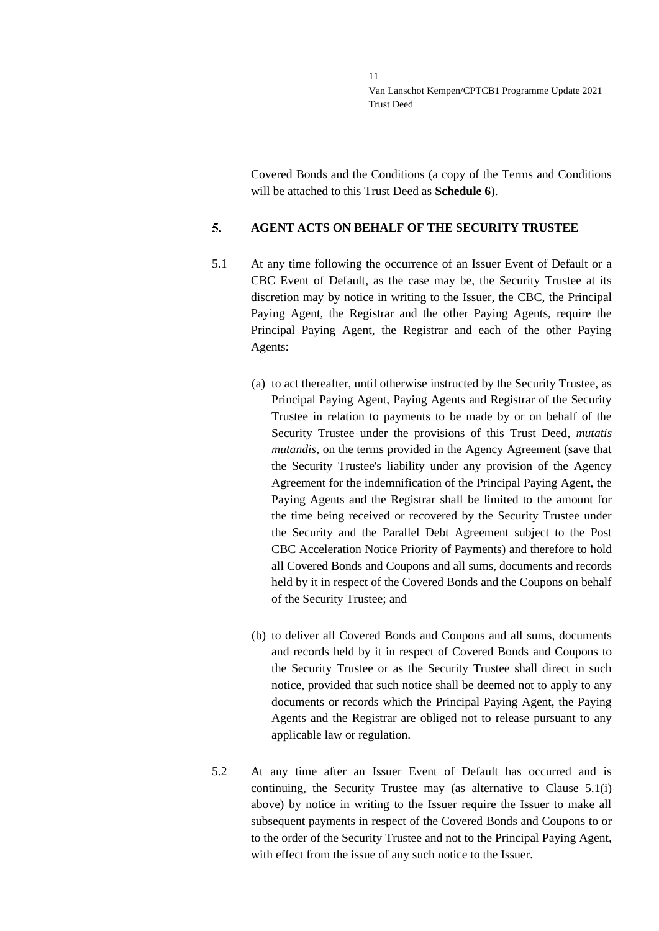Covered Bonds and the Conditions (a copy of the Terms and Conditions will be attached to this Trust Deed as **Schedule 6**).

#### <span id="page-10-0"></span> $5<sub>1</sub>$ **AGENT ACTS ON BEHALF OF THE SECURITY TRUSTEE**

- <span id="page-10-1"></span>5.1 At any time following the occurrence of an Issuer Event of Default or a CBC Event of Default, as the case may be, the Security Trustee at its discretion may by notice in writing to the Issuer, the CBC, the Principal Paying Agent, the Registrar and the other Paying Agents, require the Principal Paying Agent, the Registrar and each of the other Paying Agents:
	- (a) to act thereafter, until otherwise instructed by the Security Trustee, as Principal Paying Agent, Paying Agents and Registrar of the Security Trustee in relation to payments to be made by or on behalf of the Security Trustee under the provisions of this Trust Deed, *mutatis mutandis*, on the terms provided in the Agency Agreement (save that the Security Trustee's liability under any provision of the Agency Agreement for the indemnification of the Principal Paying Agent, the Paying Agents and the Registrar shall be limited to the amount for the time being received or recovered by the Security Trustee under the Security and the Parallel Debt Agreement subject to the Post CBC Acceleration Notice Priority of Payments) and therefore to hold all Covered Bonds and Coupons and all sums, documents and records held by it in respect of the Covered Bonds and the Coupons on behalf of the Security Trustee; and
	- (b) to deliver all Covered Bonds and Coupons and all sums, documents and records held by it in respect of Covered Bonds and Coupons to the Security Trustee or as the Security Trustee shall direct in such notice, provided that such notice shall be deemed not to apply to any documents or records which the Principal Paying Agent, the Paying Agents and the Registrar are obliged not to release pursuant to any applicable law or regulation.
- 5.2 At any time after an Issuer Event of Default has occurred and is continuing, the Security Trustee may (as alternative to Clause [5.1\(](#page-10-1)i) above) by notice in writing to the Issuer require the Issuer to make all subsequent payments in respect of the Covered Bonds and Coupons to or to the order of the Security Trustee and not to the Principal Paying Agent, with effect from the issue of any such notice to the Issuer.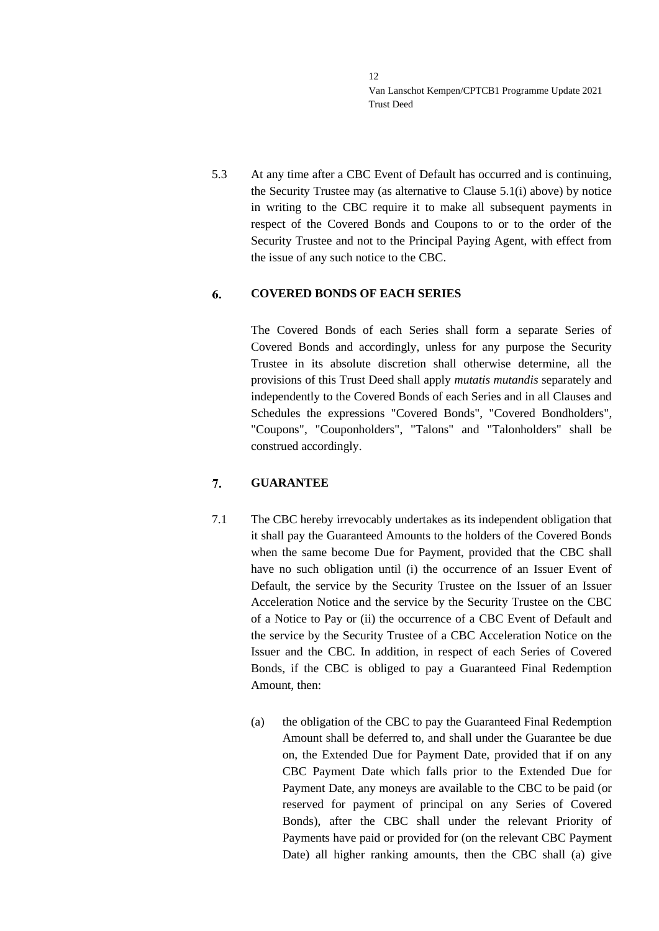5.3 At any time after a CBC Event of Default has occurred and is continuing, the Security Trustee may (as alternative to Clause [5.1\(](#page-10-1)i) above) by notice in writing to the CBC require it to make all subsequent payments in respect of the Covered Bonds and Coupons to or to the order of the Security Trustee and not to the Principal Paying Agent, with effect from the issue of any such notice to the CBC.

### <span id="page-11-0"></span>6. **COVERED BONDS OF EACH SERIES**

The Covered Bonds of each Series shall form a separate Series of Covered Bonds and accordingly, unless for any purpose the Security Trustee in its absolute discretion shall otherwise determine, all the provisions of this Trust Deed shall apply *mutatis mutandis* separately and independently to the Covered Bonds of each Series and in all Clauses and Schedules the expressions "Covered Bonds", "Covered Bondholders", "Coupons", "Couponholders", "Talons" and "Talonholders" shall be construed accordingly.

#### <span id="page-11-1"></span> $7.$ **GUARANTEE**

- 7.1 The CBC hereby irrevocably undertakes as its independent obligation that it shall pay the Guaranteed Amounts to the holders of the Covered Bonds when the same become Due for Payment, provided that the CBC shall have no such obligation until (i) the occurrence of an Issuer Event of Default, the service by the Security Trustee on the Issuer of an Issuer Acceleration Notice and the service by the Security Trustee on the CBC of a Notice to Pay or (ii) the occurrence of a CBC Event of Default and the service by the Security Trustee of a CBC Acceleration Notice on the Issuer and the CBC. In addition, in respect of each Series of Covered Bonds, if the CBC is obliged to pay a Guaranteed Final Redemption Amount, then:
	- (a) the obligation of the CBC to pay the Guaranteed Final Redemption Amount shall be deferred to, and shall under the Guarantee be due on, the Extended Due for Payment Date, provided that if on any CBC Payment Date which falls prior to the Extended Due for Payment Date, any moneys are available to the CBC to be paid (or reserved for payment of principal on any Series of Covered Bonds), after the CBC shall under the relevant Priority of Payments have paid or provided for (on the relevant CBC Payment Date) all higher ranking amounts, then the CBC shall (a) give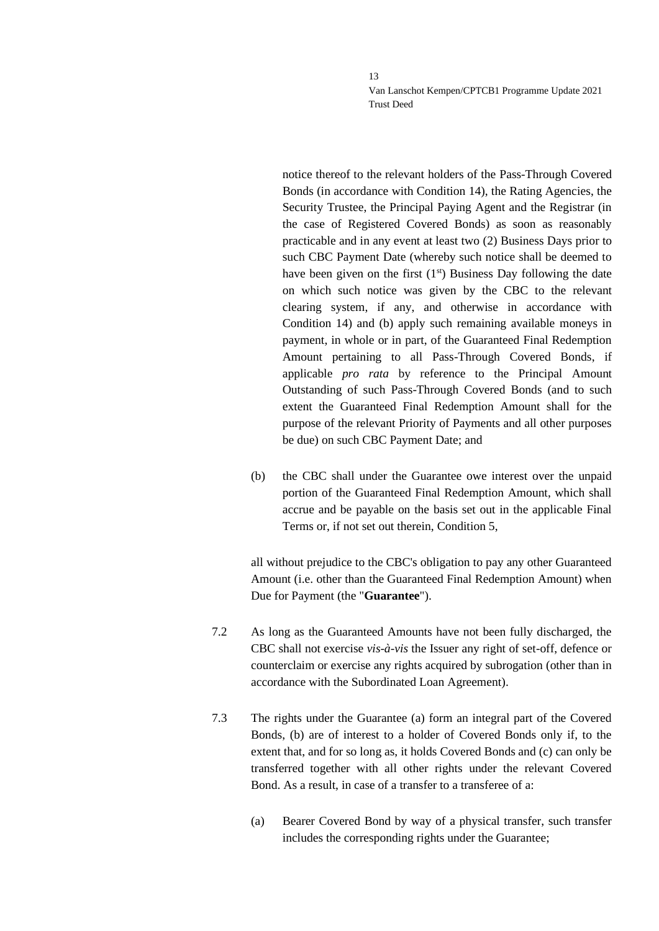notice thereof to the relevant holders of the Pass-Through Covered Bonds (in accordance with Condition 14), the Rating Agencies, the Security Trustee, the Principal Paying Agent and the Registrar (in the case of Registered Covered Bonds) as soon as reasonably practicable and in any event at least two (2) Business Days prior to such CBC Payment Date (whereby such notice shall be deemed to have been given on the first  $(1<sup>st</sup>)$  Business Day following the date on which such notice was given by the CBC to the relevant clearing system, if any, and otherwise in accordance with Condition 14) and (b) apply such remaining available moneys in payment, in whole or in part, of the Guaranteed Final Redemption Amount pertaining to all Pass-Through Covered Bonds, if applicable *pro rata* by reference to the Principal Amount Outstanding of such Pass-Through Covered Bonds (and to such extent the Guaranteed Final Redemption Amount shall for the purpose of the relevant Priority of Payments and all other purposes be due) on such CBC Payment Date; and

(b) the CBC shall under the Guarantee owe interest over the unpaid portion of the Guaranteed Final Redemption Amount, which shall accrue and be payable on the basis set out in the applicable Final Terms or, if not set out therein, Condition 5,

all without prejudice to the CBC's obligation to pay any other Guaranteed Amount (i.e. other than the Guaranteed Final Redemption Amount) when Due for Payment (the "**Guarantee**").

- 7.2 As long as the Guaranteed Amounts have not been fully discharged, the CBC shall not exercise *vis-à-vis* the Issuer any right of set-off, defence or counterclaim or exercise any rights acquired by subrogation (other than in accordance with the Subordinated Loan Agreement).
- 7.3 The rights under the Guarantee (a) form an integral part of the Covered Bonds, (b) are of interest to a holder of Covered Bonds only if, to the extent that, and for so long as, it holds Covered Bonds and (c) can only be transferred together with all other rights under the relevant Covered Bond. As a result, in case of a transfer to a transferee of a:
	- (a) Bearer Covered Bond by way of a physical transfer, such transfer includes the corresponding rights under the Guarantee;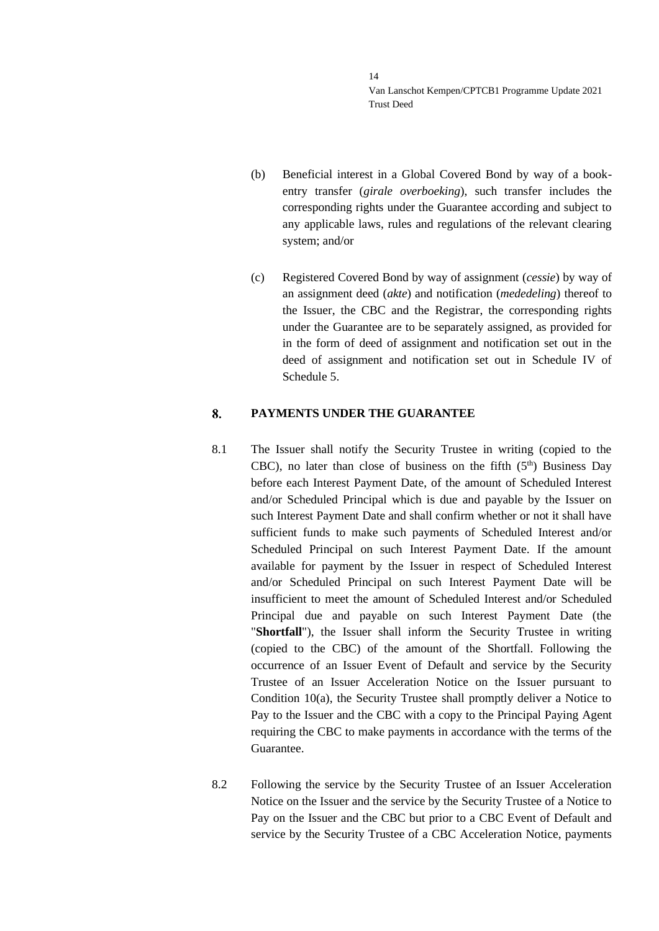- (b) Beneficial interest in a Global Covered Bond by way of a bookentry transfer (*girale overboeking*), such transfer includes the corresponding rights under the Guarantee according and subject to any applicable laws, rules and regulations of the relevant clearing system; and/or
- (c) Registered Covered Bond by way of assignment (*cessie*) by way of an assignment deed (*akte*) and notification (*mededeling*) thereof to the Issuer, the CBC and the Registrar, the corresponding rights under the Guarantee are to be separately assigned, as provided for in the form of deed of assignment and notification set out in the deed of assignment and notification set out in Schedule IV of Schedule 5.

#### <span id="page-13-0"></span>8. **PAYMENTS UNDER THE GUARANTEE**

- 8.1 The Issuer shall notify the Security Trustee in writing (copied to the CBC), no later than close of business on the fifth  $(5<sup>th</sup>)$  Business Day before each Interest Payment Date, of the amount of Scheduled Interest and/or Scheduled Principal which is due and payable by the Issuer on such Interest Payment Date and shall confirm whether or not it shall have sufficient funds to make such payments of Scheduled Interest and/or Scheduled Principal on such Interest Payment Date. If the amount available for payment by the Issuer in respect of Scheduled Interest and/or Scheduled Principal on such Interest Payment Date will be insufficient to meet the amount of Scheduled Interest and/or Scheduled Principal due and payable on such Interest Payment Date (the "**Shortfall**"), the Issuer shall inform the Security Trustee in writing (copied to the CBC) of the amount of the Shortfall. Following the occurrence of an Issuer Event of Default and service by the Security Trustee of an Issuer Acceleration Notice on the Issuer pursuant to Condition 10(a), the Security Trustee shall promptly deliver a Notice to Pay to the Issuer and the CBC with a copy to the Principal Paying Agent requiring the CBC to make payments in accordance with the terms of the Guarantee.
- 8.2 Following the service by the Security Trustee of an Issuer Acceleration Notice on the Issuer and the service by the Security Trustee of a Notice to Pay on the Issuer and the CBC but prior to a CBC Event of Default and service by the Security Trustee of a CBC Acceleration Notice, payments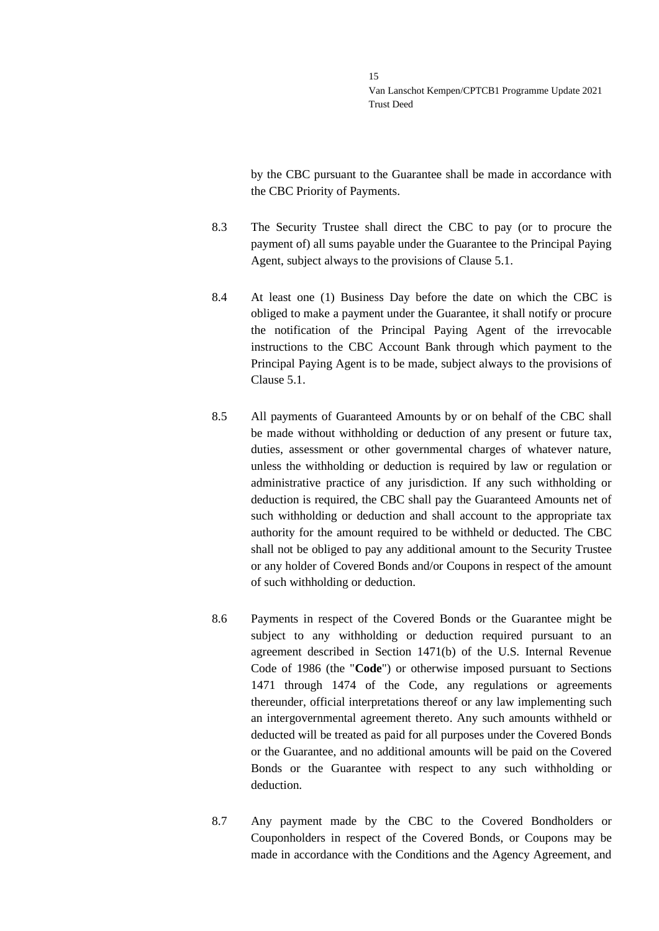by the CBC pursuant to the Guarantee shall be made in accordance with the CBC Priority of Payments.

- 8.3 The Security Trustee shall direct the CBC to pay (or to procure the payment of) all sums payable under the Guarantee to the Principal Paying Agent, subject always to the provisions of Clause [5.1.](#page-10-1)
- 8.4 At least one (1) Business Day before the date on which the CBC is obliged to make a payment under the Guarantee, it shall notify or procure the notification of the Principal Paying Agent of the irrevocable instructions to the CBC Account Bank through which payment to the Principal Paying Agent is to be made, subject always to the provisions of Clause [5.1.](#page-10-1)
- <span id="page-14-0"></span>8.5 All payments of Guaranteed Amounts by or on behalf of the CBC shall be made without withholding or deduction of any present or future tax, duties, assessment or other governmental charges of whatever nature, unless the withholding or deduction is required by law or regulation or administrative practice of any jurisdiction. If any such withholding or deduction is required, the CBC shall pay the Guaranteed Amounts net of such withholding or deduction and shall account to the appropriate tax authority for the amount required to be withheld or deducted. The CBC shall not be obliged to pay any additional amount to the Security Trustee or any holder of Covered Bonds and/or Coupons in respect of the amount of such withholding or deduction.
- 8.6 Payments in respect of the Covered Bonds or the Guarantee might be subject to any withholding or deduction required pursuant to an agreement described in Section 1471(b) of the U.S. Internal Revenue Code of 1986 (the "**Code**") or otherwise imposed pursuant to Sections 1471 through 1474 of the Code, any regulations or agreements thereunder, official interpretations thereof or any law implementing such an intergovernmental agreement thereto. Any such amounts withheld or deducted will be treated as paid for all purposes under the Covered Bonds or the Guarantee, and no additional amounts will be paid on the Covered Bonds or the Guarantee with respect to any such withholding or deduction.
- 8.7 Any payment made by the CBC to the Covered Bondholders or Couponholders in respect of the Covered Bonds, or Coupons may be made in accordance with the Conditions and the Agency Agreement, and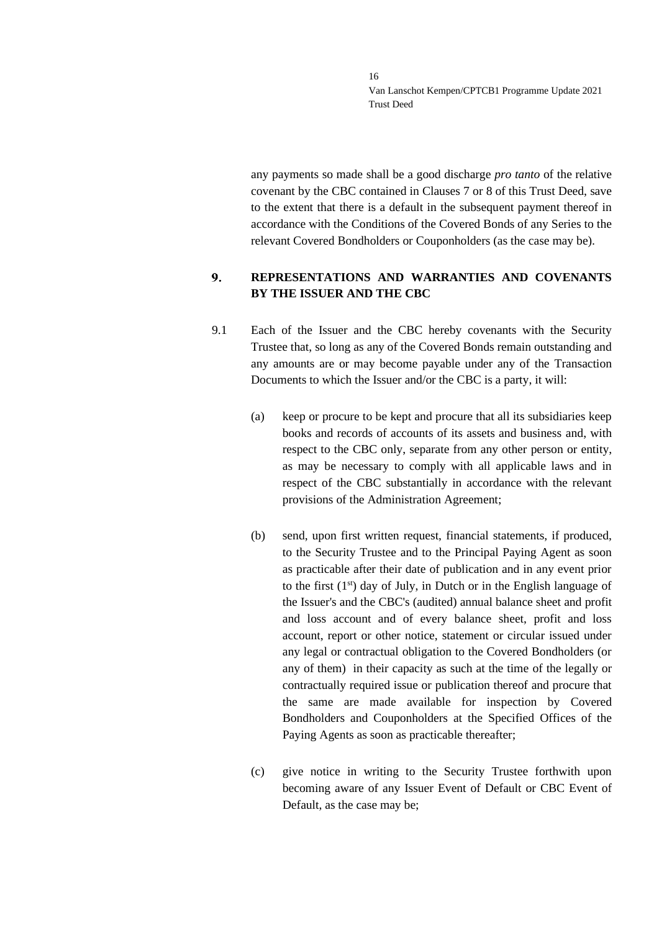any payments so made shall be a good discharge *pro tanto* of the relative covenant by the CBC contained in Clauses [7](#page-11-1) or [8](#page-13-0) of this Trust Deed, save to the extent that there is a default in the subsequent payment thereof in accordance with the Conditions of the Covered Bonds of any Series to the relevant Covered Bondholders or Couponholders (as the case may be).

### <span id="page-15-0"></span> $9<sub>r</sub>$ **REPRESENTATIONS AND WARRANTIES AND COVENANTS BY THE ISSUER AND THE CBC**

- 9.1 Each of the Issuer and the CBC hereby covenants with the Security Trustee that, so long as any of the Covered Bonds remain outstanding and any amounts are or may become payable under any of the Transaction Documents to which the Issuer and/or the CBC is a party, it will:
	- (a) keep or procure to be kept and procure that all its subsidiaries keep books and records of accounts of its assets and business and, with respect to the CBC only, separate from any other person or entity, as may be necessary to comply with all applicable laws and in respect of the CBC substantially in accordance with the relevant provisions of the Administration Agreement;
	- (b) send, upon first written request, financial statements, if produced, to the Security Trustee and to the Principal Paying Agent as soon as practicable after their date of publication and in any event prior to the first  $(1<sup>st</sup>)$  day of July, in Dutch or in the English language of the Issuer's and the CBC's (audited) annual balance sheet and profit and loss account and of every balance sheet, profit and loss account, report or other notice, statement or circular issued under any legal or contractual obligation to the Covered Bondholders (or any of them) in their capacity as such at the time of the legally or contractually required issue or publication thereof and procure that the same are made available for inspection by Covered Bondholders and Couponholders at the Specified Offices of the Paying Agents as soon as practicable thereafter;
	- (c) give notice in writing to the Security Trustee forthwith upon becoming aware of any Issuer Event of Default or CBC Event of Default, as the case may be;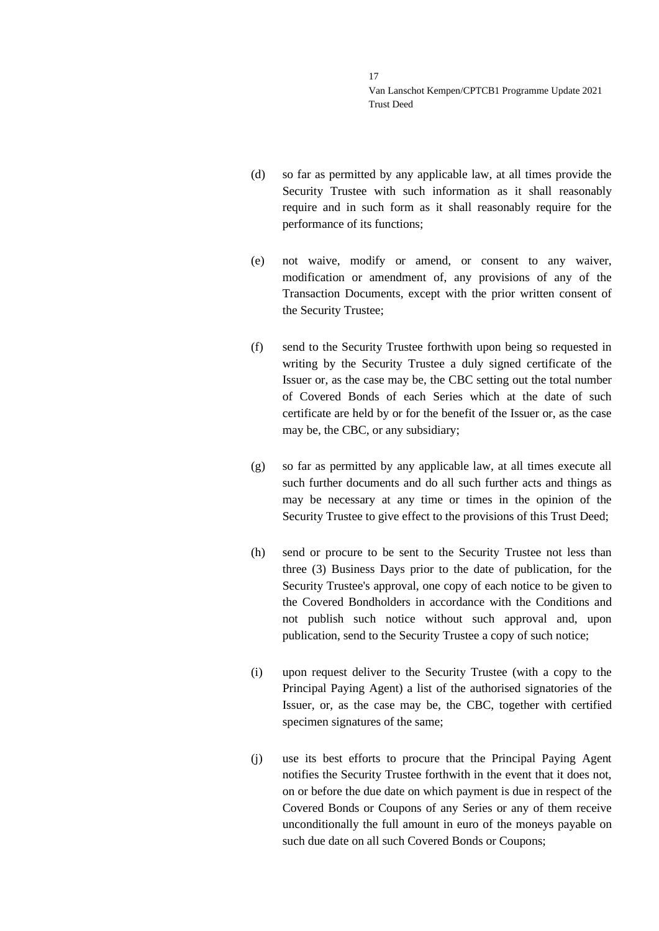- (d) so far as permitted by any applicable law, at all times provide the Security Trustee with such information as it shall reasonably require and in such form as it shall reasonably require for the performance of its functions;
- (e) not waive, modify or amend, or consent to any waiver, modification or amendment of, any provisions of any of the Transaction Documents, except with the prior written consent of the Security Trustee;
- (f) send to the Security Trustee forthwith upon being so requested in writing by the Security Trustee a duly signed certificate of the Issuer or, as the case may be, the CBC setting out the total number of Covered Bonds of each Series which at the date of such certificate are held by or for the benefit of the Issuer or, as the case may be, the CBC, or any subsidiary;
- (g) so far as permitted by any applicable law, at all times execute all such further documents and do all such further acts and things as may be necessary at any time or times in the opinion of the Security Trustee to give effect to the provisions of this Trust Deed;
- (h) send or procure to be sent to the Security Trustee not less than three (3) Business Days prior to the date of publication, for the Security Trustee's approval, one copy of each notice to be given to the Covered Bondholders in accordance with the Conditions and not publish such notice without such approval and, upon publication, send to the Security Trustee a copy of such notice;
- (i) upon request deliver to the Security Trustee (with a copy to the Principal Paying Agent) a list of the authorised signatories of the Issuer, or, as the case may be, the CBC, together with certified specimen signatures of the same;
- (j) use its best efforts to procure that the Principal Paying Agent notifies the Security Trustee forthwith in the event that it does not, on or before the due date on which payment is due in respect of the Covered Bonds or Coupons of any Series or any of them receive unconditionally the full amount in euro of the moneys payable on such due date on all such Covered Bonds or Coupons;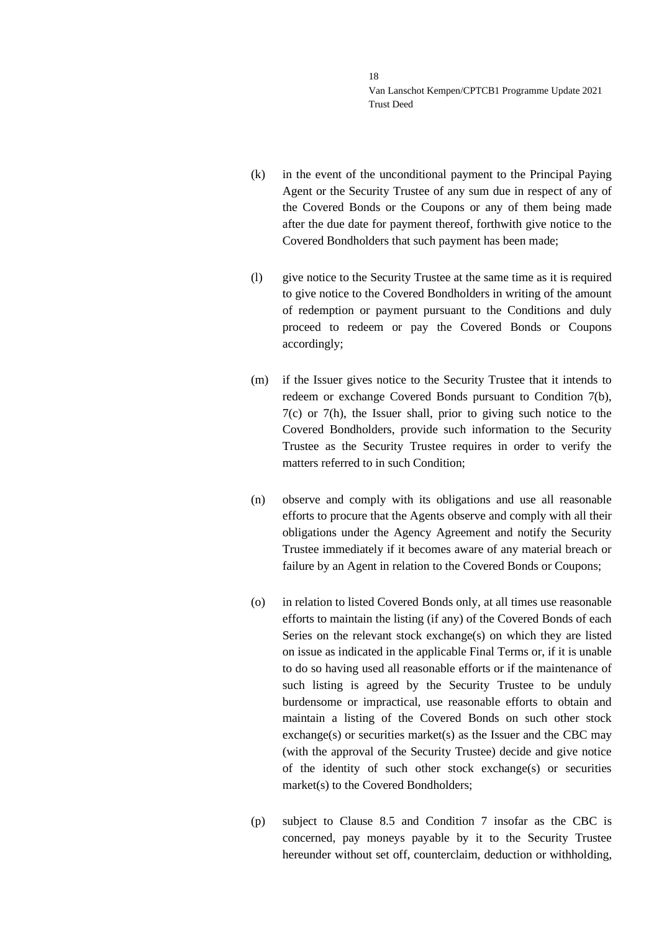- (k) in the event of the unconditional payment to the Principal Paying Agent or the Security Trustee of any sum due in respect of any of the Covered Bonds or the Coupons or any of them being made after the due date for payment thereof, forthwith give notice to the Covered Bondholders that such payment has been made;
- (l) give notice to the Security Trustee at the same time as it is required to give notice to the Covered Bondholders in writing of the amount of redemption or payment pursuant to the Conditions and duly proceed to redeem or pay the Covered Bonds or Coupons accordingly;
- (m) if the Issuer gives notice to the Security Trustee that it intends to redeem or exchange Covered Bonds pursuant to Condition 7(b), 7(c) or 7(h), the Issuer shall, prior to giving such notice to the Covered Bondholders, provide such information to the Security Trustee as the Security Trustee requires in order to verify the matters referred to in such Condition;
- (n) observe and comply with its obligations and use all reasonable efforts to procure that the Agents observe and comply with all their obligations under the Agency Agreement and notify the Security Trustee immediately if it becomes aware of any material breach or failure by an Agent in relation to the Covered Bonds or Coupons;
- (o) in relation to listed Covered Bonds only, at all times use reasonable efforts to maintain the listing (if any) of the Covered Bonds of each Series on the relevant stock exchange(s) on which they are listed on issue as indicated in the applicable Final Terms or, if it is unable to do so having used all reasonable efforts or if the maintenance of such listing is agreed by the Security Trustee to be unduly burdensome or impractical, use reasonable efforts to obtain and maintain a listing of the Covered Bonds on such other stock exchange(s) or securities market(s) as the Issuer and the CBC may (with the approval of the Security Trustee) decide and give notice of the identity of such other stock exchange(s) or securities market(s) to the Covered Bondholders;
- (p) subject to Clause [8.5](#page-14-0) and Condition 7 insofar as the CBC is concerned, pay moneys payable by it to the Security Trustee hereunder without set off, counterclaim, deduction or withholding,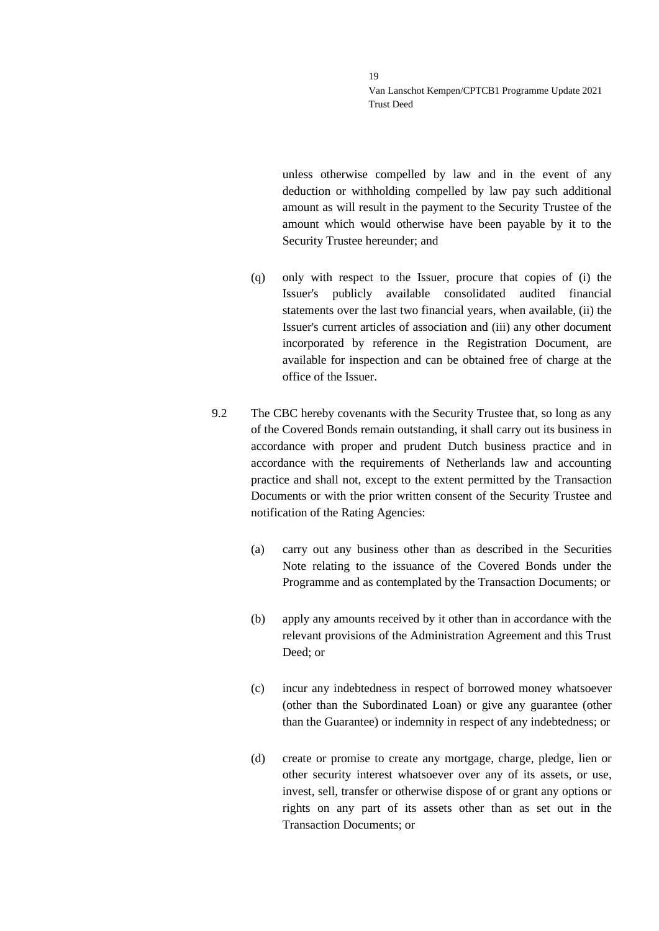unless otherwise compelled by law and in the event of any deduction or withholding compelled by law pay such additional amount as will result in the payment to the Security Trustee of the amount which would otherwise have been payable by it to the Security Trustee hereunder; and

- (q) only with respect to the Issuer, procure that copies of (i) the Issuer's publicly available consolidated audited financial statements over the last two financial years, when available, (ii) the Issuer's current articles of association and (iii) any other document incorporated by reference in the Registration Document, are available for inspection and can be obtained free of charge at the office of the Issuer.
- 9.2 The CBC hereby covenants with the Security Trustee that, so long as any of the Covered Bonds remain outstanding, it shall carry out its business in accordance with proper and prudent Dutch business practice and in accordance with the requirements of Netherlands law and accounting practice and shall not, except to the extent permitted by the Transaction Documents or with the prior written consent of the Security Trustee and notification of the Rating Agencies:
	- (a) carry out any business other than as described in the Securities Note relating to the issuance of the Covered Bonds under the Programme and as contemplated by the Transaction Documents; or
	- (b) apply any amounts received by it other than in accordance with the relevant provisions of the Administration Agreement and this Trust Deed; or
	- (c) incur any indebtedness in respect of borrowed money whatsoever (other than the Subordinated Loan) or give any guarantee (other than the Guarantee) or indemnity in respect of any indebtedness; or
	- (d) create or promise to create any mortgage, charge, pledge, lien or other security interest whatsoever over any of its assets, or use, invest, sell, transfer or otherwise dispose of or grant any options or rights on any part of its assets other than as set out in the Transaction Documents; or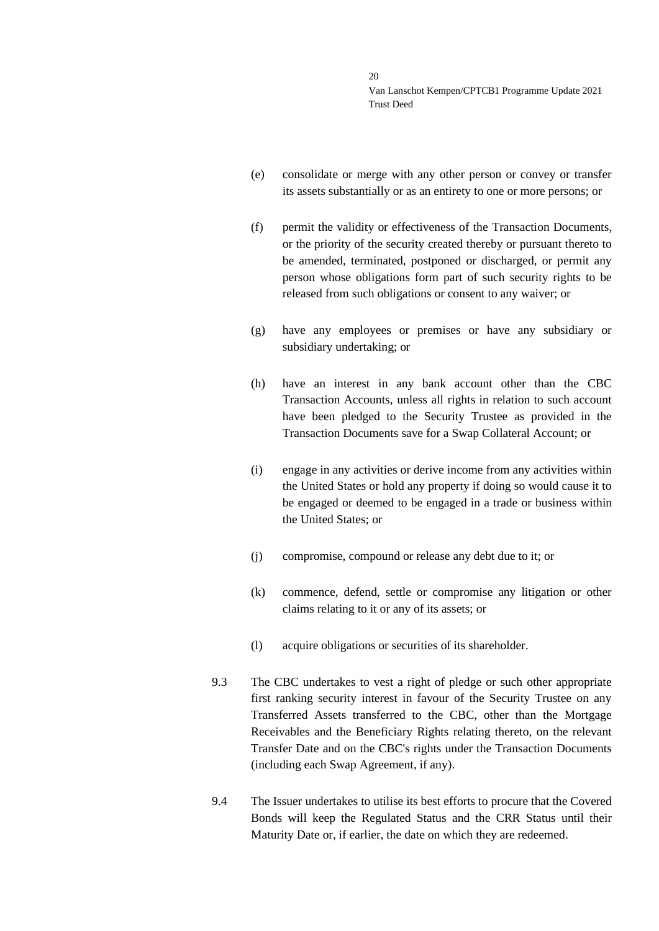- (e) consolidate or merge with any other person or convey or transfer its assets substantially or as an entirety to one or more persons; or
- (f) permit the validity or effectiveness of the Transaction Documents, or the priority of the security created thereby or pursuant thereto to be amended, terminated, postponed or discharged, or permit any person whose obligations form part of such security rights to be released from such obligations or consent to any waiver; or
- (g) have any employees or premises or have any subsidiary or subsidiary undertaking; or
- (h) have an interest in any bank account other than the CBC Transaction Accounts, unless all rights in relation to such account have been pledged to the Security Trustee as provided in the Transaction Documents save for a Swap Collateral Account; or
- (i) engage in any activities or derive income from any activities within the United States or hold any property if doing so would cause it to be engaged or deemed to be engaged in a trade or business within the United States; or
- (j) compromise, compound or release any debt due to it; or
- (k) commence, defend, settle or compromise any litigation or other claims relating to it or any of its assets; or
- (l) acquire obligations or securities of its shareholder.
- 9.3 The CBC undertakes to vest a right of pledge or such other appropriate first ranking security interest in favour of the Security Trustee on any Transferred Assets transferred to the CBC, other than the Mortgage Receivables and the Beneficiary Rights relating thereto, on the relevant Transfer Date and on the CBC's rights under the Transaction Documents (including each Swap Agreement, if any).
- <span id="page-19-0"></span>9.4 The Issuer undertakes to utilise its best efforts to procure that the Covered Bonds will keep the Regulated Status and the CRR Status until their Maturity Date or, if earlier, the date on which they are redeemed.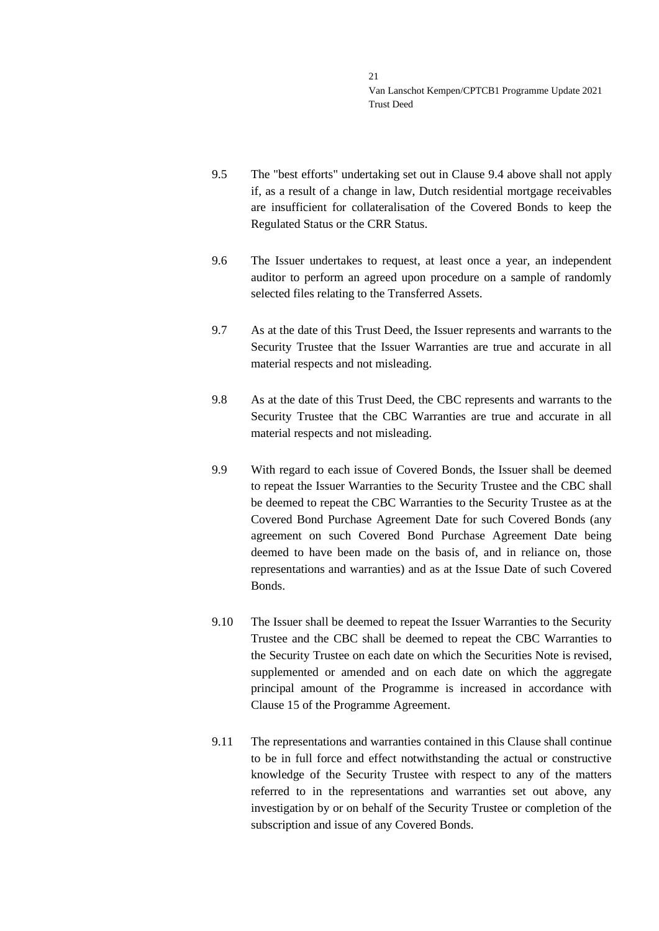- 9.5 The "best efforts" undertaking set out in Clause [9.4](#page-19-0) above shall not apply if, as a result of a change in law, Dutch residential mortgage receivables are insufficient for collateralisation of the Covered Bonds to keep the Regulated Status or the CRR Status.
- 9.6 The Issuer undertakes to request, at least once a year, an independent auditor to perform an agreed upon procedure on a sample of randomly selected files relating to the Transferred Assets.
- 9.7 As at the date of this Trust Deed, the Issuer represents and warrants to the Security Trustee that the Issuer Warranties are true and accurate in all material respects and not misleading.
- 9.8 As at the date of this Trust Deed, the CBC represents and warrants to the Security Trustee that the CBC Warranties are true and accurate in all material respects and not misleading.
- 9.9 With regard to each issue of Covered Bonds, the Issuer shall be deemed to repeat the Issuer Warranties to the Security Trustee and the CBC shall be deemed to repeat the CBC Warranties to the Security Trustee as at the Covered Bond Purchase Agreement Date for such Covered Bonds (any agreement on such Covered Bond Purchase Agreement Date being deemed to have been made on the basis of, and in reliance on, those representations and warranties) and as at the Issue Date of such Covered Bonds.
- 9.10 The Issuer shall be deemed to repeat the Issuer Warranties to the Security Trustee and the CBC shall be deemed to repeat the CBC Warranties to the Security Trustee on each date on which the Securities Note is revised, supplemented or amended and on each date on which the aggregate principal amount of the Programme is increased in accordance with Clause 15 of the Programme Agreement.
- 9.11 The representations and warranties contained in this Clause shall continue to be in full force and effect notwithstanding the actual or constructive knowledge of the Security Trustee with respect to any of the matters referred to in the representations and warranties set out above, any investigation by or on behalf of the Security Trustee or completion of the subscription and issue of any Covered Bonds.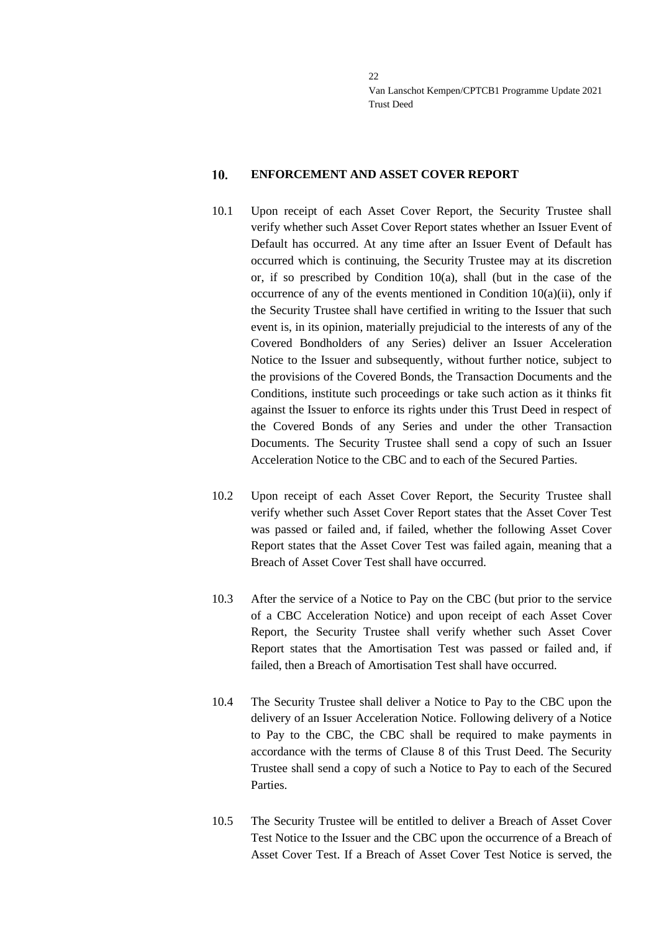#### <span id="page-21-0"></span> $10.$ **ENFORCEMENT AND ASSET COVER REPORT**

- 10.1 Upon receipt of each Asset Cover Report, the Security Trustee shall verify whether such Asset Cover Report states whether an Issuer Event of Default has occurred. At any time after an Issuer Event of Default has occurred which is continuing, the Security Trustee may at its discretion or, if so prescribed by Condition  $10(a)$ , shall (but in the case of the occurrence of any of the events mentioned in Condition  $10(a)(ii)$ , only if the Security Trustee shall have certified in writing to the Issuer that such event is, in its opinion, materially prejudicial to the interests of any of the Covered Bondholders of any Series) deliver an Issuer Acceleration Notice to the Issuer and subsequently, without further notice, subject to the provisions of the Covered Bonds, the Transaction Documents and the Conditions, institute such proceedings or take such action as it thinks fit against the Issuer to enforce its rights under this Trust Deed in respect of the Covered Bonds of any Series and under the other Transaction Documents. The Security Trustee shall send a copy of such an Issuer Acceleration Notice to the CBC and to each of the Secured Parties.
- 10.2 Upon receipt of each Asset Cover Report, the Security Trustee shall verify whether such Asset Cover Report states that the Asset Cover Test was passed or failed and, if failed, whether the following Asset Cover Report states that the Asset Cover Test was failed again, meaning that a Breach of Asset Cover Test shall have occurred.
- 10.3 After the service of a Notice to Pay on the CBC (but prior to the service of a CBC Acceleration Notice) and upon receipt of each Asset Cover Report, the Security Trustee shall verify whether such Asset Cover Report states that the Amortisation Test was passed or failed and, if failed, then a Breach of Amortisation Test shall have occurred.
- 10.4 The Security Trustee shall deliver a Notice to Pay to the CBC upon the delivery of an Issuer Acceleration Notice. Following delivery of a Notice to Pay to the CBC, the CBC shall be required to make payments in accordance with the terms of Clause [8](#page-13-0) of this Trust Deed. The Security Trustee shall send a copy of such a Notice to Pay to each of the Secured Parties.
- 10.5 The Security Trustee will be entitled to deliver a Breach of Asset Cover Test Notice to the Issuer and the CBC upon the occurrence of a Breach of Asset Cover Test. If a Breach of Asset Cover Test Notice is served, the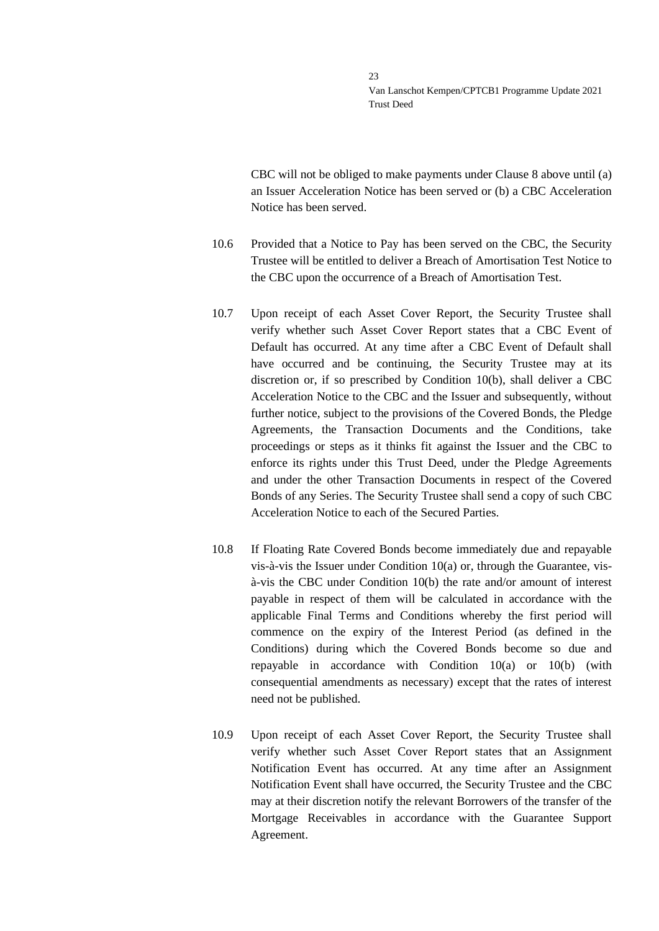CBC will not be obliged to make payments under Clause [8](#page-13-0) above until (a) an Issuer Acceleration Notice has been served or (b) a CBC Acceleration Notice has been served.

- 10.6 Provided that a Notice to Pay has been served on the CBC, the Security Trustee will be entitled to deliver a Breach of Amortisation Test Notice to the CBC upon the occurrence of a Breach of Amortisation Test.
- 10.7 Upon receipt of each Asset Cover Report, the Security Trustee shall verify whether such Asset Cover Report states that a CBC Event of Default has occurred. At any time after a CBC Event of Default shall have occurred and be continuing, the Security Trustee may at its discretion or, if so prescribed by Condition 10(b), shall deliver a CBC Acceleration Notice to the CBC and the Issuer and subsequently, without further notice, subject to the provisions of the Covered Bonds, the Pledge Agreements, the Transaction Documents and the Conditions, take proceedings or steps as it thinks fit against the Issuer and the CBC to enforce its rights under this Trust Deed, under the Pledge Agreements and under the other Transaction Documents in respect of the Covered Bonds of any Series. The Security Trustee shall send a copy of such CBC Acceleration Notice to each of the Secured Parties.
- <span id="page-22-0"></span>10.8 If Floating Rate Covered Bonds become immediately due and repayable vis-à-vis the Issuer under Condition 10(a) or, through the Guarantee, visà-vis the CBC under Condition 10(b) the rate and/or amount of interest payable in respect of them will be calculated in accordance with the applicable Final Terms and Conditions whereby the first period will commence on the expiry of the Interest Period (as defined in the Conditions) during which the Covered Bonds become so due and repayable in accordance with Condition 10(a) or 10(b) (with consequential amendments as necessary) except that the rates of interest need not be published.
- 10.9 Upon receipt of each Asset Cover Report, the Security Trustee shall verify whether such Asset Cover Report states that an Assignment Notification Event has occurred. At any time after an Assignment Notification Event shall have occurred, the Security Trustee and the CBC may at their discretion notify the relevant Borrowers of the transfer of the Mortgage Receivables in accordance with the Guarantee Support Agreement.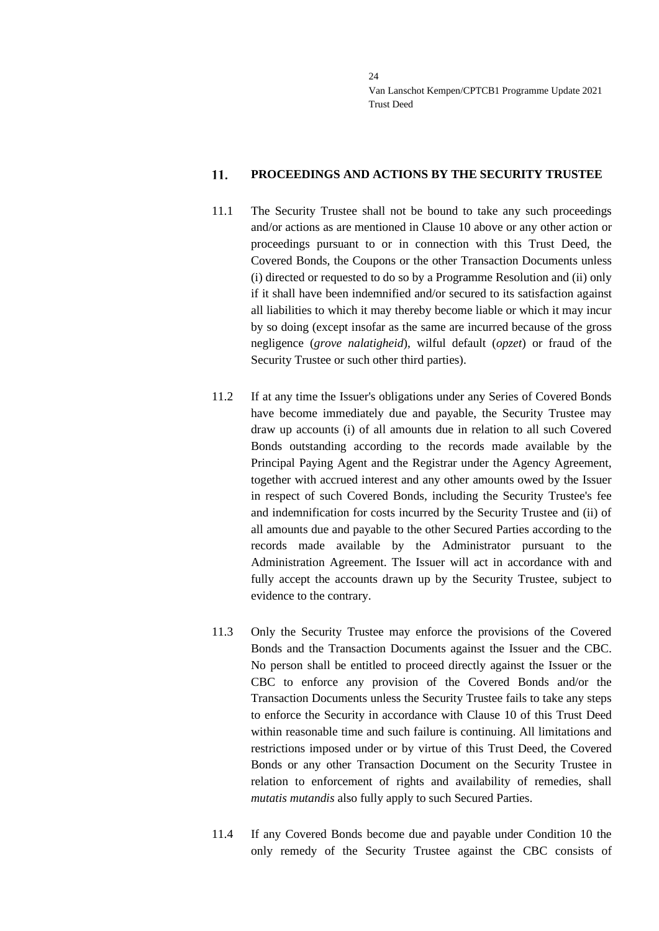#### <span id="page-23-0"></span>11. **PROCEEDINGS AND ACTIONS BY THE SECURITY TRUSTEE**

- 11.1 The Security Trustee shall not be bound to take any such proceedings and/or actions as are mentioned in Clause [10](#page-21-0) above or any other action or proceedings pursuant to or in connection with this Trust Deed, the Covered Bonds, the Coupons or the other Transaction Documents unless (i) directed or requested to do so by a Programme Resolution and (ii) only if it shall have been indemnified and/or secured to its satisfaction against all liabilities to which it may thereby become liable or which it may incur by so doing (except insofar as the same are incurred because of the gross negligence (*grove nalatigheid*), wilful default (*opzet*) or fraud of the Security Trustee or such other third parties).
- 11.2 If at any time the Issuer's obligations under any Series of Covered Bonds have become immediately due and payable, the Security Trustee may draw up accounts (i) of all amounts due in relation to all such Covered Bonds outstanding according to the records made available by the Principal Paying Agent and the Registrar under the Agency Agreement, together with accrued interest and any other amounts owed by the Issuer in respect of such Covered Bonds, including the Security Trustee's fee and indemnification for costs incurred by the Security Trustee and (ii) of all amounts due and payable to the other Secured Parties according to the records made available by the Administrator pursuant to the Administration Agreement. The Issuer will act in accordance with and fully accept the accounts drawn up by the Security Trustee, subject to evidence to the contrary.
- 11.3 Only the Security Trustee may enforce the provisions of the Covered Bonds and the Transaction Documents against the Issuer and the CBC. No person shall be entitled to proceed directly against the Issuer or the CBC to enforce any provision of the Covered Bonds and/or the Transaction Documents unless the Security Trustee fails to take any steps to enforce the Security in accordance with Clause [10](#page-21-0) of this Trust Deed within reasonable time and such failure is continuing. All limitations and restrictions imposed under or by virtue of this Trust Deed, the Covered Bonds or any other Transaction Document on the Security Trustee in relation to enforcement of rights and availability of remedies, shall *mutatis mutandis* also fully apply to such Secured Parties.
- 11.4 If any Covered Bonds become due and payable under Condition 10 the only remedy of the Security Trustee against the CBC consists of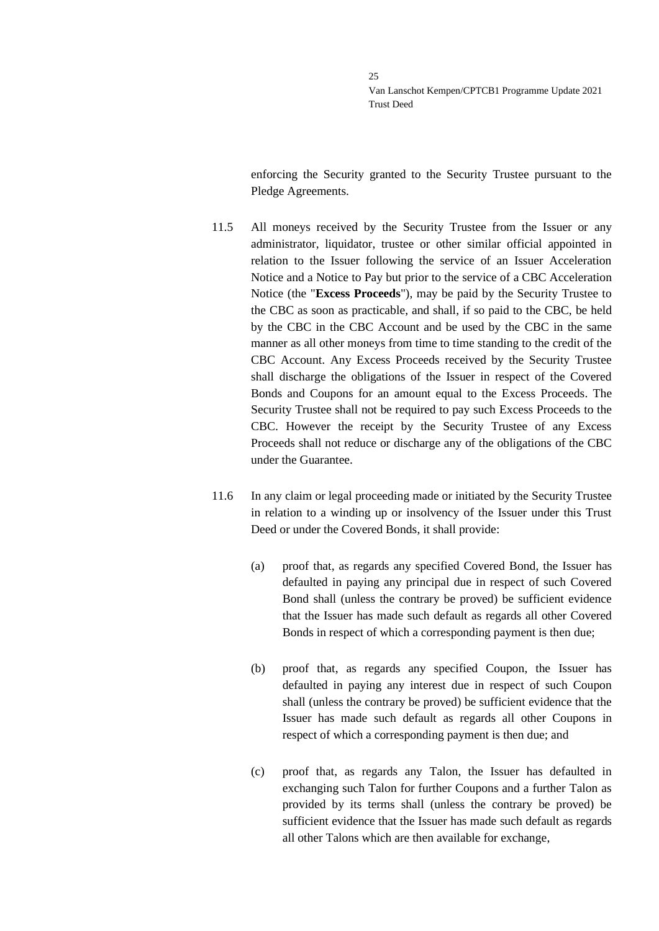enforcing the Security granted to the Security Trustee pursuant to the Pledge Agreements.

- 11.5 All moneys received by the Security Trustee from the Issuer or any administrator, liquidator, trustee or other similar official appointed in relation to the Issuer following the service of an Issuer Acceleration Notice and a Notice to Pay but prior to the service of a CBC Acceleration Notice (the "**Excess Proceeds**"), may be paid by the Security Trustee to the CBC as soon as practicable, and shall, if so paid to the CBC, be held by the CBC in the CBC Account and be used by the CBC in the same manner as all other moneys from time to time standing to the credit of the CBC Account. Any Excess Proceeds received by the Security Trustee shall discharge the obligations of the Issuer in respect of the Covered Bonds and Coupons for an amount equal to the Excess Proceeds. The Security Trustee shall not be required to pay such Excess Proceeds to the CBC. However the receipt by the Security Trustee of any Excess Proceeds shall not reduce or discharge any of the obligations of the CBC under the Guarantee.
- 11.6 In any claim or legal proceeding made or initiated by the Security Trustee in relation to a winding up or insolvency of the Issuer under this Trust Deed or under the Covered Bonds, it shall provide:
	- (a) proof that, as regards any specified Covered Bond, the Issuer has defaulted in paying any principal due in respect of such Covered Bond shall (unless the contrary be proved) be sufficient evidence that the Issuer has made such default as regards all other Covered Bonds in respect of which a corresponding payment is then due;
	- (b) proof that, as regards any specified Coupon, the Issuer has defaulted in paying any interest due in respect of such Coupon shall (unless the contrary be proved) be sufficient evidence that the Issuer has made such default as regards all other Coupons in respect of which a corresponding payment is then due; and
	- (c) proof that, as regards any Talon, the Issuer has defaulted in exchanging such Talon for further Coupons and a further Talon as provided by its terms shall (unless the contrary be proved) be sufficient evidence that the Issuer has made such default as regards all other Talons which are then available for exchange,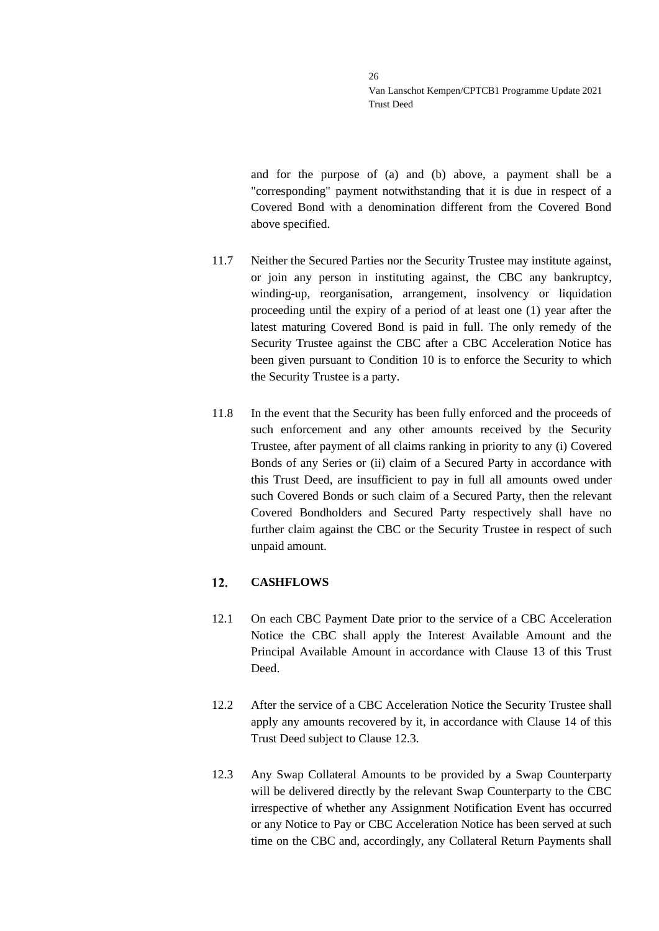and for the purpose of (a) and (b) above, a payment shall be a "corresponding" payment notwithstanding that it is due in respect of a Covered Bond with a denomination different from the Covered Bond above specified.

- 11.7 Neither the Secured Parties nor the Security Trustee may institute against, or join any person in instituting against, the CBC any bankruptcy, winding-up, reorganisation, arrangement, insolvency or liquidation proceeding until the expiry of a period of at least one (1) year after the latest maturing Covered Bond is paid in full. The only remedy of the Security Trustee against the CBC after a CBC Acceleration Notice has been given pursuant to Condition 10 is to enforce the Security to which the Security Trustee is a party.
- 11.8 In the event that the Security has been fully enforced and the proceeds of such enforcement and any other amounts received by the Security Trustee, after payment of all claims ranking in priority to any (i) Covered Bonds of any Series or (ii) claim of a Secured Party in accordance with this Trust Deed, are insufficient to pay in full all amounts owed under such Covered Bonds or such claim of a Secured Party, then the relevant Covered Bondholders and Secured Party respectively shall have no further claim against the CBC or the Security Trustee in respect of such unpaid amount.

#### <span id="page-25-0"></span> $12.$ **CASHFLOWS**

- 12.1 On each CBC Payment Date prior to the service of a CBC Acceleration Notice the CBC shall apply the Interest Available Amount and the Principal Available Amount in accordance with Clause [13](#page-27-0) of this Trust Deed.
- 12.2 After the service of a CBC Acceleration Notice the Security Trustee shall apply any amounts recovered by it, in accordance with Clause [14](#page-31-0) of this Trust Deed subject to Clause [12.3.](#page-25-1)
- <span id="page-25-1"></span>12.3 Any Swap Collateral Amounts to be provided by a Swap Counterparty will be delivered directly by the relevant Swap Counterparty to the CBC irrespective of whether any Assignment Notification Event has occurred or any Notice to Pay or CBC Acceleration Notice has been served at such time on the CBC and, accordingly, any Collateral Return Payments shall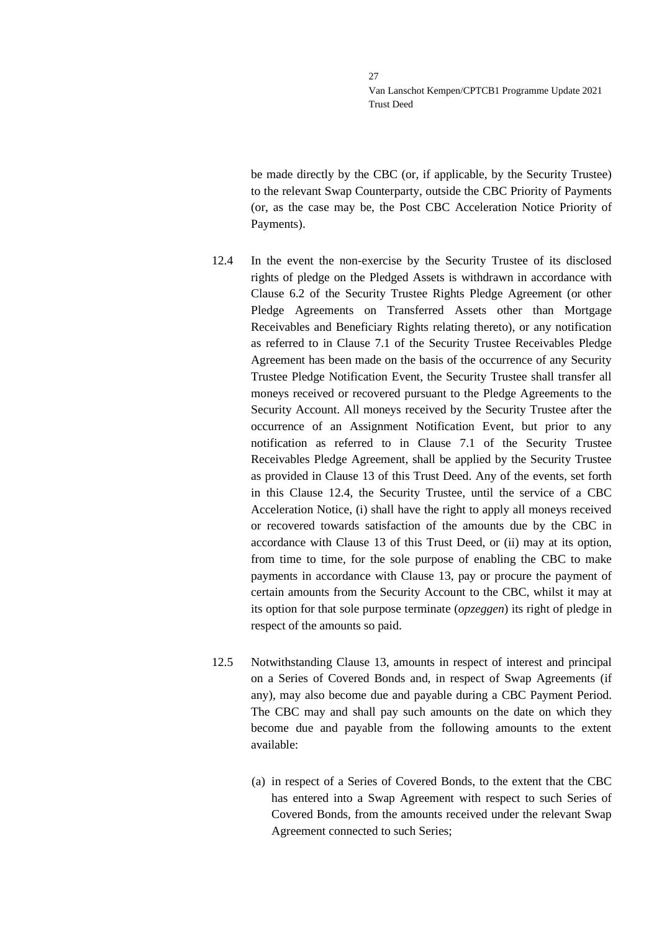be made directly by the CBC (or, if applicable, by the Security Trustee) to the relevant Swap Counterparty, outside the CBC Priority of Payments (or, as the case may be, the Post CBC Acceleration Notice Priority of Payments).

- <span id="page-26-0"></span>12.4 In the event the non-exercise by the Security Trustee of its disclosed rights of pledge on the Pledged Assets is withdrawn in accordance with Clause 6.2 of the Security Trustee Rights Pledge Agreement (or other Pledge Agreements on Transferred Assets other than Mortgage Receivables and Beneficiary Rights relating thereto), or any notification as referred to in Clause 7.1 of the Security Trustee Receivables Pledge Agreement has been made on the basis of the occurrence of any Security Trustee Pledge Notification Event, the Security Trustee shall transfer all moneys received or recovered pursuant to the Pledge Agreements to the Security Account. All moneys received by the Security Trustee after the occurrence of an Assignment Notification Event, but prior to any notification as referred to in Clause 7.1 of the Security Trustee Receivables Pledge Agreement, shall be applied by the Security Trustee as provided in Clause [13](#page-27-0) of this Trust Deed. Any of the events, set forth in this Clause [12.4,](#page-26-0) the Security Trustee, until the service of a CBC Acceleration Notice, (i) shall have the right to apply all moneys received or recovered towards satisfaction of the amounts due by the CBC in accordance with Clause [13](#page-27-0) of this Trust Deed, or (ii) may at its option, from time to time, for the sole purpose of enabling the CBC to make payments in accordance with Clause [13,](#page-27-0) pay or procure the payment of certain amounts from the Security Account to the CBC, whilst it may at its option for that sole purpose terminate (*opzeggen*) its right of pledge in respect of the amounts so paid.
- 12.5 Notwithstanding Clause [13,](#page-27-0) amounts in respect of interest and principal on a Series of Covered Bonds and, in respect of Swap Agreements (if any), may also become due and payable during a CBC Payment Period. The CBC may and shall pay such amounts on the date on which they become due and payable from the following amounts to the extent available:
	- (a) in respect of a Series of Covered Bonds, to the extent that the CBC has entered into a Swap Agreement with respect to such Series of Covered Bonds, from the amounts received under the relevant Swap Agreement connected to such Series;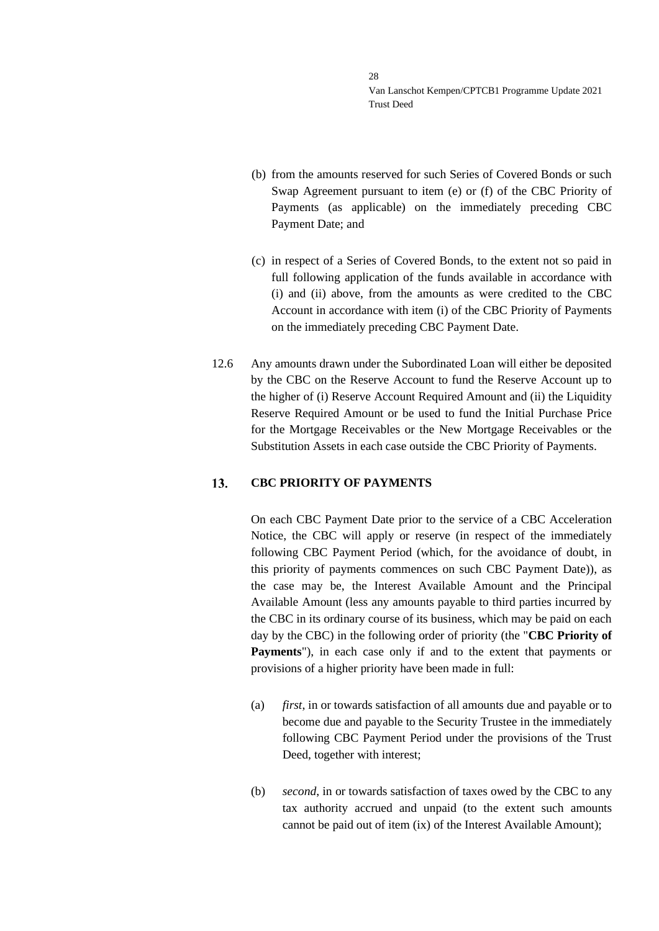- (b) from the amounts reserved for such Series of Covered Bonds or such Swap Agreement pursuant to item (e) or (f) of the CBC Priority of Payments (as applicable) on the immediately preceding CBC Payment Date; and
- (c) in respect of a Series of Covered Bonds, to the extent not so paid in full following application of the funds available in accordance with (i) and (ii) above, from the amounts as were credited to the CBC Account in accordance with item (i) of the CBC Priority of Payments on the immediately preceding CBC Payment Date.
- 12.6 Any amounts drawn under the Subordinated Loan will either be deposited by the CBC on the Reserve Account to fund the Reserve Account up to the higher of (i) Reserve Account Required Amount and (ii) the Liquidity Reserve Required Amount or be used to fund the Initial Purchase Price for the Mortgage Receivables or the New Mortgage Receivables or the Substitution Assets in each case outside the CBC Priority of Payments.

#### <span id="page-27-0"></span> $13.$ **CBC PRIORITY OF PAYMENTS**

On each CBC Payment Date prior to the service of a CBC Acceleration Notice, the CBC will apply or reserve (in respect of the immediately following CBC Payment Period (which, for the avoidance of doubt, in this priority of payments commences on such CBC Payment Date)), as the case may be, the Interest Available Amount and the Principal Available Amount (less any amounts payable to third parties incurred by the CBC in its ordinary course of its business, which may be paid on each day by the CBC) in the following order of priority (the "**CBC Priority of Payments**"), in each case only if and to the extent that payments or provisions of a higher priority have been made in full:

- (a) *first*, in or towards satisfaction of all amounts due and payable or to become due and payable to the Security Trustee in the immediately following CBC Payment Period under the provisions of the Trust Deed, together with interest;
- (b) *second*, in or towards satisfaction of taxes owed by the CBC to any tax authority accrued and unpaid (to the extent such amounts cannot be paid out of item (ix) of the Interest Available Amount);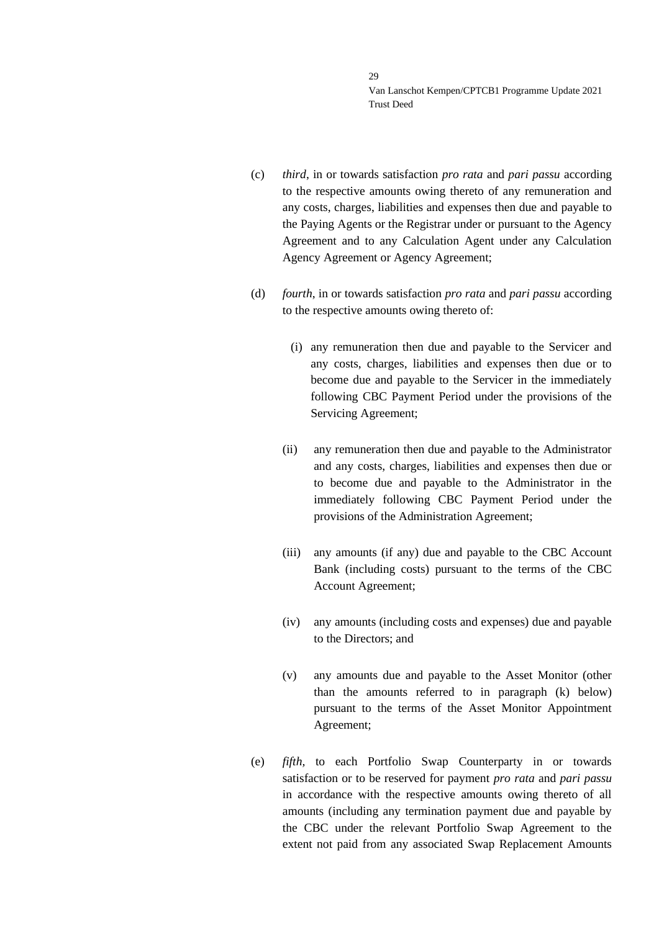- (c) *third*, in or towards satisfaction *pro rata* and *pari passu* according to the respective amounts owing thereto of any remuneration and any costs, charges, liabilities and expenses then due and payable to the Paying Agents or the Registrar under or pursuant to the Agency Agreement and to any Calculation Agent under any Calculation Agency Agreement or Agency Agreement;
- (d) *fourth*, in or towards satisfaction *pro rata* and *pari passu* according to the respective amounts owing thereto of:
	- (i) any remuneration then due and payable to the Servicer and any costs, charges, liabilities and expenses then due or to become due and payable to the Servicer in the immediately following CBC Payment Period under the provisions of the Servicing Agreement;
	- (ii) any remuneration then due and payable to the Administrator and any costs, charges, liabilities and expenses then due or to become due and payable to the Administrator in the immediately following CBC Payment Period under the provisions of the Administration Agreement;
	- (iii) any amounts (if any) due and payable to the CBC Account Bank (including costs) pursuant to the terms of the CBC Account Agreement;
	- (iv) any amounts (including costs and expenses) due and payable to the Directors; and
	- (v) any amounts due and payable to the Asset Monitor (other than the amounts referred to in paragraph (k) below) pursuant to the terms of the Asset Monitor Appointment Agreement;
- (e) *fifth,* to each Portfolio Swap Counterparty in or towards satisfaction or to be reserved for payment *pro rata* and *pari passu* in accordance with the respective amounts owing thereto of all amounts (including any termination payment due and payable by the CBC under the relevant Portfolio Swap Agreement to the extent not paid from any associated Swap Replacement Amounts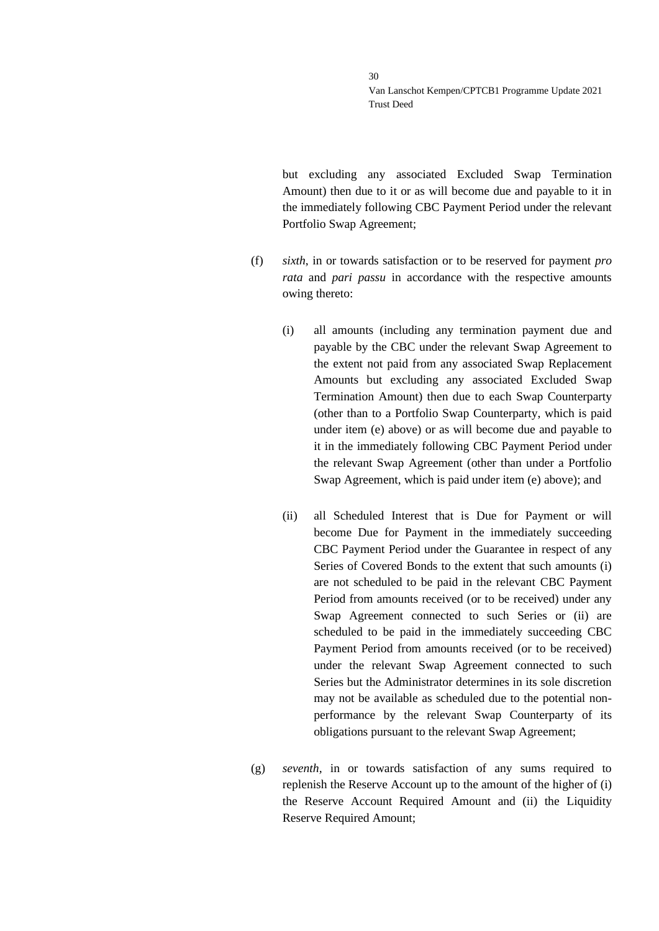but excluding any associated Excluded Swap Termination Amount) then due to it or as will become due and payable to it in the immediately following CBC Payment Period under the relevant Portfolio Swap Agreement;

- (f) *sixth*, in or towards satisfaction or to be reserved for payment *pro rata* and *pari passu* in accordance with the respective amounts owing thereto:
	- (i) all amounts (including any termination payment due and payable by the CBC under the relevant Swap Agreement to the extent not paid from any associated Swap Replacement Amounts but excluding any associated Excluded Swap Termination Amount) then due to each Swap Counterparty (other than to a Portfolio Swap Counterparty, which is paid under item (e) above) or as will become due and payable to it in the immediately following CBC Payment Period under the relevant Swap Agreement (other than under a Portfolio Swap Agreement, which is paid under item (e) above); and
	- (ii) all Scheduled Interest that is Due for Payment or will become Due for Payment in the immediately succeeding CBC Payment Period under the Guarantee in respect of any Series of Covered Bonds to the extent that such amounts (i) are not scheduled to be paid in the relevant CBC Payment Period from amounts received (or to be received) under any Swap Agreement connected to such Series or (ii) are scheduled to be paid in the immediately succeeding CBC Payment Period from amounts received (or to be received) under the relevant Swap Agreement connected to such Series but the Administrator determines in its sole discretion may not be available as scheduled due to the potential nonperformance by the relevant Swap Counterparty of its obligations pursuant to the relevant Swap Agreement;
- (g) *seventh,* in or towards satisfaction of any sums required to replenish the Reserve Account up to the amount of the higher of (i) the Reserve Account Required Amount and (ii) the Liquidity Reserve Required Amount;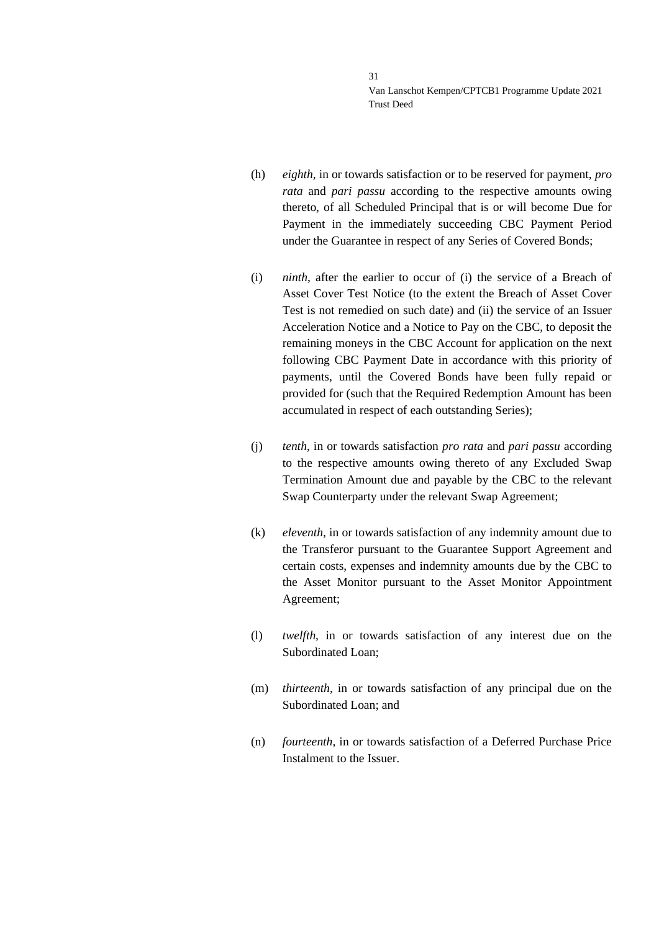- (h) *eighth*, in or towards satisfaction or to be reserved for payment, *pro rata* and *pari passu* according to the respective amounts owing thereto, of all Scheduled Principal that is or will become Due for Payment in the immediately succeeding CBC Payment Period under the Guarantee in respect of any Series of Covered Bonds;
- (i) *ninth*, after the earlier to occur of (i) the service of a Breach of Asset Cover Test Notice (to the extent the Breach of Asset Cover Test is not remedied on such date) and (ii) the service of an Issuer Acceleration Notice and a Notice to Pay on the CBC, to deposit the remaining moneys in the CBC Account for application on the next following CBC Payment Date in accordance with this priority of payments, until the Covered Bonds have been fully repaid or provided for (such that the Required Redemption Amount has been accumulated in respect of each outstanding Series);
- (j) *tenth*, in or towards satisfaction *pro rata* and *pari passu* according to the respective amounts owing thereto of any Excluded Swap Termination Amount due and payable by the CBC to the relevant Swap Counterparty under the relevant Swap Agreement;
- (k) *eleventh*, in or towards satisfaction of any indemnity amount due to the Transferor pursuant to the Guarantee Support Agreement and certain costs, expenses and indemnity amounts due by the CBC to the Asset Monitor pursuant to the Asset Monitor Appointment Agreement;
- (l) *twelfth*, in or towards satisfaction of any interest due on the Subordinated Loan;
- (m) *thirteenth*, in or towards satisfaction of any principal due on the Subordinated Loan; and
- (n) *fourteenth*, in or towards satisfaction of a Deferred Purchase Price Instalment to the Issuer.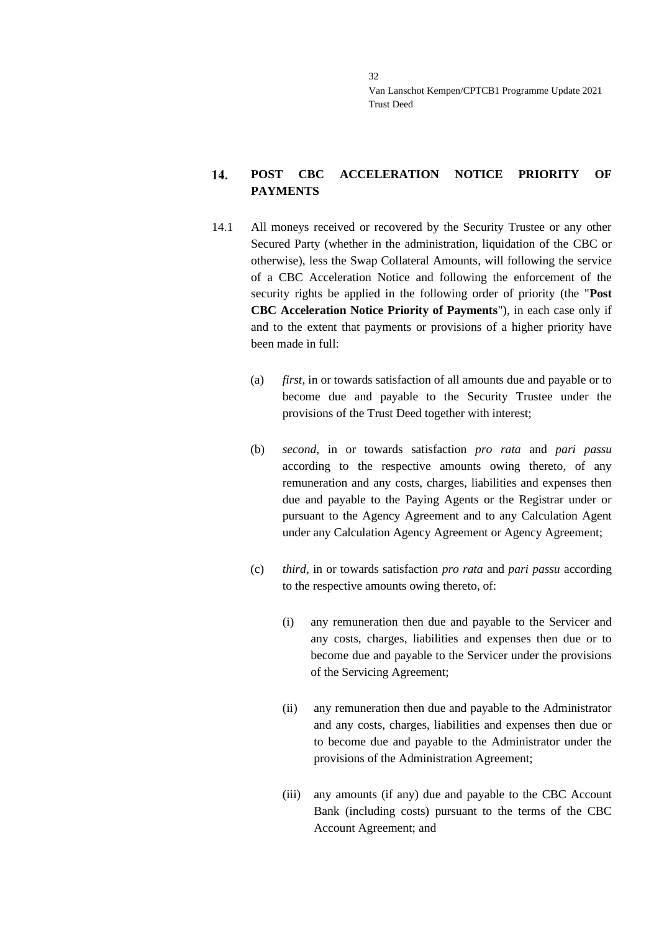### <span id="page-31-0"></span>14. **POST CBC ACCELERATION NOTICE PRIORITY OF PAYMENTS**

- 14.1 All moneys received or recovered by the Security Trustee or any other Secured Party (whether in the administration, liquidation of the CBC or otherwise), less the Swap Collateral Amounts, will following the service of a CBC Acceleration Notice and following the enforcement of the security rights be applied in the following order of priority (the "**Post CBC Acceleration Notice Priority of Payments**"), in each case only if and to the extent that payments or provisions of a higher priority have been made in full:
	- (a) *first*, in or towards satisfaction of all amounts due and payable or to become due and payable to the Security Trustee under the provisions of the Trust Deed together with interest;
	- (b) *second*, in or towards satisfaction *pro rata* and *pari passu* according to the respective amounts owing thereto, of any remuneration and any costs, charges, liabilities and expenses then due and payable to the Paying Agents or the Registrar under or pursuant to the Agency Agreement and to any Calculation Agent under any Calculation Agency Agreement or Agency Agreement;
	- (c) *third*, in or towards satisfaction *pro rata* and *pari passu* according to the respective amounts owing thereto, of:
		- (i) any remuneration then due and payable to the Servicer and any costs, charges, liabilities and expenses then due or to become due and payable to the Servicer under the provisions of the Servicing Agreement;
		- (ii) any remuneration then due and payable to the Administrator and any costs, charges, liabilities and expenses then due or to become due and payable to the Administrator under the provisions of the Administration Agreement;
		- (iii) any amounts (if any) due and payable to the CBC Account Bank (including costs) pursuant to the terms of the CBC Account Agreement; and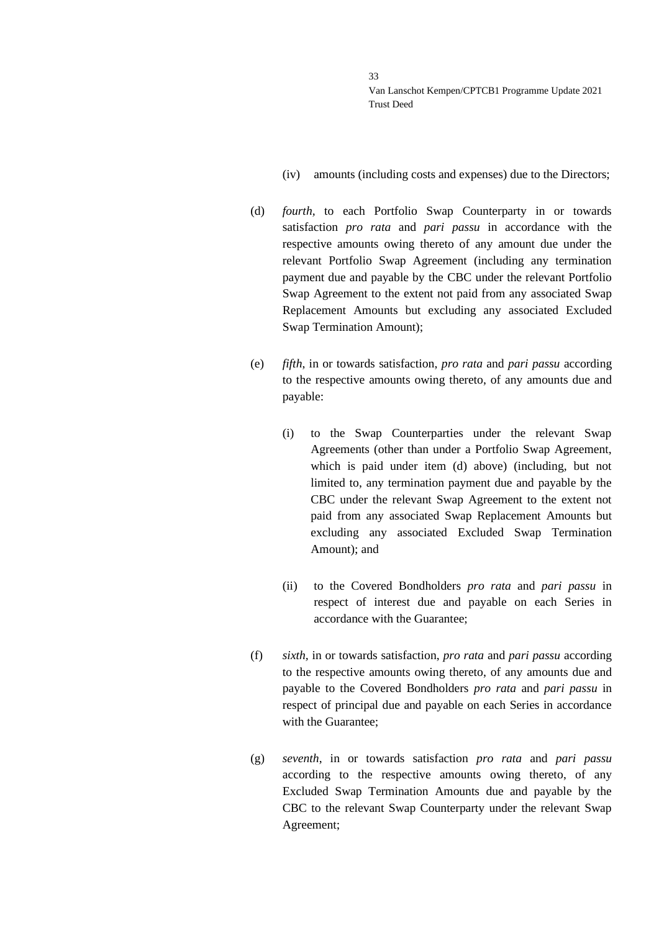- (iv) amounts (including costs and expenses) due to the Directors;
- (d) *fourth,* to each Portfolio Swap Counterparty in or towards satisfaction *pro rata* and *pari passu* in accordance with the respective amounts owing thereto of any amount due under the relevant Portfolio Swap Agreement (including any termination payment due and payable by the CBC under the relevant Portfolio Swap Agreement to the extent not paid from any associated Swap Replacement Amounts but excluding any associated Excluded Swap Termination Amount);
- (e) *fifth*, in or towards satisfaction, *pro rata* and *pari passu* according to the respective amounts owing thereto, of any amounts due and payable:
	- (i) to the Swap Counterparties under the relevant Swap Agreements (other than under a Portfolio Swap Agreement, which is paid under item (d) above) (including, but not limited to, any termination payment due and payable by the CBC under the relevant Swap Agreement to the extent not paid from any associated Swap Replacement Amounts but excluding any associated Excluded Swap Termination Amount); and
	- (ii) to the Covered Bondholders *pro rata* and *pari passu* in respect of interest due and payable on each Series in accordance with the Guarantee;
- (f) *sixth,* in or towards satisfaction, *pro rata* and *pari passu* according to the respective amounts owing thereto, of any amounts due and payable to the Covered Bondholders *pro rata* and *pari passu* in respect of principal due and payable on each Series in accordance with the Guarantee;
- (g) *seventh*, in or towards satisfaction *pro rata* and *pari passu* according to the respective amounts owing thereto, of any Excluded Swap Termination Amounts due and payable by the CBC to the relevant Swap Counterparty under the relevant Swap Agreement;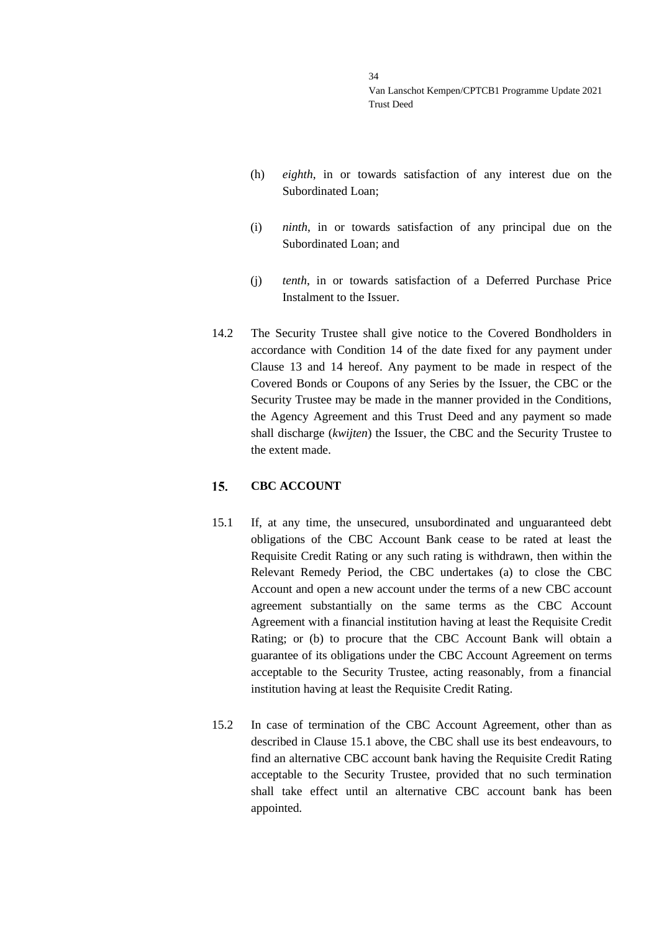- (h) *eighth*, in or towards satisfaction of any interest due on the Subordinated Loan;
- (i) *ninth*, in or towards satisfaction of any principal due on the Subordinated Loan; and
- (j) *tenth*, in or towards satisfaction of a Deferred Purchase Price Instalment to the Issuer.
- 14.2 The Security Trustee shall give notice to the Covered Bondholders in accordance with Condition 14 of the date fixed for any payment under Clause [13](#page-27-0) and [14](#page-31-0) hereof. Any payment to be made in respect of the Covered Bonds or Coupons of any Series by the Issuer, the CBC or the Security Trustee may be made in the manner provided in the Conditions, the Agency Agreement and this Trust Deed and any payment so made shall discharge (*kwijten*) the Issuer, the CBC and the Security Trustee to the extent made.

#### <span id="page-33-0"></span>**CBC ACCOUNT**  $15.$

- <span id="page-33-1"></span>15.1 If, at any time, the unsecured, unsubordinated and unguaranteed debt obligations of the CBC Account Bank cease to be rated at least the Requisite Credit Rating or any such rating is withdrawn, then within the Relevant Remedy Period, the CBC undertakes (a) to close the CBC Account and open a new account under the terms of a new CBC account agreement substantially on the same terms as the CBC Account Agreement with a financial institution having at least the Requisite Credit Rating; or (b) to procure that the CBC Account Bank will obtain a guarantee of its obligations under the CBC Account Agreement on terms acceptable to the Security Trustee, acting reasonably, from a financial institution having at least the Requisite Credit Rating.
- 15.2 In case of termination of the CBC Account Agreement, other than as described in Clause [15.1](#page-33-1) above, the CBC shall use its best endeavours, to find an alternative CBC account bank having the Requisite Credit Rating acceptable to the Security Trustee, provided that no such termination shall take effect until an alternative CBC account bank has been appointed.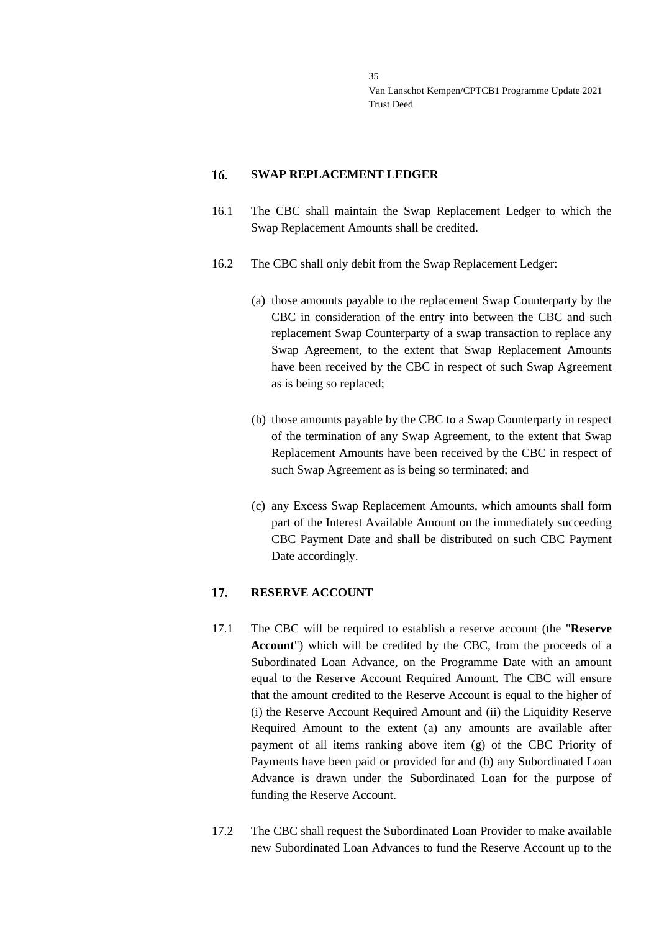#### <span id="page-34-0"></span>16. **SWAP REPLACEMENT LEDGER**

- 16.1 The CBC shall maintain the Swap Replacement Ledger to which the Swap Replacement Amounts shall be credited.
- 16.2 The CBC shall only debit from the Swap Replacement Ledger:
	- (a) those amounts payable to the replacement Swap Counterparty by the CBC in consideration of the entry into between the CBC and such replacement Swap Counterparty of a swap transaction to replace any Swap Agreement, to the extent that Swap Replacement Amounts have been received by the CBC in respect of such Swap Agreement as is being so replaced;
	- (b) those amounts payable by the CBC to a Swap Counterparty in respect of the termination of any Swap Agreement, to the extent that Swap Replacement Amounts have been received by the CBC in respect of such Swap Agreement as is being so terminated; and
	- (c) any Excess Swap Replacement Amounts, which amounts shall form part of the Interest Available Amount on the immediately succeeding CBC Payment Date and shall be distributed on such CBC Payment Date accordingly.

#### <span id="page-34-1"></span>17. **RESERVE ACCOUNT**

- 17.1 The CBC will be required to establish a reserve account (the "**Reserve Account**") which will be credited by the CBC, from the proceeds of a Subordinated Loan Advance, on the Programme Date with an amount equal to the Reserve Account Required Amount. The CBC will ensure that the amount credited to the Reserve Account is equal to the higher of (i) the Reserve Account Required Amount and (ii) the Liquidity Reserve Required Amount to the extent (a) any amounts are available after payment of all items ranking above item (g) of the CBC Priority of Payments have been paid or provided for and (b) any Subordinated Loan Advance is drawn under the Subordinated Loan for the purpose of funding the Reserve Account.
- 17.2 The CBC shall request the Subordinated Loan Provider to make available new Subordinated Loan Advances to fund the Reserve Account up to the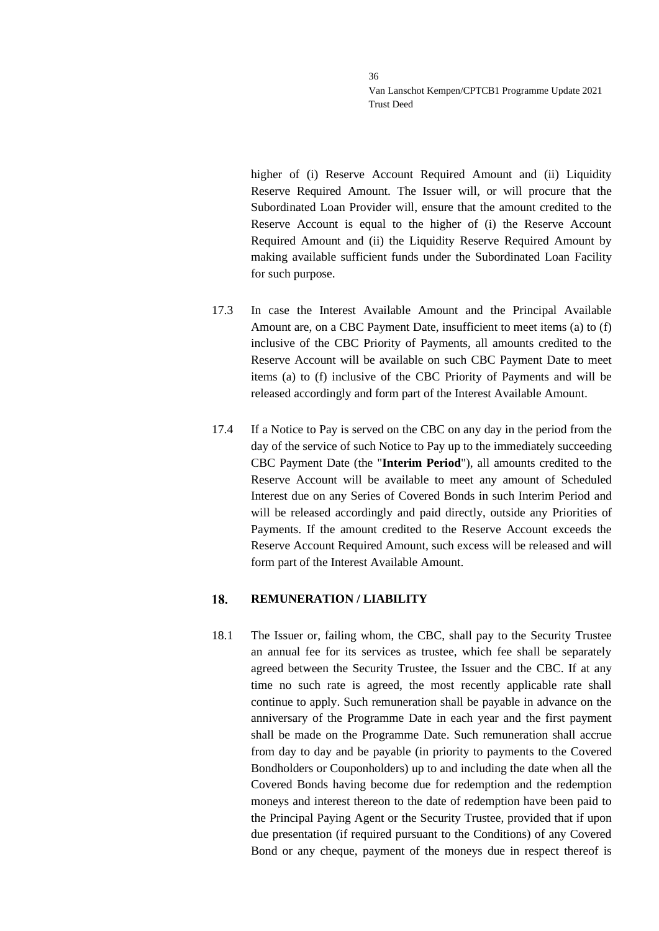higher of (i) Reserve Account Required Amount and (ii) Liquidity Reserve Required Amount. The Issuer will, or will procure that the Subordinated Loan Provider will, ensure that the amount credited to the Reserve Account is equal to the higher of (i) the Reserve Account Required Amount and (ii) the Liquidity Reserve Required Amount by making available sufficient funds under the Subordinated Loan Facility for such purpose.

- 17.3 In case the Interest Available Amount and the Principal Available Amount are, on a CBC Payment Date, insufficient to meet items (a) to (f) inclusive of the CBC Priority of Payments, all amounts credited to the Reserve Account will be available on such CBC Payment Date to meet items (a) to (f) inclusive of the CBC Priority of Payments and will be released accordingly and form part of the Interest Available Amount.
- 17.4 If a Notice to Pay is served on the CBC on any day in the period from the day of the service of such Notice to Pay up to the immediately succeeding CBC Payment Date (the "**Interim Period**"), all amounts credited to the Reserve Account will be available to meet any amount of Scheduled Interest due on any Series of Covered Bonds in such Interim Period and will be released accordingly and paid directly, outside any Priorities of Payments. If the amount credited to the Reserve Account exceeds the Reserve Account Required Amount, such excess will be released and will form part of the Interest Available Amount.

#### <span id="page-35-0"></span>18. **REMUNERATION / LIABILITY**

18.1 The Issuer or, failing whom, the CBC, shall pay to the Security Trustee an annual fee for its services as trustee, which fee shall be separately agreed between the Security Trustee, the Issuer and the CBC. If at any time no such rate is agreed, the most recently applicable rate shall continue to apply. Such remuneration shall be payable in advance on the anniversary of the Programme Date in each year and the first payment shall be made on the Programme Date. Such remuneration shall accrue from day to day and be payable (in priority to payments to the Covered Bondholders or Couponholders) up to and including the date when all the Covered Bonds having become due for redemption and the redemption moneys and interest thereon to the date of redemption have been paid to the Principal Paying Agent or the Security Trustee, provided that if upon due presentation (if required pursuant to the Conditions) of any Covered Bond or any cheque, payment of the moneys due in respect thereof is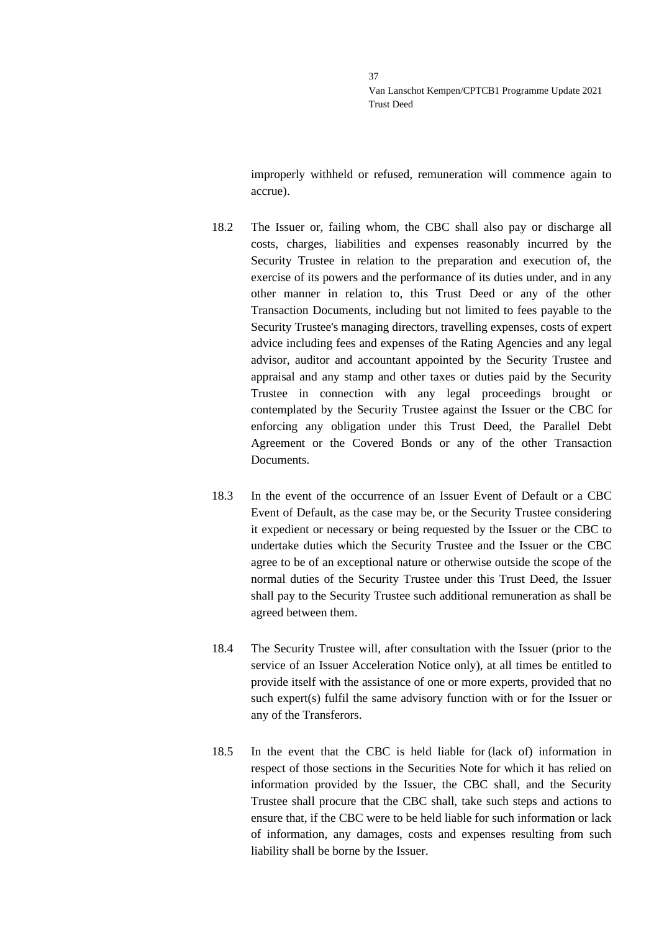improperly withheld or refused, remuneration will commence again to accrue).

- 18.2 The Issuer or, failing whom, the CBC shall also pay or discharge all costs, charges, liabilities and expenses reasonably incurred by the Security Trustee in relation to the preparation and execution of, the exercise of its powers and the performance of its duties under, and in any other manner in relation to, this Trust Deed or any of the other Transaction Documents, including but not limited to fees payable to the Security Trustee's managing directors, travelling expenses, costs of expert advice including fees and expenses of the Rating Agencies and any legal advisor, auditor and accountant appointed by the Security Trustee and appraisal and any stamp and other taxes or duties paid by the Security Trustee in connection with any legal proceedings brought or contemplated by the Security Trustee against the Issuer or the CBC for enforcing any obligation under this Trust Deed, the Parallel Debt Agreement or the Covered Bonds or any of the other Transaction Documents.
- 18.3 In the event of the occurrence of an Issuer Event of Default or a CBC Event of Default, as the case may be, or the Security Trustee considering it expedient or necessary or being requested by the Issuer or the CBC to undertake duties which the Security Trustee and the Issuer or the CBC agree to be of an exceptional nature or otherwise outside the scope of the normal duties of the Security Trustee under this Trust Deed, the Issuer shall pay to the Security Trustee such additional remuneration as shall be agreed between them.
- 18.4 The Security Trustee will, after consultation with the Issuer (prior to the service of an Issuer Acceleration Notice only), at all times be entitled to provide itself with the assistance of one or more experts, provided that no such expert(s) fulfil the same advisory function with or for the Issuer or any of the Transferors.
- 18.5 In the event that the CBC is held liable for (lack of) information in respect of those sections in the Securities Note for which it has relied on information provided by the Issuer, the CBC shall, and the Security Trustee shall procure that the CBC shall, take such steps and actions to ensure that, if the CBC were to be held liable for such information or lack of information, any damages, costs and expenses resulting from such liability shall be borne by the Issuer.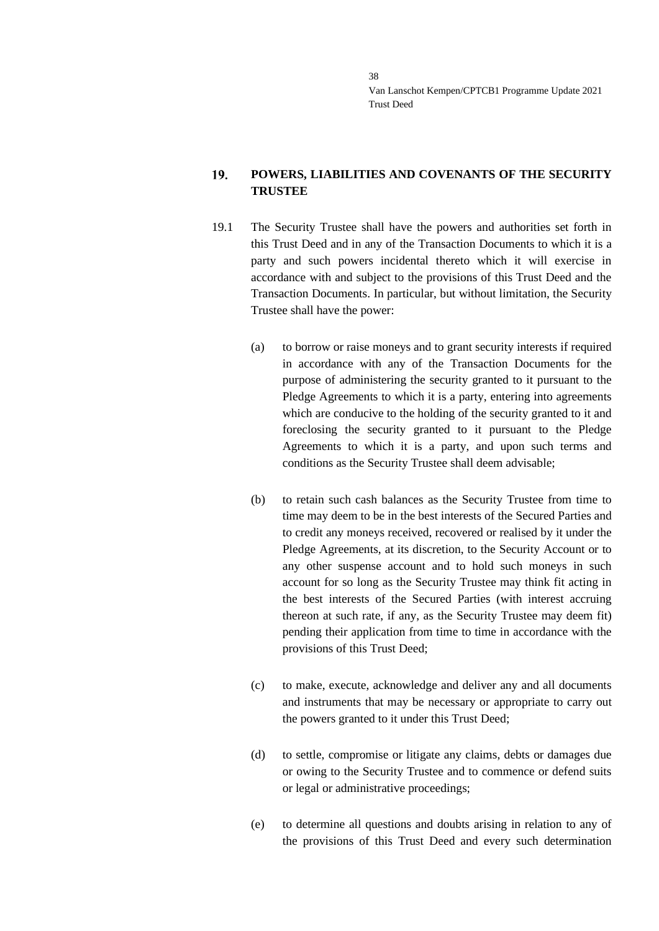### 19. **POWERS, LIABILITIES AND COVENANTS OF THE SECURITY TRUSTEE**

- 19.1 The Security Trustee shall have the powers and authorities set forth in this Trust Deed and in any of the Transaction Documents to which it is a party and such powers incidental thereto which it will exercise in accordance with and subject to the provisions of this Trust Deed and the Transaction Documents. In particular, but without limitation, the Security Trustee shall have the power:
	- (a) to borrow or raise moneys and to grant security interests if required in accordance with any of the Transaction Documents for the purpose of administering the security granted to it pursuant to the Pledge Agreements to which it is a party, entering into agreements which are conducive to the holding of the security granted to it and foreclosing the security granted to it pursuant to the Pledge Agreements to which it is a party, and upon such terms and conditions as the Security Trustee shall deem advisable;
	- (b) to retain such cash balances as the Security Trustee from time to time may deem to be in the best interests of the Secured Parties and to credit any moneys received, recovered or realised by it under the Pledge Agreements, at its discretion, to the Security Account or to any other suspense account and to hold such moneys in such account for so long as the Security Trustee may think fit acting in the best interests of the Secured Parties (with interest accruing thereon at such rate, if any, as the Security Trustee may deem fit) pending their application from time to time in accordance with the provisions of this Trust Deed;
	- (c) to make, execute, acknowledge and deliver any and all documents and instruments that may be necessary or appropriate to carry out the powers granted to it under this Trust Deed;
	- (d) to settle, compromise or litigate any claims, debts or damages due or owing to the Security Trustee and to commence or defend suits or legal or administrative proceedings;
	- (e) to determine all questions and doubts arising in relation to any of the provisions of this Trust Deed and every such determination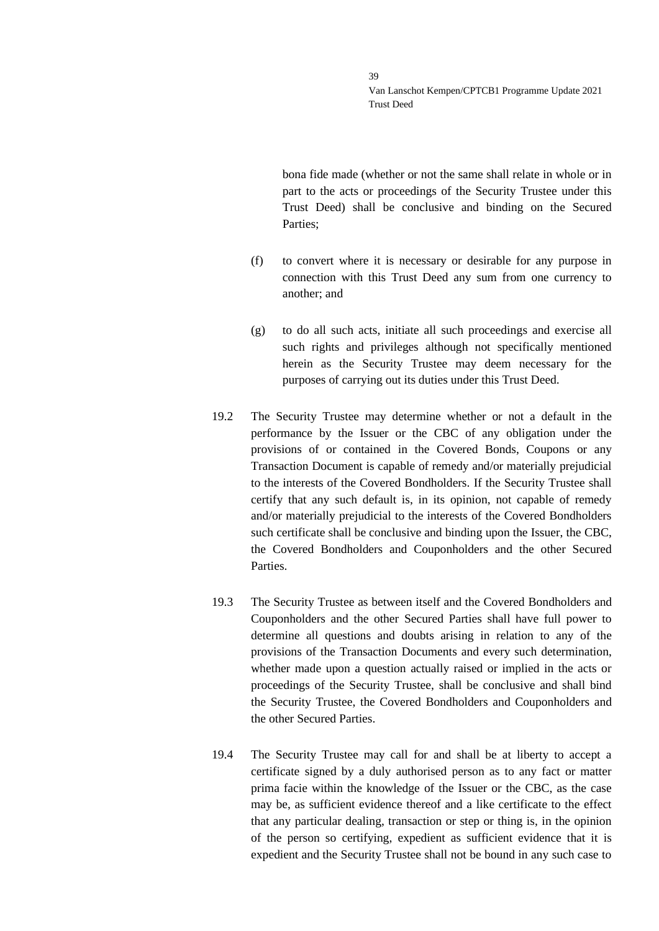bona fide made (whether or not the same shall relate in whole or in part to the acts or proceedings of the Security Trustee under this Trust Deed) shall be conclusive and binding on the Secured Parties;

- (f) to convert where it is necessary or desirable for any purpose in connection with this Trust Deed any sum from one currency to another; and
- (g) to do all such acts, initiate all such proceedings and exercise all such rights and privileges although not specifically mentioned herein as the Security Trustee may deem necessary for the purposes of carrying out its duties under this Trust Deed.
- 19.2 The Security Trustee may determine whether or not a default in the performance by the Issuer or the CBC of any obligation under the provisions of or contained in the Covered Bonds, Coupons or any Transaction Document is capable of remedy and/or materially prejudicial to the interests of the Covered Bondholders. If the Security Trustee shall certify that any such default is, in its opinion, not capable of remedy and/or materially prejudicial to the interests of the Covered Bondholders such certificate shall be conclusive and binding upon the Issuer, the CBC, the Covered Bondholders and Couponholders and the other Secured **Parties**
- 19.3 The Security Trustee as between itself and the Covered Bondholders and Couponholders and the other Secured Parties shall have full power to determine all questions and doubts arising in relation to any of the provisions of the Transaction Documents and every such determination, whether made upon a question actually raised or implied in the acts or proceedings of the Security Trustee, shall be conclusive and shall bind the Security Trustee, the Covered Bondholders and Couponholders and the other Secured Parties.
- 19.4 The Security Trustee may call for and shall be at liberty to accept a certificate signed by a duly authorised person as to any fact or matter prima facie within the knowledge of the Issuer or the CBC, as the case may be, as sufficient evidence thereof and a like certificate to the effect that any particular dealing, transaction or step or thing is, in the opinion of the person so certifying, expedient as sufficient evidence that it is expedient and the Security Trustee shall not be bound in any such case to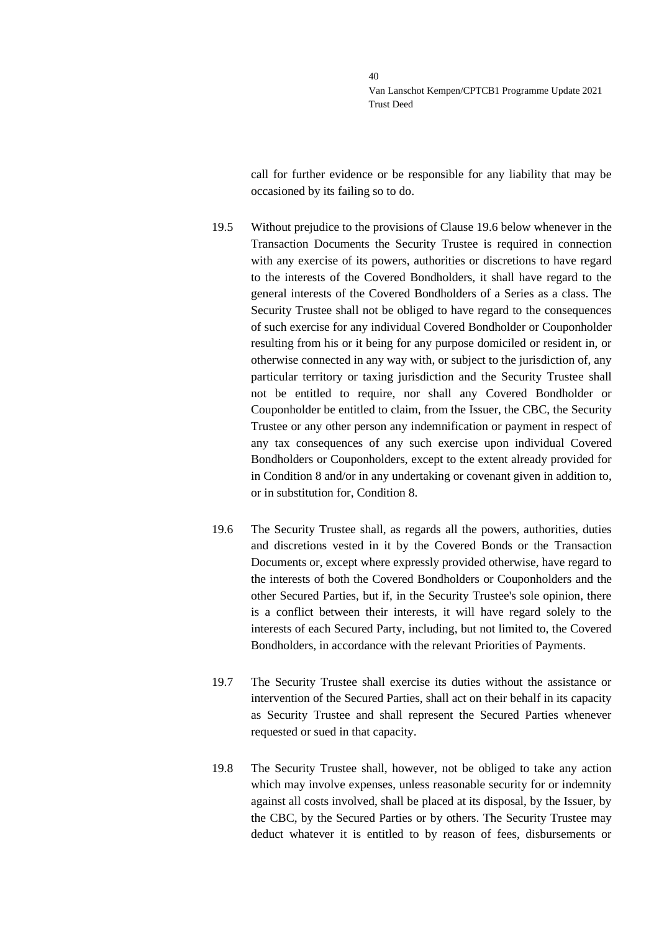call for further evidence or be responsible for any liability that may be occasioned by its failing so to do.

- 19.5 Without prejudice to the provisions of Clause [19.6](#page-39-0) below whenever in the Transaction Documents the Security Trustee is required in connection with any exercise of its powers, authorities or discretions to have regard to the interests of the Covered Bondholders, it shall have regard to the general interests of the Covered Bondholders of a Series as a class. The Security Trustee shall not be obliged to have regard to the consequences of such exercise for any individual Covered Bondholder or Couponholder resulting from his or it being for any purpose domiciled or resident in, or otherwise connected in any way with, or subject to the jurisdiction of, any particular territory or taxing jurisdiction and the Security Trustee shall not be entitled to require, nor shall any Covered Bondholder or Couponholder be entitled to claim, from the Issuer, the CBC, the Security Trustee or any other person any indemnification or payment in respect of any tax consequences of any such exercise upon individual Covered Bondholders or Couponholders, except to the extent already provided for in Condition 8 and/or in any undertaking or covenant given in addition to, or in substitution for, Condition 8.
- <span id="page-39-0"></span>19.6 The Security Trustee shall, as regards all the powers, authorities, duties and discretions vested in it by the Covered Bonds or the Transaction Documents or, except where expressly provided otherwise, have regard to the interests of both the Covered Bondholders or Couponholders and the other Secured Parties, but if, in the Security Trustee's sole opinion, there is a conflict between their interests, it will have regard solely to the interests of each Secured Party, including, but not limited to, the Covered Bondholders, in accordance with the relevant Priorities of Payments.
- 19.7 The Security Trustee shall exercise its duties without the assistance or intervention of the Secured Parties, shall act on their behalf in its capacity as Security Trustee and shall represent the Secured Parties whenever requested or sued in that capacity.
- 19.8 The Security Trustee shall, however, not be obliged to take any action which may involve expenses, unless reasonable security for or indemnity against all costs involved, shall be placed at its disposal, by the Issuer, by the CBC, by the Secured Parties or by others. The Security Trustee may deduct whatever it is entitled to by reason of fees, disbursements or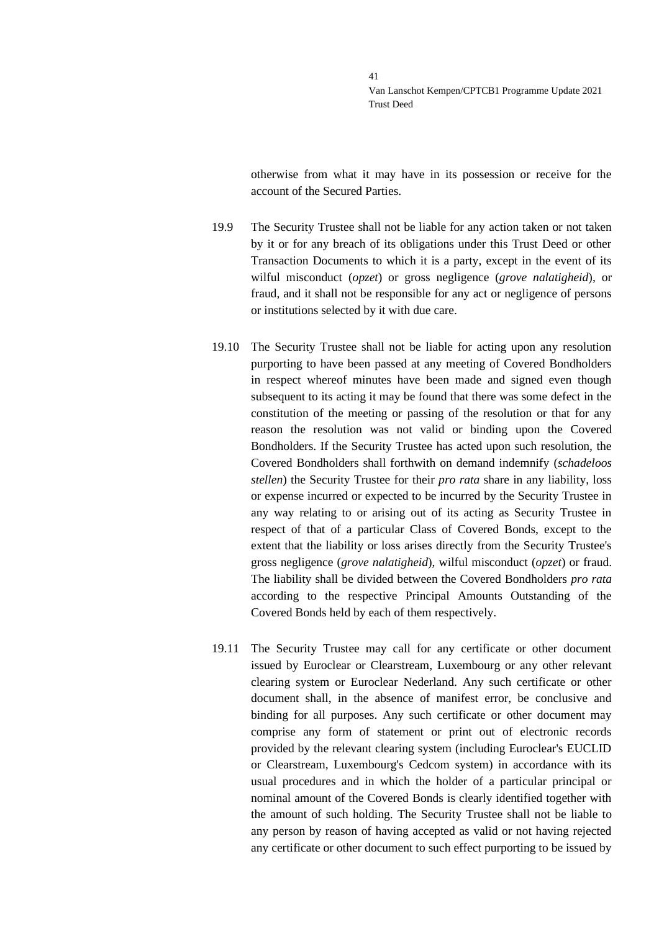otherwise from what it may have in its possession or receive for the account of the Secured Parties.

- 19.9 The Security Trustee shall not be liable for any action taken or not taken by it or for any breach of its obligations under this Trust Deed or other Transaction Documents to which it is a party, except in the event of its wilful misconduct (*opzet*) or gross negligence (*grove nalatigheid*), or fraud, and it shall not be responsible for any act or negligence of persons or institutions selected by it with due care.
- 19.10 The Security Trustee shall not be liable for acting upon any resolution purporting to have been passed at any meeting of Covered Bondholders in respect whereof minutes have been made and signed even though subsequent to its acting it may be found that there was some defect in the constitution of the meeting or passing of the resolution or that for any reason the resolution was not valid or binding upon the Covered Bondholders. If the Security Trustee has acted upon such resolution, the Covered Bondholders shall forthwith on demand indemnify (*schadeloos stellen*) the Security Trustee for their *pro rata* share in any liability, loss or expense incurred or expected to be incurred by the Security Trustee in any way relating to or arising out of its acting as Security Trustee in respect of that of a particular Class of Covered Bonds, except to the extent that the liability or loss arises directly from the Security Trustee's gross negligence (*grove nalatigheid*), wilful misconduct (*opzet*) or fraud. The liability shall be divided between the Covered Bondholders *pro rata* according to the respective Principal Amounts Outstanding of the Covered Bonds held by each of them respectively.
- 19.11 The Security Trustee may call for any certificate or other document issued by Euroclear or Clearstream, Luxembourg or any other relevant clearing system or Euroclear Nederland. Any such certificate or other document shall, in the absence of manifest error, be conclusive and binding for all purposes. Any such certificate or other document may comprise any form of statement or print out of electronic records provided by the relevant clearing system (including Euroclear's EUCLID or Clearstream, Luxembourg's Cedcom system) in accordance with its usual procedures and in which the holder of a particular principal or nominal amount of the Covered Bonds is clearly identified together with the amount of such holding. The Security Trustee shall not be liable to any person by reason of having accepted as valid or not having rejected any certificate or other document to such effect purporting to be issued by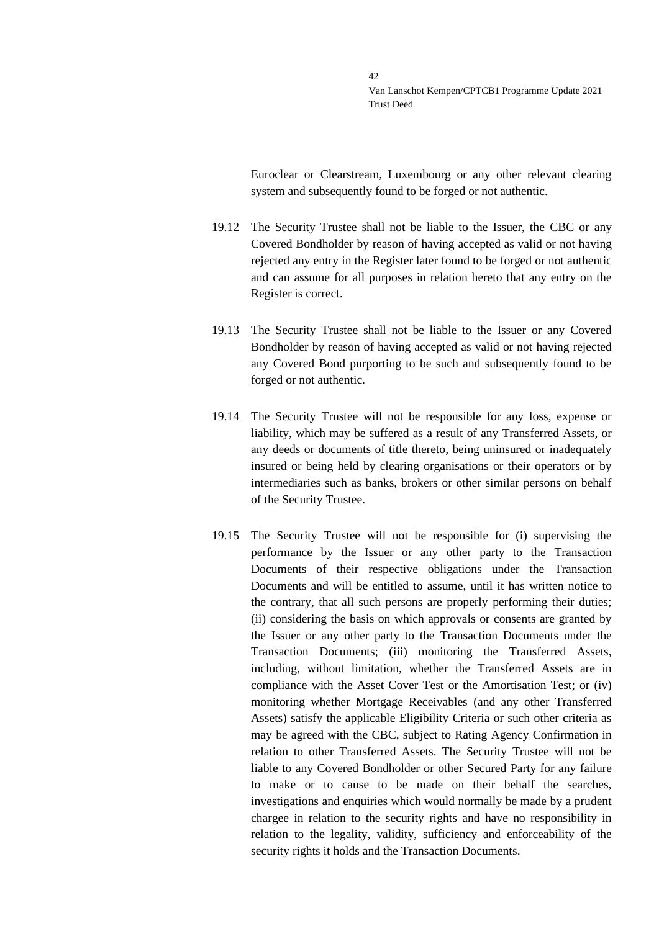Euroclear or Clearstream, Luxembourg or any other relevant clearing system and subsequently found to be forged or not authentic.

- 19.12 The Security Trustee shall not be liable to the Issuer, the CBC or any Covered Bondholder by reason of having accepted as valid or not having rejected any entry in the Register later found to be forged or not authentic and can assume for all purposes in relation hereto that any entry on the Register is correct.
- 19.13 The Security Trustee shall not be liable to the Issuer or any Covered Bondholder by reason of having accepted as valid or not having rejected any Covered Bond purporting to be such and subsequently found to be forged or not authentic.
- 19.14 The Security Trustee will not be responsible for any loss, expense or liability, which may be suffered as a result of any Transferred Assets, or any deeds or documents of title thereto, being uninsured or inadequately insured or being held by clearing organisations or their operators or by intermediaries such as banks, brokers or other similar persons on behalf of the Security Trustee.
- 19.15 The Security Trustee will not be responsible for (i) supervising the performance by the Issuer or any other party to the Transaction Documents of their respective obligations under the Transaction Documents and will be entitled to assume, until it has written notice to the contrary, that all such persons are properly performing their duties; (ii) considering the basis on which approvals or consents are granted by the Issuer or any other party to the Transaction Documents under the Transaction Documents; (iii) monitoring the Transferred Assets, including, without limitation, whether the Transferred Assets are in compliance with the Asset Cover Test or the Amortisation Test; or (iv) monitoring whether Mortgage Receivables (and any other Transferred Assets) satisfy the applicable Eligibility Criteria or such other criteria as may be agreed with the CBC, subject to Rating Agency Confirmation in relation to other Transferred Assets. The Security Trustee will not be liable to any Covered Bondholder or other Secured Party for any failure to make or to cause to be made on their behalf the searches, investigations and enquiries which would normally be made by a prudent chargee in relation to the security rights and have no responsibility in relation to the legality, validity, sufficiency and enforceability of the security rights it holds and the Transaction Documents.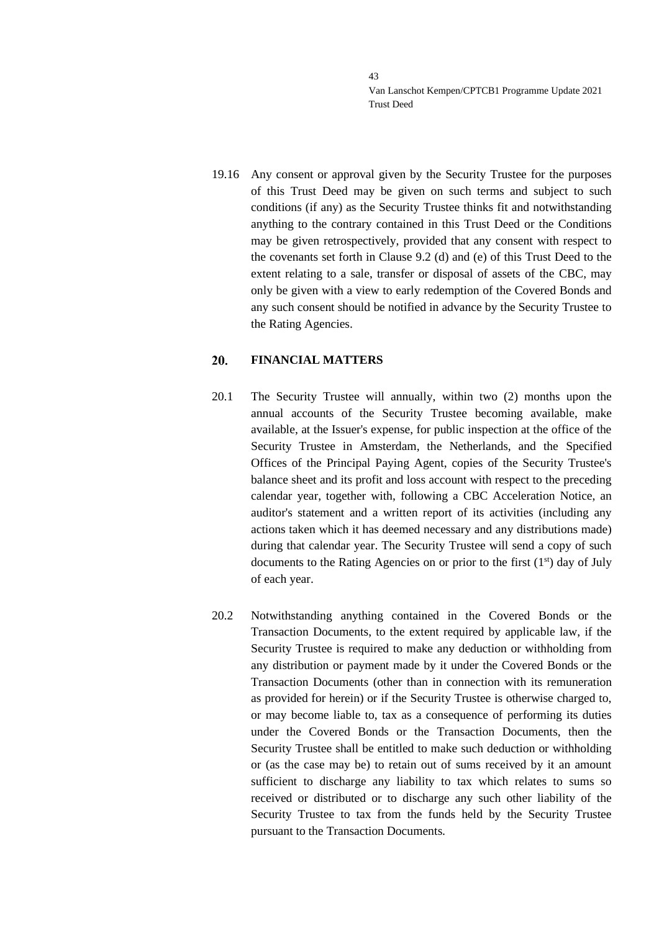19.16 Any consent or approval given by the Security Trustee for the purposes of this Trust Deed may be given on such terms and subject to such conditions (if any) as the Security Trustee thinks fit and notwithstanding anything to the contrary contained in this Trust Deed or the Conditions may be given retrospectively, provided that any consent with respect to the covenants set forth in Clause [9.2](#page-18-0) (d) and (e) of this Trust Deed to the extent relating to a sale, transfer or disposal of assets of the CBC, may only be given with a view to early redemption of the Covered Bonds and any such consent should be notified in advance by the Security Trustee to the Rating Agencies.

#### 20. **FINANCIAL MATTERS**

- 20.1 The Security Trustee will annually, within two (2) months upon the annual accounts of the Security Trustee becoming available, make available, at the Issuer's expense, for public inspection at the office of the Security Trustee in Amsterdam, the Netherlands, and the Specified Offices of the Principal Paying Agent, copies of the Security Trustee's balance sheet and its profit and loss account with respect to the preceding calendar year, together with, following a CBC Acceleration Notice, an auditor's statement and a written report of its activities (including any actions taken which it has deemed necessary and any distributions made) during that calendar year. The Security Trustee will send a copy of such documents to the Rating Agencies on or prior to the first  $(1<sup>st</sup>)$  day of July of each year.
- 20.2 Notwithstanding anything contained in the Covered Bonds or the Transaction Documents, to the extent required by applicable law, if the Security Trustee is required to make any deduction or withholding from any distribution or payment made by it under the Covered Bonds or the Transaction Documents (other than in connection with its remuneration as provided for herein) or if the Security Trustee is otherwise charged to, or may become liable to, tax as a consequence of performing its duties under the Covered Bonds or the Transaction Documents, then the Security Trustee shall be entitled to make such deduction or withholding or (as the case may be) to retain out of sums received by it an amount sufficient to discharge any liability to tax which relates to sums so received or distributed or to discharge any such other liability of the Security Trustee to tax from the funds held by the Security Trustee pursuant to the Transaction Documents.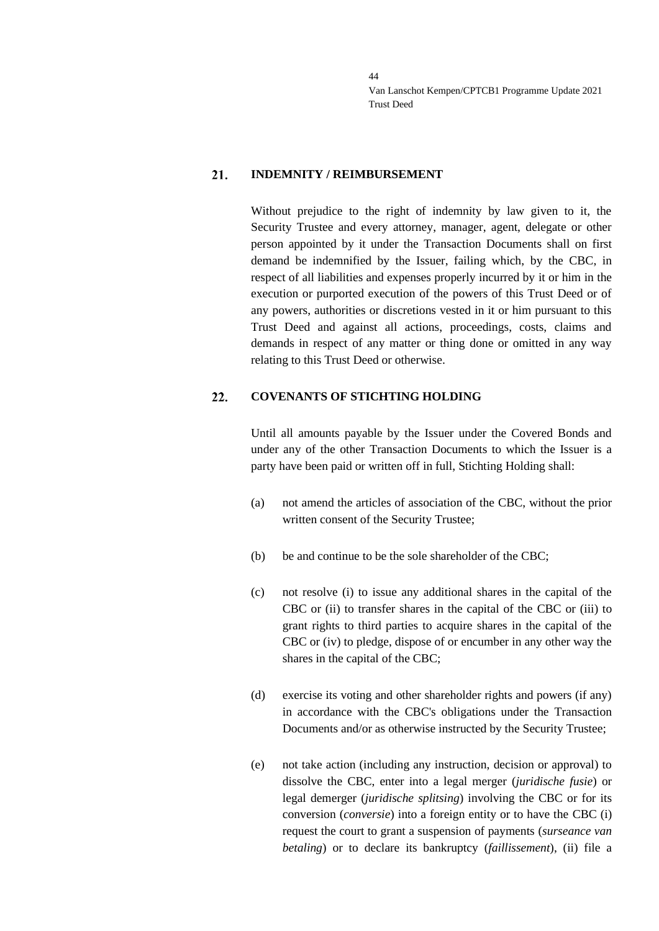#### 21. **INDEMNITY / REIMBURSEMENT**

Without prejudice to the right of indemnity by law given to it, the Security Trustee and every attorney, manager, agent, delegate or other person appointed by it under the Transaction Documents shall on first demand be indemnified by the Issuer, failing which, by the CBC, in respect of all liabilities and expenses properly incurred by it or him in the execution or purported execution of the powers of this Trust Deed or of any powers, authorities or discretions vested in it or him pursuant to this Trust Deed and against all actions, proceedings, costs, claims and demands in respect of any matter or thing done or omitted in any way relating to this Trust Deed or otherwise.

#### 22. **COVENANTS OF STICHTING HOLDING**

Until all amounts payable by the Issuer under the Covered Bonds and under any of the other Transaction Documents to which the Issuer is a party have been paid or written off in full, Stichting Holding shall:

- (a) not amend the articles of association of the CBC, without the prior written consent of the Security Trustee;
- (b) be and continue to be the sole shareholder of the CBC;
- (c) not resolve (i) to issue any additional shares in the capital of the CBC or (ii) to transfer shares in the capital of the CBC or (iii) to grant rights to third parties to acquire shares in the capital of the CBC or (iv) to pledge, dispose of or encumber in any other way the shares in the capital of the CBC;
- (d) exercise its voting and other shareholder rights and powers (if any) in accordance with the CBC's obligations under the Transaction Documents and/or as otherwise instructed by the Security Trustee;
- (e) not take action (including any instruction, decision or approval) to dissolve the CBC, enter into a legal merger (*juridische fusie*) or legal demerger (*juridische splitsing*) involving the CBC or for its conversion (*conversie*) into a foreign entity or to have the CBC (i) request the court to grant a suspension of payments (*surseance van betaling*) or to declare its bankruptcy (*faillissement*), (ii) file a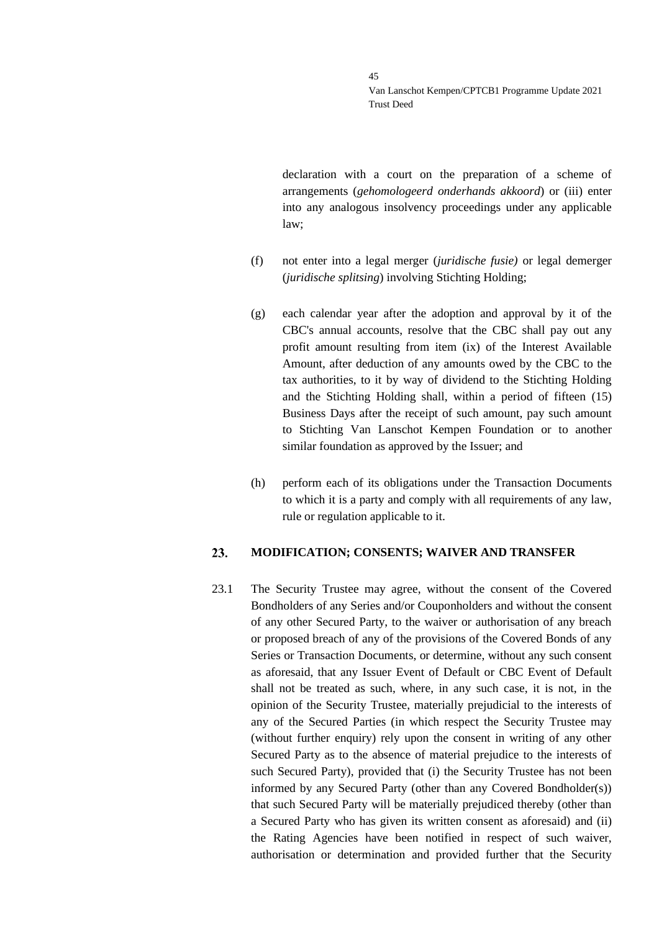declaration with a court on the preparation of a scheme of arrangements (*gehomologeerd onderhands akkoord*) or (iii) enter into any analogous insolvency proceedings under any applicable law;

- (f) not enter into a legal merger (*juridische fusie)* or legal demerger (*juridische splitsing*) involving Stichting Holding;
- (g) each calendar year after the adoption and approval by it of the CBC's annual accounts, resolve that the CBC shall pay out any profit amount resulting from item (ix) of the Interest Available Amount, after deduction of any amounts owed by the CBC to the tax authorities, to it by way of dividend to the Stichting Holding and the Stichting Holding shall, within a period of fifteen (15) Business Days after the receipt of such amount, pay such amount to Stichting Van Lanschot Kempen Foundation or to another similar foundation as approved by the Issuer; and
- (h) perform each of its obligations under the Transaction Documents to which it is a party and comply with all requirements of any law, rule or regulation applicable to it.

#### 23. **MODIFICATION; CONSENTS; WAIVER AND TRANSFER**

<span id="page-44-0"></span>23.1 The Security Trustee may agree, without the consent of the Covered Bondholders of any Series and/or Couponholders and without the consent of any other Secured Party, to the waiver or authorisation of any breach or proposed breach of any of the provisions of the Covered Bonds of any Series or Transaction Documents, or determine, without any such consent as aforesaid, that any Issuer Event of Default or CBC Event of Default shall not be treated as such, where, in any such case, it is not, in the opinion of the Security Trustee, materially prejudicial to the interests of any of the Secured Parties (in which respect the Security Trustee may (without further enquiry) rely upon the consent in writing of any other Secured Party as to the absence of material prejudice to the interests of such Secured Party), provided that (i) the Security Trustee has not been informed by any Secured Party (other than any Covered Bondholder(s)) that such Secured Party will be materially prejudiced thereby (other than a Secured Party who has given its written consent as aforesaid) and (ii) the Rating Agencies have been notified in respect of such waiver, authorisation or determination and provided further that the Security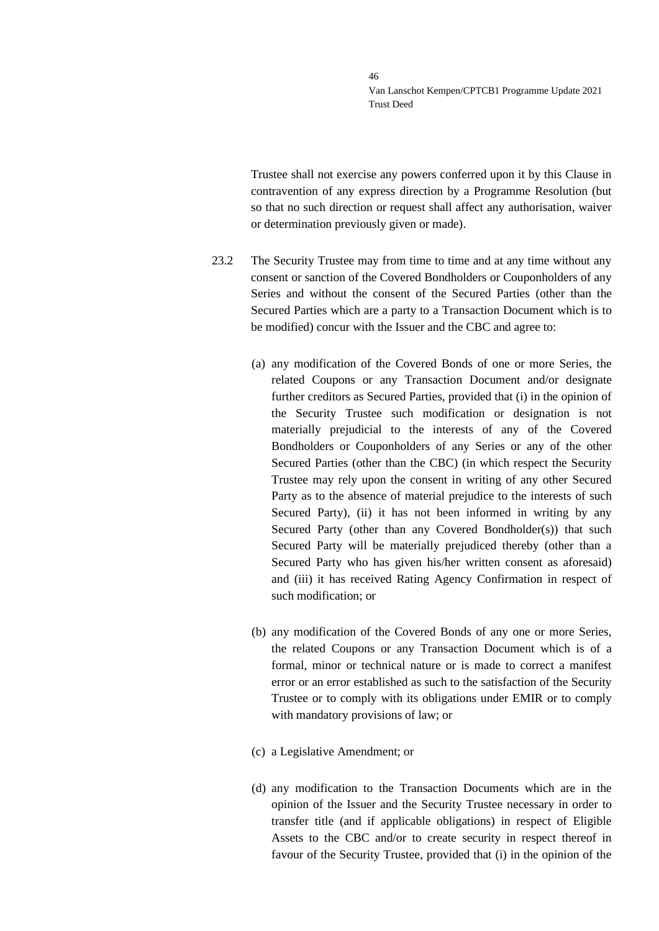Trustee shall not exercise any powers conferred upon it by this Clause in contravention of any express direction by a Programme Resolution (but so that no such direction or request shall affect any authorisation, waiver or determination previously given or made).

- <span id="page-45-0"></span>23.2 The Security Trustee may from time to time and at any time without any consent or sanction of the Covered Bondholders or Couponholders of any Series and without the consent of the Secured Parties (other than the Secured Parties which are a party to a Transaction Document which is to be modified) concur with the Issuer and the CBC and agree to:
	- (a) any modification of the Covered Bonds of one or more Series, the related Coupons or any Transaction Document and/or designate further creditors as Secured Parties, provided that (i) in the opinion of the Security Trustee such modification or designation is not materially prejudicial to the interests of any of the Covered Bondholders or Couponholders of any Series or any of the other Secured Parties (other than the CBC) (in which respect the Security Trustee may rely upon the consent in writing of any other Secured Party as to the absence of material prejudice to the interests of such Secured Party), (ii) it has not been informed in writing by any Secured Party (other than any Covered Bondholder(s)) that such Secured Party will be materially prejudiced thereby (other than a Secured Party who has given his/her written consent as aforesaid) and (iii) it has received Rating Agency Confirmation in respect of such modification; or
	- (b) any modification of the Covered Bonds of any one or more Series, the related Coupons or any Transaction Document which is of a formal, minor or technical nature or is made to correct a manifest error or an error established as such to the satisfaction of the Security Trustee or to comply with its obligations under EMIR or to comply with mandatory provisions of law; or
	- (c) a Legislative Amendment; or
	- (d) any modification to the Transaction Documents which are in the opinion of the Issuer and the Security Trustee necessary in order to transfer title (and if applicable obligations) in respect of Eligible Assets to the CBC and/or to create security in respect thereof in favour of the Security Trustee, provided that (i) in the opinion of the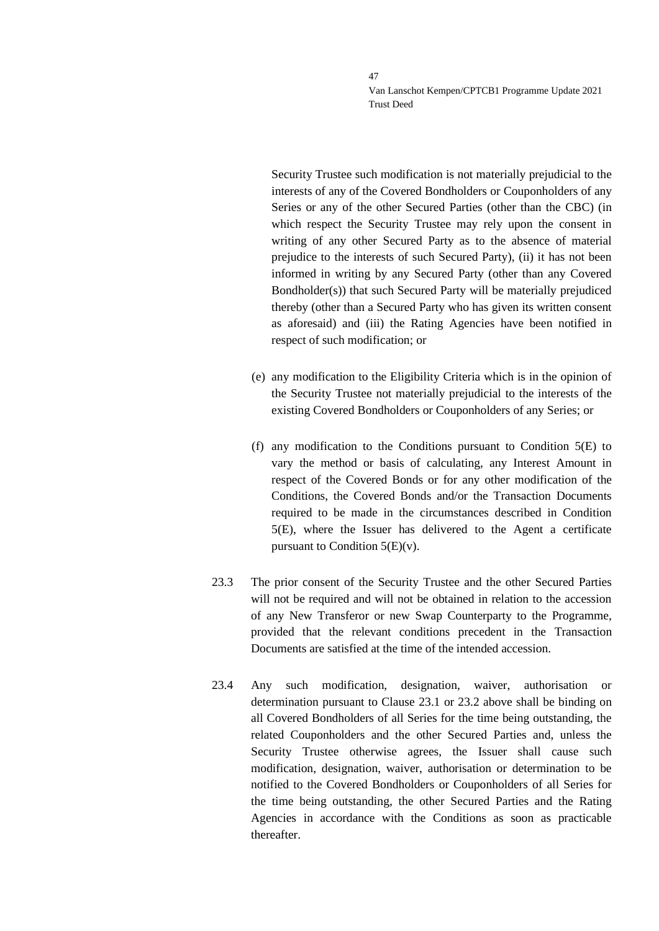Security Trustee such modification is not materially prejudicial to the interests of any of the Covered Bondholders or Couponholders of any Series or any of the other Secured Parties (other than the CBC) (in which respect the Security Trustee may rely upon the consent in writing of any other Secured Party as to the absence of material prejudice to the interests of such Secured Party), (ii) it has not been informed in writing by any Secured Party (other than any Covered Bondholder(s)) that such Secured Party will be materially prejudiced thereby (other than a Secured Party who has given its written consent as aforesaid) and (iii) the Rating Agencies have been notified in respect of such modification; or

- (e) any modification to the Eligibility Criteria which is in the opinion of the Security Trustee not materially prejudicial to the interests of the existing Covered Bondholders or Couponholders of any Series; or
- (f) any modification to the Conditions pursuant to Condition 5(E) to vary the method or basis of calculating, any Interest Amount in respect of the Covered Bonds or for any other modification of the Conditions, the Covered Bonds and/or the Transaction Documents required to be made in the circumstances described in Condition 5(E), where the Issuer has delivered to the Agent a certificate pursuant to Condition  $5(E)(v)$ .
- 23.3 The prior consent of the Security Trustee and the other Secured Parties will not be required and will not be obtained in relation to the accession of any New Transferor or new Swap Counterparty to the Programme, provided that the relevant conditions precedent in the Transaction Documents are satisfied at the time of the intended accession.
- 23.4 Any such modification, designation, waiver, authorisation or determination pursuant to Clause [23.1](#page-44-0) or [23.2](#page-45-0) above shall be binding on all Covered Bondholders of all Series for the time being outstanding, the related Couponholders and the other Secured Parties and, unless the Security Trustee otherwise agrees, the Issuer shall cause such modification, designation, waiver, authorisation or determination to be notified to the Covered Bondholders or Couponholders of all Series for the time being outstanding, the other Secured Parties and the Rating Agencies in accordance with the Conditions as soon as practicable thereafter.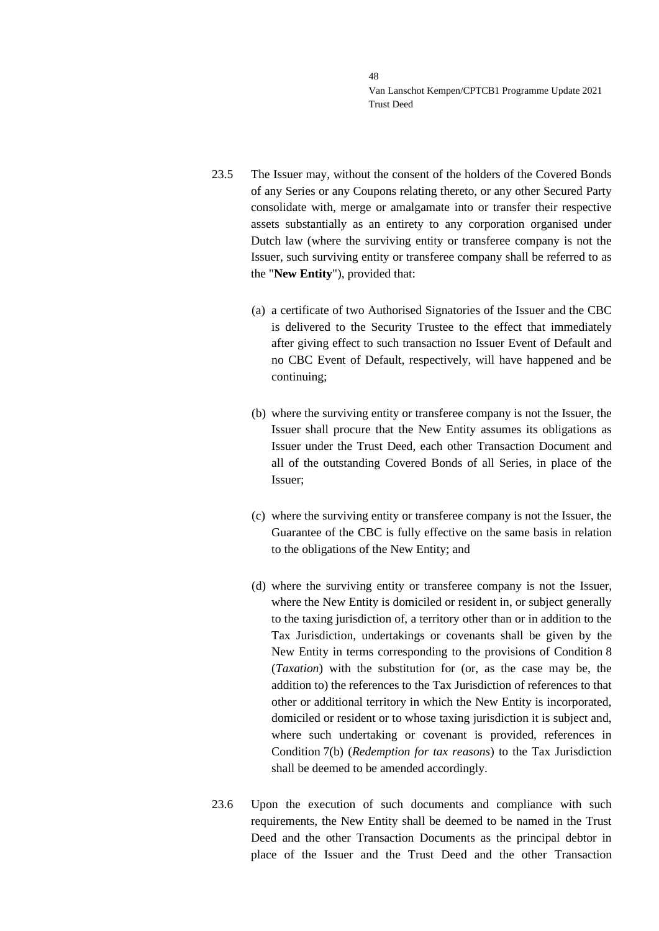- <span id="page-47-0"></span>23.5 The Issuer may, without the consent of the holders of the Covered Bonds of any Series or any Coupons relating thereto, or any other Secured Party consolidate with, merge or amalgamate into or transfer their respective assets substantially as an entirety to any corporation organised under Dutch law (where the surviving entity or transferee company is not the Issuer, such surviving entity or transferee company shall be referred to as the "**New Entity**"), provided that:
	- (a) a certificate of two Authorised Signatories of the Issuer and the CBC is delivered to the Security Trustee to the effect that immediately after giving effect to such transaction no Issuer Event of Default and no CBC Event of Default, respectively, will have happened and be continuing;
	- (b) where the surviving entity or transferee company is not the Issuer, the Issuer shall procure that the New Entity assumes its obligations as Issuer under the Trust Deed, each other Transaction Document and all of the outstanding Covered Bonds of all Series, in place of the Issuer;
	- (c) where the surviving entity or transferee company is not the Issuer, the Guarantee of the CBC is fully effective on the same basis in relation to the obligations of the New Entity; and
	- (d) where the surviving entity or transferee company is not the Issuer, where the New Entity is domiciled or resident in, or subject generally to the taxing jurisdiction of, a territory other than or in addition to the Tax Jurisdiction, undertakings or covenants shall be given by the New Entity in terms corresponding to the provisions of Condition 8 (*Taxation*) with the substitution for (or, as the case may be, the addition to) the references to the Tax Jurisdiction of references to that other or additional territory in which the New Entity is incorporated, domiciled or resident or to whose taxing jurisdiction it is subject and, where such undertaking or covenant is provided, references in Condition 7(b) (*Redemption for tax reasons*) to the Tax Jurisdiction shall be deemed to be amended accordingly.
- 23.6 Upon the execution of such documents and compliance with such requirements, the New Entity shall be deemed to be named in the Trust Deed and the other Transaction Documents as the principal debtor in place of the Issuer and the Trust Deed and the other Transaction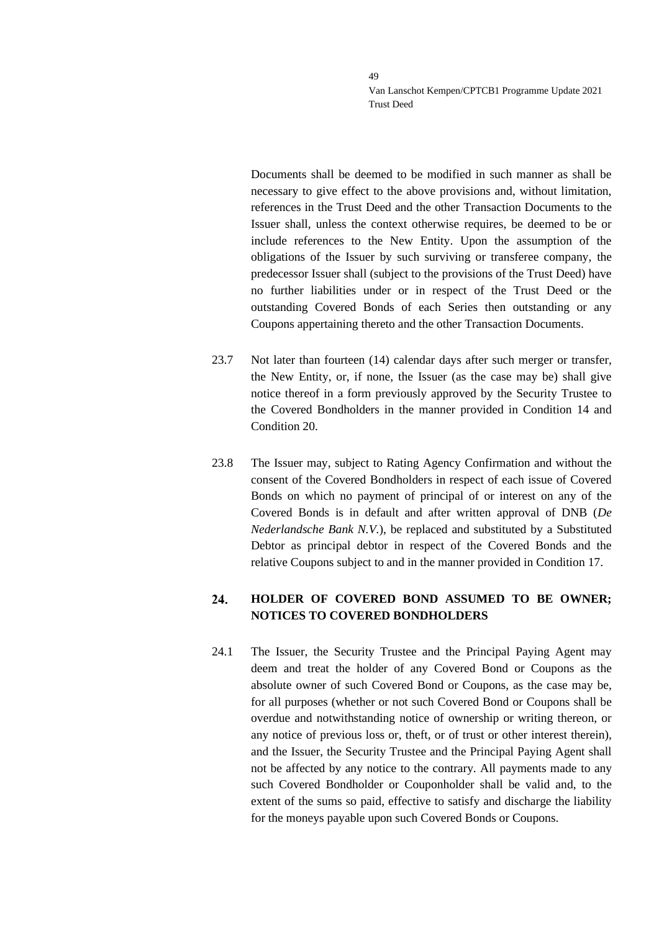Documents shall be deemed to be modified in such manner as shall be necessary to give effect to the above provisions and, without limitation, references in the Trust Deed and the other Transaction Documents to the Issuer shall, unless the context otherwise requires, be deemed to be or include references to the New Entity. Upon the assumption of the obligations of the Issuer by such surviving or transferee company, the predecessor Issuer shall (subject to the provisions of the Trust Deed) have no further liabilities under or in respect of the Trust Deed or the outstanding Covered Bonds of each Series then outstanding or any Coupons appertaining thereto and the other Transaction Documents.

- 23.7 Not later than fourteen (14) calendar days after such merger or transfer, the New Entity, or, if none, the Issuer (as the case may be) shall give notice thereof in a form previously approved by the Security Trustee to the Covered Bondholders in the manner provided in Condition 14 and Condition 20.
- 23.8 The Issuer may, subject to Rating Agency Confirmation and without the consent of the Covered Bondholders in respect of each issue of Covered Bonds on which no payment of principal of or interest on any of the Covered Bonds is in default and after written approval of DNB (*De Nederlandsche Bank N.V.*), be replaced and substituted by a Substituted Debtor as principal debtor in respect of the Covered Bonds and the relative Coupons subject to and in the manner provided in Condition 17.

### 24. **HOLDER OF COVERED BOND ASSUMED TO BE OWNER; NOTICES TO COVERED BONDHOLDERS**

24.1 The Issuer, the Security Trustee and the Principal Paying Agent may deem and treat the holder of any Covered Bond or Coupons as the absolute owner of such Covered Bond or Coupons, as the case may be, for all purposes (whether or not such Covered Bond or Coupons shall be overdue and notwithstanding notice of ownership or writing thereon, or any notice of previous loss or, theft, or of trust or other interest therein), and the Issuer, the Security Trustee and the Principal Paying Agent shall not be affected by any notice to the contrary. All payments made to any such Covered Bondholder or Couponholder shall be valid and, to the extent of the sums so paid, effective to satisfy and discharge the liability for the moneys payable upon such Covered Bonds or Coupons.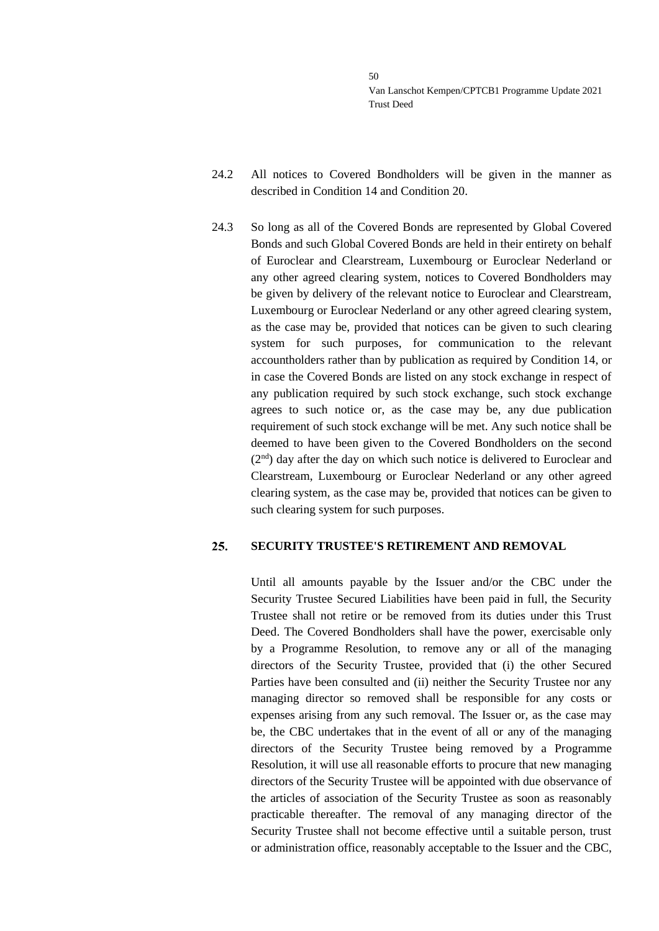- 24.2 All notices to Covered Bondholders will be given in the manner as described in Condition 14 and Condition 20.
- 24.3 So long as all of the Covered Bonds are represented by Global Covered Bonds and such Global Covered Bonds are held in their entirety on behalf of Euroclear and Clearstream, Luxembourg or Euroclear Nederland or any other agreed clearing system, notices to Covered Bondholders may be given by delivery of the relevant notice to Euroclear and Clearstream, Luxembourg or Euroclear Nederland or any other agreed clearing system, as the case may be, provided that notices can be given to such clearing system for such purposes, for communication to the relevant accountholders rather than by publication as required by Condition 14, or in case the Covered Bonds are listed on any stock exchange in respect of any publication required by such stock exchange, such stock exchange agrees to such notice or, as the case may be, any due publication requirement of such stock exchange will be met. Any such notice shall be deemed to have been given to the Covered Bondholders on the second (2<sup>nd</sup>) day after the day on which such notice is delivered to Euroclear and Clearstream, Luxembourg or Euroclear Nederland or any other agreed clearing system, as the case may be, provided that notices can be given to such clearing system for such purposes.

#### 25. **SECURITY TRUSTEE'S RETIREMENT AND REMOVAL**

Until all amounts payable by the Issuer and/or the CBC under the Security Trustee Secured Liabilities have been paid in full, the Security Trustee shall not retire or be removed from its duties under this Trust Deed. The Covered Bondholders shall have the power, exercisable only by a Programme Resolution, to remove any or all of the managing directors of the Security Trustee, provided that (i) the other Secured Parties have been consulted and (ii) neither the Security Trustee nor any managing director so removed shall be responsible for any costs or expenses arising from any such removal. The Issuer or, as the case may be, the CBC undertakes that in the event of all or any of the managing directors of the Security Trustee being removed by a Programme Resolution, it will use all reasonable efforts to procure that new managing directors of the Security Trustee will be appointed with due observance of the articles of association of the Security Trustee as soon as reasonably practicable thereafter. The removal of any managing director of the Security Trustee shall not become effective until a suitable person, trust or administration office, reasonably acceptable to the Issuer and the CBC,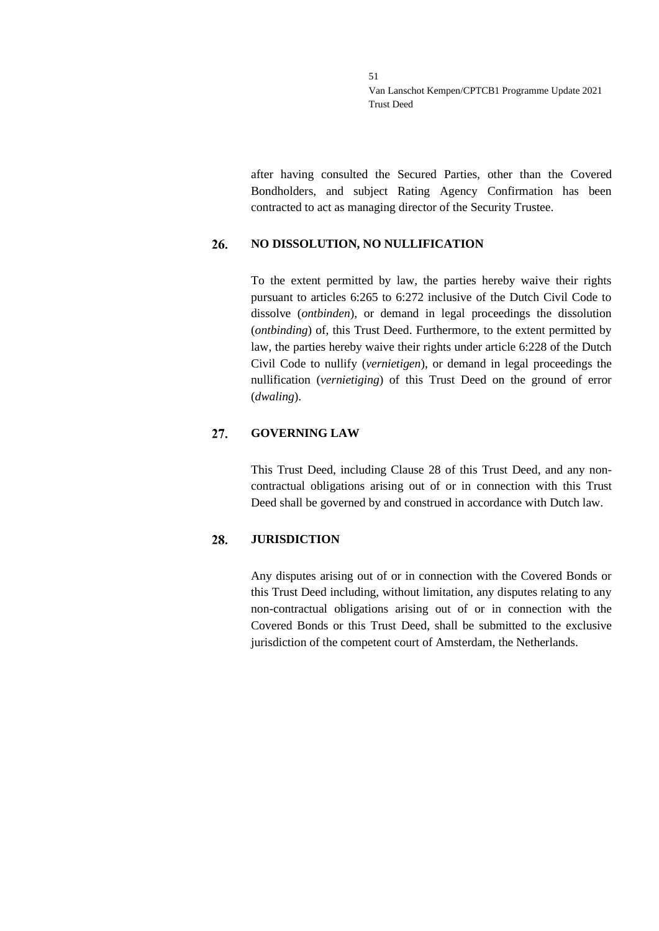after having consulted the Secured Parties, other than the Covered Bondholders, and subject Rating Agency Confirmation has been contracted to act as managing director of the Security Trustee.

#### 26. **NO DISSOLUTION, NO NULLIFICATION**

To the extent permitted by law, the parties hereby waive their rights pursuant to articles 6:265 to 6:272 inclusive of the Dutch Civil Code to dissolve (*ontbinden*), or demand in legal proceedings the dissolution (*ontbinding*) of, this Trust Deed. Furthermore, to the extent permitted by law, the parties hereby waive their rights under article 6:228 of the Dutch Civil Code to nullify (*vernietigen*), or demand in legal proceedings the nullification (*vernietiging*) of this Trust Deed on the ground of error (*dwaling*).

#### 27. **GOVERNING LAW**

This Trust Deed, including Clause [28](#page-50-0) of this Trust Deed, and any noncontractual obligations arising out of or in connection with this Trust Deed shall be governed by and construed in accordance with Dutch law.

#### <span id="page-50-0"></span>**JURISDICTION** 28.

Any disputes arising out of or in connection with the Covered Bonds or this Trust Deed including, without limitation, any disputes relating to any non-contractual obligations arising out of or in connection with the Covered Bonds or this Trust Deed, shall be submitted to the exclusive jurisdiction of the competent court of Amsterdam, the Netherlands.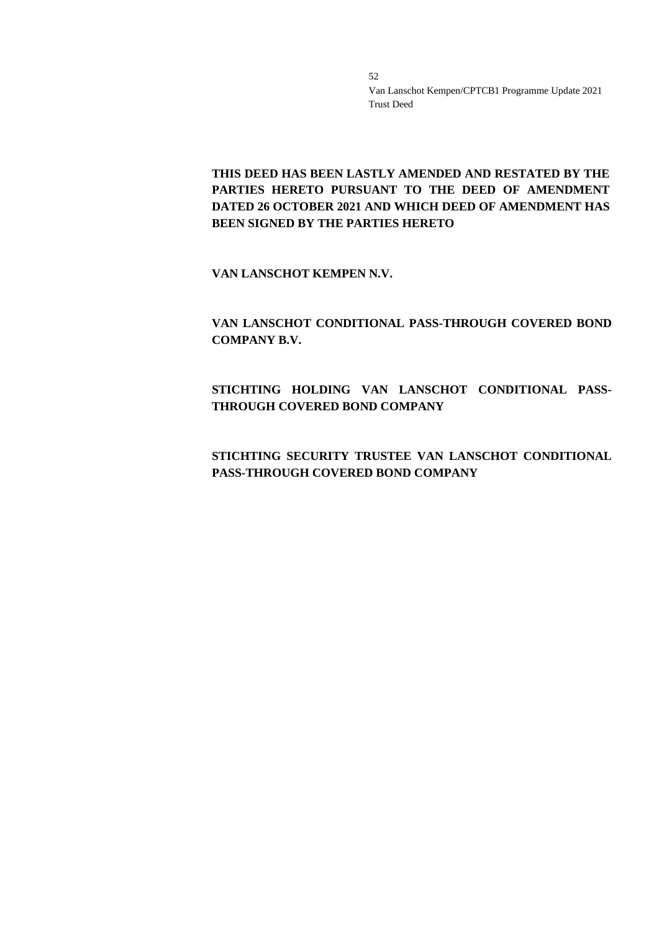**THIS DEED HAS BEEN LASTLY AMENDED AND RESTATED BY THE PARTIES HERETO PURSUANT TO THE DEED OF AMENDMENT DATED 26 OCTOBER 2021 AND WHICH DEED OF AMENDMENT HAS BEEN SIGNED BY THE PARTIES HERETO**

**VAN LANSCHOT KEMPEN N.V.**

**VAN LANSCHOT CONDITIONAL PASS-THROUGH COVERED BOND COMPANY B.V.**

**STICHTING HOLDING VAN LANSCHOT CONDITIONAL PASS-THROUGH COVERED BOND COMPANY**

**STICHTING SECURITY TRUSTEE VAN LANSCHOT CONDITIONAL PASS-THROUGH COVERED BOND COMPANY**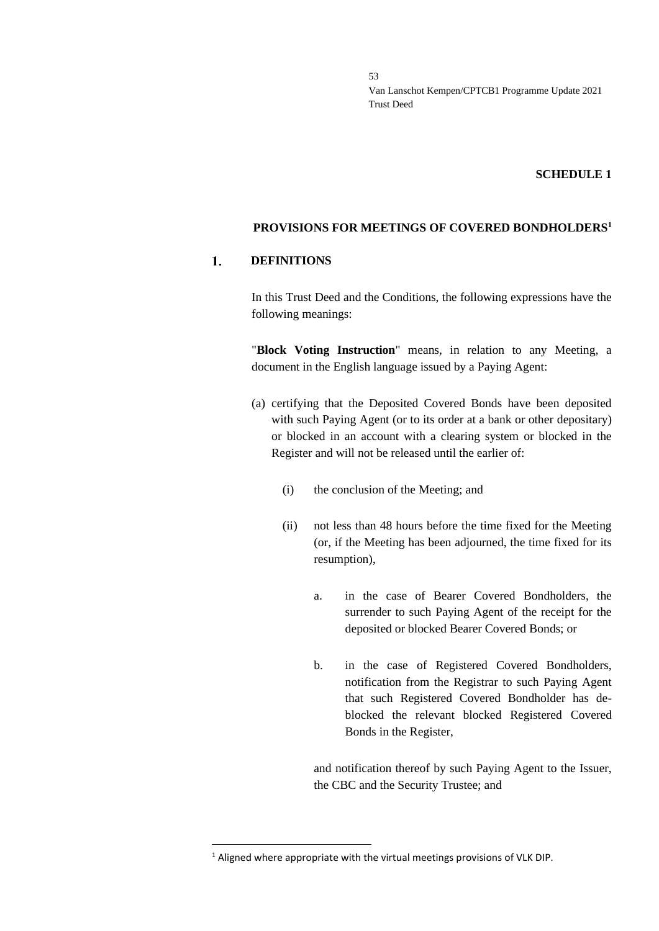### **SCHEDULE 1**

### **PROVISIONS FOR MEETINGS OF COVERED BONDHOLDERS<sup>1</sup>**

#### 1. **DEFINITIONS**

In this Trust Deed and the Conditions, the following expressions have the following meanings:

"**Block Voting Instruction**" means, in relation to any Meeting, a document in the English language issued by a Paying Agent:

- (a) certifying that the Deposited Covered Bonds have been deposited with such Paying Agent (or to its order at a bank or other depositary) or blocked in an account with a clearing system or blocked in the Register and will not be released until the earlier of:
	- (i) the conclusion of the Meeting; and
	- (ii) not less than 48 hours before the time fixed for the Meeting (or, if the Meeting has been adjourned, the time fixed for its resumption),
		- a. in the case of Bearer Covered Bondholders, the surrender to such Paying Agent of the receipt for the deposited or blocked Bearer Covered Bonds; or
		- b. in the case of Registered Covered Bondholders, notification from the Registrar to such Paying Agent that such Registered Covered Bondholder has deblocked the relevant blocked Registered Covered Bonds in the Register,

and notification thereof by such Paying Agent to the Issuer, the CBC and the Security Trustee; and

<sup>&</sup>lt;sup>1</sup> Aligned where appropriate with the virtual meetings provisions of VLK DIP.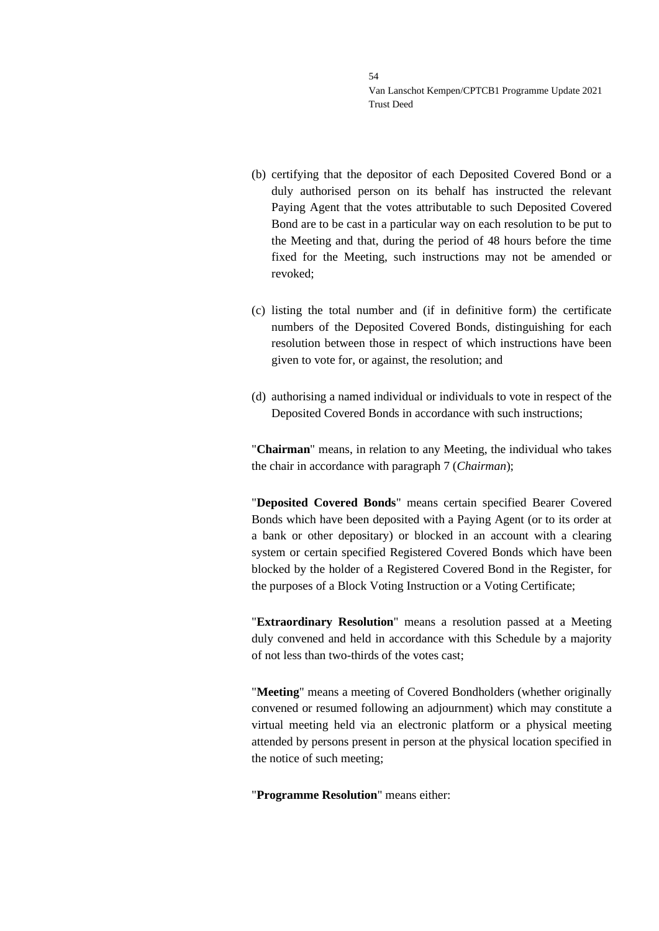- (b) certifying that the depositor of each Deposited Covered Bond or a duly authorised person on its behalf has instructed the relevant Paying Agent that the votes attributable to such Deposited Covered Bond are to be cast in a particular way on each resolution to be put to the Meeting and that, during the period of 48 hours before the time fixed for the Meeting, such instructions may not be amended or revoked;
- (c) listing the total number and (if in definitive form) the certificate numbers of the Deposited Covered Bonds, distinguishing for each resolution between those in respect of which instructions have been given to vote for, or against, the resolution; and
- (d) authorising a named individual or individuals to vote in respect of the Deposited Covered Bonds in accordance with such instructions;

"**Chairman**" means, in relation to any Meeting, the individual who takes the chair in accordance with paragraph 7 (*Chairman*);

"**Deposited Covered Bonds**" means certain specified Bearer Covered Bonds which have been deposited with a Paying Agent (or to its order at a bank or other depositary) or blocked in an account with a clearing system or certain specified Registered Covered Bonds which have been blocked by the holder of a Registered Covered Bond in the Register, for the purposes of a Block Voting Instruction or a Voting Certificate;

"**Extraordinary Resolution**" means a resolution passed at a Meeting duly convened and held in accordance with this Schedule by a majority of not less than two-thirds of the votes cast;

"**Meeting**" means a meeting of Covered Bondholders (whether originally convened or resumed following an adjournment) which may constitute a virtual meeting held via an electronic platform or a physical meeting attended by persons present in person at the physical location specified in the notice of such meeting;

"**Programme Resolution**" means either: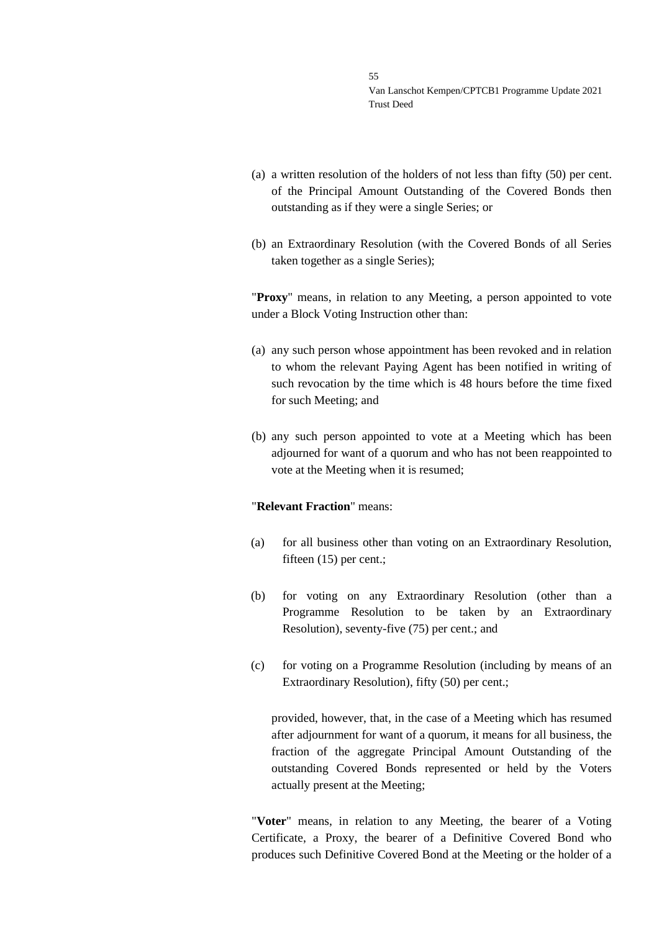- (a) a written resolution of the holders of not less than fifty (50) per cent. of the Principal Amount Outstanding of the Covered Bonds then outstanding as if they were a single Series; or
- (b) an Extraordinary Resolution (with the Covered Bonds of all Series taken together as a single Series);

"**Proxy**" means, in relation to any Meeting, a person appointed to vote under a Block Voting Instruction other than:

- (a) any such person whose appointment has been revoked and in relation to whom the relevant Paying Agent has been notified in writing of such revocation by the time which is 48 hours before the time fixed for such Meeting; and
- (b) any such person appointed to vote at a Meeting which has been adjourned for want of a quorum and who has not been reappointed to vote at the Meeting when it is resumed;

### "**Relevant Fraction**" means:

- (a) for all business other than voting on an Extraordinary Resolution, fifteen (15) per cent.;
- (b) for voting on any Extraordinary Resolution (other than a Programme Resolution to be taken by an Extraordinary Resolution), seventy-five (75) per cent.; and
- (c) for voting on a Programme Resolution (including by means of an Extraordinary Resolution), fifty (50) per cent.;

provided, however, that, in the case of a Meeting which has resumed after adjournment for want of a quorum, it means for all business, the fraction of the aggregate Principal Amount Outstanding of the outstanding Covered Bonds represented or held by the Voters actually present at the Meeting;

"**Voter**" means, in relation to any Meeting, the bearer of a Voting Certificate, a Proxy, the bearer of a Definitive Covered Bond who produces such Definitive Covered Bond at the Meeting or the holder of a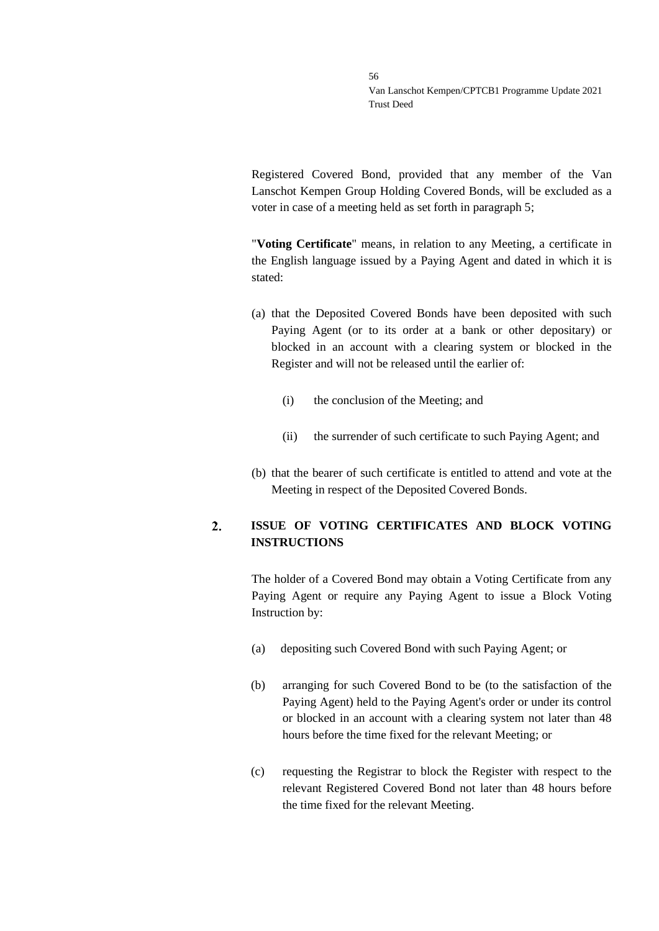Registered Covered Bond, provided that any member of the Van Lanschot Kempen Group Holding Covered Bonds, will be excluded as a voter in case of a meeting held as set forth in paragraph 5;

"**Voting Certificate**" means, in relation to any Meeting, a certificate in the English language issued by a Paying Agent and dated in which it is stated:

- (a) that the Deposited Covered Bonds have been deposited with such Paying Agent (or to its order at a bank or other depositary) or blocked in an account with a clearing system or blocked in the Register and will not be released until the earlier of:
	- (i) the conclusion of the Meeting; and
	- (ii) the surrender of such certificate to such Paying Agent; and
- (b) that the bearer of such certificate is entitled to attend and vote at the Meeting in respect of the Deposited Covered Bonds.

### $2.$ **ISSUE OF VOTING CERTIFICATES AND BLOCK VOTING INSTRUCTIONS**

The holder of a Covered Bond may obtain a Voting Certificate from any Paying Agent or require any Paying Agent to issue a Block Voting Instruction by:

- (a) depositing such Covered Bond with such Paying Agent; or
- (b) arranging for such Covered Bond to be (to the satisfaction of the Paying Agent) held to the Paying Agent's order or under its control or blocked in an account with a clearing system not later than 48 hours before the time fixed for the relevant Meeting; or
- (c) requesting the Registrar to block the Register with respect to the relevant Registered Covered Bond not later than 48 hours before the time fixed for the relevant Meeting.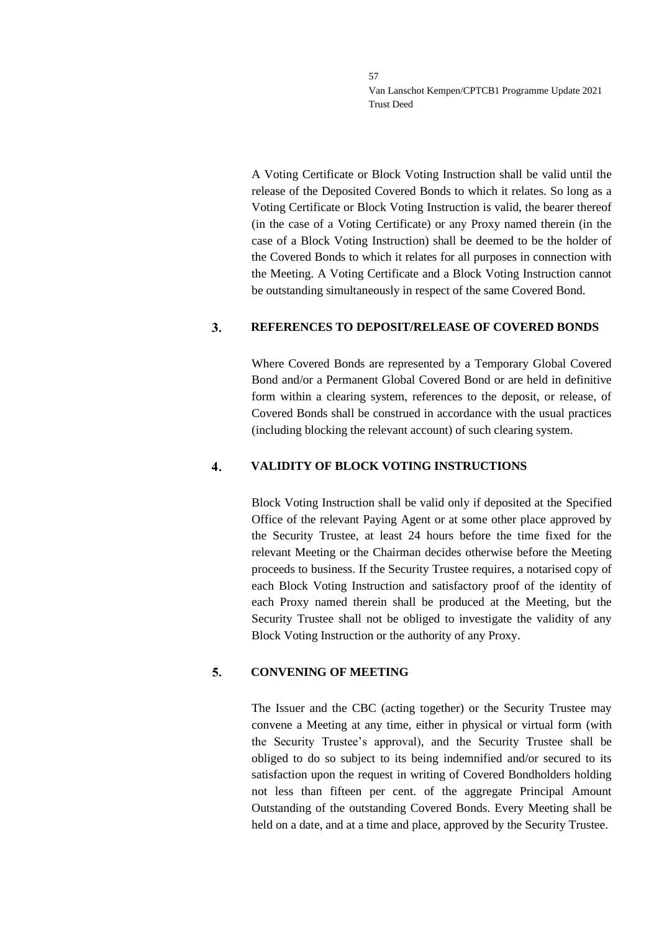A Voting Certificate or Block Voting Instruction shall be valid until the release of the Deposited Covered Bonds to which it relates. So long as a Voting Certificate or Block Voting Instruction is valid, the bearer thereof (in the case of a Voting Certificate) or any Proxy named therein (in the case of a Block Voting Instruction) shall be deemed to be the holder of the Covered Bonds to which it relates for all purposes in connection with the Meeting. A Voting Certificate and a Block Voting Instruction cannot be outstanding simultaneously in respect of the same Covered Bond.

#### 3. **REFERENCES TO DEPOSIT/RELEASE OF COVERED BONDS**

Where Covered Bonds are represented by a Temporary Global Covered Bond and/or a Permanent Global Covered Bond or are held in definitive form within a clearing system, references to the deposit, or release, of Covered Bonds shall be construed in accordance with the usual practices (including blocking the relevant account) of such clearing system.

#### $\overline{4}$ . **VALIDITY OF BLOCK VOTING INSTRUCTIONS**

Block Voting Instruction shall be valid only if deposited at the Specified Office of the relevant Paying Agent or at some other place approved by the Security Trustee, at least 24 hours before the time fixed for the relevant Meeting or the Chairman decides otherwise before the Meeting proceeds to business. If the Security Trustee requires, a notarised copy of each Block Voting Instruction and satisfactory proof of the identity of each Proxy named therein shall be produced at the Meeting, but the Security Trustee shall not be obliged to investigate the validity of any Block Voting Instruction or the authority of any Proxy.

#### 5. **CONVENING OF MEETING**

The Issuer and the CBC (acting together) or the Security Trustee may convene a Meeting at any time, either in physical or virtual form (with the Security Trustee's approval), and the Security Trustee shall be obliged to do so subject to its being indemnified and/or secured to its satisfaction upon the request in writing of Covered Bondholders holding not less than fifteen per cent. of the aggregate Principal Amount Outstanding of the outstanding Covered Bonds. Every Meeting shall be held on a date, and at a time and place, approved by the Security Trustee.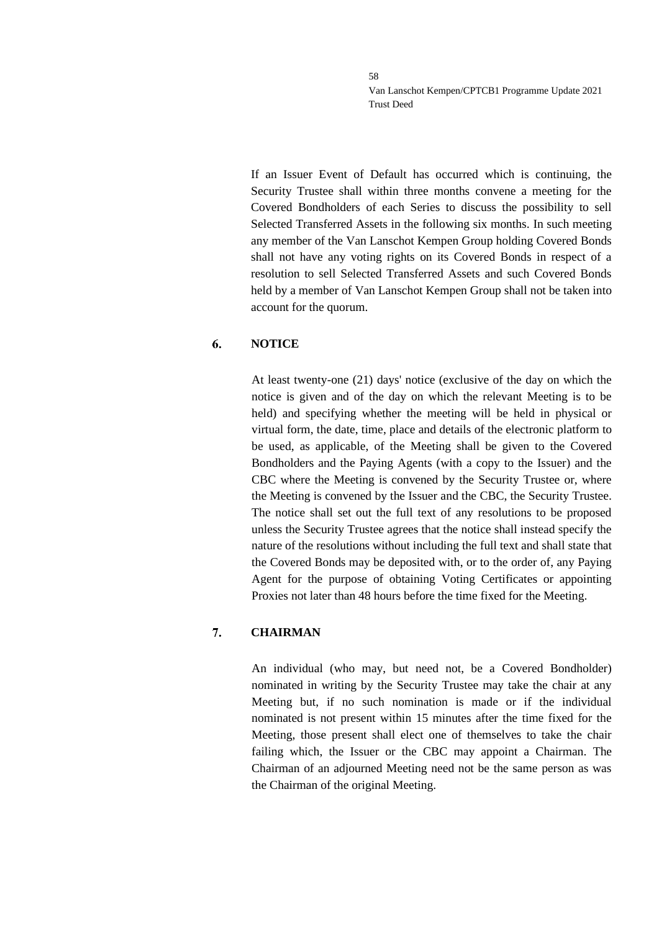If an Issuer Event of Default has occurred which is continuing, the Security Trustee shall within three months convene a meeting for the Covered Bondholders of each Series to discuss the possibility to sell Selected Transferred Assets in the following six months. In such meeting any member of the Van Lanschot Kempen Group holding Covered Bonds shall not have any voting rights on its Covered Bonds in respect of a resolution to sell Selected Transferred Assets and such Covered Bonds held by a member of Van Lanschot Kempen Group shall not be taken into account for the quorum.

#### 6. **NOTICE**

At least twenty-one (21) days' notice (exclusive of the day on which the notice is given and of the day on which the relevant Meeting is to be held) and specifying whether the meeting will be held in physical or virtual form, the date, time, place and details of the electronic platform to be used, as applicable, of the Meeting shall be given to the Covered Bondholders and the Paying Agents (with a copy to the Issuer) and the CBC where the Meeting is convened by the Security Trustee or, where the Meeting is convened by the Issuer and the CBC, the Security Trustee. The notice shall set out the full text of any resolutions to be proposed unless the Security Trustee agrees that the notice shall instead specify the nature of the resolutions without including the full text and shall state that the Covered Bonds may be deposited with, or to the order of, any Paying Agent for the purpose of obtaining Voting Certificates or appointing Proxies not later than 48 hours before the time fixed for the Meeting.

#### 7. **CHAIRMAN**

An individual (who may, but need not, be a Covered Bondholder) nominated in writing by the Security Trustee may take the chair at any Meeting but, if no such nomination is made or if the individual nominated is not present within 15 minutes after the time fixed for the Meeting, those present shall elect one of themselves to take the chair failing which, the Issuer or the CBC may appoint a Chairman. The Chairman of an adjourned Meeting need not be the same person as was the Chairman of the original Meeting.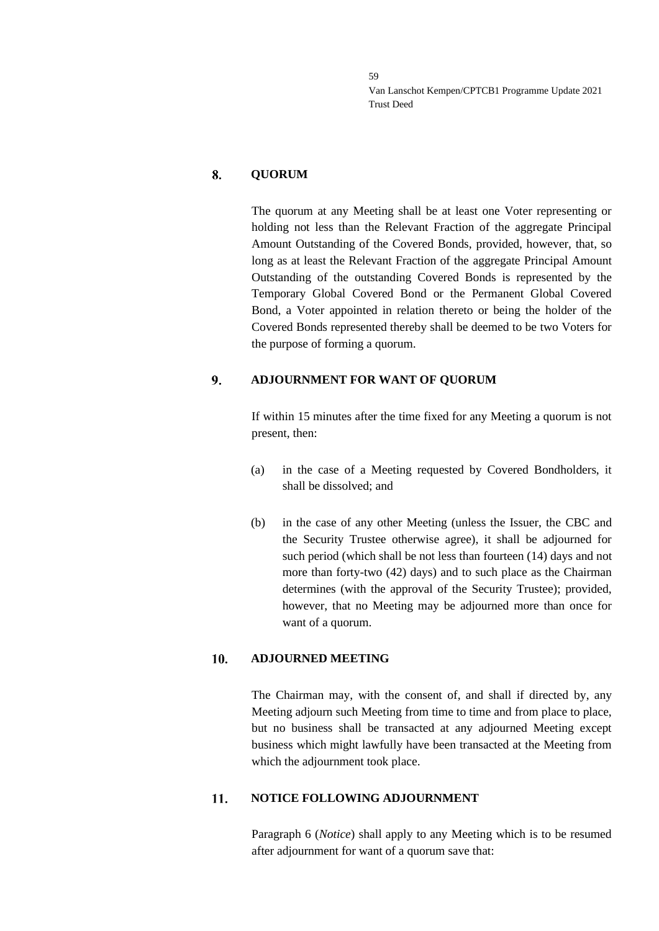#### 8. **QUORUM**

The quorum at any Meeting shall be at least one Voter representing or holding not less than the Relevant Fraction of the aggregate Principal Amount Outstanding of the Covered Bonds, provided, however, that, so long as at least the Relevant Fraction of the aggregate Principal Amount Outstanding of the outstanding Covered Bonds is represented by the Temporary Global Covered Bond or the Permanent Global Covered Bond, a Voter appointed in relation thereto or being the holder of the Covered Bonds represented thereby shall be deemed to be two Voters for the purpose of forming a quorum.

#### $9<sub>1</sub>$ **ADJOURNMENT FOR WANT OF QUORUM**

If within 15 minutes after the time fixed for any Meeting a quorum is not present, then:

- (a) in the case of a Meeting requested by Covered Bondholders, it shall be dissolved; and
- (b) in the case of any other Meeting (unless the Issuer, the CBC and the Security Trustee otherwise agree), it shall be adjourned for such period (which shall be not less than fourteen (14) days and not more than forty-two (42) days) and to such place as the Chairman determines (with the approval of the Security Trustee); provided, however, that no Meeting may be adjourned more than once for want of a quorum.

#### 10. **ADJOURNED MEETING**

The Chairman may, with the consent of, and shall if directed by, any Meeting adjourn such Meeting from time to time and from place to place, but no business shall be transacted at any adjourned Meeting except business which might lawfully have been transacted at the Meeting from which the adjournment took place.

#### 11. **NOTICE FOLLOWING ADJOURNMENT**

Paragraph 6 (*Notice*) shall apply to any Meeting which is to be resumed after adjournment for want of a quorum save that: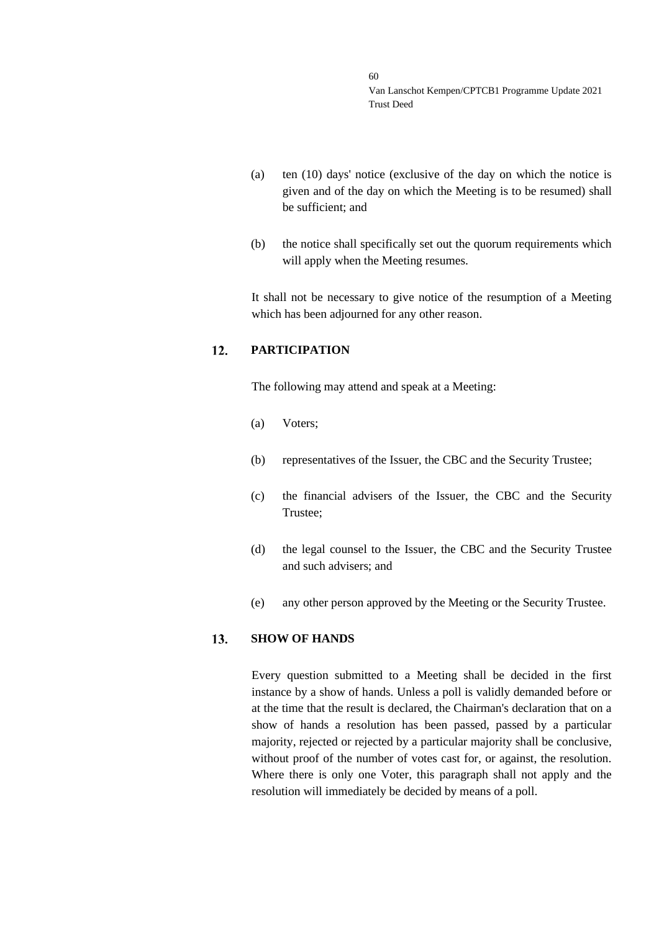- (a) ten (10) days' notice (exclusive of the day on which the notice is given and of the day on which the Meeting is to be resumed) shall be sufficient; and
- (b) the notice shall specifically set out the quorum requirements which will apply when the Meeting resumes.

It shall not be necessary to give notice of the resumption of a Meeting which has been adjourned for any other reason.

#### $12.$ **PARTICIPATION**

The following may attend and speak at a Meeting:

- (a) Voters;
- (b) representatives of the Issuer, the CBC and the Security Trustee;
- (c) the financial advisers of the Issuer, the CBC and the Security Trustee;
- (d) the legal counsel to the Issuer, the CBC and the Security Trustee and such advisers; and
- (e) any other person approved by the Meeting or the Security Trustee.

#### $13.$ **SHOW OF HANDS**

Every question submitted to a Meeting shall be decided in the first instance by a show of hands. Unless a poll is validly demanded before or at the time that the result is declared, the Chairman's declaration that on a show of hands a resolution has been passed, passed by a particular majority, rejected or rejected by a particular majority shall be conclusive, without proof of the number of votes cast for, or against, the resolution. Where there is only one Voter, this paragraph shall not apply and the resolution will immediately be decided by means of a poll.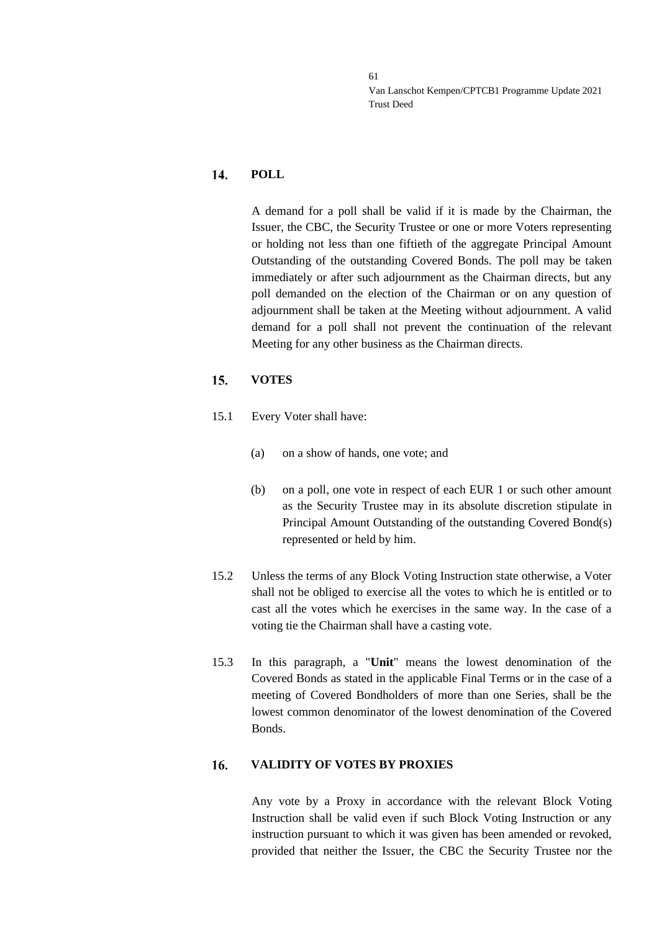#### 14. **POLL**

A demand for a poll shall be valid if it is made by the Chairman, the Issuer, the CBC, the Security Trustee or one or more Voters representing or holding not less than one fiftieth of the aggregate Principal Amount Outstanding of the outstanding Covered Bonds. The poll may be taken immediately or after such adjournment as the Chairman directs, but any poll demanded on the election of the Chairman or on any question of adjournment shall be taken at the Meeting without adjournment. A valid demand for a poll shall not prevent the continuation of the relevant Meeting for any other business as the Chairman directs.

#### 15. **VOTES**

- 15.1 Every Voter shall have:
	- (a) on a show of hands, one vote; and
	- (b) on a poll, one vote in respect of each EUR 1 or such other amount as the Security Trustee may in its absolute discretion stipulate in Principal Amount Outstanding of the outstanding Covered Bond(s) represented or held by him.
- 15.2 Unless the terms of any Block Voting Instruction state otherwise, a Voter shall not be obliged to exercise all the votes to which he is entitled or to cast all the votes which he exercises in the same way. In the case of a voting tie the Chairman shall have a casting vote.
- 15.3 In this paragraph, a "**Unit**" means the lowest denomination of the Covered Bonds as stated in the applicable Final Terms or in the case of a meeting of Covered Bondholders of more than one Series, shall be the lowest common denominator of the lowest denomination of the Covered Bonds.

#### 16. **VALIDITY OF VOTES BY PROXIES**

Any vote by a Proxy in accordance with the relevant Block Voting Instruction shall be valid even if such Block Voting Instruction or any instruction pursuant to which it was given has been amended or revoked, provided that neither the Issuer, the CBC the Security Trustee nor the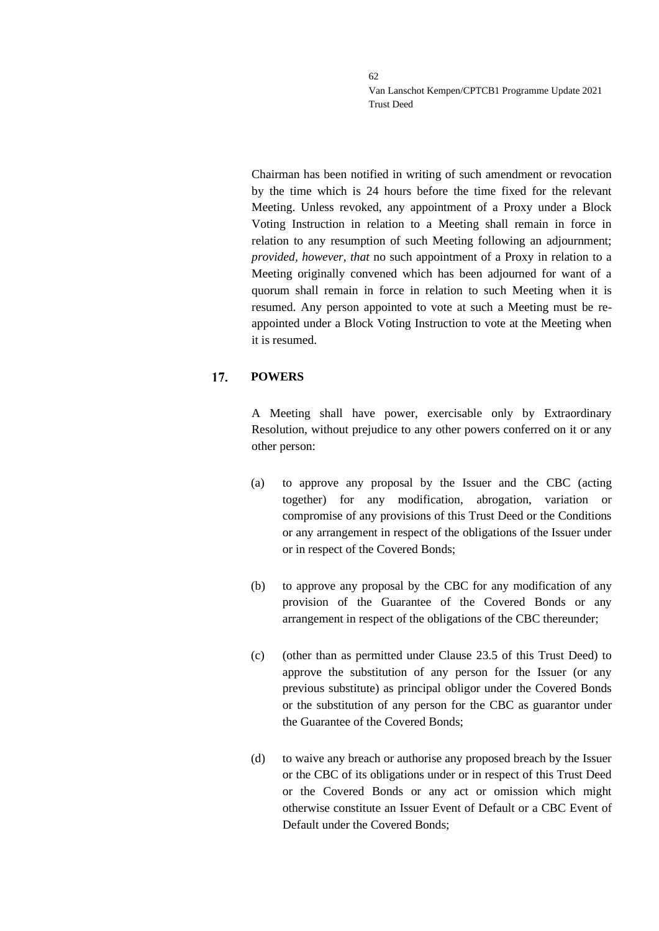Chairman has been notified in writing of such amendment or revocation by the time which is 24 hours before the time fixed for the relevant Meeting. Unless revoked, any appointment of a Proxy under a Block Voting Instruction in relation to a Meeting shall remain in force in relation to any resumption of such Meeting following an adjournment; *provided, however, that* no such appointment of a Proxy in relation to a Meeting originally convened which has been adjourned for want of a quorum shall remain in force in relation to such Meeting when it is resumed. Any person appointed to vote at such a Meeting must be reappointed under a Block Voting Instruction to vote at the Meeting when it is resumed.

#### $17.$ **POWERS**

A Meeting shall have power, exercisable only by Extraordinary Resolution, without prejudice to any other powers conferred on it or any other person:

- (a) to approve any proposal by the Issuer and the CBC (acting together) for any modification, abrogation, variation or compromise of any provisions of this Trust Deed or the Conditions or any arrangement in respect of the obligations of the Issuer under or in respect of the Covered Bonds;
- (b) to approve any proposal by the CBC for any modification of any provision of the Guarantee of the Covered Bonds or any arrangement in respect of the obligations of the CBC thereunder;
- (c) (other than as permitted under Clause [23.5](#page-47-0) of this Trust Deed) to approve the substitution of any person for the Issuer (or any previous substitute) as principal obligor under the Covered Bonds or the substitution of any person for the CBC as guarantor under the Guarantee of the Covered Bonds;
- (d) to waive any breach or authorise any proposed breach by the Issuer or the CBC of its obligations under or in respect of this Trust Deed or the Covered Bonds or any act or omission which might otherwise constitute an Issuer Event of Default or a CBC Event of Default under the Covered Bonds;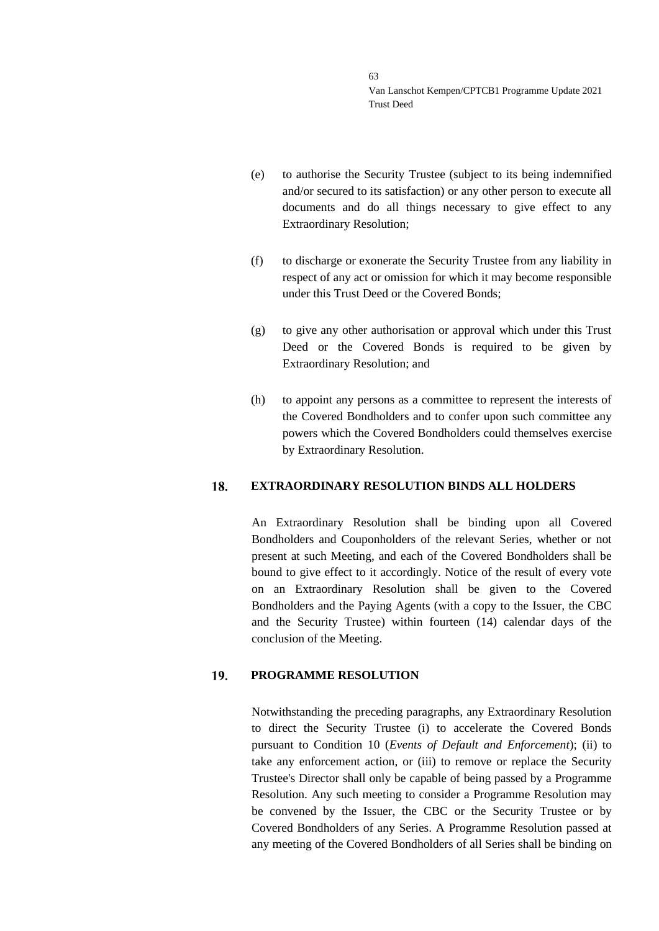- (e) to authorise the Security Trustee (subject to its being indemnified and/or secured to its satisfaction) or any other person to execute all documents and do all things necessary to give effect to any Extraordinary Resolution;
- (f) to discharge or exonerate the Security Trustee from any liability in respect of any act or omission for which it may become responsible under this Trust Deed or the Covered Bonds;
- (g) to give any other authorisation or approval which under this Trust Deed or the Covered Bonds is required to be given by Extraordinary Resolution; and
- (h) to appoint any persons as a committee to represent the interests of the Covered Bondholders and to confer upon such committee any powers which the Covered Bondholders could themselves exercise by Extraordinary Resolution.

#### 18. **EXTRAORDINARY RESOLUTION BINDS ALL HOLDERS**

An Extraordinary Resolution shall be binding upon all Covered Bondholders and Couponholders of the relevant Series, whether or not present at such Meeting, and each of the Covered Bondholders shall be bound to give effect to it accordingly. Notice of the result of every vote on an Extraordinary Resolution shall be given to the Covered Bondholders and the Paying Agents (with a copy to the Issuer, the CBC and the Security Trustee) within fourteen (14) calendar days of the conclusion of the Meeting.

#### 19. **PROGRAMME RESOLUTION**

Notwithstanding the preceding paragraphs, any Extraordinary Resolution to direct the Security Trustee (i) to accelerate the Covered Bonds pursuant to Condition 10 (*Events of Default and Enforcement*); (ii) to take any enforcement action, or (iii) to remove or replace the Security Trustee's Director shall only be capable of being passed by a Programme Resolution. Any such meeting to consider a Programme Resolution may be convened by the Issuer, the CBC or the Security Trustee or by Covered Bondholders of any Series. A Programme Resolution passed at any meeting of the Covered Bondholders of all Series shall be binding on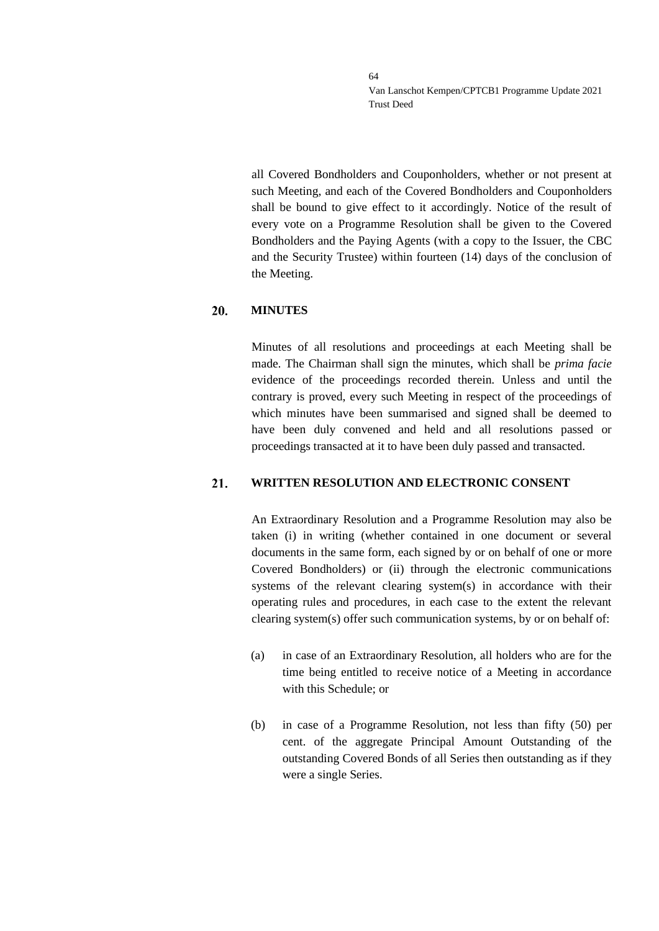all Covered Bondholders and Couponholders, whether or not present at such Meeting, and each of the Covered Bondholders and Couponholders shall be bound to give effect to it accordingly. Notice of the result of every vote on a Programme Resolution shall be given to the Covered Bondholders and the Paying Agents (with a copy to the Issuer, the CBC and the Security Trustee) within fourteen (14) days of the conclusion of the Meeting.

#### 20. **MINUTES**

Minutes of all resolutions and proceedings at each Meeting shall be made. The Chairman shall sign the minutes, which shall be *prima facie* evidence of the proceedings recorded therein. Unless and until the contrary is proved, every such Meeting in respect of the proceedings of which minutes have been summarised and signed shall be deemed to have been duly convened and held and all resolutions passed or proceedings transacted at it to have been duly passed and transacted.

#### 21. **WRITTEN RESOLUTION AND ELECTRONIC CONSENT**

An Extraordinary Resolution and a Programme Resolution may also be taken (i) in writing (whether contained in one document or several documents in the same form, each signed by or on behalf of one or more Covered Bondholders) or (ii) through the electronic communications systems of the relevant clearing system(s) in accordance with their operating rules and procedures, in each case to the extent the relevant clearing system(s) offer such communication systems, by or on behalf of:

- (a) in case of an Extraordinary Resolution, all holders who are for the time being entitled to receive notice of a Meeting in accordance with this Schedule; or
- (b) in case of a Programme Resolution, not less than fifty (50) per cent. of the aggregate Principal Amount Outstanding of the outstanding Covered Bonds of all Series then outstanding as if they were a single Series.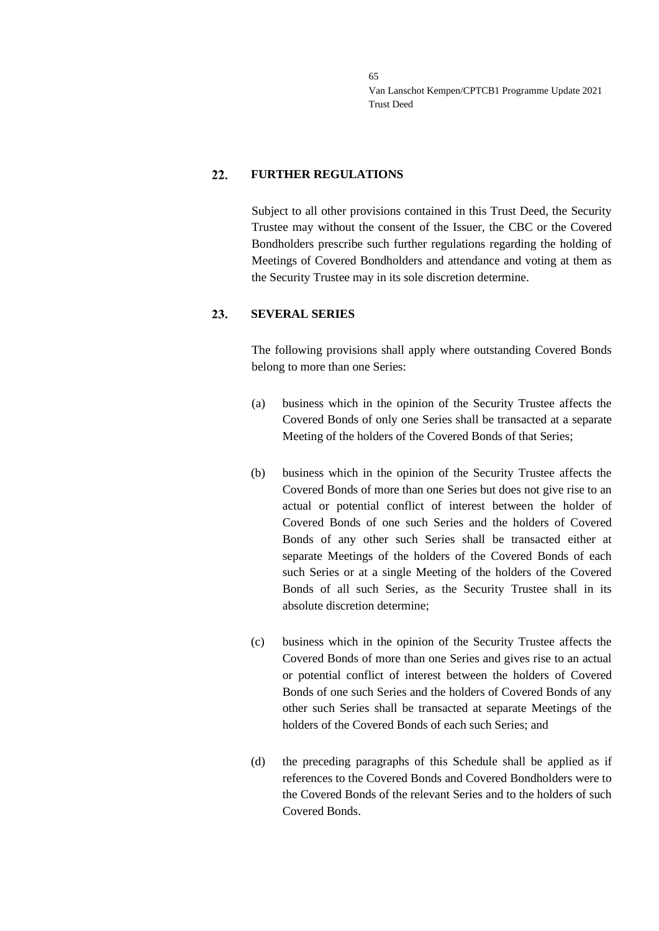#### 22. **FURTHER REGULATIONS**

Subject to all other provisions contained in this Trust Deed, the Security Trustee may without the consent of the Issuer, the CBC or the Covered Bondholders prescribe such further regulations regarding the holding of Meetings of Covered Bondholders and attendance and voting at them as the Security Trustee may in its sole discretion determine.

#### 23. **SEVERAL SERIES**

The following provisions shall apply where outstanding Covered Bonds belong to more than one Series:

- (a) business which in the opinion of the Security Trustee affects the Covered Bonds of only one Series shall be transacted at a separate Meeting of the holders of the Covered Bonds of that Series;
- (b) business which in the opinion of the Security Trustee affects the Covered Bonds of more than one Series but does not give rise to an actual or potential conflict of interest between the holder of Covered Bonds of one such Series and the holders of Covered Bonds of any other such Series shall be transacted either at separate Meetings of the holders of the Covered Bonds of each such Series or at a single Meeting of the holders of the Covered Bonds of all such Series, as the Security Trustee shall in its absolute discretion determine;
- (c) business which in the opinion of the Security Trustee affects the Covered Bonds of more than one Series and gives rise to an actual or potential conflict of interest between the holders of Covered Bonds of one such Series and the holders of Covered Bonds of any other such Series shall be transacted at separate Meetings of the holders of the Covered Bonds of each such Series; and
- (d) the preceding paragraphs of this Schedule shall be applied as if references to the Covered Bonds and Covered Bondholders were to the Covered Bonds of the relevant Series and to the holders of such Covered Bonds.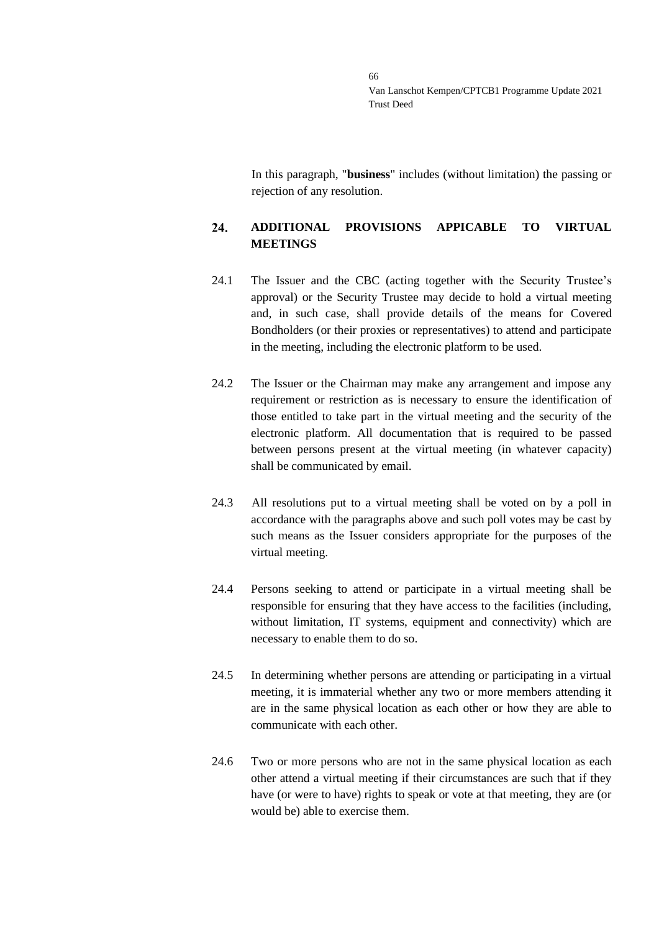In this paragraph, "**business**" includes (without limitation) the passing or rejection of any resolution.

### 24. **ADDITIONAL PROVISIONS APPICABLE TO VIRTUAL MEETINGS**

- 24.1 The Issuer and the CBC (acting together with the Security Trustee's approval) or the Security Trustee may decide to hold a virtual meeting and, in such case, shall provide details of the means for Covered Bondholders (or their proxies or representatives) to attend and participate in the meeting, including the electronic platform to be used.
- 24.2 The Issuer or the Chairman may make any arrangement and impose any requirement or restriction as is necessary to ensure the identification of those entitled to take part in the virtual meeting and the security of the electronic platform. All documentation that is required to be passed between persons present at the virtual meeting (in whatever capacity) shall be communicated by email.
- 24.3 All resolutions put to a virtual meeting shall be voted on by a poll in accordance with the paragraphs above and such poll votes may be cast by such means as the Issuer considers appropriate for the purposes of the virtual meeting.
- 24.4 Persons seeking to attend or participate in a virtual meeting shall be responsible for ensuring that they have access to the facilities (including, without limitation, IT systems, equipment and connectivity) which are necessary to enable them to do so.
- 24.5 In determining whether persons are attending or participating in a virtual meeting, it is immaterial whether any two or more members attending it are in the same physical location as each other or how they are able to communicate with each other.
- 24.6 Two or more persons who are not in the same physical location as each other attend a virtual meeting if their circumstances are such that if they have (or were to have) rights to speak or vote at that meeting, they are (or would be) able to exercise them.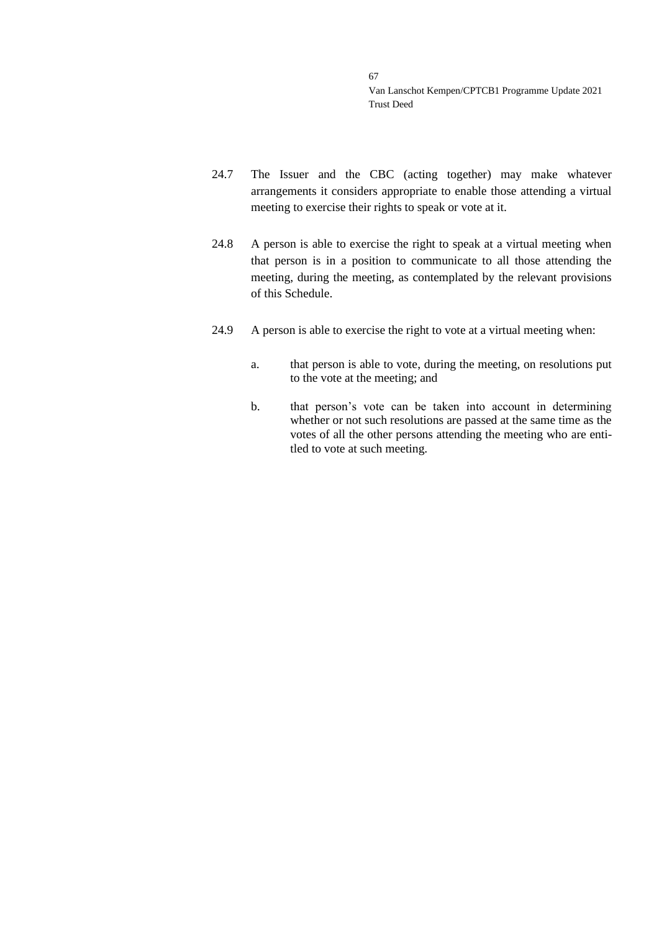- 24.7 The Issuer and the CBC (acting together) may make whatever arrangements it considers appropriate to enable those attending a virtual meeting to exercise their rights to speak or vote at it.
- 24.8 A person is able to exercise the right to speak at a virtual meeting when that person is in a position to communicate to all those attending the meeting, during the meeting, as contemplated by the relevant provisions of this Schedule.
- 24.9 A person is able to exercise the right to vote at a virtual meeting when:
	- a. that person is able to vote, during the meeting, on resolutions put to the vote at the meeting; and
	- b. that person's vote can be taken into account in determining whether or not such resolutions are passed at the same time as the votes of all the other persons attending the meeting who are entitled to vote at such meeting.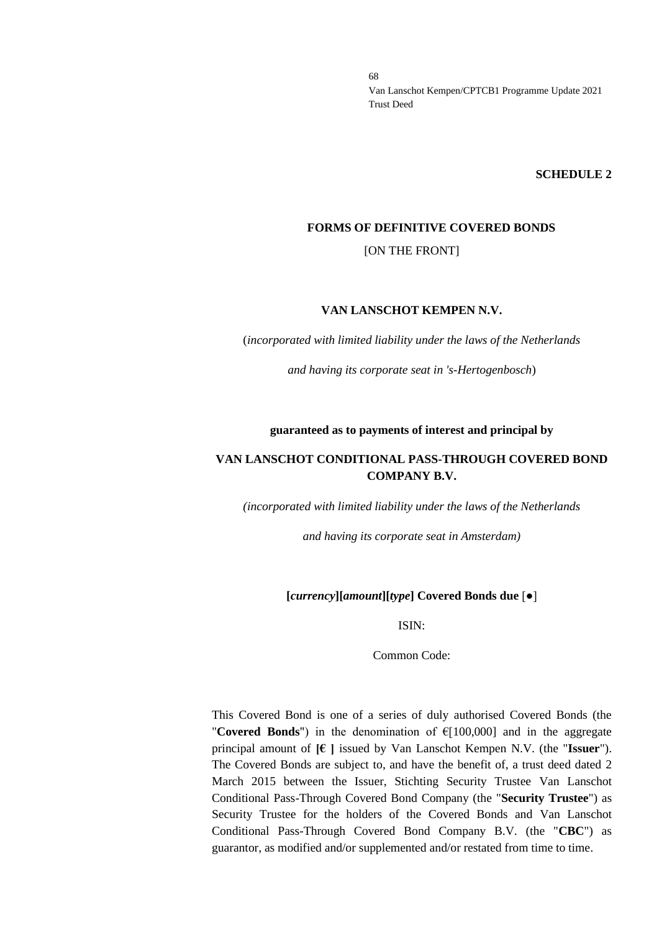**SCHEDULE 2**

### **FORMS OF DEFINITIVE COVERED BONDS**

[ON THE FRONT]

### **VAN LANSCHOT KEMPEN N.V.**

(*incorporated with limited liability under the laws of the Netherlands*

*and having its corporate seat in 's-Hertogenbosch*)

### **guaranteed as to payments of interest and principal by**

## **VAN LANSCHOT CONDITIONAL PASS-THROUGH COVERED BOND COMPANY B.V.**

*(incorporated with limited liability under the laws of the Netherlands*

*and having its corporate seat in Amsterdam)*

### **[***currency***][***amount***][***type***] Covered Bonds due** [●]

ISIN:

Common Code:

This Covered Bond is one of a series of duly authorised Covered Bonds (the "**Covered Bonds**") in the denomination of €[100,000] and in the aggregate principal amount of **[€ ]** issued by Van Lanschot Kempen N.V. (the "**Issuer**"). The Covered Bonds are subject to, and have the benefit of, a trust deed dated 2 March 2015 between the Issuer, Stichting Security Trustee Van Lanschot Conditional Pass-Through Covered Bond Company (the "**Security Trustee**") as Security Trustee for the holders of the Covered Bonds and Van Lanschot Conditional Pass-Through Covered Bond Company B.V. (the "**CBC**") as guarantor, as modified and/or supplemented and/or restated from time to time.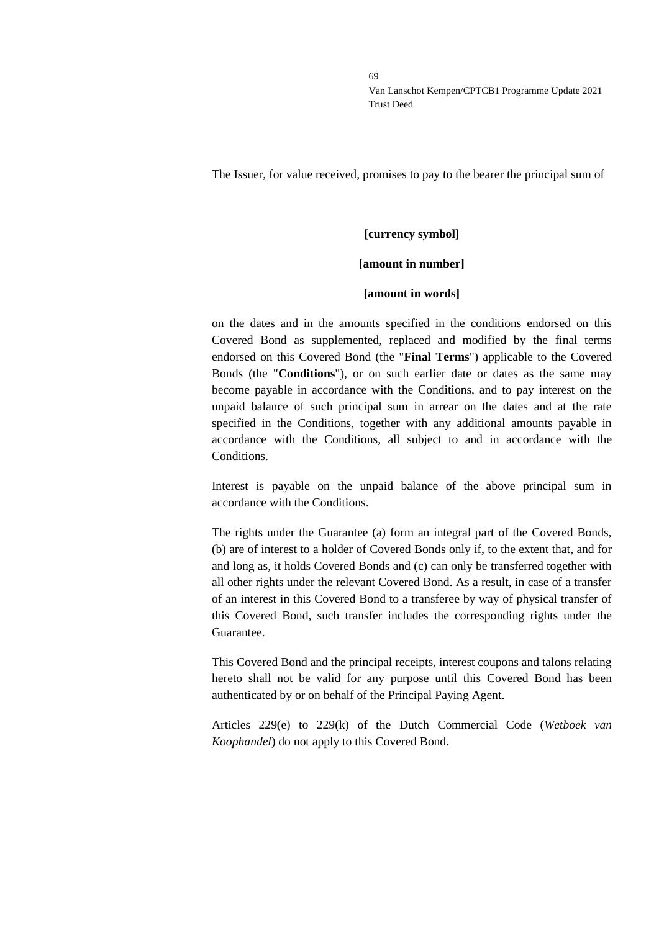The Issuer, for value received, promises to pay to the bearer the principal sum of

# **[currency symbol]**

## **[amount in number]**

### **[amount in words]**

on the dates and in the amounts specified in the conditions endorsed on this Covered Bond as supplemented, replaced and modified by the final terms endorsed on this Covered Bond (the "**Final Terms**") applicable to the Covered Bonds (the "**Conditions**"), or on such earlier date or dates as the same may become payable in accordance with the Conditions, and to pay interest on the unpaid balance of such principal sum in arrear on the dates and at the rate specified in the Conditions, together with any additional amounts payable in accordance with the Conditions, all subject to and in accordance with the **Conditions** 

Interest is payable on the unpaid balance of the above principal sum in accordance with the Conditions.

The rights under the Guarantee (a) form an integral part of the Covered Bonds, (b) are of interest to a holder of Covered Bonds only if, to the extent that, and for and long as, it holds Covered Bonds and (c) can only be transferred together with all other rights under the relevant Covered Bond. As a result, in case of a transfer of an interest in this Covered Bond to a transferee by way of physical transfer of this Covered Bond, such transfer includes the corresponding rights under the Guarantee.

This Covered Bond and the principal receipts, interest coupons and talons relating hereto shall not be valid for any purpose until this Covered Bond has been authenticated by or on behalf of the Principal Paying Agent.

Articles 229(e) to 229(k) of the Dutch Commercial Code (*Wetboek van Koophandel*) do not apply to this Covered Bond.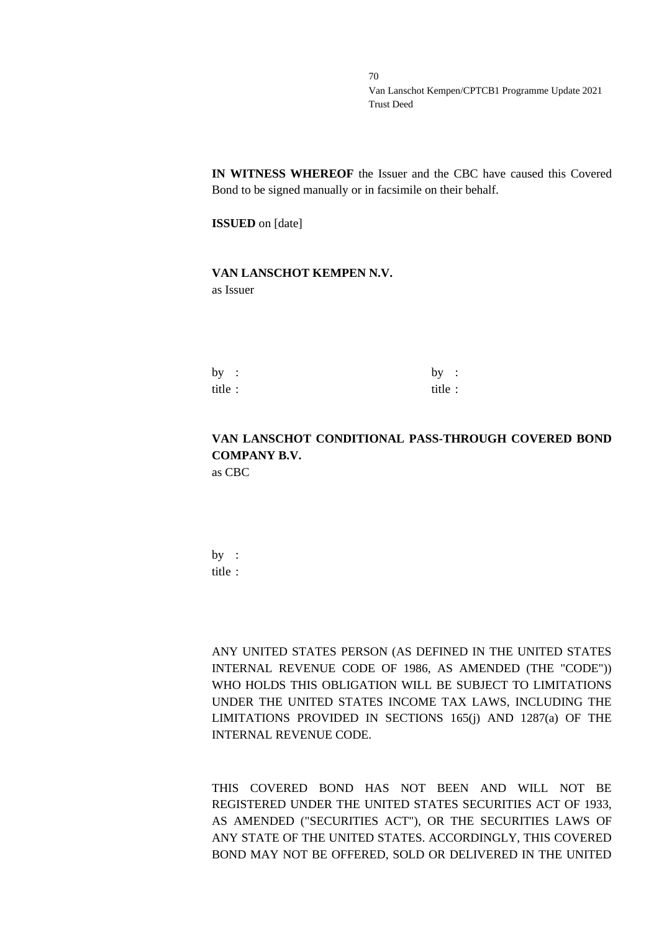**IN WITNESS WHEREOF** the Issuer and the CBC have caused this Covered Bond to be signed manually or in facsimile on their behalf.

**ISSUED** on [date]

### **VAN LANSCHOT KEMPEN N.V.** as Issuer

| by :   | by:     |  |
|--------|---------|--|
| title: | title : |  |

# **VAN LANSCHOT CONDITIONAL PASS-THROUGH COVERED BOND COMPANY B.V.**

as CBC

by : title :

ANY UNITED STATES PERSON (AS DEFINED IN THE UNITED STATES INTERNAL REVENUE CODE OF 1986, AS AMENDED (THE "CODE")) WHO HOLDS THIS OBLIGATION WILL BE SUBJECT TO LIMITATIONS UNDER THE UNITED STATES INCOME TAX LAWS, INCLUDING THE LIMITATIONS PROVIDED IN SECTIONS 165(j) AND 1287(a) OF THE INTERNAL REVENUE CODE.

THIS COVERED BOND HAS NOT BEEN AND WILL NOT BE REGISTERED UNDER THE UNITED STATES SECURITIES ACT OF 1933, AS AMENDED ("SECURITIES ACT"), OR THE SECURITIES LAWS OF ANY STATE OF THE UNITED STATES. ACCORDINGLY, THIS COVERED BOND MAY NOT BE OFFERED, SOLD OR DELIVERED IN THE UNITED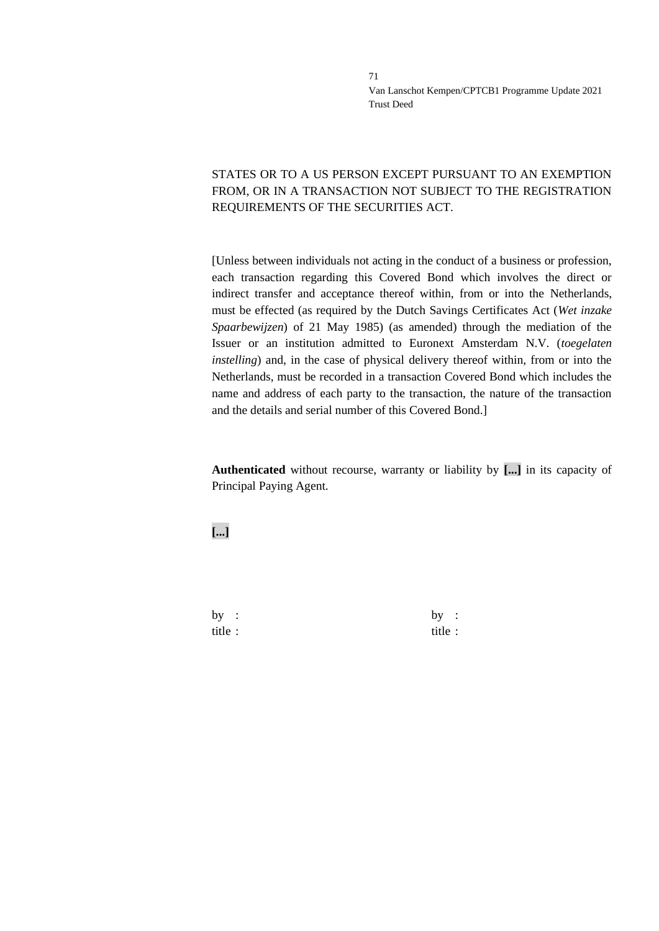# STATES OR TO A US PERSON EXCEPT PURSUANT TO AN EXEMPTION FROM, OR IN A TRANSACTION NOT SUBJECT TO THE REGISTRATION REQUIREMENTS OF THE SECURITIES ACT.

[Unless between individuals not acting in the conduct of a business or profession, each transaction regarding this Covered Bond which involves the direct or indirect transfer and acceptance thereof within, from or into the Netherlands, must be effected (as required by the Dutch Savings Certificates Act (*Wet inzake Spaarbewijzen*) of 21 May 1985) (as amended) through the mediation of the Issuer or an institution admitted to Euronext Amsterdam N.V. (*toegelaten instelling*) and, in the case of physical delivery thereof within, from or into the Netherlands, must be recorded in a transaction Covered Bond which includes the name and address of each party to the transaction, the nature of the transaction and the details and serial number of this Covered Bond.]

**Authenticated** without recourse, warranty or liability by **[...]** in its capacity of Principal Paying Agent.

**[...]**

by :  $by$  : title : title :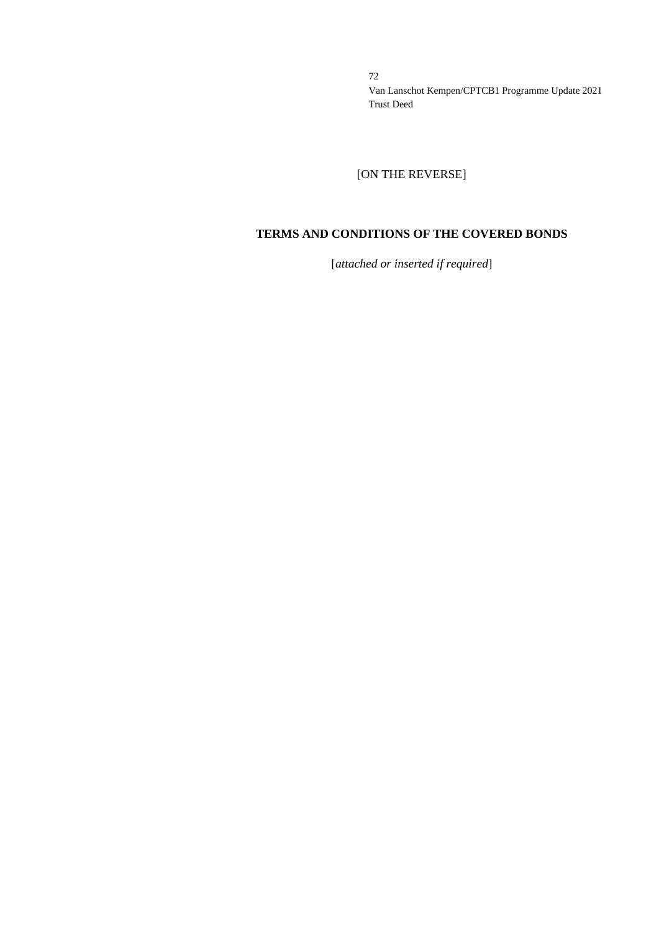[ON THE REVERSE]

# **TERMS AND CONDITIONS OF THE COVERED BONDS**

[*attached or inserted if required*]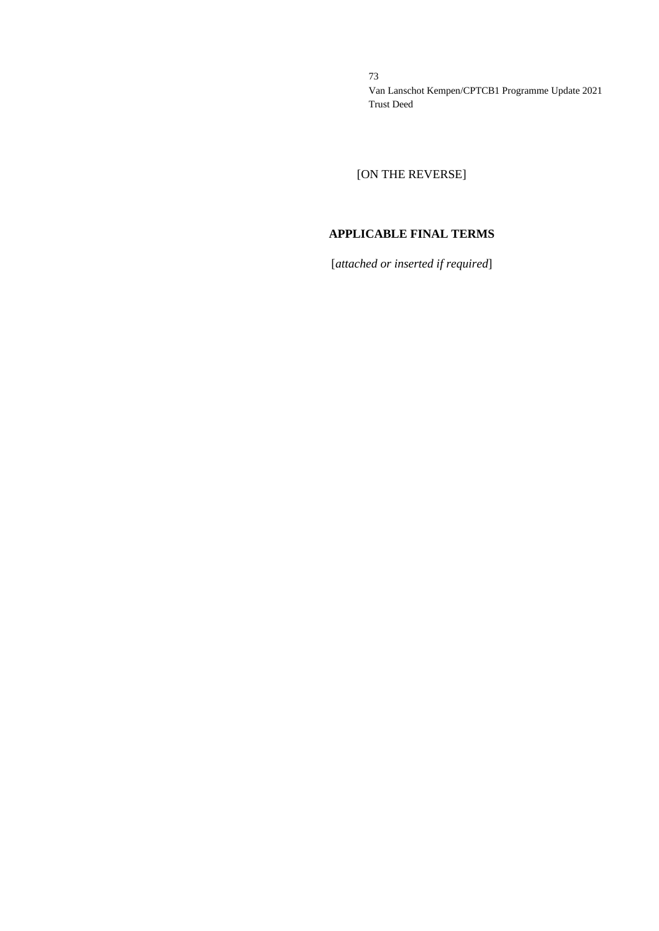[ON THE REVERSE]

# **APPLICABLE FINAL TERMS**

[*attached or inserted if required*]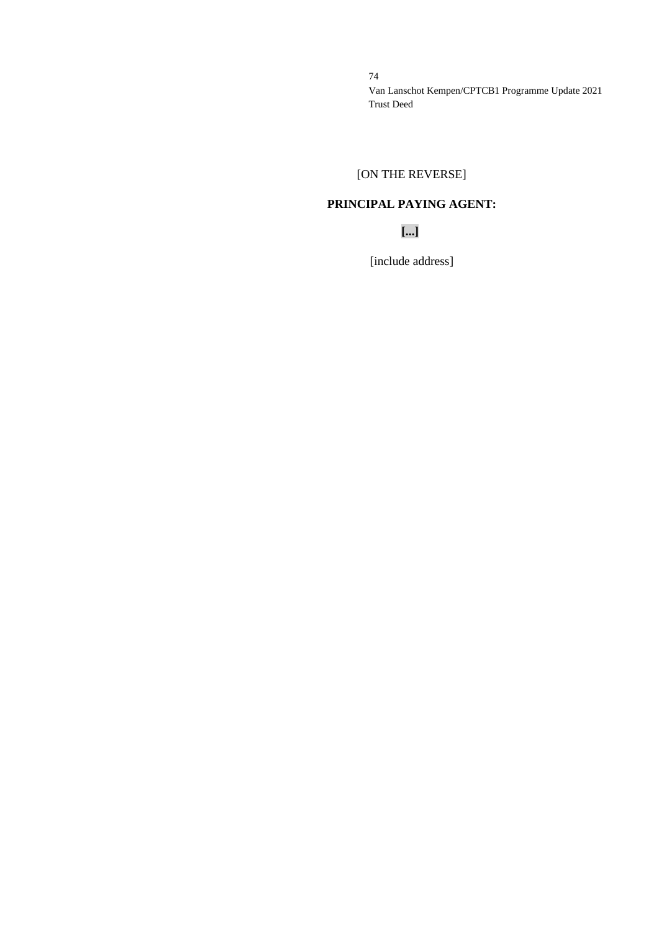# [ON THE REVERSE]

# **PRINCIPAL PAYING AGENT:**

**[...]**

[include address]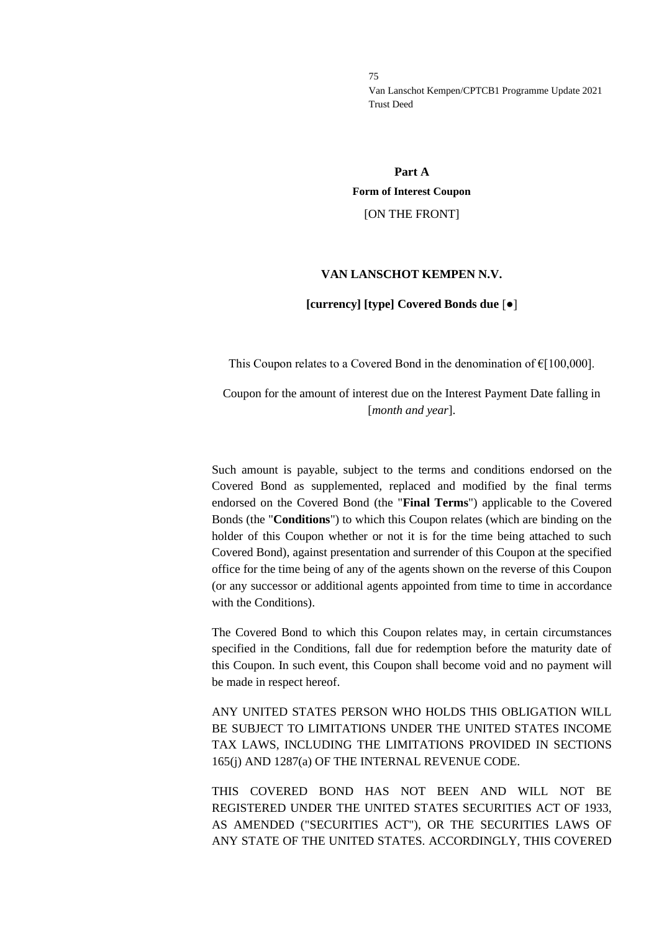# **Part A Form of Interest Coupon**

#### [ON THE FRONT]

#### **VAN LANSCHOT KEMPEN N.V.**

#### **[currency] [type] Covered Bonds due** [●]

This Coupon relates to a Covered Bond in the denomination of  $E[100,000]$ .

Coupon for the amount of interest due on the Interest Payment Date falling in [*month and year*].

Such amount is payable, subject to the terms and conditions endorsed on the Covered Bond as supplemented, replaced and modified by the final terms endorsed on the Covered Bond (the "**Final Terms**") applicable to the Covered Bonds (the "**Conditions**") to which this Coupon relates (which are binding on the holder of this Coupon whether or not it is for the time being attached to such Covered Bond), against presentation and surrender of this Coupon at the specified office for the time being of any of the agents shown on the reverse of this Coupon (or any successor or additional agents appointed from time to time in accordance with the Conditions).

The Covered Bond to which this Coupon relates may, in certain circumstances specified in the Conditions, fall due for redemption before the maturity date of this Coupon. In such event, this Coupon shall become void and no payment will be made in respect hereof.

ANY UNITED STATES PERSON WHO HOLDS THIS OBLIGATION WILL BE SUBJECT TO LIMITATIONS UNDER THE UNITED STATES INCOME TAX LAWS, INCLUDING THE LIMITATIONS PROVIDED IN SECTIONS 165(j) AND 1287(a) OF THE INTERNAL REVENUE CODE.

THIS COVERED BOND HAS NOT BEEN AND WILL NOT BE REGISTERED UNDER THE UNITED STATES SECURITIES ACT OF 1933, AS AMENDED ("SECURITIES ACT"), OR THE SECURITIES LAWS OF ANY STATE OF THE UNITED STATES. ACCORDINGLY, THIS COVERED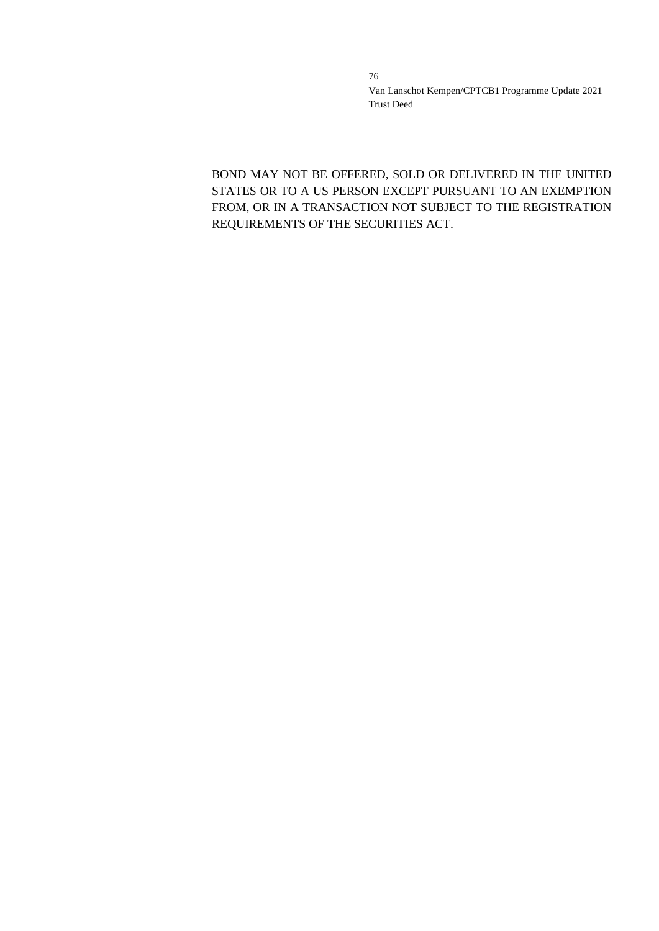BOND MAY NOT BE OFFERED, SOLD OR DELIVERED IN THE UNITED STATES OR TO A US PERSON EXCEPT PURSUANT TO AN EXEMPTION FROM, OR IN A TRANSACTION NOT SUBJECT TO THE REGISTRATION REQUIREMENTS OF THE SECURITIES ACT.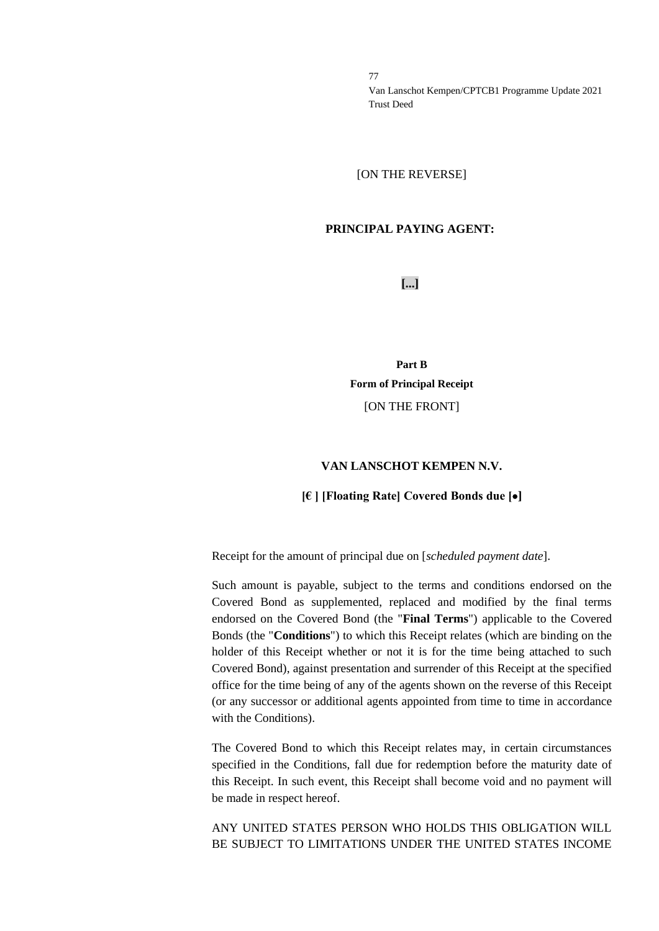[ON THE REVERSE]

#### **PRINCIPAL PAYING AGENT:**

**[...]**

**Part B Form of Principal Receipt** [ON THE FRONT]

#### **VAN LANSCHOT KEMPEN N.V.**

#### **[€ ] [Floating Rate] Covered Bonds due [**•**]**

Receipt for the amount of principal due on [*scheduled payment date*].

Such amount is payable, subject to the terms and conditions endorsed on the Covered Bond as supplemented, replaced and modified by the final terms endorsed on the Covered Bond (the "**Final Terms**") applicable to the Covered Bonds (the "**Conditions**") to which this Receipt relates (which are binding on the holder of this Receipt whether or not it is for the time being attached to such Covered Bond), against presentation and surrender of this Receipt at the specified office for the time being of any of the agents shown on the reverse of this Receipt (or any successor or additional agents appointed from time to time in accordance with the Conditions).

The Covered Bond to which this Receipt relates may, in certain circumstances specified in the Conditions, fall due for redemption before the maturity date of this Receipt. In such event, this Receipt shall become void and no payment will be made in respect hereof.

ANY UNITED STATES PERSON WHO HOLDS THIS OBLIGATION WILL BE SUBJECT TO LIMITATIONS UNDER THE UNITED STATES INCOME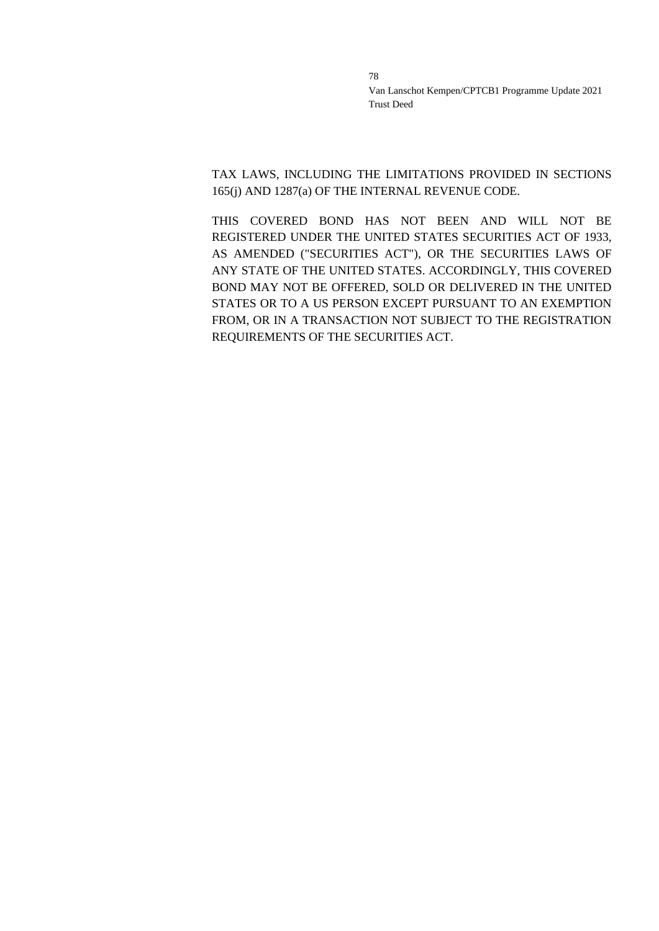TAX LAWS, INCLUDING THE LIMITATIONS PROVIDED IN SECTIONS 165(j) AND 1287(a) OF THE INTERNAL REVENUE CODE.

THIS COVERED BOND HAS NOT BEEN AND WILL NOT BE REGISTERED UNDER THE UNITED STATES SECURITIES ACT OF 1933, AS AMENDED ("SECURITIES ACT"), OR THE SECURITIES LAWS OF ANY STATE OF THE UNITED STATES. ACCORDINGLY, THIS COVERED BOND MAY NOT BE OFFERED, SOLD OR DELIVERED IN THE UNITED STATES OR TO A US PERSON EXCEPT PURSUANT TO AN EXEMPTION FROM, OR IN A TRANSACTION NOT SUBJECT TO THE REGISTRATION REQUIREMENTS OF THE SECURITIES ACT.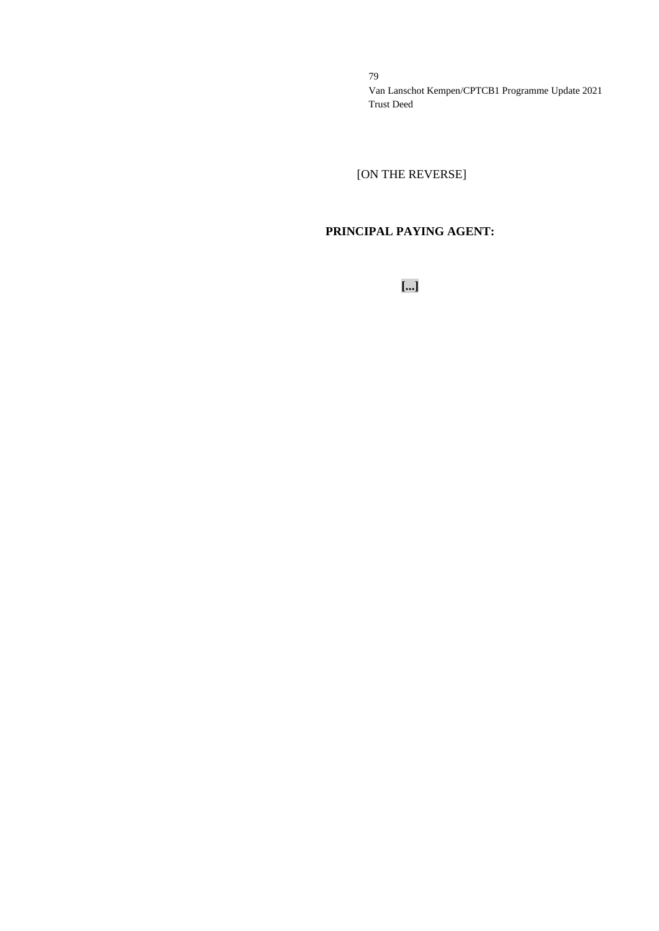[ON THE REVERSE]

# **PRINCIPAL PAYING AGENT:**

**[...]**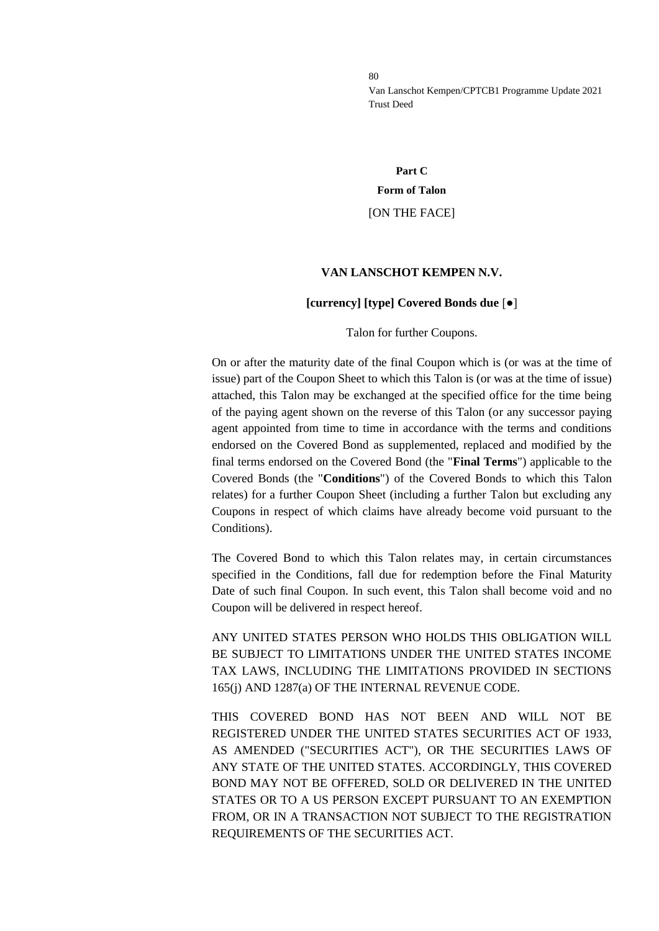# **Part C Form of Talon** [ON THE FACE]

#### **VAN LANSCHOT KEMPEN N.V.**

#### **[currency] [type] Covered Bonds due** [●]

#### Talon for further Coupons.

On or after the maturity date of the final Coupon which is (or was at the time of issue) part of the Coupon Sheet to which this Talon is (or was at the time of issue) attached, this Talon may be exchanged at the specified office for the time being of the paying agent shown on the reverse of this Talon (or any successor paying agent appointed from time to time in accordance with the terms and conditions endorsed on the Covered Bond as supplemented, replaced and modified by the final terms endorsed on the Covered Bond (the "**Final Terms**") applicable to the Covered Bonds (the "**Conditions**") of the Covered Bonds to which this Talon relates) for a further Coupon Sheet (including a further Talon but excluding any Coupons in respect of which claims have already become void pursuant to the Conditions).

The Covered Bond to which this Talon relates may, in certain circumstances specified in the Conditions, fall due for redemption before the Final Maturity Date of such final Coupon. In such event, this Talon shall become void and no Coupon will be delivered in respect hereof.

ANY UNITED STATES PERSON WHO HOLDS THIS OBLIGATION WILL BE SUBJECT TO LIMITATIONS UNDER THE UNITED STATES INCOME TAX LAWS, INCLUDING THE LIMITATIONS PROVIDED IN SECTIONS 165(j) AND 1287(a) OF THE INTERNAL REVENUE CODE.

THIS COVERED BOND HAS NOT BEEN AND WILL NOT BE REGISTERED UNDER THE UNITED STATES SECURITIES ACT OF 1933, AS AMENDED ("SECURITIES ACT"), OR THE SECURITIES LAWS OF ANY STATE OF THE UNITED STATES. ACCORDINGLY, THIS COVERED BOND MAY NOT BE OFFERED, SOLD OR DELIVERED IN THE UNITED STATES OR TO A US PERSON EXCEPT PURSUANT TO AN EXEMPTION FROM, OR IN A TRANSACTION NOT SUBJECT TO THE REGISTRATION REQUIREMENTS OF THE SECURITIES ACT.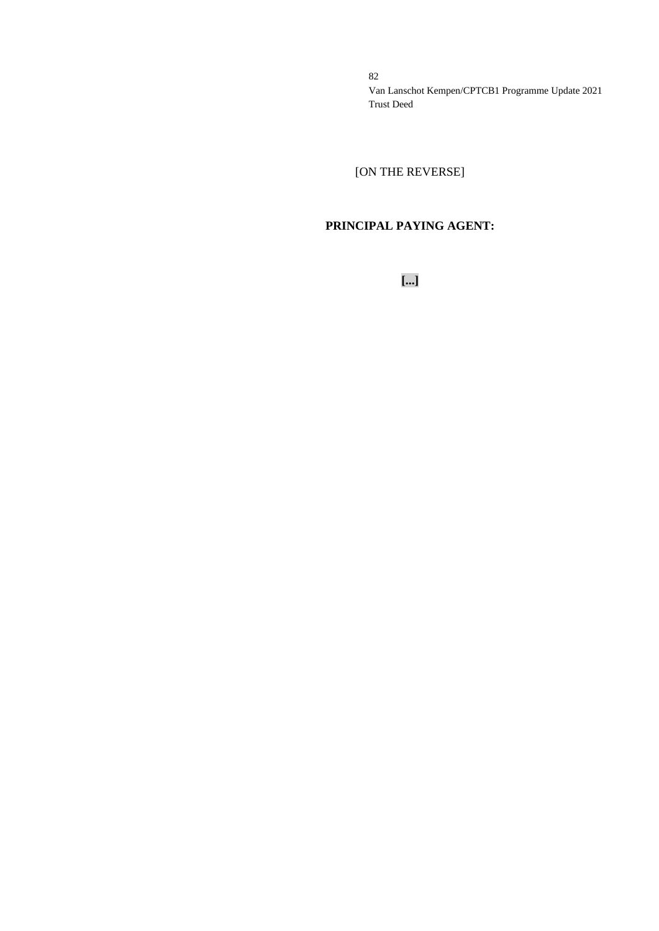[ON THE REVERSE]

# **PRINCIPAL PAYING AGENT:**

**[...]**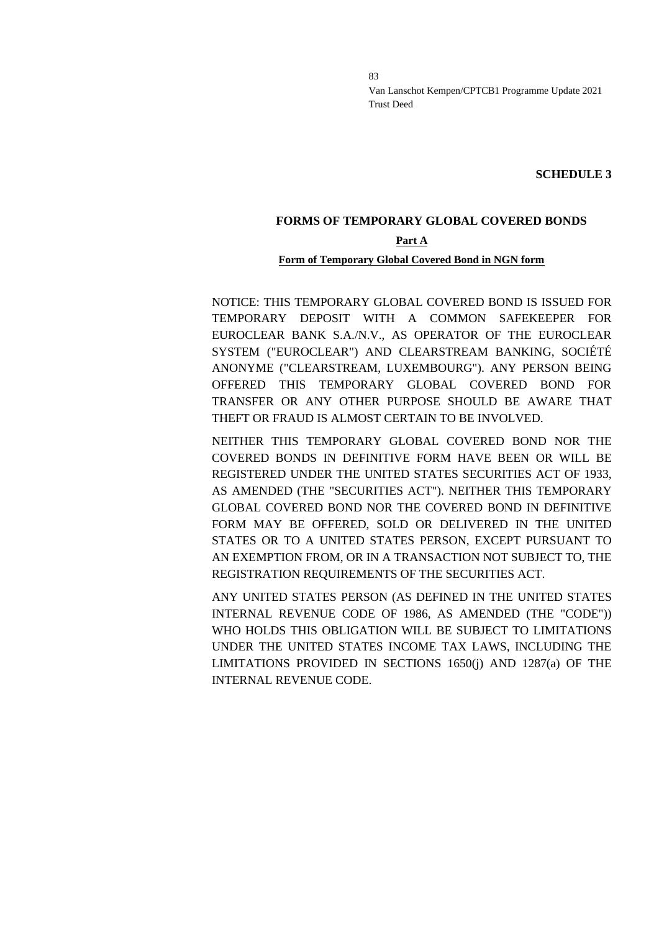**SCHEDULE 3**

# **FORMS OF TEMPORARY GLOBAL COVERED BONDS**

# **Part A**

#### **Form of Temporary Global Covered Bond in NGN form**

NOTICE: THIS TEMPORARY GLOBAL COVERED BOND IS ISSUED FOR TEMPORARY DEPOSIT WITH A COMMON SAFEKEEPER FOR EUROCLEAR BANK S.A./N.V., AS OPERATOR OF THE EUROCLEAR SYSTEM ("EUROCLEAR") AND CLEARSTREAM BANKING, SOCIÉTÉ ANONYME ("CLEARSTREAM, LUXEMBOURG"). ANY PERSON BEING OFFERED THIS TEMPORARY GLOBAL COVERED BOND FOR TRANSFER OR ANY OTHER PURPOSE SHOULD BE AWARE THAT THEFT OR FRAUD IS ALMOST CERTAIN TO BE INVOLVED.

NEITHER THIS TEMPORARY GLOBAL COVERED BOND NOR THE COVERED BONDS IN DEFINITIVE FORM HAVE BEEN OR WILL BE REGISTERED UNDER THE UNITED STATES SECURITIES ACT OF 1933, AS AMENDED (THE "SECURITIES ACT"). NEITHER THIS TEMPORARY GLOBAL COVERED BOND NOR THE COVERED BOND IN DEFINITIVE FORM MAY BE OFFERED, SOLD OR DELIVERED IN THE UNITED STATES OR TO A UNITED STATES PERSON, EXCEPT PURSUANT TO AN EXEMPTION FROM, OR IN A TRANSACTION NOT SUBJECT TO, THE REGISTRATION REQUIREMENTS OF THE SECURITIES ACT.

ANY UNITED STATES PERSON (AS DEFINED IN THE UNITED STATES INTERNAL REVENUE CODE OF 1986, AS AMENDED (THE "CODE")) WHO HOLDS THIS OBLIGATION WILL BE SUBJECT TO LIMITATIONS UNDER THE UNITED STATES INCOME TAX LAWS, INCLUDING THE LIMITATIONS PROVIDED IN SECTIONS 1650(j) AND 1287(a) OF THE INTERNAL REVENUE CODE.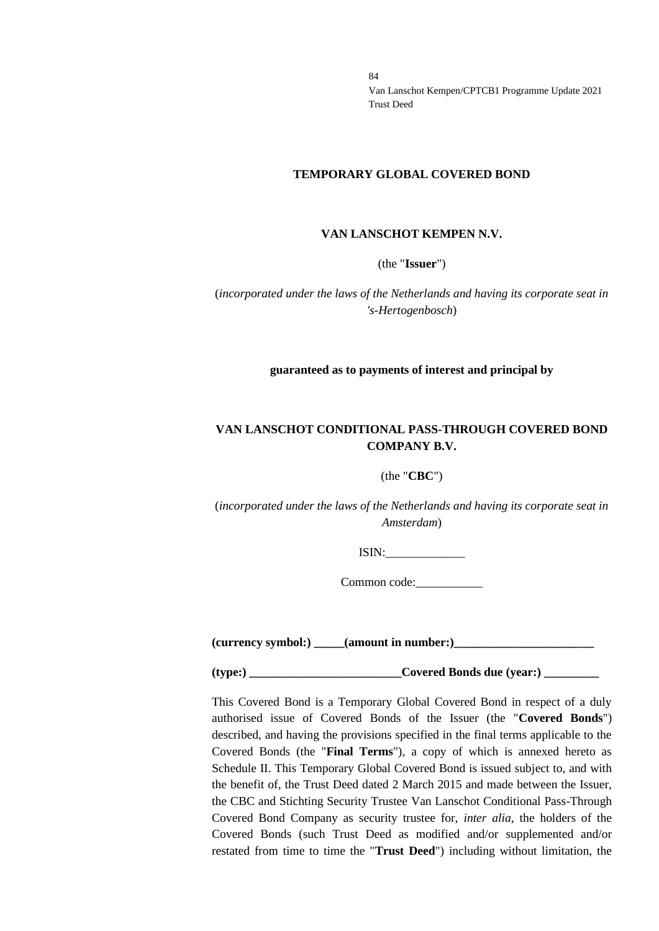#### **TEMPORARY GLOBAL COVERED BOND**

#### **VAN LANSCHOT KEMPEN N.V.**

(the "**Issuer**")

(*incorporated under the laws of the Netherlands and having its corporate seat in 's-Hertogenbosch*)

#### **guaranteed as to payments of interest and principal by**

# **VAN LANSCHOT CONDITIONAL PASS-THROUGH COVERED BOND COMPANY B.V.**

#### (the "**CBC**")

(*incorporated under the laws of the Netherlands and having its corporate seat in Amsterdam*)

ISIN:\_\_\_\_\_\_\_\_\_\_\_\_\_

Common code:

**(currency symbol:) \_\_\_\_\_(amount in number:)\_\_\_\_\_\_\_\_\_\_\_\_\_\_\_\_\_\_\_\_\_\_\_**

(type:) Covered Bonds due (year:)

This Covered Bond is a Temporary Global Covered Bond in respect of a duly authorised issue of Covered Bonds of the Issuer (the "**Covered Bonds**") described, and having the provisions specified in the final terms applicable to the Covered Bonds (the "**Final Terms**"), a copy of which is annexed hereto as Schedule II. This Temporary Global Covered Bond is issued subject to, and with the benefit of, the Trust Deed dated 2 March 2015 and made between the Issuer, the CBC and Stichting Security Trustee Van Lanschot Conditional Pass-Through Covered Bond Company as security trustee for, *inter alia*, the holders of the Covered Bonds (such Trust Deed as modified and/or supplemented and/or restated from time to time the "**Trust Deed**") including without limitation, the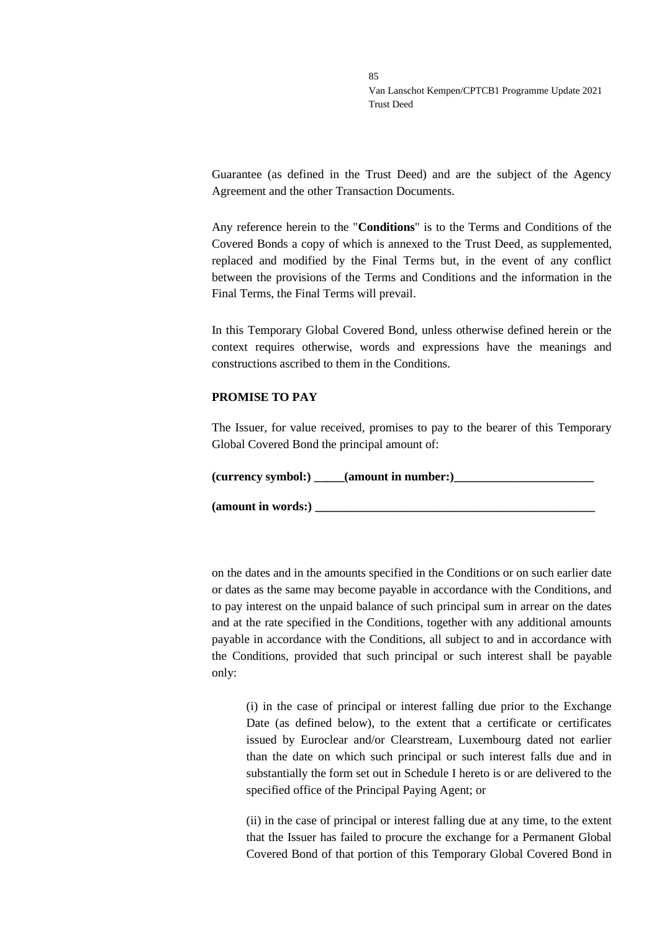Guarantee (as defined in the Trust Deed) and are the subject of the Agency Agreement and the other Transaction Documents.

Any reference herein to the "**Conditions**" is to the Terms and Conditions of the Covered Bonds a copy of which is annexed to the Trust Deed, as supplemented, replaced and modified by the Final Terms but, in the event of any conflict between the provisions of the Terms and Conditions and the information in the Final Terms, the Final Terms will prevail.

In this Temporary Global Covered Bond, unless otherwise defined herein or the context requires otherwise, words and expressions have the meanings and constructions ascribed to them in the Conditions.

#### **PROMISE TO PAY**

The Issuer, for value received, promises to pay to the bearer of this Temporary Global Covered Bond the principal amount of:

**(currency symbol:) \_\_\_\_\_(amount in number:)\_\_\_\_\_\_\_\_\_\_\_\_\_\_\_\_\_\_\_\_\_\_\_**

**(amount in words:) \_\_\_\_\_\_\_\_\_\_\_\_\_\_\_\_\_\_\_\_\_\_\_\_\_\_\_\_\_\_\_\_\_\_\_\_\_\_\_\_\_\_\_\_\_\_**

on the dates and in the amounts specified in the Conditions or on such earlier date or dates as the same may become payable in accordance with the Conditions, and to pay interest on the unpaid balance of such principal sum in arrear on the dates and at the rate specified in the Conditions, together with any additional amounts payable in accordance with the Conditions, all subject to and in accordance with the Conditions, provided that such principal or such interest shall be payable only:

(i) in the case of principal or interest falling due prior to the Exchange Date (as defined below), to the extent that a certificate or certificates issued by Euroclear and/or Clearstream, Luxembourg dated not earlier than the date on which such principal or such interest falls due and in substantially the form set out in Schedule I hereto is or are delivered to the specified office of the Principal Paying Agent; or

(ii) in the case of principal or interest falling due at any time, to the extent that the Issuer has failed to procure the exchange for a Permanent Global Covered Bond of that portion of this Temporary Global Covered Bond in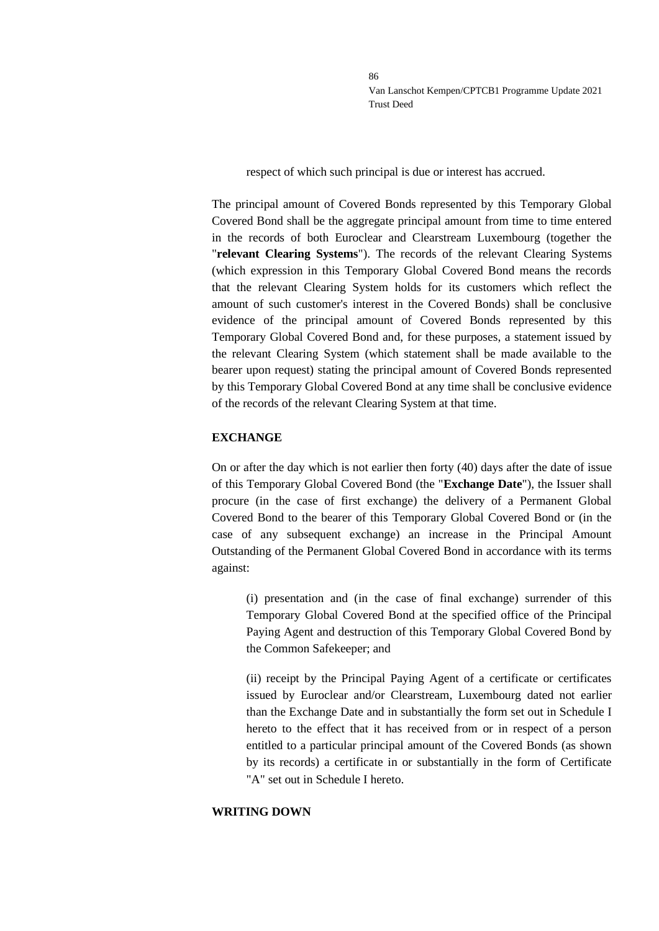respect of which such principal is due or interest has accrued.

The principal amount of Covered Bonds represented by this Temporary Global Covered Bond shall be the aggregate principal amount from time to time entered in the records of both Euroclear and Clearstream Luxembourg (together the "**relevant Clearing Systems**"). The records of the relevant Clearing Systems (which expression in this Temporary Global Covered Bond means the records that the relevant Clearing System holds for its customers which reflect the amount of such customer's interest in the Covered Bonds) shall be conclusive evidence of the principal amount of Covered Bonds represented by this Temporary Global Covered Bond and, for these purposes, a statement issued by the relevant Clearing System (which statement shall be made available to the bearer upon request) stating the principal amount of Covered Bonds represented by this Temporary Global Covered Bond at any time shall be conclusive evidence of the records of the relevant Clearing System at that time.

### **EXCHANGE**

On or after the day which is not earlier then forty (40) days after the date of issue of this Temporary Global Covered Bond (the "**Exchange Date**"), the Issuer shall procure (in the case of first exchange) the delivery of a Permanent Global Covered Bond to the bearer of this Temporary Global Covered Bond or (in the case of any subsequent exchange) an increase in the Principal Amount Outstanding of the Permanent Global Covered Bond in accordance with its terms against:

(i) presentation and (in the case of final exchange) surrender of this Temporary Global Covered Bond at the specified office of the Principal Paying Agent and destruction of this Temporary Global Covered Bond by the Common Safekeeper; and

(ii) receipt by the Principal Paying Agent of a certificate or certificates issued by Euroclear and/or Clearstream, Luxembourg dated not earlier than the Exchange Date and in substantially the form set out in Schedule I hereto to the effect that it has received from or in respect of a person entitled to a particular principal amount of the Covered Bonds (as shown by its records) a certificate in or substantially in the form of Certificate "A" set out in Schedule I hereto.

#### **WRITING DOWN**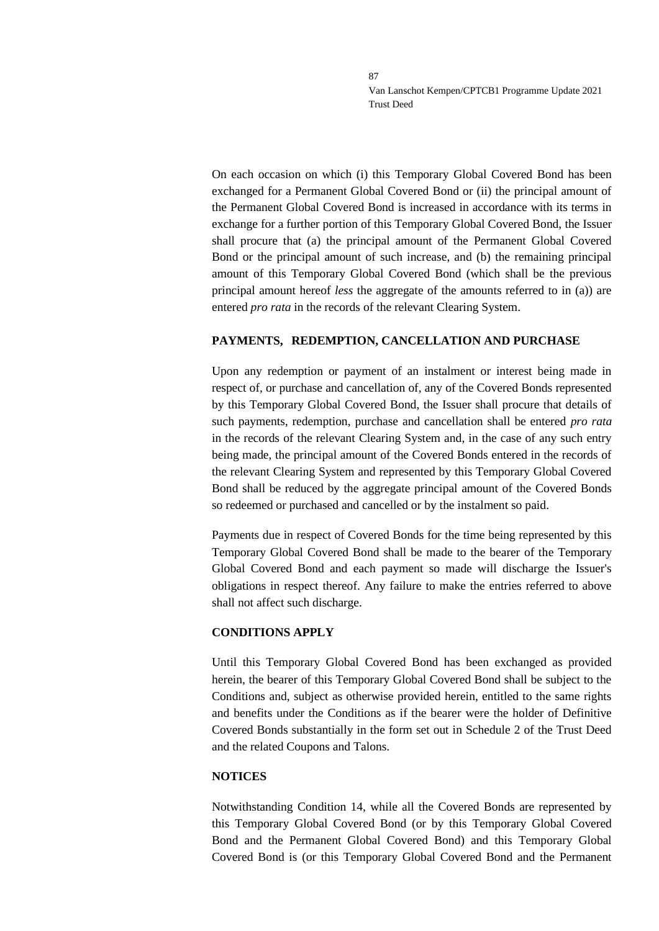On each occasion on which (i) this Temporary Global Covered Bond has been exchanged for a Permanent Global Covered Bond or (ii) the principal amount of the Permanent Global Covered Bond is increased in accordance with its terms in exchange for a further portion of this Temporary Global Covered Bond, the Issuer shall procure that (a) the principal amount of the Permanent Global Covered Bond or the principal amount of such increase, and (b) the remaining principal amount of this Temporary Global Covered Bond (which shall be the previous principal amount hereof *less* the aggregate of the amounts referred to in (a)) are entered *pro rata* in the records of the relevant Clearing System.

#### **PAYMENTS, REDEMPTION, CANCELLATION AND PURCHASE**

Upon any redemption or payment of an instalment or interest being made in respect of, or purchase and cancellation of, any of the Covered Bonds represented by this Temporary Global Covered Bond, the Issuer shall procure that details of such payments, redemption, purchase and cancellation shall be entered *pro rata* in the records of the relevant Clearing System and, in the case of any such entry being made, the principal amount of the Covered Bonds entered in the records of the relevant Clearing System and represented by this Temporary Global Covered Bond shall be reduced by the aggregate principal amount of the Covered Bonds so redeemed or purchased and cancelled or by the instalment so paid.

Payments due in respect of Covered Bonds for the time being represented by this Temporary Global Covered Bond shall be made to the bearer of the Temporary Global Covered Bond and each payment so made will discharge the Issuer's obligations in respect thereof. Any failure to make the entries referred to above shall not affect such discharge.

#### **CONDITIONS APPLY**

Until this Temporary Global Covered Bond has been exchanged as provided herein, the bearer of this Temporary Global Covered Bond shall be subject to the Conditions and, subject as otherwise provided herein, entitled to the same rights and benefits under the Conditions as if the bearer were the holder of Definitive Covered Bonds substantially in the form set out in Schedule 2 of the Trust Deed and the related Coupons and Talons.

#### **NOTICES**

Notwithstanding Condition 14, while all the Covered Bonds are represented by this Temporary Global Covered Bond (or by this Temporary Global Covered Bond and the Permanent Global Covered Bond) and this Temporary Global Covered Bond is (or this Temporary Global Covered Bond and the Permanent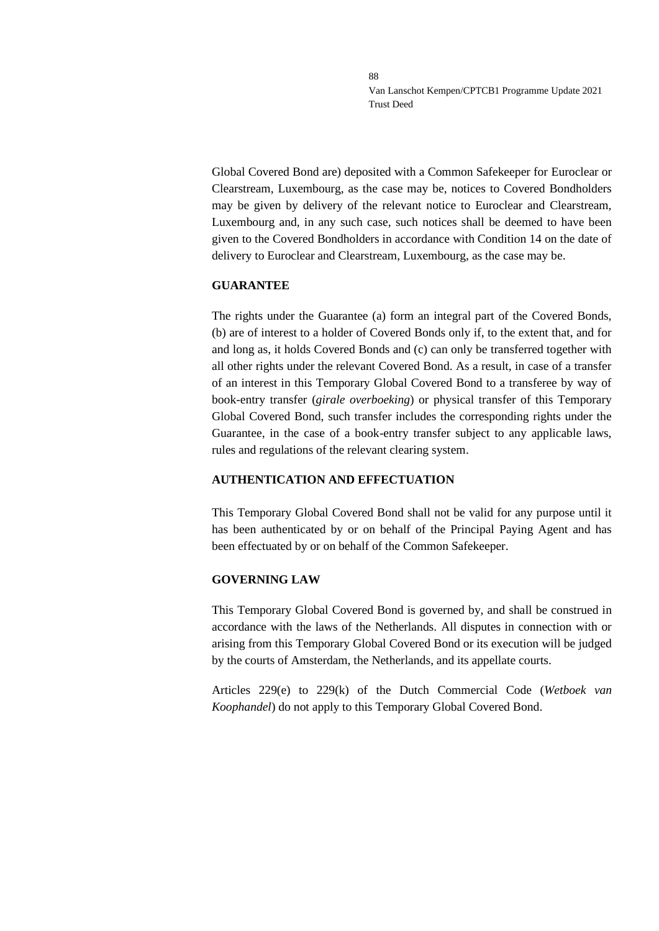Global Covered Bond are) deposited with a Common Safekeeper for Euroclear or Clearstream, Luxembourg, as the case may be, notices to Covered Bondholders may be given by delivery of the relevant notice to Euroclear and Clearstream, Luxembourg and, in any such case, such notices shall be deemed to have been given to the Covered Bondholders in accordance with Condition 14 on the date of delivery to Euroclear and Clearstream, Luxembourg, as the case may be.

#### **GUARANTEE**

The rights under the Guarantee (a) form an integral part of the Covered Bonds, (b) are of interest to a holder of Covered Bonds only if, to the extent that, and for and long as, it holds Covered Bonds and (c) can only be transferred together with all other rights under the relevant Covered Bond. As a result, in case of a transfer of an interest in this Temporary Global Covered Bond to a transferee by way of book-entry transfer (*girale overboeking*) or physical transfer of this Temporary Global Covered Bond, such transfer includes the corresponding rights under the Guarantee, in the case of a book-entry transfer subject to any applicable laws, rules and regulations of the relevant clearing system.

# **AUTHENTICATION AND EFFECTUATION**

This Temporary Global Covered Bond shall not be valid for any purpose until it has been authenticated by or on behalf of the Principal Paying Agent and has been effectuated by or on behalf of the Common Safekeeper.

# **GOVERNING LAW**

This Temporary Global Covered Bond is governed by, and shall be construed in accordance with the laws of the Netherlands. All disputes in connection with or arising from this Temporary Global Covered Bond or its execution will be judged by the courts of Amsterdam, the Netherlands, and its appellate courts.

Articles 229(e) to 229(k) of the Dutch Commercial Code (*Wetboek van Koophandel*) do not apply to this Temporary Global Covered Bond.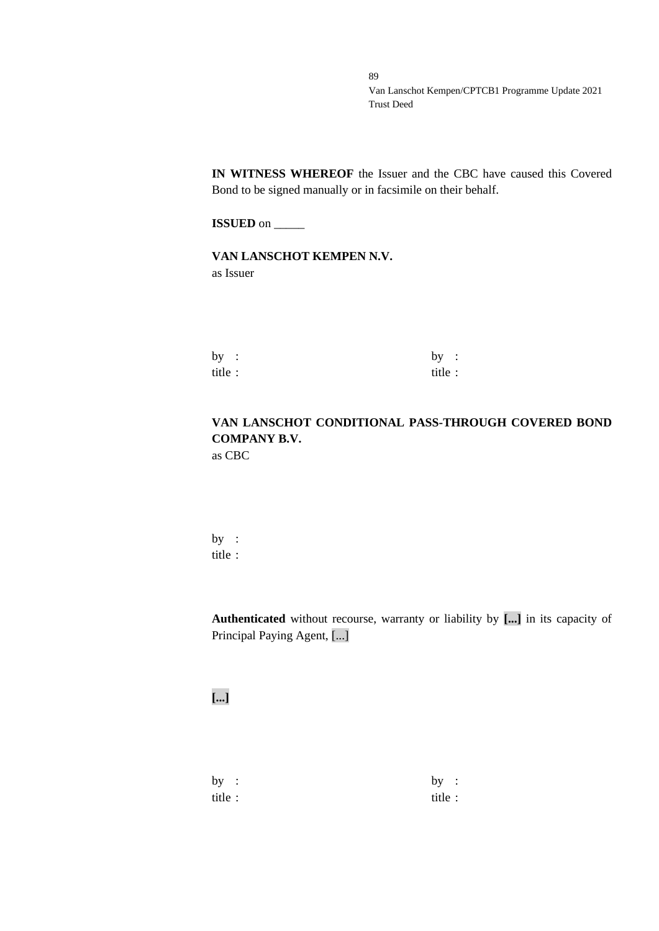**IN WITNESS WHEREOF** the Issuer and the CBC have caused this Covered Bond to be signed manually or in facsimile on their behalf.

**ISSUED** on \_\_\_\_\_\_

**VAN LANSCHOT KEMPEN N.V.** as Issuer

by :  $by$  : title : title :

# **VAN LANSCHOT CONDITIONAL PASS-THROUGH COVERED BOND COMPANY B.V.** as CBC

by : title :

**Authenticated** without recourse, warranty or liability by **[...]** in its capacity of Principal Paying Agent, [...]

**[...]**

by :  $by$  : title : title :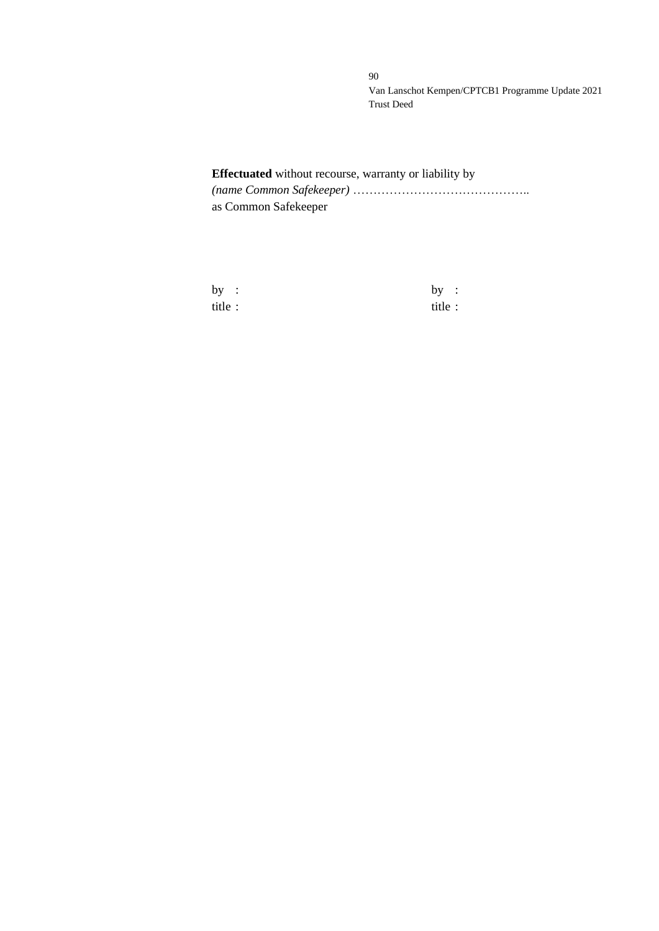# **Effectuated** without recourse, warranty or liability by *(name Common Safekeeper)* …………………………………….. as Common Safekeeper

| by      | $\sim$ 1. | by:     |  |
|---------|-----------|---------|--|
| title : |           | title : |  |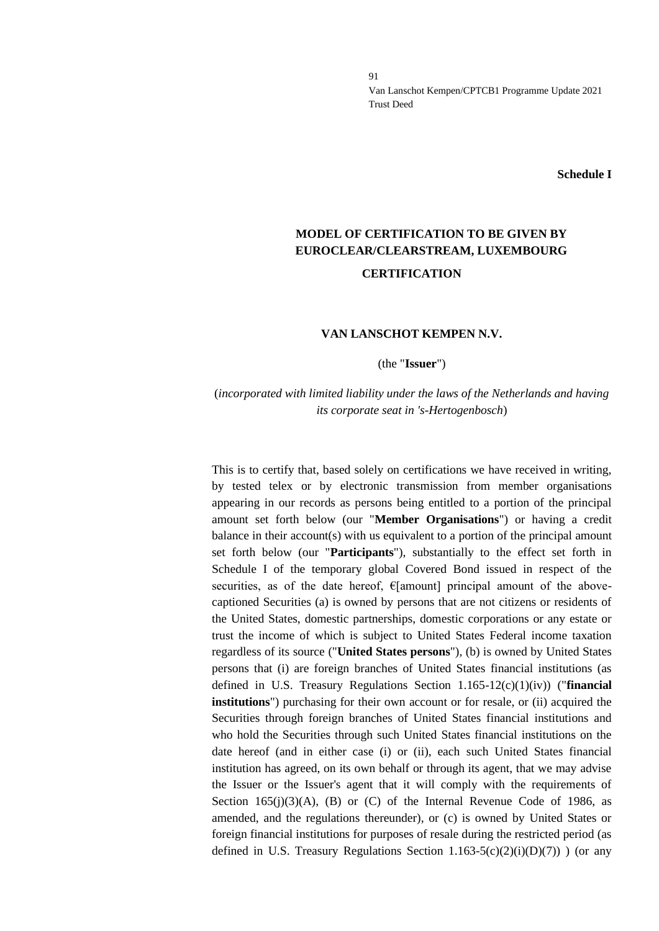**Schedule I**

# **MODEL OF CERTIFICATION TO BE GIVEN BY EUROCLEAR/CLEARSTREAM, LUXEMBOURG CERTIFICATION**

#### **VAN LANSCHOT KEMPEN N.V.**

(the "**Issuer**")

# (*incorporated with limited liability under the laws of the Netherlands and having its corporate seat in 's-Hertogenbosch*)

This is to certify that, based solely on certifications we have received in writing, by tested telex or by electronic transmission from member organisations appearing in our records as persons being entitled to a portion of the principal amount set forth below (our "**Member Organisations**") or having a credit balance in their account(s) with us equivalent to a portion of the principal amount set forth below (our "**Participants**"), substantially to the effect set forth in Schedule I of the temporary global Covered Bond issued in respect of the securities, as of the date hereof,  $E$ [amount] principal amount of the abovecaptioned Securities (a) is owned by persons that are not citizens or residents of the United States, domestic partnerships, domestic corporations or any estate or trust the income of which is subject to United States Federal income taxation regardless of its source ("**United States persons**"), (b) is owned by United States persons that (i) are foreign branches of United States financial institutions (as defined in U.S. Treasury Regulations Section 1.165-12(c)(1)(iv)) ("**financial institutions**") purchasing for their own account or for resale, or (ii) acquired the Securities through foreign branches of United States financial institutions and who hold the Securities through such United States financial institutions on the date hereof (and in either case (i) or (ii), each such United States financial institution has agreed, on its own behalf or through its agent, that we may advise the Issuer or the Issuer's agent that it will comply with the requirements of Section  $165(j)(3)(A)$ , (B) or (C) of the Internal Revenue Code of 1986, as amended, and the regulations thereunder), or (c) is owned by United States or foreign financial institutions for purposes of resale during the restricted period (as defined in U.S. Treasury Regulations Section  $1.163-5(c)(2)(i)(D)(7)$ ) (or any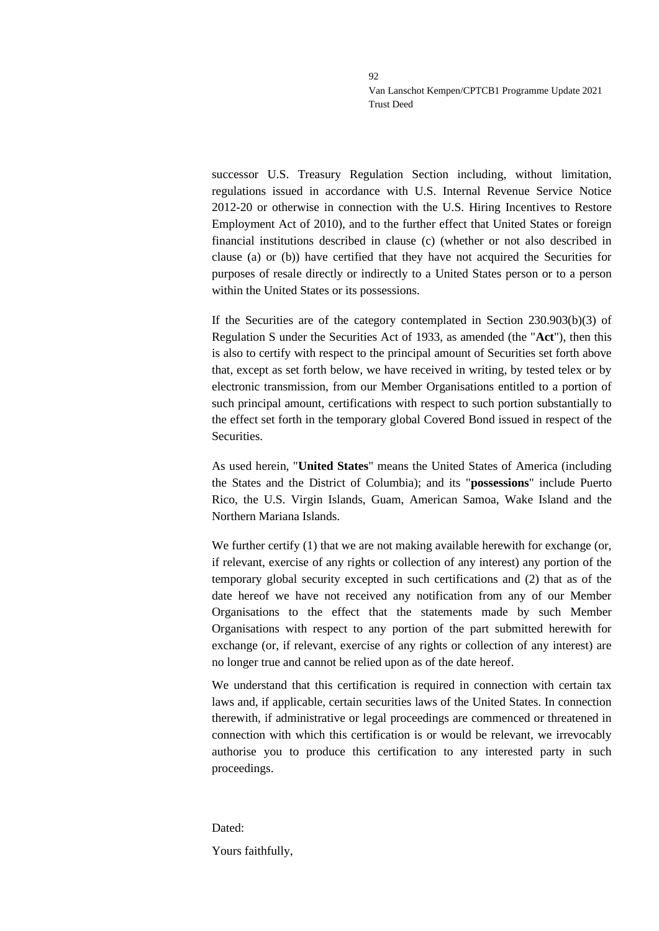successor U.S. Treasury Regulation Section including, without limitation, regulations issued in accordance with U.S. Internal Revenue Service Notice 2012-20 or otherwise in connection with the U.S. Hiring Incentives to Restore Employment Act of 2010), and to the further effect that United States or foreign financial institutions described in clause (c) (whether or not also described in clause (a) or (b)) have certified that they have not acquired the Securities for purposes of resale directly or indirectly to a United States person or to a person within the United States or its possessions.

If the Securities are of the category contemplated in Section 230.903(b)(3) of Regulation S under the Securities Act of 1933, as amended (the "**Act**"), then this is also to certify with respect to the principal amount of Securities set forth above that, except as set forth below, we have received in writing, by tested telex or by electronic transmission, from our Member Organisations entitled to a portion of such principal amount, certifications with respect to such portion substantially to the effect set forth in the temporary global Covered Bond issued in respect of the Securities.

As used herein, "**United States**" means the United States of America (including the States and the District of Columbia); and its "**possessions**" include Puerto Rico, the U.S. Virgin Islands, Guam, American Samoa, Wake Island and the Northern Mariana Islands.

We further certify  $(1)$  that we are not making available herewith for exchange (or, if relevant, exercise of any rights or collection of any interest) any portion of the temporary global security excepted in such certifications and (2) that as of the date hereof we have not received any notification from any of our Member Organisations to the effect that the statements made by such Member Organisations with respect to any portion of the part submitted herewith for exchange (or, if relevant, exercise of any rights or collection of any interest) are no longer true and cannot be relied upon as of the date hereof.

We understand that this certification is required in connection with certain tax laws and, if applicable, certain securities laws of the United States. In connection therewith, if administrative or legal proceedings are commenced or threatened in connection with which this certification is or would be relevant, we irrevocably authorise you to produce this certification to any interested party in such proceedings.

Dated: Yours faithfully,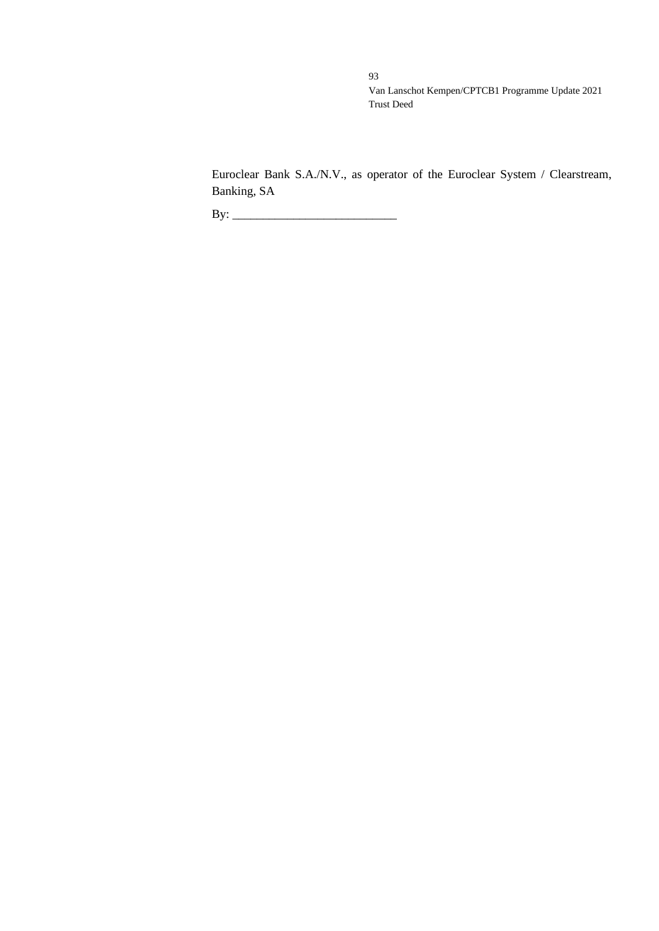Euroclear Bank S.A./N.V., as operator of the Euroclear System / Clearstream, Banking, SA

By: \_\_\_\_\_\_\_\_\_\_\_\_\_\_\_\_\_\_\_\_\_\_\_\_\_\_\_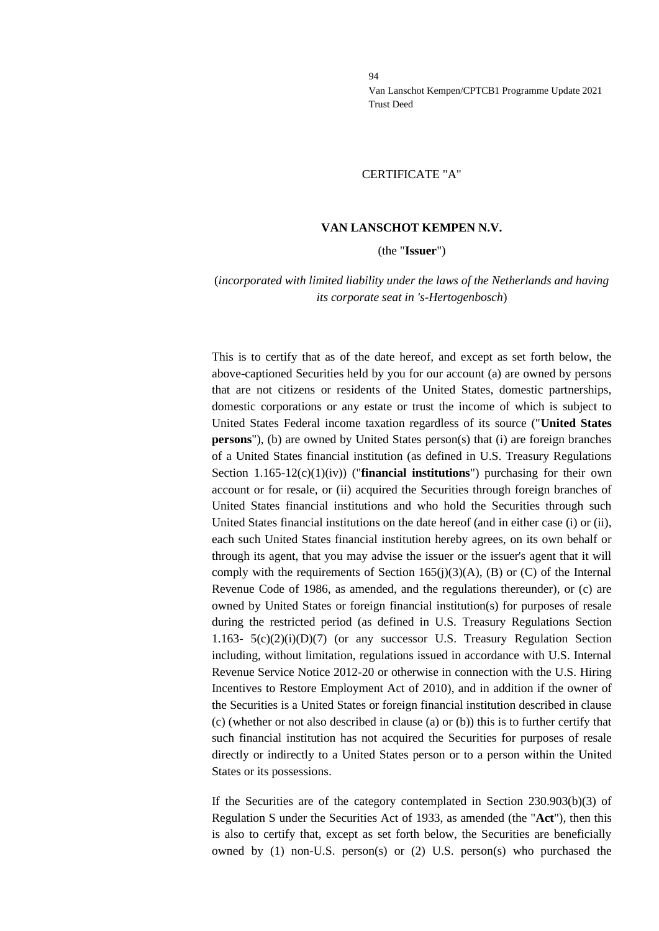#### CERTIFICATE "A"

#### **VAN LANSCHOT KEMPEN N.V.**

(the "**Issuer**")

### (*incorporated with limited liability under the laws of the Netherlands and having its corporate seat in 's-Hertogenbosch*)

This is to certify that as of the date hereof, and except as set forth below, the above-captioned Securities held by you for our account (a) are owned by persons that are not citizens or residents of the United States, domestic partnerships, domestic corporations or any estate or trust the income of which is subject to United States Federal income taxation regardless of its source ("**United States persons**"), (b) are owned by United States person(s) that (i) are foreign branches of a United States financial institution (as defined in U.S. Treasury Regulations Section 1.165-12(c)(1)(iv)) ("**financial institutions**") purchasing for their own account or for resale, or (ii) acquired the Securities through foreign branches of United States financial institutions and who hold the Securities through such United States financial institutions on the date hereof (and in either case (i) or (ii), each such United States financial institution hereby agrees, on its own behalf or through its agent, that you may advise the issuer or the issuer's agent that it will comply with the requirements of Section 165(j)(3)(A), (B) or (C) of the Internal Revenue Code of 1986, as amended, and the regulations thereunder), or (c) are owned by United States or foreign financial institution(s) for purposes of resale during the restricted period (as defined in U.S. Treasury Regulations Section 1.163- 5(c)(2)(i)(D)(7) (or any successor U.S. Treasury Regulation Section including, without limitation, regulations issued in accordance with U.S. Internal Revenue Service Notice 2012-20 or otherwise in connection with the U.S. Hiring Incentives to Restore Employment Act of 2010), and in addition if the owner of the Securities is a United States or foreign financial institution described in clause (c) (whether or not also described in clause (a) or (b)) this is to further certify that such financial institution has not acquired the Securities for purposes of resale directly or indirectly to a United States person or to a person within the United States or its possessions.

If the Securities are of the category contemplated in Section 230.903(b)(3) of Regulation S under the Securities Act of 1933, as amended (the "**Act**"), then this is also to certify that, except as set forth below, the Securities are beneficially owned by (1) non-U.S. person(s) or (2) U.S. person(s) who purchased the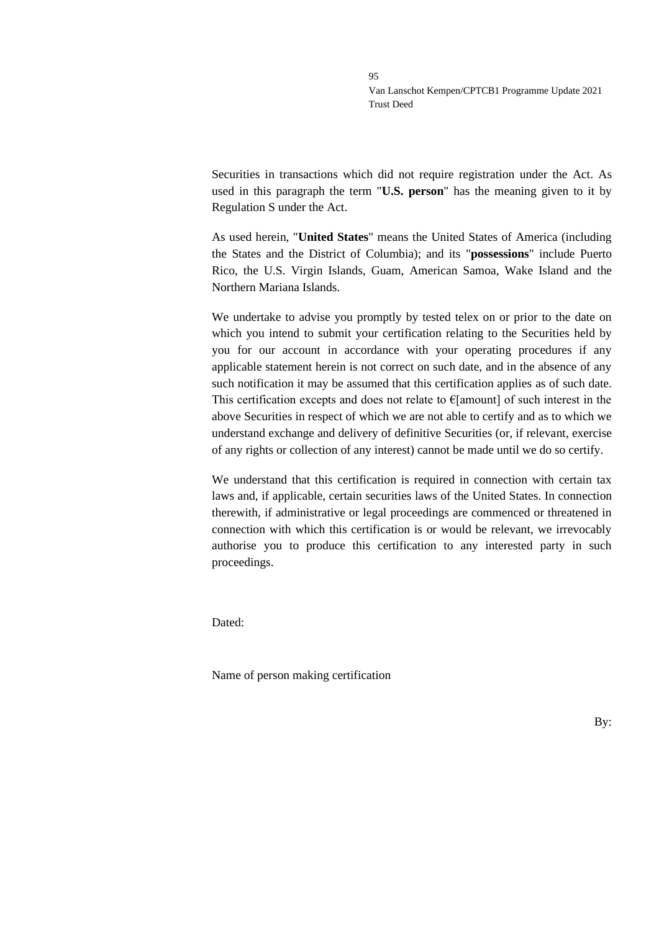Securities in transactions which did not require registration under the Act. As used in this paragraph the term "**U.S. person**" has the meaning given to it by Regulation S under the Act.

As used herein, "**United States**" means the United States of America (including the States and the District of Columbia); and its "**possessions**" include Puerto Rico, the U.S. Virgin Islands, Guam, American Samoa, Wake Island and the Northern Mariana Islands.

We undertake to advise you promptly by tested telex on or prior to the date on which you intend to submit your certification relating to the Securities held by you for our account in accordance with your operating procedures if any applicable statement herein is not correct on such date, and in the absence of any such notification it may be assumed that this certification applies as of such date. This certification excepts and does not relate to  $\epsilon$ [amount] of such interest in the above Securities in respect of which we are not able to certify and as to which we understand exchange and delivery of definitive Securities (or, if relevant, exercise of any rights or collection of any interest) cannot be made until we do so certify.

We understand that this certification is required in connection with certain tax laws and, if applicable, certain securities laws of the United States. In connection therewith, if administrative or legal proceedings are commenced or threatened in connection with which this certification is or would be relevant, we irrevocably authorise you to produce this certification to any interested party in such proceedings.

Dated:

Name of person making certification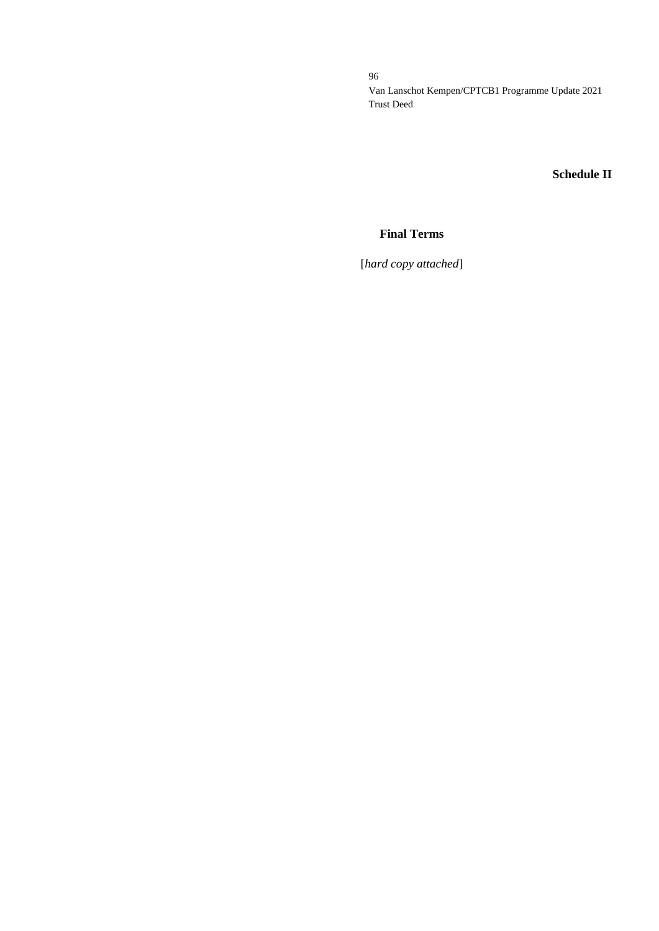**Schedule II**

# **Final Terms**

[*hard copy attached*]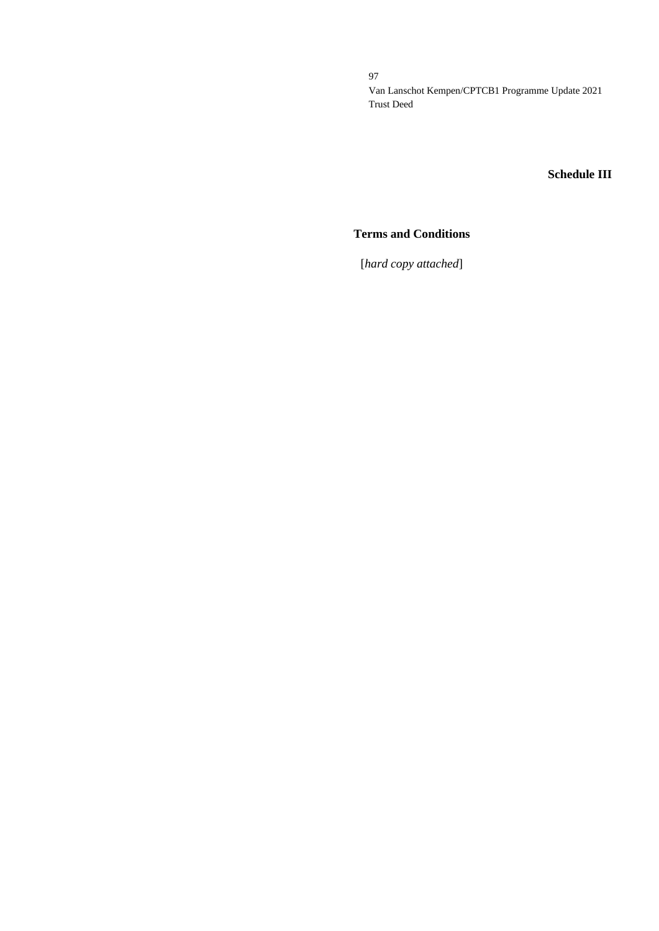# **Schedule III**

# **Terms and Conditions**

[*hard copy attached*]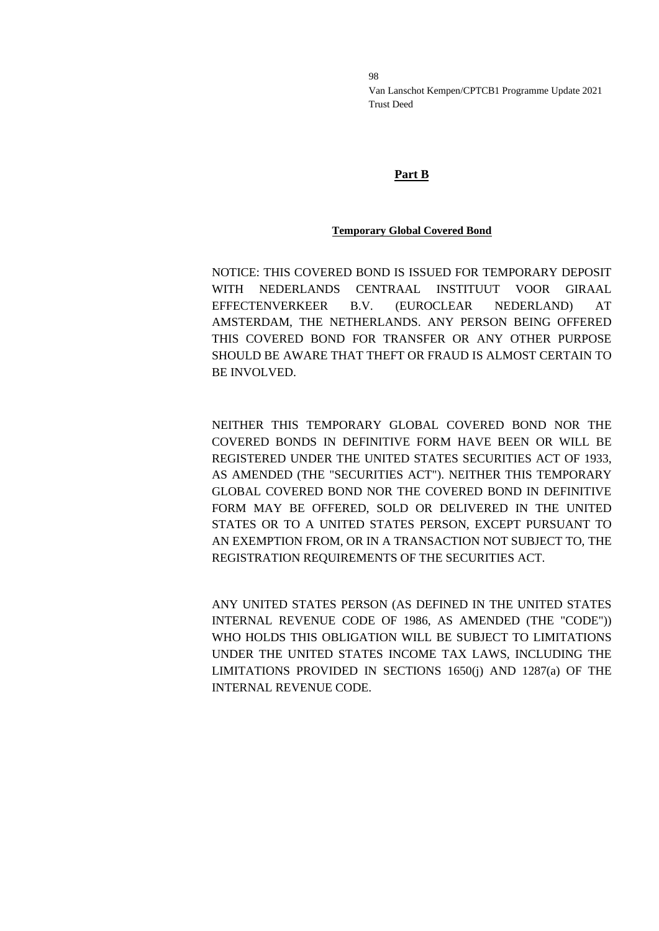# **Part B**

# **Temporary Global Covered Bond**

NOTICE: THIS COVERED BOND IS ISSUED FOR TEMPORARY DEPOSIT WITH NEDERLANDS CENTRAAL INSTITUUT VOOR GIRAAL EFFECTENVERKEER B.V. (EUROCLEAR NEDERLAND) AT AMSTERDAM, THE NETHERLANDS. ANY PERSON BEING OFFERED THIS COVERED BOND FOR TRANSFER OR ANY OTHER PURPOSE SHOULD BE AWARE THAT THEFT OR FRAUD IS ALMOST CERTAIN TO BE INVOLVED.

NEITHER THIS TEMPORARY GLOBAL COVERED BOND NOR THE COVERED BONDS IN DEFINITIVE FORM HAVE BEEN OR WILL BE REGISTERED UNDER THE UNITED STATES SECURITIES ACT OF 1933, AS AMENDED (THE "SECURITIES ACT"). NEITHER THIS TEMPORARY GLOBAL COVERED BOND NOR THE COVERED BOND IN DEFINITIVE FORM MAY BE OFFERED, SOLD OR DELIVERED IN THE UNITED STATES OR TO A UNITED STATES PERSON, EXCEPT PURSUANT TO AN EXEMPTION FROM, OR IN A TRANSACTION NOT SUBJECT TO, THE REGISTRATION REQUIREMENTS OF THE SECURITIES ACT.

ANY UNITED STATES PERSON (AS DEFINED IN THE UNITED STATES INTERNAL REVENUE CODE OF 1986, AS AMENDED (THE "CODE")) WHO HOLDS THIS OBLIGATION WILL BE SUBJECT TO LIMITATIONS UNDER THE UNITED STATES INCOME TAX LAWS, INCLUDING THE LIMITATIONS PROVIDED IN SECTIONS 1650(j) AND 1287(a) OF THE INTERNAL REVENUE CODE.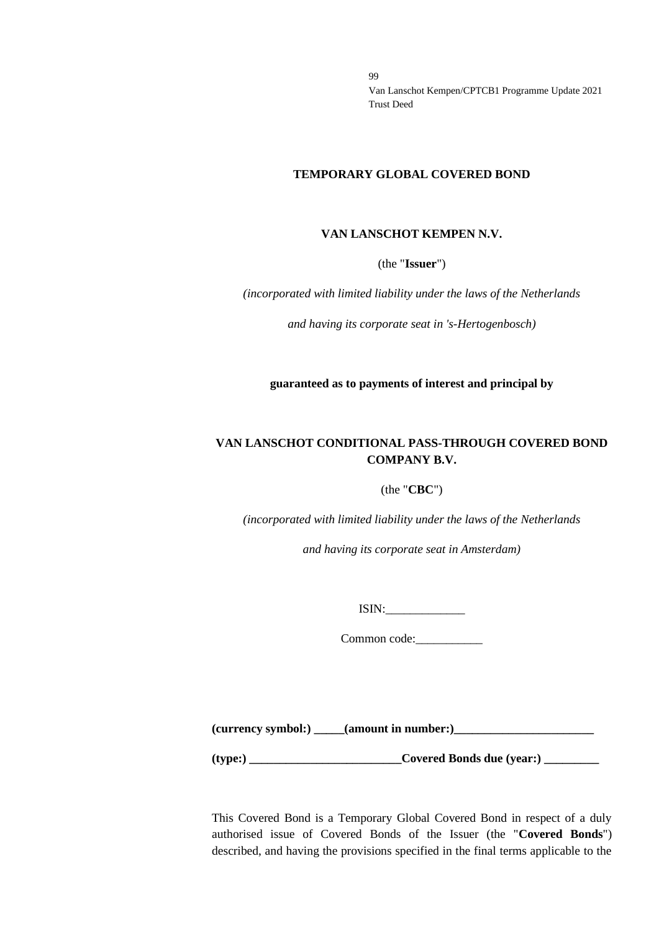#### **TEMPORARY GLOBAL COVERED BOND**

#### **VAN LANSCHOT KEMPEN N.V.**

(the "**Issuer**")

*(incorporated with limited liability under the laws of the Netherlands*

*and having its corporate seat in 's-Hertogenbosch)*

**guaranteed as to payments of interest and principal by**

# **VAN LANSCHOT CONDITIONAL PASS-THROUGH COVERED BOND COMPANY B.V.**

#### (the "**CBC**")

*(incorporated with limited liability under the laws of the Netherlands*

*and having its corporate seat in Amsterdam)*

ISIN:\_\_\_\_\_\_\_\_\_\_\_\_\_

Common code:\_\_\_\_\_\_\_\_\_\_\_

**(currency symbol:) \_\_\_\_\_(amount in number:)\_\_\_\_\_\_\_\_\_\_\_\_\_\_\_\_\_\_\_\_\_\_\_**

**(type:) \_\_\_\_\_\_\_\_\_\_\_\_\_\_\_\_\_\_\_\_\_\_\_\_\_Covered Bonds due (year:) \_\_\_\_\_\_\_\_\_**

This Covered Bond is a Temporary Global Covered Bond in respect of a duly authorised issue of Covered Bonds of the Issuer (the "**Covered Bonds**") described, and having the provisions specified in the final terms applicable to the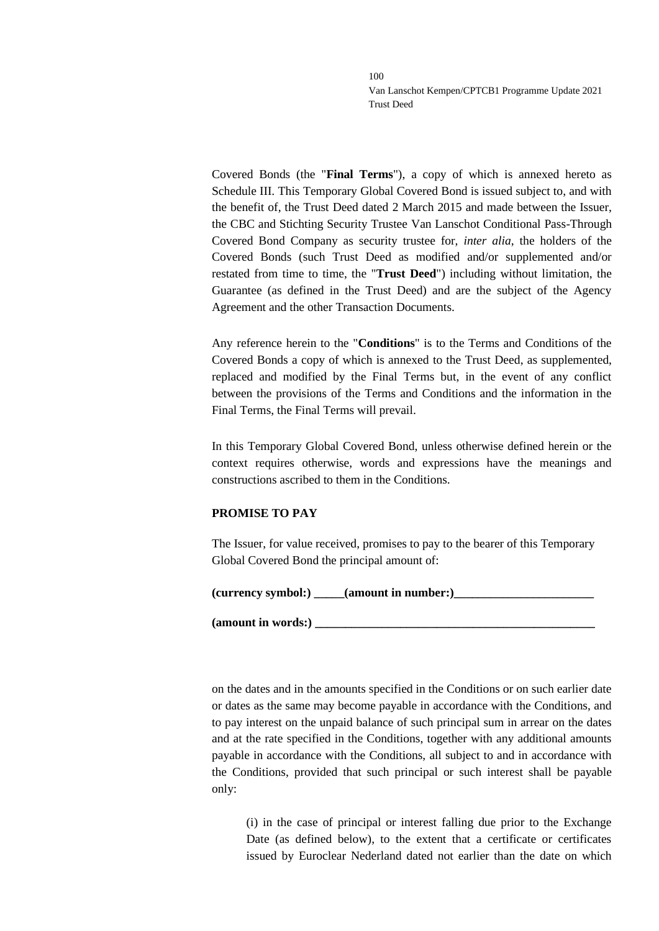Covered Bonds (the "**Final Terms**"), a copy of which is annexed hereto as Schedule III. This Temporary Global Covered Bond is issued subject to, and with the benefit of, the Trust Deed dated 2 March 2015 and made between the Issuer, the CBC and Stichting Security Trustee Van Lanschot Conditional Pass-Through Covered Bond Company as security trustee for, *inter alia*, the holders of the Covered Bonds (such Trust Deed as modified and/or supplemented and/or restated from time to time, the "**Trust Deed**") including without limitation, the Guarantee (as defined in the Trust Deed) and are the subject of the Agency Agreement and the other Transaction Documents.

Any reference herein to the "**Conditions**" is to the Terms and Conditions of the Covered Bonds a copy of which is annexed to the Trust Deed, as supplemented, replaced and modified by the Final Terms but, in the event of any conflict between the provisions of the Terms and Conditions and the information in the Final Terms, the Final Terms will prevail.

In this Temporary Global Covered Bond, unless otherwise defined herein or the context requires otherwise, words and expressions have the meanings and constructions ascribed to them in the Conditions.

#### **PROMISE TO PAY**

The Issuer, for value received, promises to pay to the bearer of this Temporary Global Covered Bond the principal amount of:

| (currency symbol:) | $\equiv$ (amount in number:) |  |
|--------------------|------------------------------|--|
|                    |                              |  |

(amount in words:) \_

on the dates and in the amounts specified in the Conditions or on such earlier date or dates as the same may become payable in accordance with the Conditions, and to pay interest on the unpaid balance of such principal sum in arrear on the dates and at the rate specified in the Conditions, together with any additional amounts payable in accordance with the Conditions, all subject to and in accordance with the Conditions, provided that such principal or such interest shall be payable only:

(i) in the case of principal or interest falling due prior to the Exchange Date (as defined below), to the extent that a certificate or certificates issued by Euroclear Nederland dated not earlier than the date on which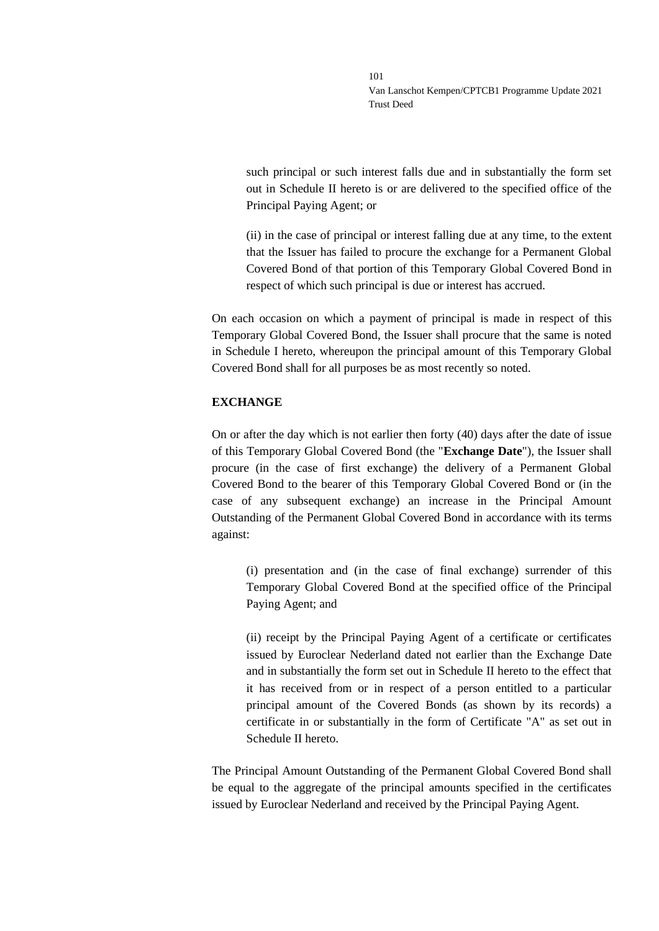such principal or such interest falls due and in substantially the form set out in Schedule II hereto is or are delivered to the specified office of the Principal Paying Agent; or

(ii) in the case of principal or interest falling due at any time, to the extent that the Issuer has failed to procure the exchange for a Permanent Global Covered Bond of that portion of this Temporary Global Covered Bond in respect of which such principal is due or interest has accrued.

On each occasion on which a payment of principal is made in respect of this Temporary Global Covered Bond, the Issuer shall procure that the same is noted in Schedule I hereto, whereupon the principal amount of this Temporary Global Covered Bond shall for all purposes be as most recently so noted.

### **EXCHANGE**

On or after the day which is not earlier then forty (40) days after the date of issue of this Temporary Global Covered Bond (the "**Exchange Date**"), the Issuer shall procure (in the case of first exchange) the delivery of a Permanent Global Covered Bond to the bearer of this Temporary Global Covered Bond or (in the case of any subsequent exchange) an increase in the Principal Amount Outstanding of the Permanent Global Covered Bond in accordance with its terms against:

(i) presentation and (in the case of final exchange) surrender of this Temporary Global Covered Bond at the specified office of the Principal Paying Agent; and

(ii) receipt by the Principal Paying Agent of a certificate or certificates issued by Euroclear Nederland dated not earlier than the Exchange Date and in substantially the form set out in Schedule II hereto to the effect that it has received from or in respect of a person entitled to a particular principal amount of the Covered Bonds (as shown by its records) a certificate in or substantially in the form of Certificate "A" as set out in Schedule II hereto.

The Principal Amount Outstanding of the Permanent Global Covered Bond shall be equal to the aggregate of the principal amounts specified in the certificates issued by Euroclear Nederland and received by the Principal Paying Agent.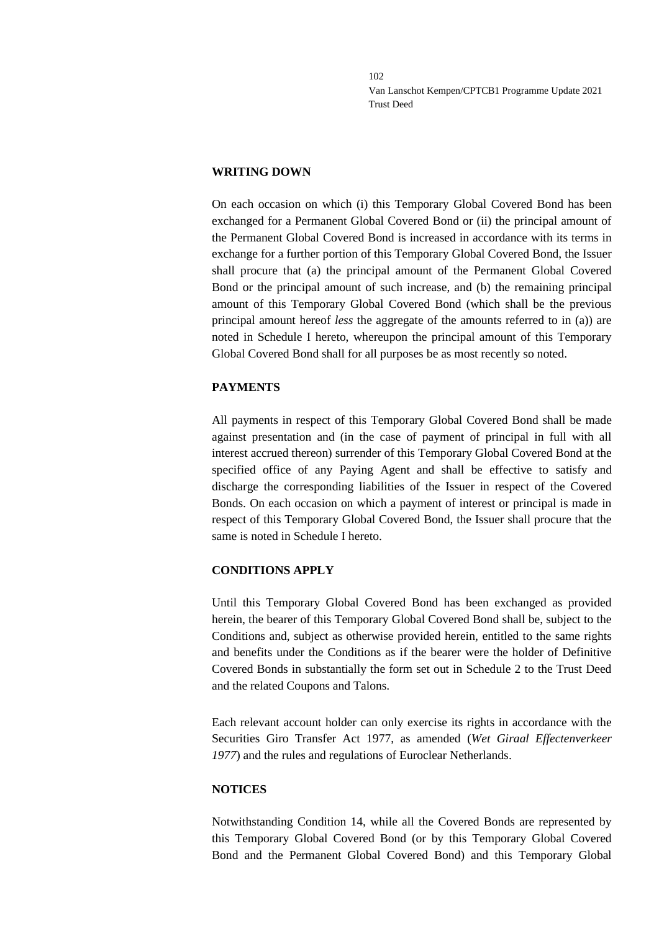### **WRITING DOWN**

On each occasion on which (i) this Temporary Global Covered Bond has been exchanged for a Permanent Global Covered Bond or (ii) the principal amount of the Permanent Global Covered Bond is increased in accordance with its terms in exchange for a further portion of this Temporary Global Covered Bond, the Issuer shall procure that (a) the principal amount of the Permanent Global Covered Bond or the principal amount of such increase, and (b) the remaining principal amount of this Temporary Global Covered Bond (which shall be the previous principal amount hereof *less* the aggregate of the amounts referred to in (a)) are noted in Schedule I hereto, whereupon the principal amount of this Temporary Global Covered Bond shall for all purposes be as most recently so noted.

# **PAYMENTS**

All payments in respect of this Temporary Global Covered Bond shall be made against presentation and (in the case of payment of principal in full with all interest accrued thereon) surrender of this Temporary Global Covered Bond at the specified office of any Paying Agent and shall be effective to satisfy and discharge the corresponding liabilities of the Issuer in respect of the Covered Bonds. On each occasion on which a payment of interest or principal is made in respect of this Temporary Global Covered Bond, the Issuer shall procure that the same is noted in Schedule I hereto.

# **CONDITIONS APPLY**

Until this Temporary Global Covered Bond has been exchanged as provided herein, the bearer of this Temporary Global Covered Bond shall be, subject to the Conditions and, subject as otherwise provided herein, entitled to the same rights and benefits under the Conditions as if the bearer were the holder of Definitive Covered Bonds in substantially the form set out in Schedule 2 to the Trust Deed and the related Coupons and Talons.

Each relevant account holder can only exercise its rights in accordance with the Securities Giro Transfer Act 1977, as amended (*Wet Giraal Effectenverkeer 1977*) and the rules and regulations of Euroclear Netherlands.

# **NOTICES**

Notwithstanding Condition 14, while all the Covered Bonds are represented by this Temporary Global Covered Bond (or by this Temporary Global Covered Bond and the Permanent Global Covered Bond) and this Temporary Global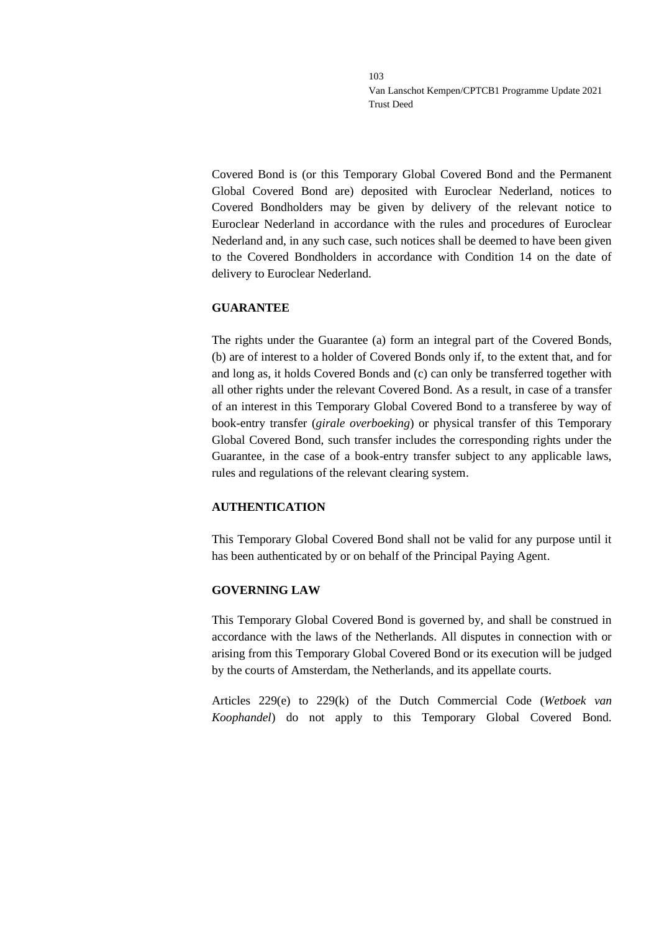Covered Bond is (or this Temporary Global Covered Bond and the Permanent Global Covered Bond are) deposited with Euroclear Nederland, notices to Covered Bondholders may be given by delivery of the relevant notice to Euroclear Nederland in accordance with the rules and procedures of Euroclear Nederland and, in any such case, such notices shall be deemed to have been given to the Covered Bondholders in accordance with Condition 14 on the date of delivery to Euroclear Nederland.

### **GUARANTEE**

The rights under the Guarantee (a) form an integral part of the Covered Bonds, (b) are of interest to a holder of Covered Bonds only if, to the extent that, and for and long as, it holds Covered Bonds and (c) can only be transferred together with all other rights under the relevant Covered Bond. As a result, in case of a transfer of an interest in this Temporary Global Covered Bond to a transferee by way of book-entry transfer (*girale overboeking*) or physical transfer of this Temporary Global Covered Bond, such transfer includes the corresponding rights under the Guarantee, in the case of a book-entry transfer subject to any applicable laws, rules and regulations of the relevant clearing system.

# **AUTHENTICATION**

This Temporary Global Covered Bond shall not be valid for any purpose until it has been authenticated by or on behalf of the Principal Paying Agent.

# **GOVERNING LAW**

This Temporary Global Covered Bond is governed by, and shall be construed in accordance with the laws of the Netherlands. All disputes in connection with or arising from this Temporary Global Covered Bond or its execution will be judged by the courts of Amsterdam, the Netherlands, and its appellate courts.

Articles 229(e) to 229(k) of the Dutch Commercial Code (*Wetboek van Koophandel*) do not apply to this Temporary Global Covered Bond.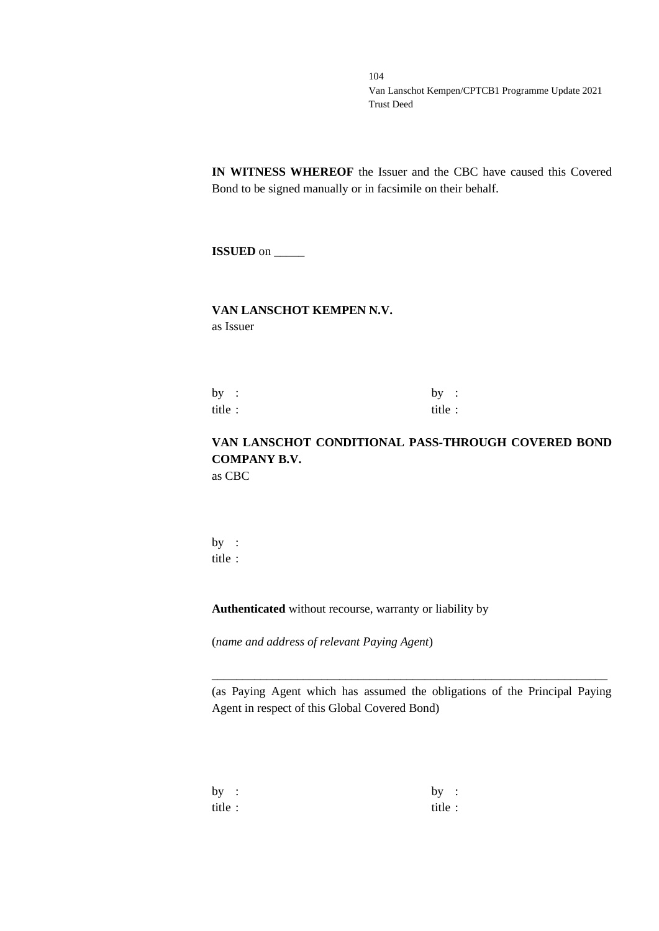**IN WITNESS WHEREOF** the Issuer and the CBC have caused this Covered Bond to be signed manually or in facsimile on their behalf.

**ISSUED** on \_\_\_\_\_

### **VAN LANSCHOT KEMPEN N.V.** as Issuer

by :  $by$  : title : title :

# **VAN LANSCHOT CONDITIONAL PASS-THROUGH COVERED BOND COMPANY B.V.** as CBC

by : title :

**Authenticated** without recourse, warranty or liability by

(*name and address of relevant Paying Agent*)

(as Paying Agent which has assumed the obligations of the Principal Paying Agent in respect of this Global Covered Bond)

\_\_\_\_\_\_\_\_\_\_\_\_\_\_\_\_\_\_\_\_\_\_\_\_\_\_\_\_\_\_\_\_\_\_\_\_\_\_\_\_\_\_\_\_\_\_\_\_\_\_\_\_\_\_\_\_\_\_\_\_\_\_\_\_\_

| by :   | by:     |  |
|--------|---------|--|
| title: | title : |  |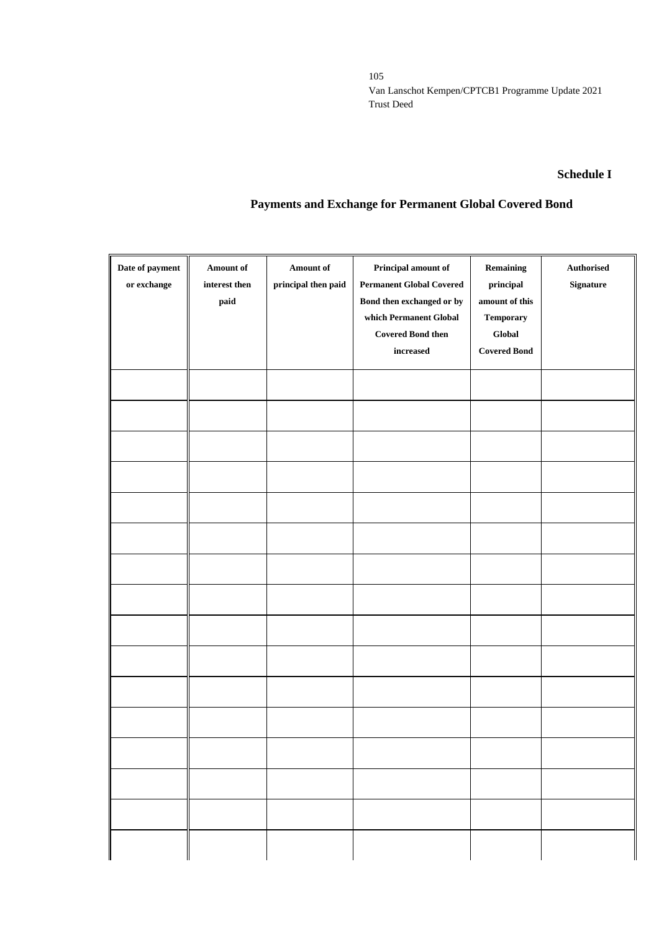#### **Schedule I**

# **Payments and Exchange for Permanent Global Covered Bond**

| Date of payment<br>$\,$ or exchange | <b>Amount of</b><br>interest then<br>paid | Amount of<br>principal then paid | Principal amount of<br><b>Permanent Global Covered</b><br>Bond then exchanged or by<br>which Permanent Global<br><b>Covered Bond then</b><br>$\operatorname*{increased}% \left( \mathcal{M}\right) \equiv\operatorname*{arc\mathfrak{e}q}\left( \mathcal{M}\right)$ | Remaining<br>$\bold{principal}$<br>amount of this<br><b>Temporary</b><br>Global<br><b>Covered Bond</b> | Authorised<br>Signature |
|-------------------------------------|-------------------------------------------|----------------------------------|---------------------------------------------------------------------------------------------------------------------------------------------------------------------------------------------------------------------------------------------------------------------|--------------------------------------------------------------------------------------------------------|-------------------------|
|                                     |                                           |                                  |                                                                                                                                                                                                                                                                     |                                                                                                        |                         |
|                                     |                                           |                                  |                                                                                                                                                                                                                                                                     |                                                                                                        |                         |
|                                     |                                           |                                  |                                                                                                                                                                                                                                                                     |                                                                                                        |                         |
|                                     |                                           |                                  |                                                                                                                                                                                                                                                                     |                                                                                                        |                         |
|                                     |                                           |                                  |                                                                                                                                                                                                                                                                     |                                                                                                        |                         |
|                                     |                                           |                                  |                                                                                                                                                                                                                                                                     |                                                                                                        |                         |
|                                     |                                           |                                  |                                                                                                                                                                                                                                                                     |                                                                                                        |                         |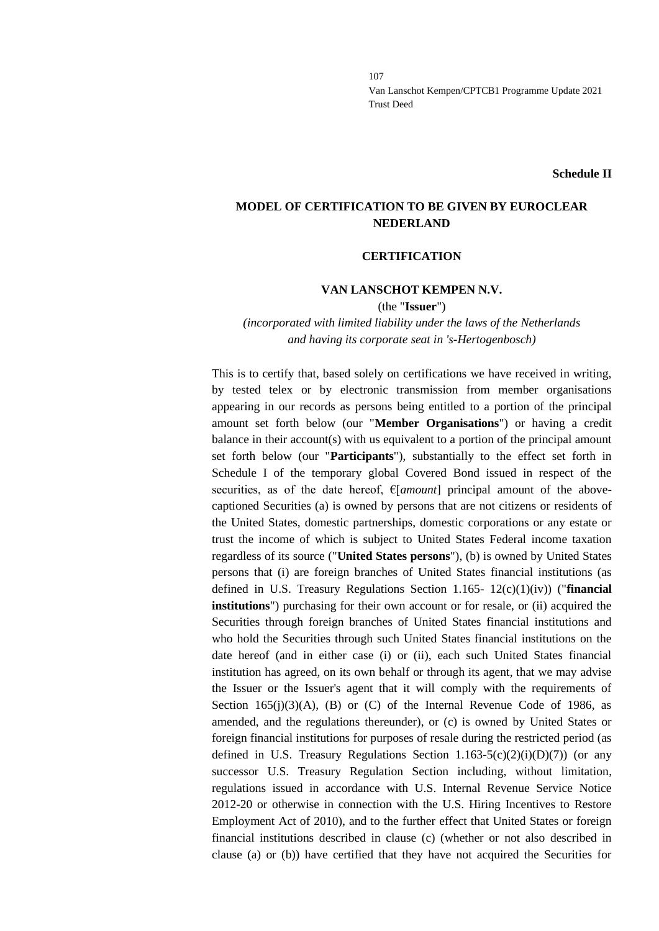**Schedule II**

# **MODEL OF CERTIFICATION TO BE GIVEN BY EUROCLEAR NEDERLAND**

#### **CERTIFICATION**

#### **VAN LANSCHOT KEMPEN N.V.**

(the "**Issuer**")

*(incorporated with limited liability under the laws of the Netherlands and having its corporate seat in 's-Hertogenbosch)*

This is to certify that, based solely on certifications we have received in writing, by tested telex or by electronic transmission from member organisations appearing in our records as persons being entitled to a portion of the principal amount set forth below (our "**Member Organisations**") or having a credit balance in their account(s) with us equivalent to a portion of the principal amount set forth below (our "**Participants**"), substantially to the effect set forth in Schedule I of the temporary global Covered Bond issued in respect of the securities, as of the date hereof,  $E[amount]$  principal amount of the abovecaptioned Securities (a) is owned by persons that are not citizens or residents of the United States, domestic partnerships, domestic corporations or any estate or trust the income of which is subject to United States Federal income taxation regardless of its source ("**United States persons**"), (b) is owned by United States persons that (i) are foreign branches of United States financial institutions (as defined in U.S. Treasury Regulations Section 1.165- 12(c)(1)(iv)) ("**financial institutions**") purchasing for their own account or for resale, or (ii) acquired the Securities through foreign branches of United States financial institutions and who hold the Securities through such United States financial institutions on the date hereof (and in either case (i) or (ii), each such United States financial institution has agreed, on its own behalf or through its agent, that we may advise the Issuer or the Issuer's agent that it will comply with the requirements of Section  $165(j)(3)(A)$ , (B) or (C) of the Internal Revenue Code of 1986, as amended, and the regulations thereunder), or (c) is owned by United States or foreign financial institutions for purposes of resale during the restricted period (as defined in U.S. Treasury Regulations Section  $1.163-5(c)(2)(i)(D)(7)$  (or any successor U.S. Treasury Regulation Section including, without limitation, regulations issued in accordance with U.S. Internal Revenue Service Notice 2012-20 or otherwise in connection with the U.S. Hiring Incentives to Restore Employment Act of 2010), and to the further effect that United States or foreign financial institutions described in clause (c) (whether or not also described in clause (a) or (b)) have certified that they have not acquired the Securities for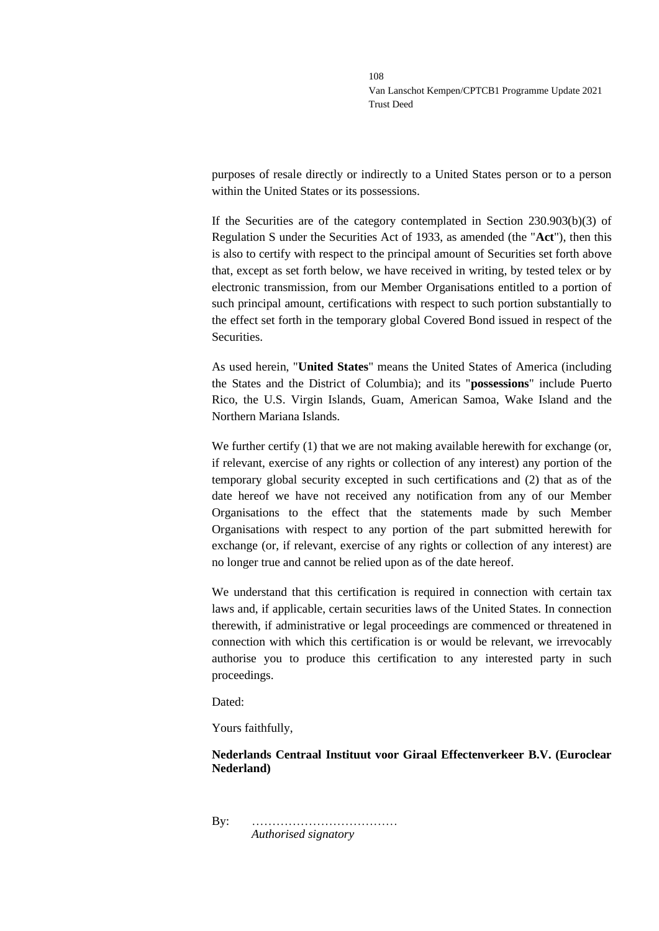purposes of resale directly or indirectly to a United States person or to a person within the United States or its possessions.

If the Securities are of the category contemplated in Section 230.903(b)(3) of Regulation S under the Securities Act of 1933, as amended (the "**Act**"), then this is also to certify with respect to the principal amount of Securities set forth above that, except as set forth below, we have received in writing, by tested telex or by electronic transmission, from our Member Organisations entitled to a portion of such principal amount, certifications with respect to such portion substantially to the effect set forth in the temporary global Covered Bond issued in respect of the **Securities** 

As used herein, "**United States**" means the United States of America (including the States and the District of Columbia); and its "**possessions**" include Puerto Rico, the U.S. Virgin Islands, Guam, American Samoa, Wake Island and the Northern Mariana Islands.

We further certify  $(1)$  that we are not making available herewith for exchange (or, if relevant, exercise of any rights or collection of any interest) any portion of the temporary global security excepted in such certifications and (2) that as of the date hereof we have not received any notification from any of our Member Organisations to the effect that the statements made by such Member Organisations with respect to any portion of the part submitted herewith for exchange (or, if relevant, exercise of any rights or collection of any interest) are no longer true and cannot be relied upon as of the date hereof.

We understand that this certification is required in connection with certain tax laws and, if applicable, certain securities laws of the United States. In connection therewith, if administrative or legal proceedings are commenced or threatened in connection with which this certification is or would be relevant, we irrevocably authorise you to produce this certification to any interested party in such proceedings.

Dated:

Yours faithfully,

### **Nederlands Centraal Instituut voor Giraal Effectenverkeer B.V. (Euroclear Nederland)**

By: ……………………………… *Authorised signatory*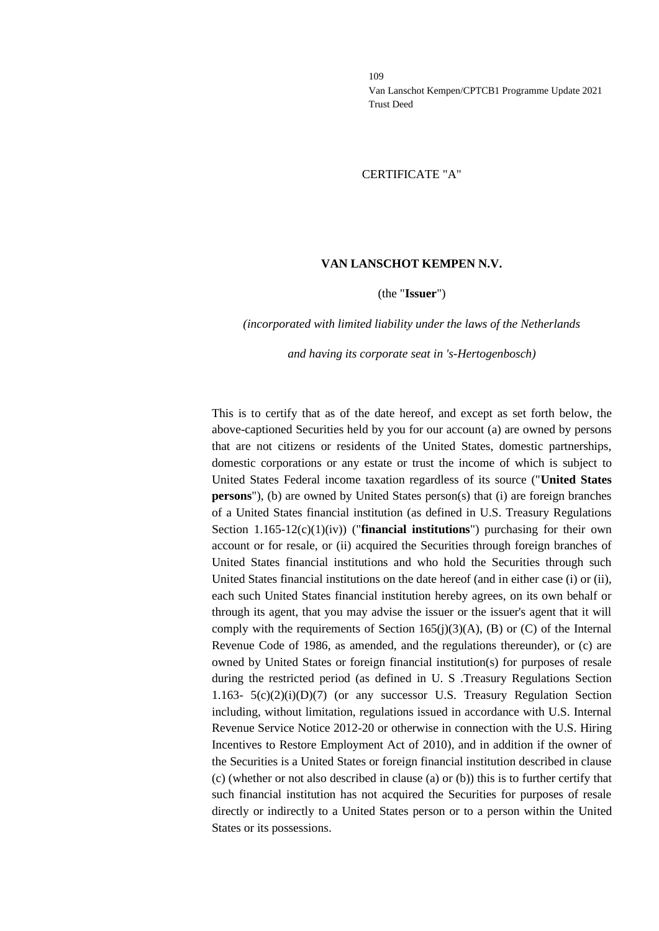#### CERTIFICATE "A"

#### **VAN LANSCHOT KEMPEN N.V.**

#### (the "**Issuer**")

#### *(incorporated with limited liability under the laws of the Netherlands*

#### *and having its corporate seat in 's-Hertogenbosch)*

This is to certify that as of the date hereof, and except as set forth below, the above-captioned Securities held by you for our account (a) are owned by persons that are not citizens or residents of the United States, domestic partnerships, domestic corporations or any estate or trust the income of which is subject to United States Federal income taxation regardless of its source ("**United States persons**"), (b) are owned by United States person(s) that (i) are foreign branches of a United States financial institution (as defined in U.S. Treasury Regulations Section 1.165-12(c)(1)(iv)) ("**financial institutions**") purchasing for their own account or for resale, or (ii) acquired the Securities through foreign branches of United States financial institutions and who hold the Securities through such United States financial institutions on the date hereof (and in either case (i) or (ii), each such United States financial institution hereby agrees, on its own behalf or through its agent, that you may advise the issuer or the issuer's agent that it will comply with the requirements of Section 165(j)(3)(A), (B) or (C) of the Internal Revenue Code of 1986, as amended, and the regulations thereunder), or (c) are owned by United States or foreign financial institution(s) for purposes of resale during the restricted period (as defined in U. S .Treasury Regulations Section 1.163-  $5(c)(2)(i)(D)(7)$  (or any successor U.S. Treasury Regulation Section including, without limitation, regulations issued in accordance with U.S. Internal Revenue Service Notice 2012-20 or otherwise in connection with the U.S. Hiring Incentives to Restore Employment Act of 2010), and in addition if the owner of the Securities is a United States or foreign financial institution described in clause (c) (whether or not also described in clause (a) or (b)) this is to further certify that such financial institution has not acquired the Securities for purposes of resale directly or indirectly to a United States person or to a person within the United States or its possessions.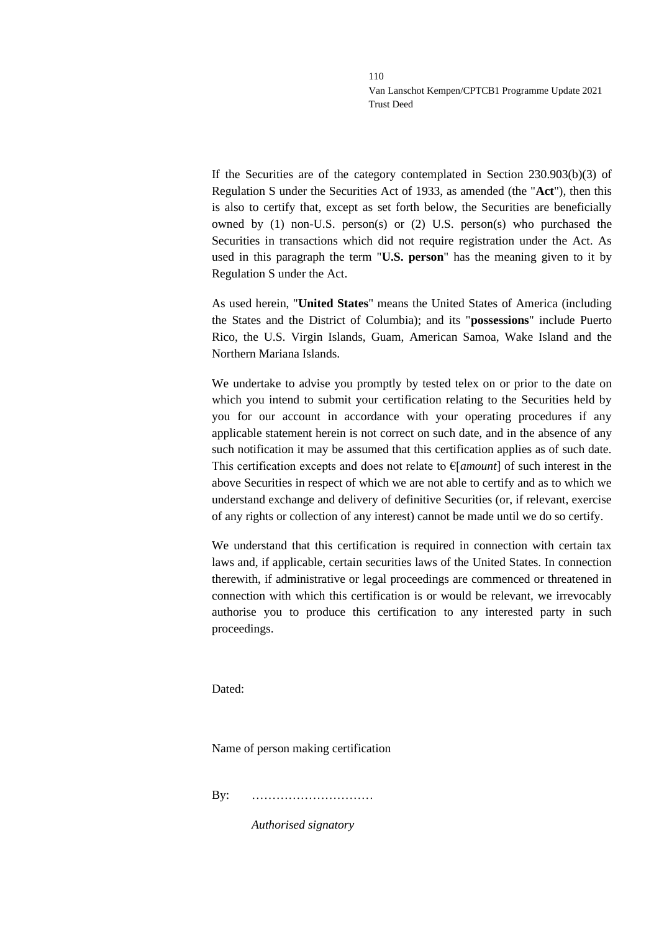If the Securities are of the category contemplated in Section 230.903(b)(3) of Regulation S under the Securities Act of 1933, as amended (the "**Act**"), then this is also to certify that, except as set forth below, the Securities are beneficially owned by (1) non-U.S. person(s) or (2) U.S. person(s) who purchased the Securities in transactions which did not require registration under the Act. As used in this paragraph the term "**U.S. person**" has the meaning given to it by Regulation S under the Act.

As used herein, "**United States**" means the United States of America (including the States and the District of Columbia); and its "**possessions**" include Puerto Rico, the U.S. Virgin Islands, Guam, American Samoa, Wake Island and the Northern Mariana Islands.

We undertake to advise you promptly by tested telex on or prior to the date on which you intend to submit your certification relating to the Securities held by you for our account in accordance with your operating procedures if any applicable statement herein is not correct on such date, and in the absence of any such notification it may be assumed that this certification applies as of such date. This certification excepts and does not relate to €[*amount*] of such interest in the above Securities in respect of which we are not able to certify and as to which we understand exchange and delivery of definitive Securities (or, if relevant, exercise of any rights or collection of any interest) cannot be made until we do so certify.

We understand that this certification is required in connection with certain tax laws and, if applicable, certain securities laws of the United States. In connection therewith, if administrative or legal proceedings are commenced or threatened in connection with which this certification is or would be relevant, we irrevocably authorise you to produce this certification to any interested party in such proceedings.

Dated:

Name of person making certification

By: …………………………

*Authorised signatory*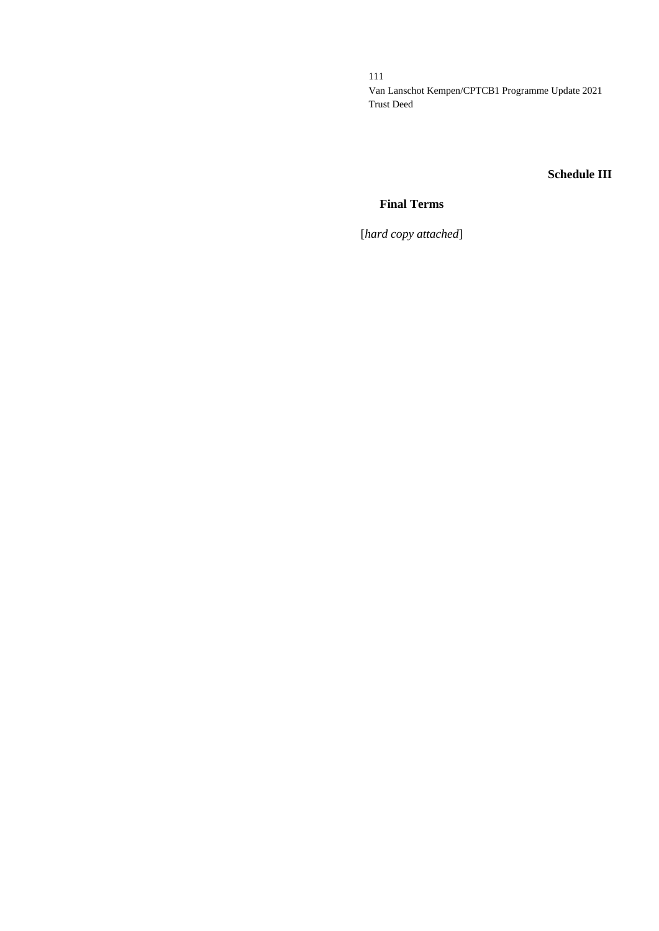# **Schedule III**

# **Final Terms**

[*hard copy attached*]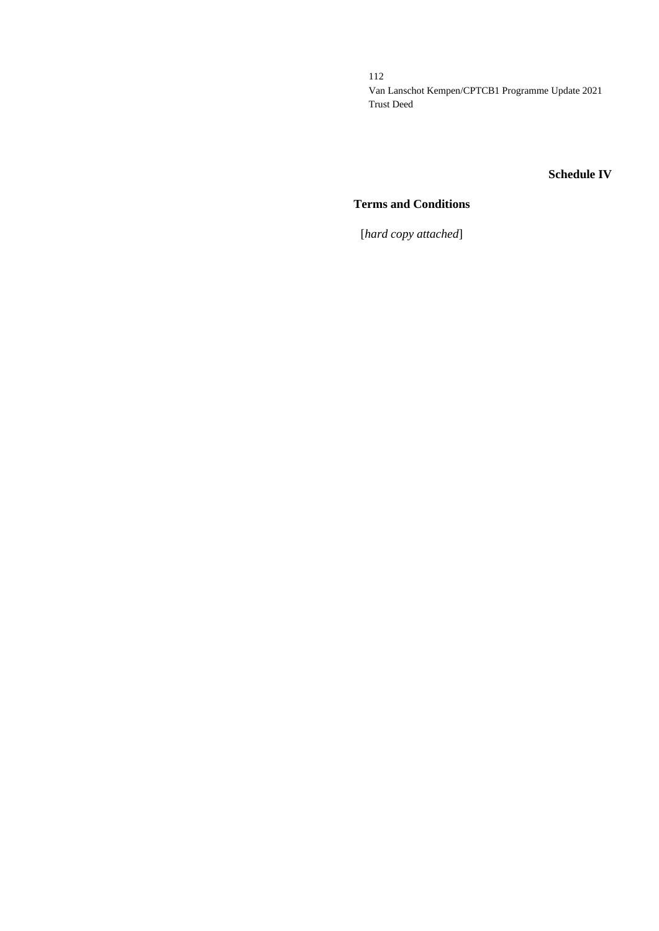# **Schedule IV**

# **Terms and Conditions**

[*hard copy attached*]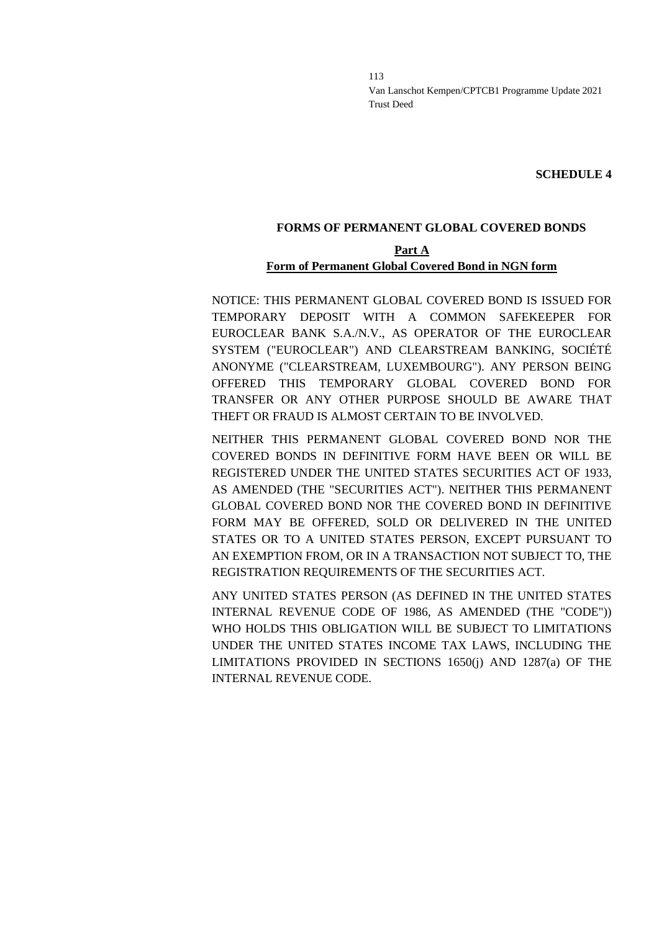**SCHEDULE 4**

### **FORMS OF PERMANENT GLOBAL COVERED BONDS**

## **Part A Form of Permanent Global Covered Bond in NGN form**

NOTICE: THIS PERMANENT GLOBAL COVERED BOND IS ISSUED FOR TEMPORARY DEPOSIT WITH A COMMON SAFEKEEPER FOR EUROCLEAR BANK S.A./N.V., AS OPERATOR OF THE EUROCLEAR SYSTEM ("EUROCLEAR") AND CLEARSTREAM BANKING, SOCIÉTÉ ANONYME ("CLEARSTREAM, LUXEMBOURG"). ANY PERSON BEING OFFERED THIS TEMPORARY GLOBAL COVERED BOND FOR TRANSFER OR ANY OTHER PURPOSE SHOULD BE AWARE THAT THEFT OR FRAUD IS ALMOST CERTAIN TO BE INVOLVED.

NEITHER THIS PERMANENT GLOBAL COVERED BOND NOR THE COVERED BONDS IN DEFINITIVE FORM HAVE BEEN OR WILL BE REGISTERED UNDER THE UNITED STATES SECURITIES ACT OF 1933, AS AMENDED (THE "SECURITIES ACT"). NEITHER THIS PERMANENT GLOBAL COVERED BOND NOR THE COVERED BOND IN DEFINITIVE FORM MAY BE OFFERED, SOLD OR DELIVERED IN THE UNITED STATES OR TO A UNITED STATES PERSON, EXCEPT PURSUANT TO AN EXEMPTION FROM, OR IN A TRANSACTION NOT SUBJECT TO, THE REGISTRATION REQUIREMENTS OF THE SECURITIES ACT.

ANY UNITED STATES PERSON (AS DEFINED IN THE UNITED STATES INTERNAL REVENUE CODE OF 1986, AS AMENDED (THE "CODE")) WHO HOLDS THIS OBLIGATION WILL BE SUBJECT TO LIMITATIONS UNDER THE UNITED STATES INCOME TAX LAWS, INCLUDING THE LIMITATIONS PROVIDED IN SECTIONS 1650(j) AND 1287(a) OF THE INTERNAL REVENUE CODE.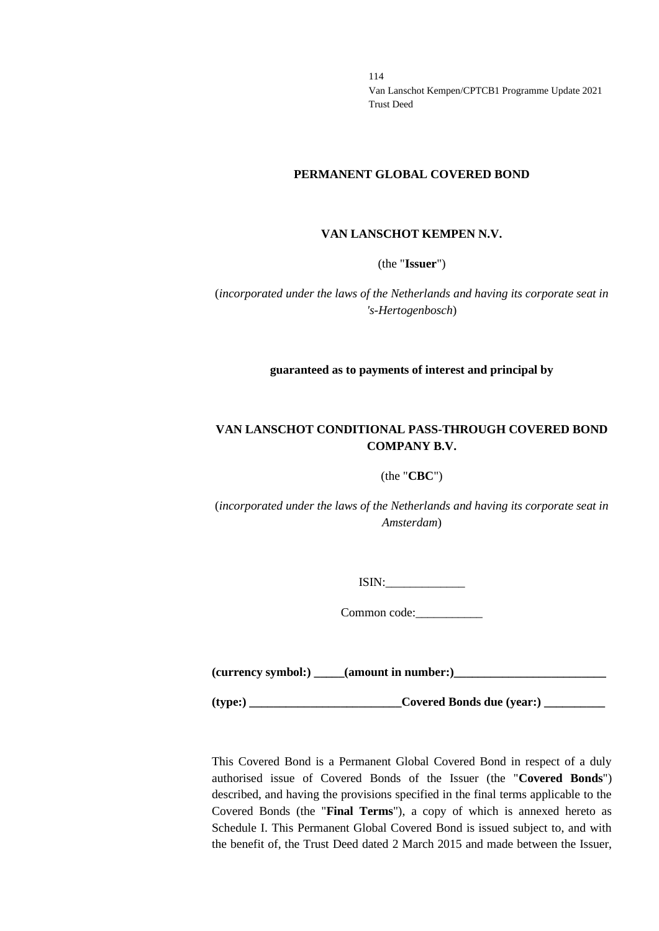#### **PERMANENT GLOBAL COVERED BOND**

#### **VAN LANSCHOT KEMPEN N.V.**

(the "**Issuer**")

(*incorporated under the laws of the Netherlands and having its corporate seat in 's-Hertogenbosch*)

**guaranteed as to payments of interest and principal by**

### **VAN LANSCHOT CONDITIONAL PASS-THROUGH COVERED BOND COMPANY B.V.**

### (the "**CBC**")

(*incorporated under the laws of the Netherlands and having its corporate seat in Amsterdam*)

ISIN:\_\_\_\_\_\_\_\_\_\_\_\_\_

Common code:

**(currency symbol:) \_\_\_\_\_(amount in number:)\_\_\_\_\_\_\_\_\_\_\_\_\_\_\_\_\_\_\_\_\_\_\_\_\_**

**(type:) \_\_\_\_\_\_\_\_\_\_\_\_\_\_\_\_\_\_\_\_\_\_\_\_\_Covered Bonds due (year:) \_\_\_\_\_\_\_\_\_\_**

This Covered Bond is a Permanent Global Covered Bond in respect of a duly authorised issue of Covered Bonds of the Issuer (the "**Covered Bonds**") described, and having the provisions specified in the final terms applicable to the Covered Bonds (the "**Final Terms**"), a copy of which is annexed hereto as Schedule I. This Permanent Global Covered Bond is issued subject to, and with the benefit of, the Trust Deed dated 2 March 2015 and made between the Issuer,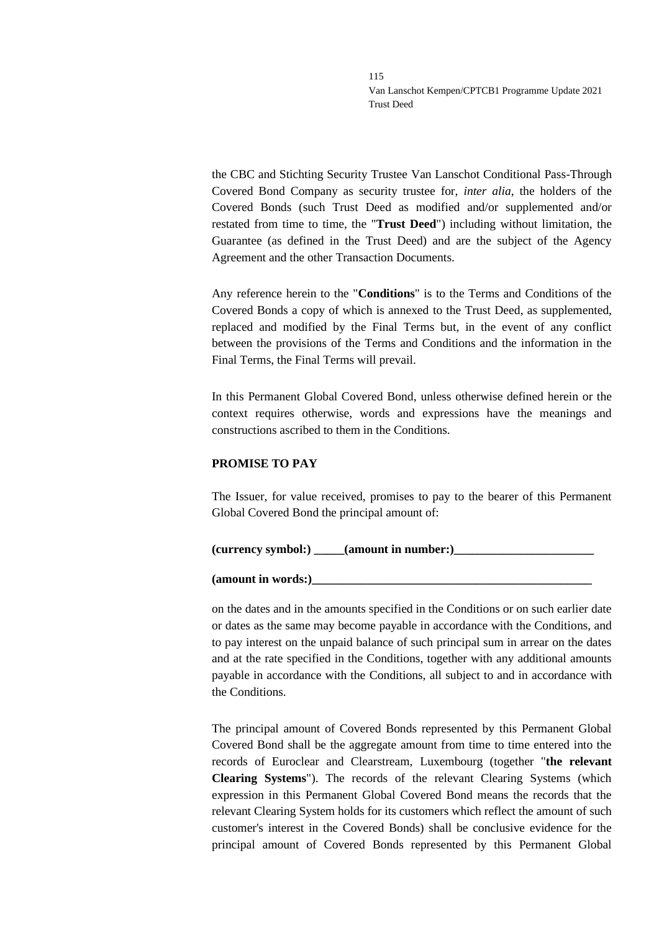the CBC and Stichting Security Trustee Van Lanschot Conditional Pass-Through Covered Bond Company as security trustee for, *inter alia*, the holders of the Covered Bonds (such Trust Deed as modified and/or supplemented and/or restated from time to time, the "**Trust Deed**") including without limitation, the Guarantee (as defined in the Trust Deed) and are the subject of the Agency Agreement and the other Transaction Documents.

Any reference herein to the "**Conditions**" is to the Terms and Conditions of the Covered Bonds a copy of which is annexed to the Trust Deed, as supplemented, replaced and modified by the Final Terms but, in the event of any conflict between the provisions of the Terms and Conditions and the information in the Final Terms, the Final Terms will prevail.

In this Permanent Global Covered Bond, unless otherwise defined herein or the context requires otherwise, words and expressions have the meanings and constructions ascribed to them in the Conditions.

### **PROMISE TO PAY**

The Issuer, for value received, promises to pay to the bearer of this Permanent Global Covered Bond the principal amount of:

**(currency symbol:) \_\_\_\_\_(amount in number:)\_\_\_\_\_\_\_\_\_\_\_\_\_\_\_\_\_\_\_\_\_\_\_**

**(amount in words:)\_\_\_\_\_\_\_\_\_\_\_\_\_\_\_\_\_\_\_\_\_\_\_\_\_\_\_\_\_\_\_\_\_\_\_\_\_\_\_\_\_\_\_\_\_\_**

on the dates and in the amounts specified in the Conditions or on such earlier date or dates as the same may become payable in accordance with the Conditions, and to pay interest on the unpaid balance of such principal sum in arrear on the dates and at the rate specified in the Conditions, together with any additional amounts payable in accordance with the Conditions, all subject to and in accordance with the Conditions.

The principal amount of Covered Bonds represented by this Permanent Global Covered Bond shall be the aggregate amount from time to time entered into the records of Euroclear and Clearstream, Luxembourg (together "**the relevant Clearing Systems**"). The records of the relevant Clearing Systems (which expression in this Permanent Global Covered Bond means the records that the relevant Clearing System holds for its customers which reflect the amount of such customer's interest in the Covered Bonds) shall be conclusive evidence for the principal amount of Covered Bonds represented by this Permanent Global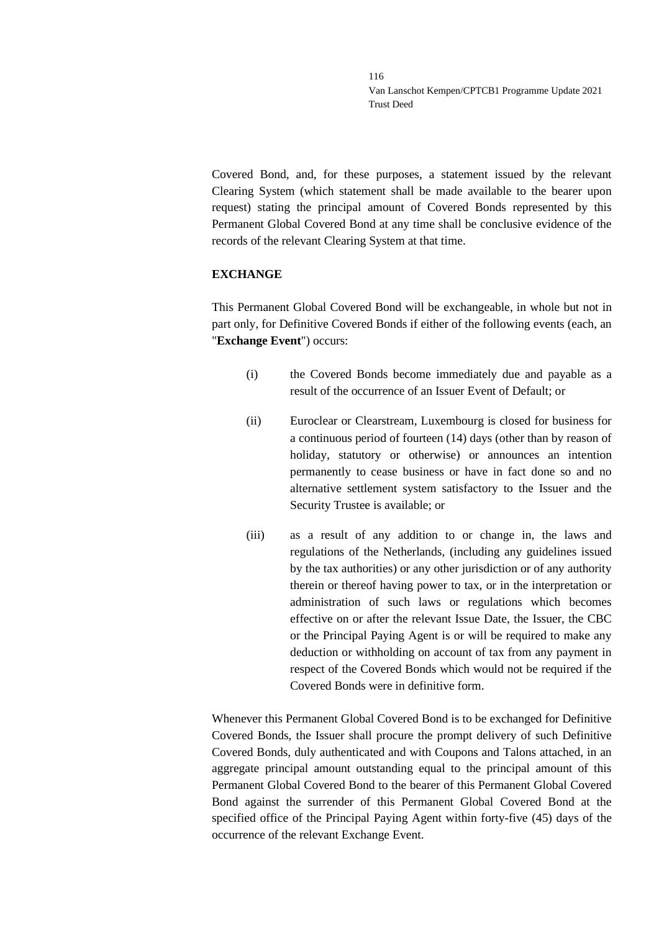Covered Bond, and, for these purposes, a statement issued by the relevant Clearing System (which statement shall be made available to the bearer upon request) stating the principal amount of Covered Bonds represented by this Permanent Global Covered Bond at any time shall be conclusive evidence of the records of the relevant Clearing System at that time.

### **EXCHANGE**

This Permanent Global Covered Bond will be exchangeable, in whole but not in part only, for Definitive Covered Bonds if either of the following events (each, an "**Exchange Event**") occurs:

- (i) the Covered Bonds become immediately due and payable as a result of the occurrence of an Issuer Event of Default; or
- (ii) Euroclear or Clearstream, Luxembourg is closed for business for a continuous period of fourteen (14) days (other than by reason of holiday, statutory or otherwise) or announces an intention permanently to cease business or have in fact done so and no alternative settlement system satisfactory to the Issuer and the Security Trustee is available; or
- (iii) as a result of any addition to or change in, the laws and regulations of the Netherlands, (including any guidelines issued by the tax authorities) or any other jurisdiction or of any authority therein or thereof having power to tax, or in the interpretation or administration of such laws or regulations which becomes effective on or after the relevant Issue Date, the Issuer, the CBC or the Principal Paying Agent is or will be required to make any deduction or withholding on account of tax from any payment in respect of the Covered Bonds which would not be required if the Covered Bonds were in definitive form.

Whenever this Permanent Global Covered Bond is to be exchanged for Definitive Covered Bonds, the Issuer shall procure the prompt delivery of such Definitive Covered Bonds, duly authenticated and with Coupons and Talons attached, in an aggregate principal amount outstanding equal to the principal amount of this Permanent Global Covered Bond to the bearer of this Permanent Global Covered Bond against the surrender of this Permanent Global Covered Bond at the specified office of the Principal Paying Agent within forty-five (45) days of the occurrence of the relevant Exchange Event.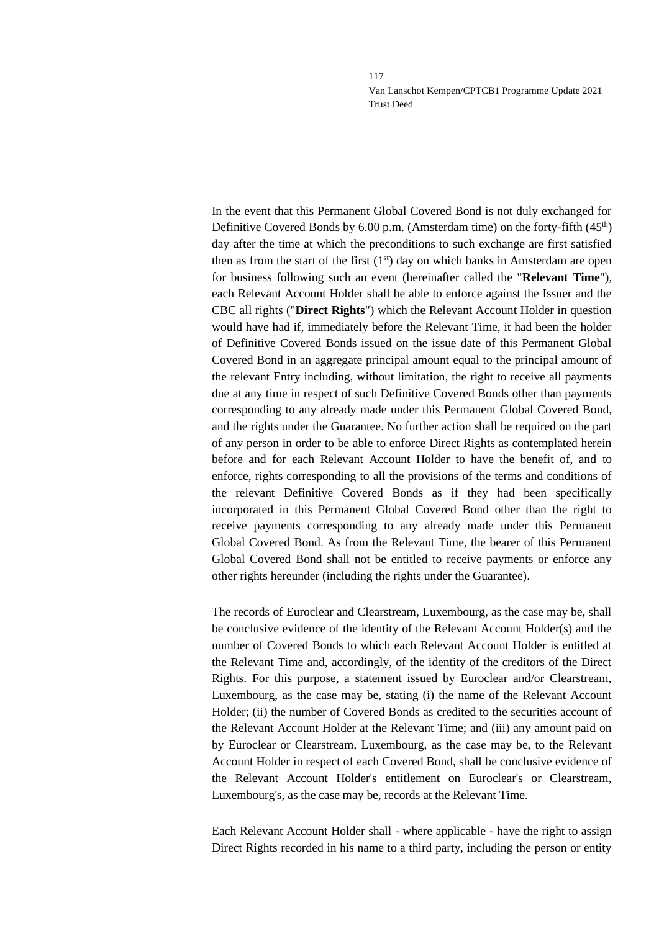In the event that this Permanent Global Covered Bond is not duly exchanged for Definitive Covered Bonds by  $6.00$  p.m. (Amsterdam time) on the forty-fifth  $(45<sup>th</sup>)$ day after the time at which the preconditions to such exchange are first satisfied then as from the start of the first  $(1<sup>st</sup>)$  day on which banks in Amsterdam are open for business following such an event (hereinafter called the "**Relevant Time**"), each Relevant Account Holder shall be able to enforce against the Issuer and the CBC all rights ("**Direct Rights**") which the Relevant Account Holder in question would have had if, immediately before the Relevant Time, it had been the holder of Definitive Covered Bonds issued on the issue date of this Permanent Global Covered Bond in an aggregate principal amount equal to the principal amount of the relevant Entry including, without limitation, the right to receive all payments due at any time in respect of such Definitive Covered Bonds other than payments corresponding to any already made under this Permanent Global Covered Bond, and the rights under the Guarantee. No further action shall be required on the part of any person in order to be able to enforce Direct Rights as contemplated herein before and for each Relevant Account Holder to have the benefit of, and to enforce, rights corresponding to all the provisions of the terms and conditions of the relevant Definitive Covered Bonds as if they had been specifically incorporated in this Permanent Global Covered Bond other than the right to receive payments corresponding to any already made under this Permanent Global Covered Bond. As from the Relevant Time, the bearer of this Permanent Global Covered Bond shall not be entitled to receive payments or enforce any other rights hereunder (including the rights under the Guarantee).

The records of Euroclear and Clearstream, Luxembourg, as the case may be, shall be conclusive evidence of the identity of the Relevant Account Holder(s) and the number of Covered Bonds to which each Relevant Account Holder is entitled at the Relevant Time and, accordingly, of the identity of the creditors of the Direct Rights. For this purpose, a statement issued by Euroclear and/or Clearstream, Luxembourg, as the case may be, stating (i) the name of the Relevant Account Holder; (ii) the number of Covered Bonds as credited to the securities account of the Relevant Account Holder at the Relevant Time; and (iii) any amount paid on by Euroclear or Clearstream, Luxembourg, as the case may be, to the Relevant Account Holder in respect of each Covered Bond, shall be conclusive evidence of the Relevant Account Holder's entitlement on Euroclear's or Clearstream, Luxembourg's, as the case may be, records at the Relevant Time.

Each Relevant Account Holder shall - where applicable - have the right to assign Direct Rights recorded in his name to a third party, including the person or entity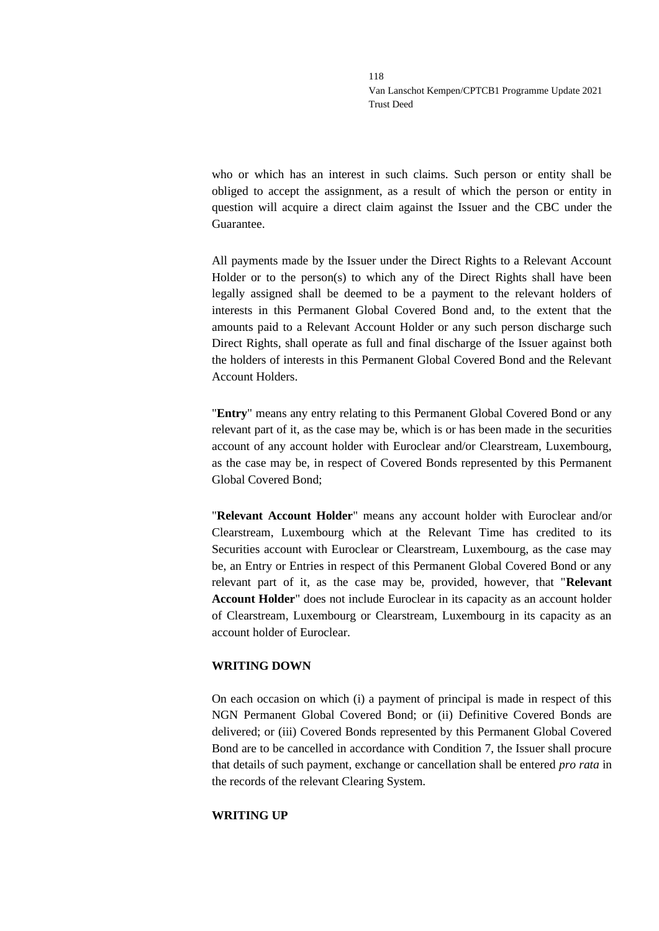who or which has an interest in such claims. Such person or entity shall be obliged to accept the assignment, as a result of which the person or entity in question will acquire a direct claim against the Issuer and the CBC under the Guarantee.

All payments made by the Issuer under the Direct Rights to a Relevant Account Holder or to the person(s) to which any of the Direct Rights shall have been legally assigned shall be deemed to be a payment to the relevant holders of interests in this Permanent Global Covered Bond and, to the extent that the amounts paid to a Relevant Account Holder or any such person discharge such Direct Rights, shall operate as full and final discharge of the Issuer against both the holders of interests in this Permanent Global Covered Bond and the Relevant Account Holders.

"**Entry**" means any entry relating to this Permanent Global Covered Bond or any relevant part of it, as the case may be, which is or has been made in the securities account of any account holder with Euroclear and/or Clearstream, Luxembourg, as the case may be, in respect of Covered Bonds represented by this Permanent Global Covered Bond;

"**Relevant Account Holder**" means any account holder with Euroclear and/or Clearstream, Luxembourg which at the Relevant Time has credited to its Securities account with Euroclear or Clearstream, Luxembourg, as the case may be, an Entry or Entries in respect of this Permanent Global Covered Bond or any relevant part of it, as the case may be, provided, however, that "**Relevant Account Holder**" does not include Euroclear in its capacity as an account holder of Clearstream, Luxembourg or Clearstream, Luxembourg in its capacity as an account holder of Euroclear.

### **WRITING DOWN**

On each occasion on which (i) a payment of principal is made in respect of this NGN Permanent Global Covered Bond; or (ii) Definitive Covered Bonds are delivered; or (iii) Covered Bonds represented by this Permanent Global Covered Bond are to be cancelled in accordance with Condition 7, the Issuer shall procure that details of such payment, exchange or cancellation shall be entered *pro rata* in the records of the relevant Clearing System.

### **WRITING UP**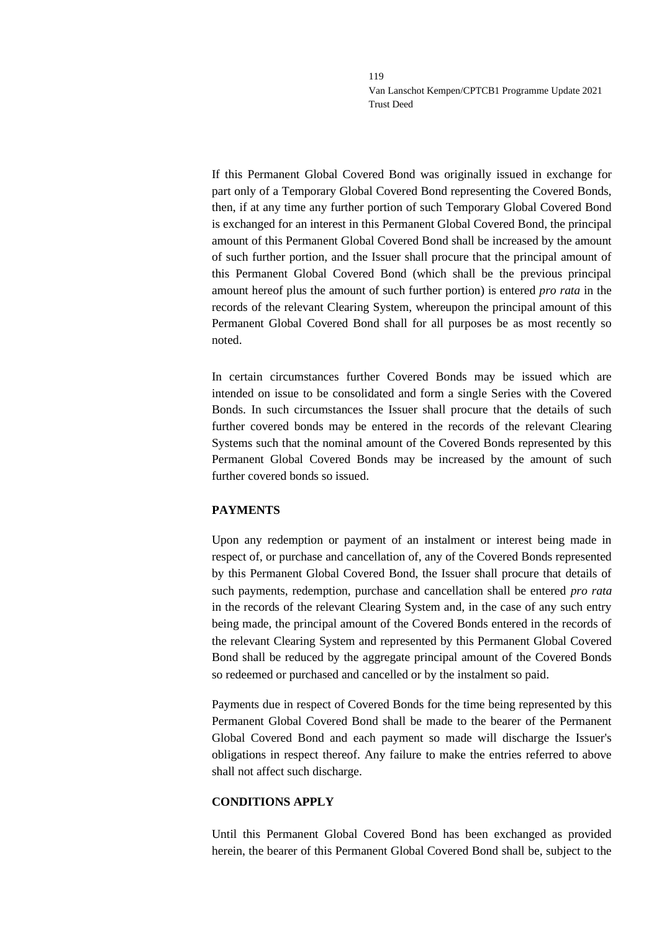If this Permanent Global Covered Bond was originally issued in exchange for part only of a Temporary Global Covered Bond representing the Covered Bonds, then, if at any time any further portion of such Temporary Global Covered Bond is exchanged for an interest in this Permanent Global Covered Bond, the principal amount of this Permanent Global Covered Bond shall be increased by the amount of such further portion, and the Issuer shall procure that the principal amount of this Permanent Global Covered Bond (which shall be the previous principal amount hereof plus the amount of such further portion) is entered *pro rata* in the records of the relevant Clearing System, whereupon the principal amount of this Permanent Global Covered Bond shall for all purposes be as most recently so noted.

In certain circumstances further Covered Bonds may be issued which are intended on issue to be consolidated and form a single Series with the Covered Bonds. In such circumstances the Issuer shall procure that the details of such further covered bonds may be entered in the records of the relevant Clearing Systems such that the nominal amount of the Covered Bonds represented by this Permanent Global Covered Bonds may be increased by the amount of such further covered bonds so issued.

### **PAYMENTS**

Upon any redemption or payment of an instalment or interest being made in respect of, or purchase and cancellation of, any of the Covered Bonds represented by this Permanent Global Covered Bond, the Issuer shall procure that details of such payments, redemption, purchase and cancellation shall be entered *pro rata* in the records of the relevant Clearing System and, in the case of any such entry being made, the principal amount of the Covered Bonds entered in the records of the relevant Clearing System and represented by this Permanent Global Covered Bond shall be reduced by the aggregate principal amount of the Covered Bonds so redeemed or purchased and cancelled or by the instalment so paid.

Payments due in respect of Covered Bonds for the time being represented by this Permanent Global Covered Bond shall be made to the bearer of the Permanent Global Covered Bond and each payment so made will discharge the Issuer's obligations in respect thereof. Any failure to make the entries referred to above shall not affect such discharge.

### **CONDITIONS APPLY**

Until this Permanent Global Covered Bond has been exchanged as provided herein, the bearer of this Permanent Global Covered Bond shall be, subject to the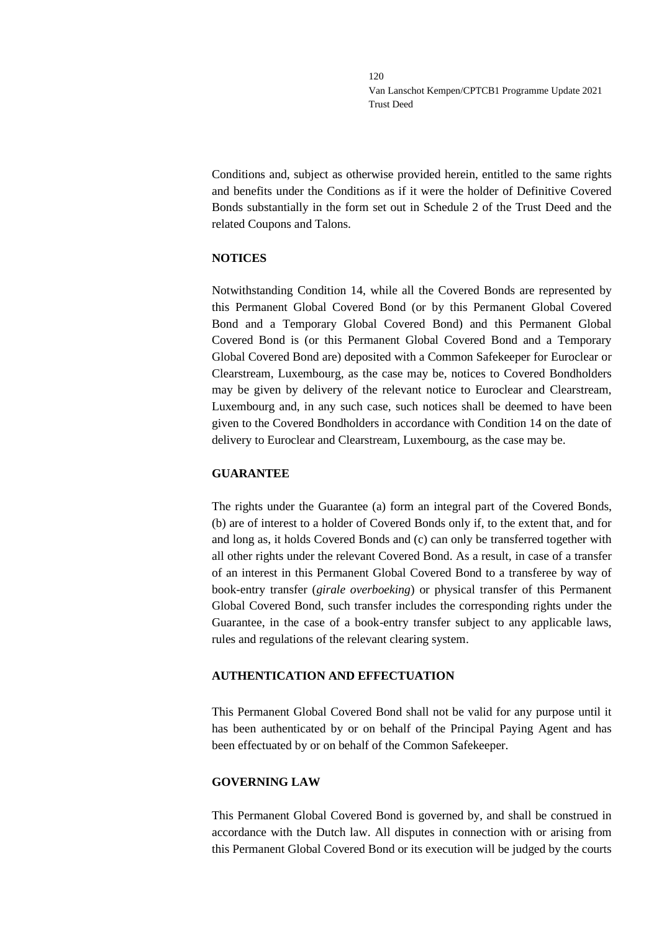Conditions and, subject as otherwise provided herein, entitled to the same rights and benefits under the Conditions as if it were the holder of Definitive Covered Bonds substantially in the form set out in Schedule 2 of the Trust Deed and the related Coupons and Talons.

### **NOTICES**

Notwithstanding Condition 14, while all the Covered Bonds are represented by this Permanent Global Covered Bond (or by this Permanent Global Covered Bond and a Temporary Global Covered Bond) and this Permanent Global Covered Bond is (or this Permanent Global Covered Bond and a Temporary Global Covered Bond are) deposited with a Common Safekeeper for Euroclear or Clearstream, Luxembourg, as the case may be, notices to Covered Bondholders may be given by delivery of the relevant notice to Euroclear and Clearstream, Luxembourg and, in any such case, such notices shall be deemed to have been given to the Covered Bondholders in accordance with Condition 14 on the date of delivery to Euroclear and Clearstream, Luxembourg, as the case may be.

### **GUARANTEE**

The rights under the Guarantee (a) form an integral part of the Covered Bonds, (b) are of interest to a holder of Covered Bonds only if, to the extent that, and for and long as, it holds Covered Bonds and (c) can only be transferred together with all other rights under the relevant Covered Bond. As a result, in case of a transfer of an interest in this Permanent Global Covered Bond to a transferee by way of book-entry transfer (*girale overboeking*) or physical transfer of this Permanent Global Covered Bond, such transfer includes the corresponding rights under the Guarantee, in the case of a book-entry transfer subject to any applicable laws, rules and regulations of the relevant clearing system.

### **AUTHENTICATION AND EFFECTUATION**

This Permanent Global Covered Bond shall not be valid for any purpose until it has been authenticated by or on behalf of the Principal Paying Agent and has been effectuated by or on behalf of the Common Safekeeper.

### **GOVERNING LAW**

This Permanent Global Covered Bond is governed by, and shall be construed in accordance with the Dutch law. All disputes in connection with or arising from this Permanent Global Covered Bond or its execution will be judged by the courts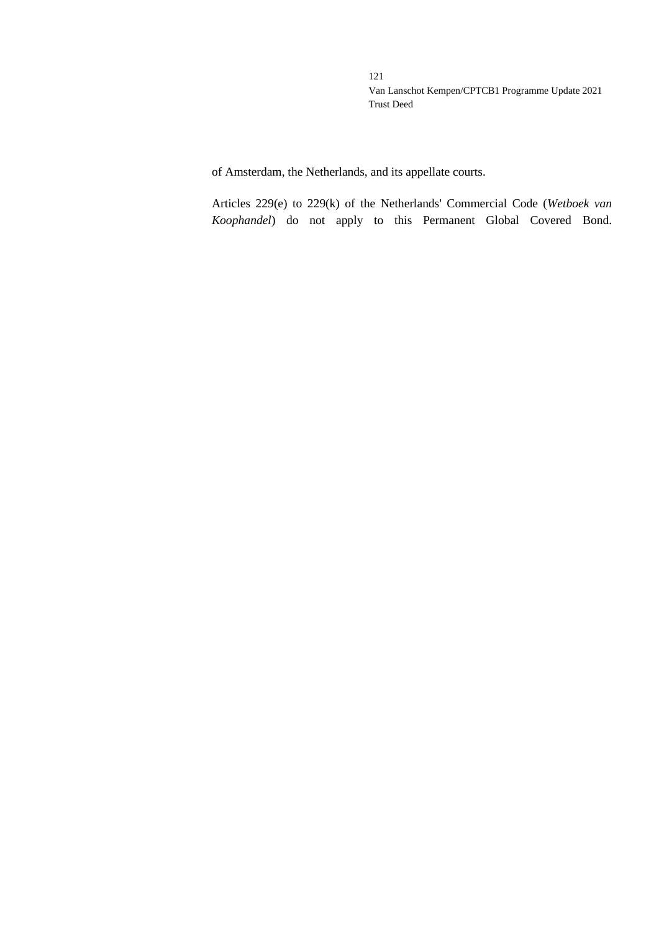of Amsterdam, the Netherlands, and its appellate courts.

Articles 229(e) to 229(k) of the Netherlands' Commercial Code (*Wetboek van Koophandel*) do not apply to this Permanent Global Covered Bond.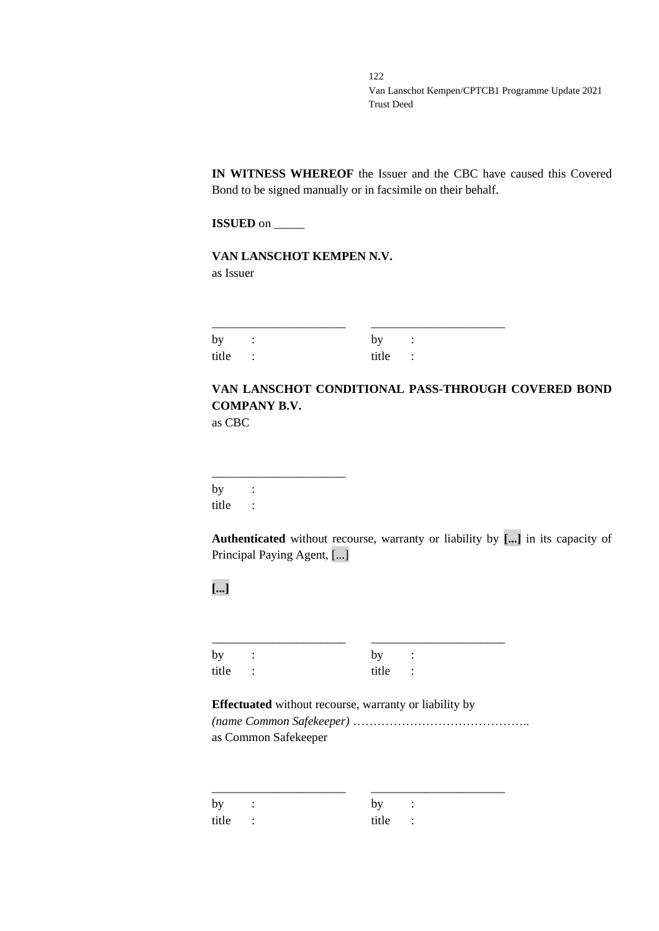**IN WITNESS WHEREOF** the Issuer and the CBC have caused this Covered Bond to be signed manually or in facsimile on their behalf.

**ISSUED** on \_\_\_\_\_

**VAN LANSCHOT KEMPEN N.V.** as Issuer

| by :    | by:     |  |
|---------|---------|--|
| title : | title : |  |

# **VAN LANSCHOT CONDITIONAL PASS-THROUGH COVERED BOND COMPANY B.V.**

as CBC

\_\_\_\_\_\_\_\_\_\_\_\_\_\_\_\_\_\_\_\_\_\_ by : title :

**Authenticated** without recourse, warranty or liability by **[...]** in its capacity of Principal Paying Agent, [...]

**[...]**

| by :    | by :    |  |
|---------|---------|--|
| title : | title : |  |

# **Effectuated** without recourse, warranty or liability by *(name Common Safekeeper)* ……………………………………..

as Common Safekeeper

| by<br>$\sim$ $\sim$ $\sim$ | by:     |  |
|----------------------------|---------|--|
| title :                    | title : |  |

\_\_\_\_\_\_\_\_\_\_\_\_\_\_\_\_\_\_\_\_\_\_ \_\_\_\_\_\_\_\_\_\_\_\_\_\_\_\_\_\_\_\_\_\_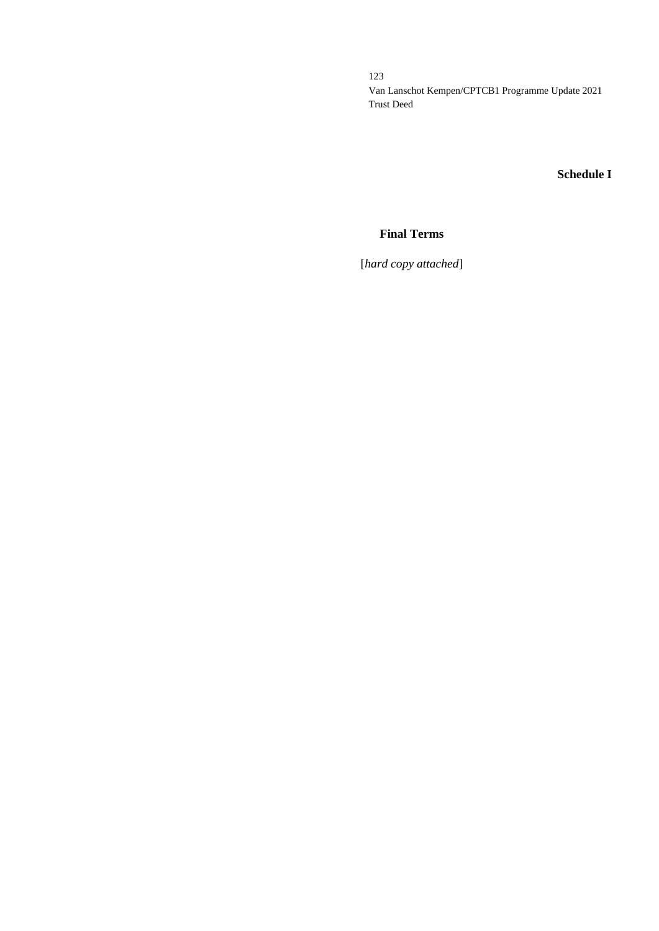# **Schedule I**

## **Final Terms**

[*hard copy attached*]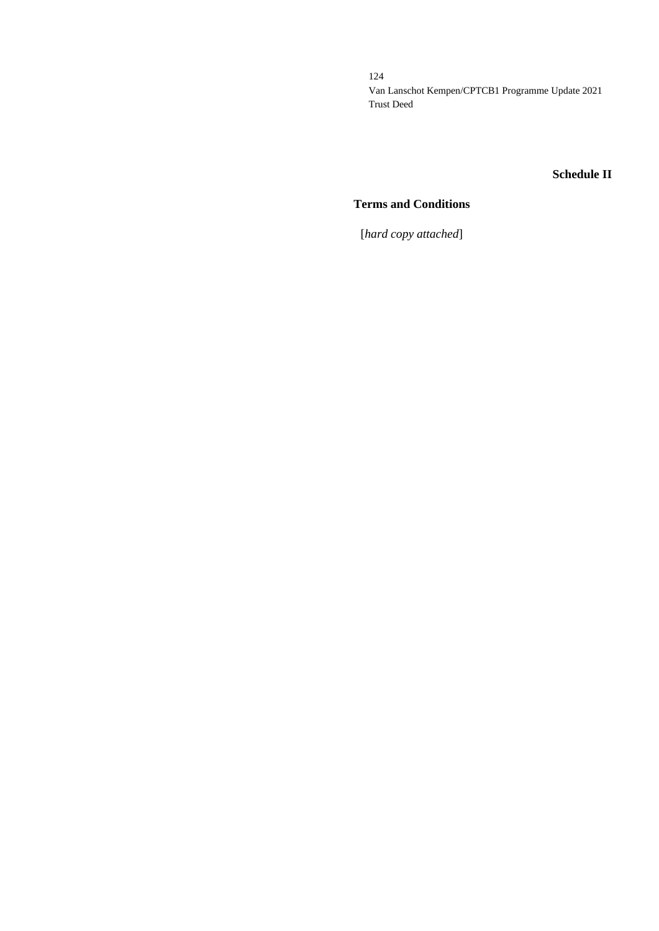### **Schedule II**

## **Terms and Conditions**

[*hard copy attached*]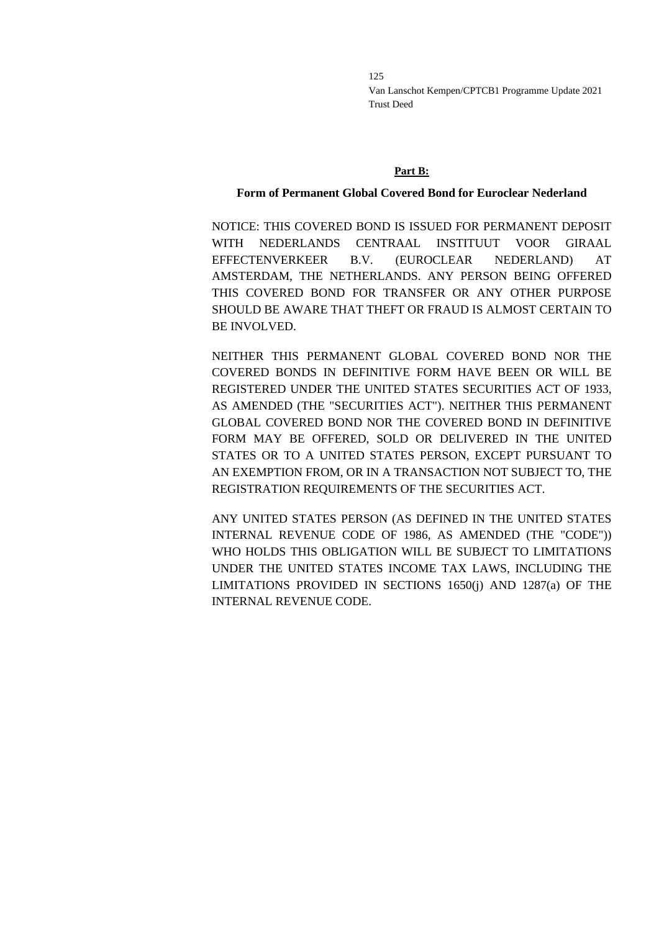#### **Part B:**

#### **Form of Permanent Global Covered Bond for Euroclear Nederland**

NOTICE: THIS COVERED BOND IS ISSUED FOR PERMANENT DEPOSIT WITH NEDERLANDS CENTRAAL INSTITUUT VOOR GIRAAL EFFECTENVERKEER B.V. (EUROCLEAR NEDERLAND) AT AMSTERDAM, THE NETHERLANDS. ANY PERSON BEING OFFERED THIS COVERED BOND FOR TRANSFER OR ANY OTHER PURPOSE SHOULD BE AWARE THAT THEFT OR FRAUD IS ALMOST CERTAIN TO BE INVOLVED.

NEITHER THIS PERMANENT GLOBAL COVERED BOND NOR THE COVERED BONDS IN DEFINITIVE FORM HAVE BEEN OR WILL BE REGISTERED UNDER THE UNITED STATES SECURITIES ACT OF 1933, AS AMENDED (THE "SECURITIES ACT"). NEITHER THIS PERMANENT GLOBAL COVERED BOND NOR THE COVERED BOND IN DEFINITIVE FORM MAY BE OFFERED, SOLD OR DELIVERED IN THE UNITED STATES OR TO A UNITED STATES PERSON, EXCEPT PURSUANT TO AN EXEMPTION FROM, OR IN A TRANSACTION NOT SUBJECT TO, THE REGISTRATION REQUIREMENTS OF THE SECURITIES ACT.

ANY UNITED STATES PERSON (AS DEFINED IN THE UNITED STATES INTERNAL REVENUE CODE OF 1986, AS AMENDED (THE "CODE")) WHO HOLDS THIS OBLIGATION WILL BE SUBJECT TO LIMITATIONS UNDER THE UNITED STATES INCOME TAX LAWS, INCLUDING THE LIMITATIONS PROVIDED IN SECTIONS 1650(j) AND 1287(a) OF THE INTERNAL REVENUE CODE.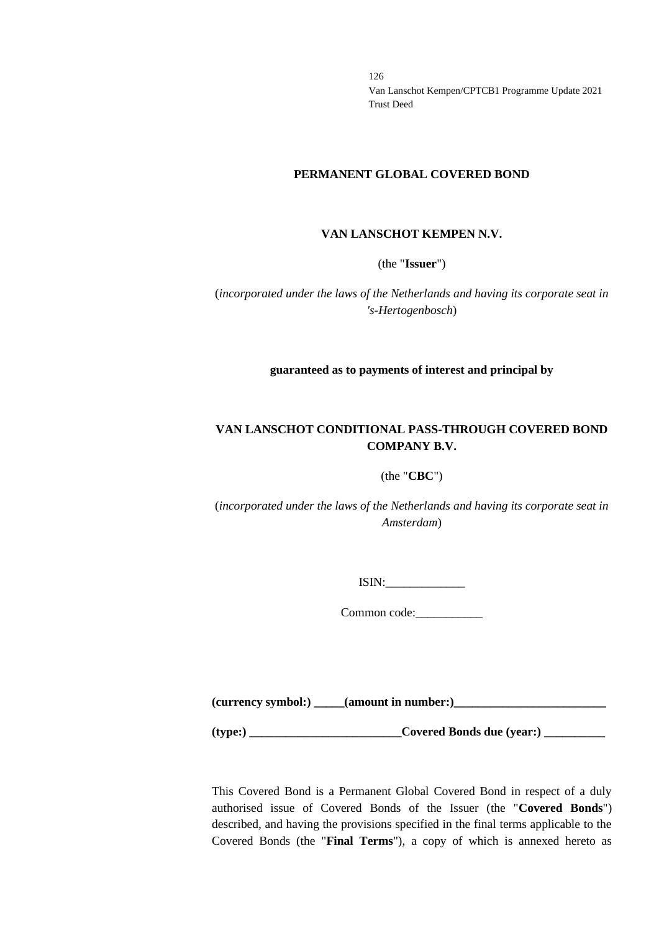#### **PERMANENT GLOBAL COVERED BOND**

#### **VAN LANSCHOT KEMPEN N.V.**

(the "**Issuer**")

(*incorporated under the laws of the Netherlands and having its corporate seat in 's-Hertogenbosch*)

**guaranteed as to payments of interest and principal by**

## **VAN LANSCHOT CONDITIONAL PASS-THROUGH COVERED BOND COMPANY B.V.**

### (the "**CBC**")

(*incorporated under the laws of the Netherlands and having its corporate seat in Amsterdam*)

ISIN:\_\_\_\_\_\_\_\_\_\_\_\_\_

Common code:

**(currency symbol:) \_\_\_\_\_(amount in number:)\_\_\_\_\_\_\_\_\_\_\_\_\_\_\_\_\_\_\_\_\_\_\_\_\_**

**(type:) \_\_\_\_\_\_\_\_\_\_\_\_\_\_\_\_\_\_\_\_\_\_\_\_\_Covered Bonds due (year:) \_\_\_\_\_\_\_\_\_\_**

This Covered Bond is a Permanent Global Covered Bond in respect of a duly authorised issue of Covered Bonds of the Issuer (the "**Covered Bonds**") described, and having the provisions specified in the final terms applicable to the Covered Bonds (the "**Final Terms**"), a copy of which is annexed hereto as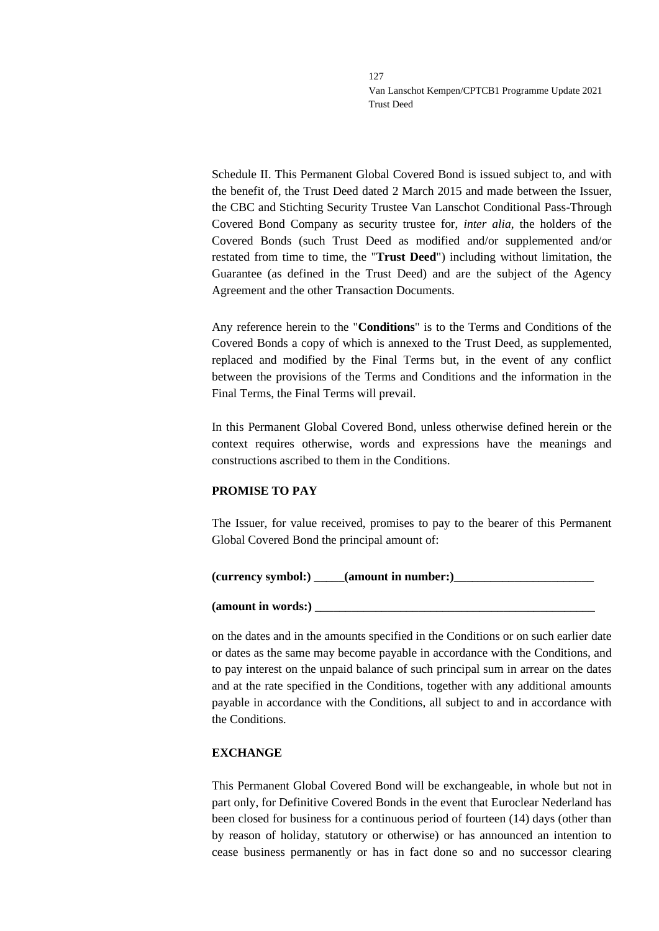Schedule II. This Permanent Global Covered Bond is issued subject to, and with the benefit of, the Trust Deed dated 2 March 2015 and made between the Issuer, the CBC and Stichting Security Trustee Van Lanschot Conditional Pass-Through Covered Bond Company as security trustee for, *inter alia*, the holders of the Covered Bonds (such Trust Deed as modified and/or supplemented and/or restated from time to time, the "**Trust Deed**") including without limitation, the Guarantee (as defined in the Trust Deed) and are the subject of the Agency Agreement and the other Transaction Documents.

Any reference herein to the "**Conditions**" is to the Terms and Conditions of the Covered Bonds a copy of which is annexed to the Trust Deed, as supplemented, replaced and modified by the Final Terms but, in the event of any conflict between the provisions of the Terms and Conditions and the information in the Final Terms, the Final Terms will prevail.

In this Permanent Global Covered Bond, unless otherwise defined herein or the context requires otherwise, words and expressions have the meanings and constructions ascribed to them in the Conditions.

### **PROMISE TO PAY**

The Issuer, for value received, promises to pay to the bearer of this Permanent Global Covered Bond the principal amount of:

### (currency symbol:) **a** (amount in number:)

#### **(amount in words:) \_\_\_\_\_\_\_\_\_\_\_\_\_\_\_\_\_\_\_\_\_\_\_\_\_\_\_\_\_\_\_\_\_\_\_\_\_\_\_\_\_\_\_\_\_\_**

on the dates and in the amounts specified in the Conditions or on such earlier date or dates as the same may become payable in accordance with the Conditions, and to pay interest on the unpaid balance of such principal sum in arrear on the dates and at the rate specified in the Conditions, together with any additional amounts payable in accordance with the Conditions, all subject to and in accordance with the Conditions.

### **EXCHANGE**

This Permanent Global Covered Bond will be exchangeable, in whole but not in part only, for Definitive Covered Bonds in the event that Euroclear Nederland has been closed for business for a continuous period of fourteen (14) days (other than by reason of holiday, statutory or otherwise) or has announced an intention to cease business permanently or has in fact done so and no successor clearing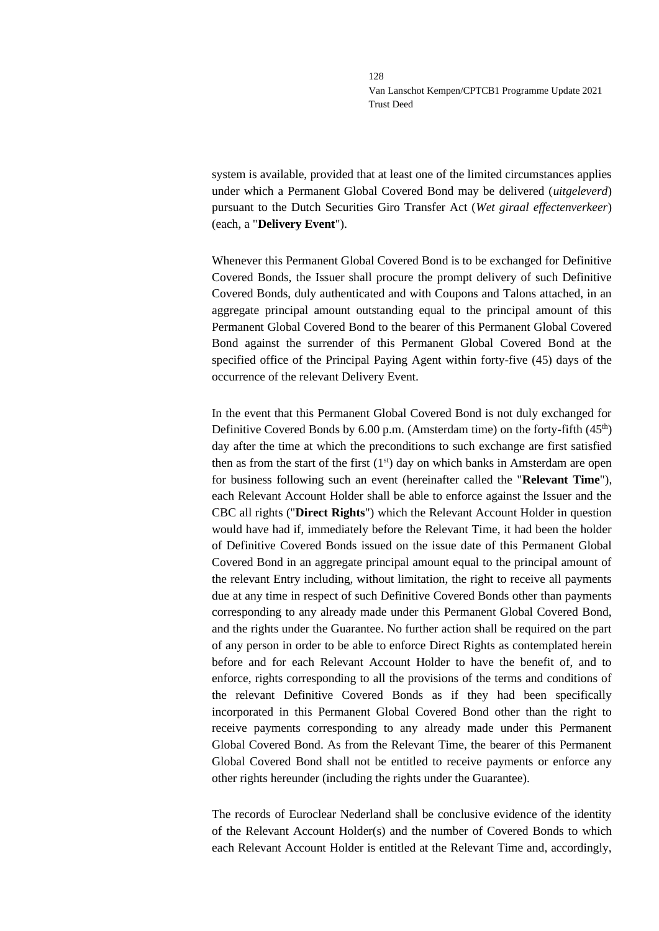system is available, provided that at least one of the limited circumstances applies under which a Permanent Global Covered Bond may be delivered (*uitgeleverd*) pursuant to the Dutch Securities Giro Transfer Act (*Wet giraal effectenverkeer*) (each, a "**Delivery Event**").

Whenever this Permanent Global Covered Bond is to be exchanged for Definitive Covered Bonds, the Issuer shall procure the prompt delivery of such Definitive Covered Bonds, duly authenticated and with Coupons and Talons attached, in an aggregate principal amount outstanding equal to the principal amount of this Permanent Global Covered Bond to the bearer of this Permanent Global Covered Bond against the surrender of this Permanent Global Covered Bond at the specified office of the Principal Paying Agent within forty-five (45) days of the occurrence of the relevant Delivery Event.

In the event that this Permanent Global Covered Bond is not duly exchanged for Definitive Covered Bonds by  $6.00$  p.m. (Amsterdam time) on the forty-fifth  $(45<sup>th</sup>)$ day after the time at which the preconditions to such exchange are first satisfied then as from the start of the first  $(1<sup>st</sup>)$  day on which banks in Amsterdam are open for business following such an event (hereinafter called the "**Relevant Time**"), each Relevant Account Holder shall be able to enforce against the Issuer and the CBC all rights ("**Direct Rights**") which the Relevant Account Holder in question would have had if, immediately before the Relevant Time, it had been the holder of Definitive Covered Bonds issued on the issue date of this Permanent Global Covered Bond in an aggregate principal amount equal to the principal amount of the relevant Entry including, without limitation, the right to receive all payments due at any time in respect of such Definitive Covered Bonds other than payments corresponding to any already made under this Permanent Global Covered Bond, and the rights under the Guarantee. No further action shall be required on the part of any person in order to be able to enforce Direct Rights as contemplated herein before and for each Relevant Account Holder to have the benefit of, and to enforce, rights corresponding to all the provisions of the terms and conditions of the relevant Definitive Covered Bonds as if they had been specifically incorporated in this Permanent Global Covered Bond other than the right to receive payments corresponding to any already made under this Permanent Global Covered Bond. As from the Relevant Time, the bearer of this Permanent Global Covered Bond shall not be entitled to receive payments or enforce any other rights hereunder (including the rights under the Guarantee).

The records of Euroclear Nederland shall be conclusive evidence of the identity of the Relevant Account Holder(s) and the number of Covered Bonds to which each Relevant Account Holder is entitled at the Relevant Time and, accordingly,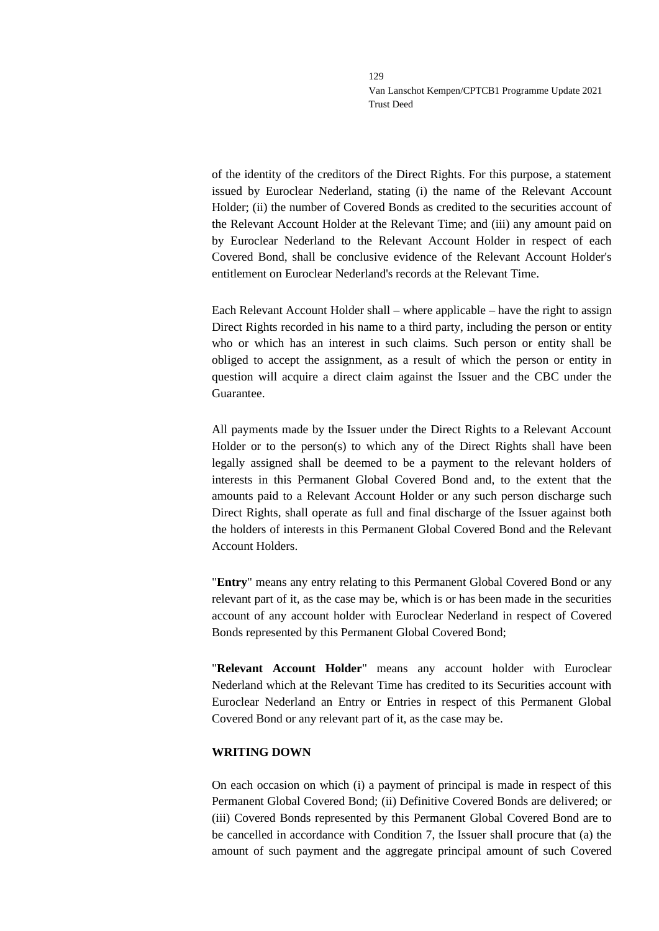of the identity of the creditors of the Direct Rights. For this purpose, a statement issued by Euroclear Nederland, stating (i) the name of the Relevant Account Holder; (ii) the number of Covered Bonds as credited to the securities account of the Relevant Account Holder at the Relevant Time; and (iii) any amount paid on by Euroclear Nederland to the Relevant Account Holder in respect of each Covered Bond, shall be conclusive evidence of the Relevant Account Holder's entitlement on Euroclear Nederland's records at the Relevant Time.

Each Relevant Account Holder shall – where applicable – have the right to assign Direct Rights recorded in his name to a third party, including the person or entity who or which has an interest in such claims. Such person or entity shall be obliged to accept the assignment, as a result of which the person or entity in question will acquire a direct claim against the Issuer and the CBC under the Guarantee.

All payments made by the Issuer under the Direct Rights to a Relevant Account Holder or to the person(s) to which any of the Direct Rights shall have been legally assigned shall be deemed to be a payment to the relevant holders of interests in this Permanent Global Covered Bond and, to the extent that the amounts paid to a Relevant Account Holder or any such person discharge such Direct Rights, shall operate as full and final discharge of the Issuer against both the holders of interests in this Permanent Global Covered Bond and the Relevant Account Holders.

"**Entry**" means any entry relating to this Permanent Global Covered Bond or any relevant part of it, as the case may be, which is or has been made in the securities account of any account holder with Euroclear Nederland in respect of Covered Bonds represented by this Permanent Global Covered Bond;

"**Relevant Account Holder**" means any account holder with Euroclear Nederland which at the Relevant Time has credited to its Securities account with Euroclear Nederland an Entry or Entries in respect of this Permanent Global Covered Bond or any relevant part of it, as the case may be.

#### **WRITING DOWN**

On each occasion on which (i) a payment of principal is made in respect of this Permanent Global Covered Bond; (ii) Definitive Covered Bonds are delivered; or (iii) Covered Bonds represented by this Permanent Global Covered Bond are to be cancelled in accordance with Condition 7, the Issuer shall procure that (a) the amount of such payment and the aggregate principal amount of such Covered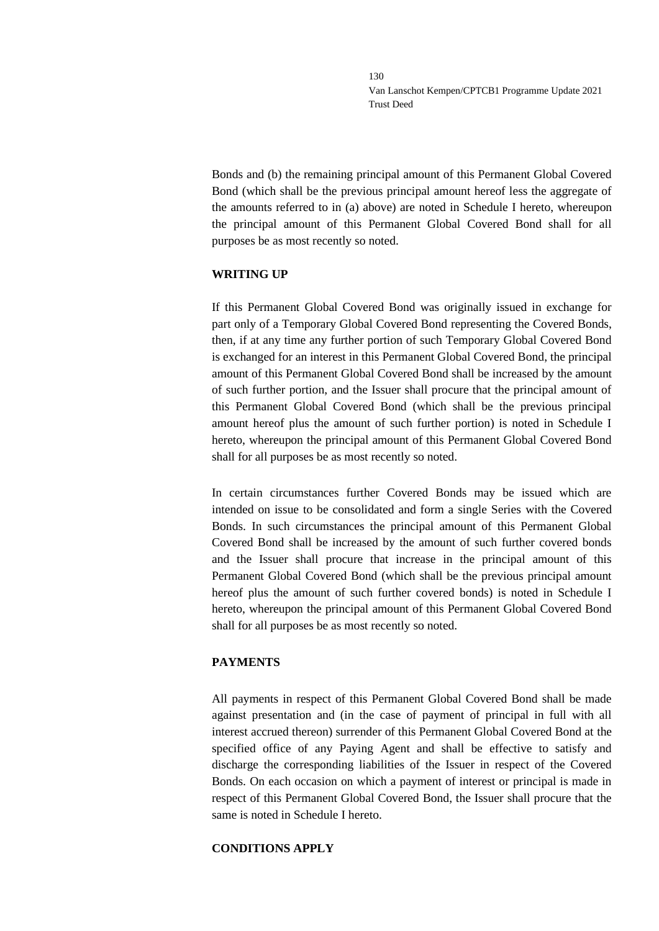Bonds and (b) the remaining principal amount of this Permanent Global Covered Bond (which shall be the previous principal amount hereof less the aggregate of the amounts referred to in (a) above) are noted in Schedule I hereto, whereupon the principal amount of this Permanent Global Covered Bond shall for all purposes be as most recently so noted.

### **WRITING UP**

If this Permanent Global Covered Bond was originally issued in exchange for part only of a Temporary Global Covered Bond representing the Covered Bonds, then, if at any time any further portion of such Temporary Global Covered Bond is exchanged for an interest in this Permanent Global Covered Bond, the principal amount of this Permanent Global Covered Bond shall be increased by the amount of such further portion, and the Issuer shall procure that the principal amount of this Permanent Global Covered Bond (which shall be the previous principal amount hereof plus the amount of such further portion) is noted in Schedule I hereto, whereupon the principal amount of this Permanent Global Covered Bond shall for all purposes be as most recently so noted.

In certain circumstances further Covered Bonds may be issued which are intended on issue to be consolidated and form a single Series with the Covered Bonds. In such circumstances the principal amount of this Permanent Global Covered Bond shall be increased by the amount of such further covered bonds and the Issuer shall procure that increase in the principal amount of this Permanent Global Covered Bond (which shall be the previous principal amount hereof plus the amount of such further covered bonds) is noted in Schedule I hereto, whereupon the principal amount of this Permanent Global Covered Bond shall for all purposes be as most recently so noted.

### **PAYMENTS**

All payments in respect of this Permanent Global Covered Bond shall be made against presentation and (in the case of payment of principal in full with all interest accrued thereon) surrender of this Permanent Global Covered Bond at the specified office of any Paying Agent and shall be effective to satisfy and discharge the corresponding liabilities of the Issuer in respect of the Covered Bonds. On each occasion on which a payment of interest or principal is made in respect of this Permanent Global Covered Bond, the Issuer shall procure that the same is noted in Schedule I hereto.

### **CONDITIONS APPLY**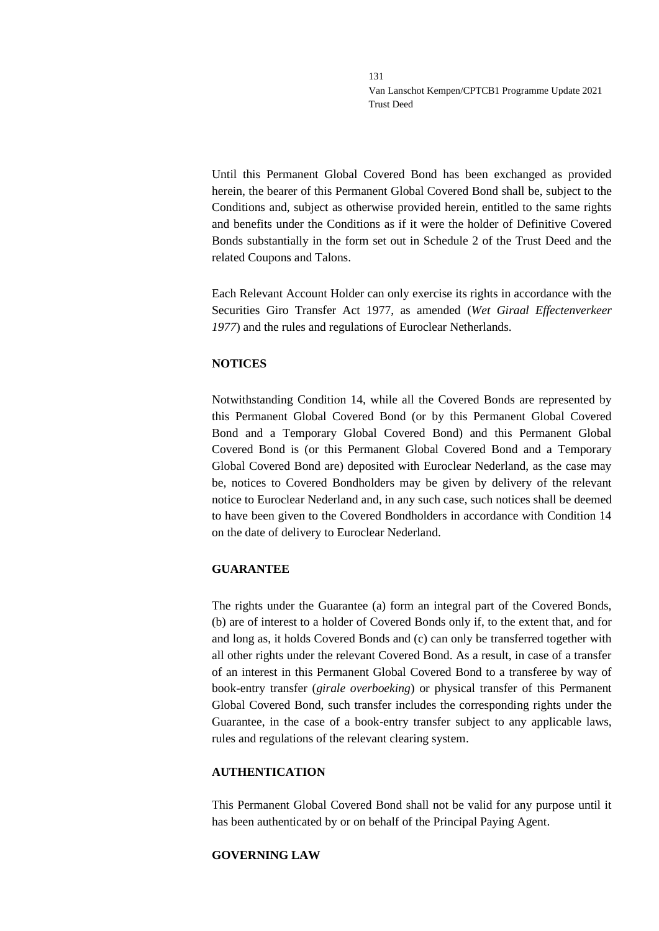Until this Permanent Global Covered Bond has been exchanged as provided herein, the bearer of this Permanent Global Covered Bond shall be, subject to the Conditions and, subject as otherwise provided herein, entitled to the same rights and benefits under the Conditions as if it were the holder of Definitive Covered Bonds substantially in the form set out in Schedule 2 of the Trust Deed and the related Coupons and Talons.

Each Relevant Account Holder can only exercise its rights in accordance with the Securities Giro Transfer Act 1977, as amended (*Wet Giraal Effectenverkeer 1977*) and the rules and regulations of Euroclear Netherlands.

### **NOTICES**

Notwithstanding Condition 14, while all the Covered Bonds are represented by this Permanent Global Covered Bond (or by this Permanent Global Covered Bond and a Temporary Global Covered Bond) and this Permanent Global Covered Bond is (or this Permanent Global Covered Bond and a Temporary Global Covered Bond are) deposited with Euroclear Nederland, as the case may be, notices to Covered Bondholders may be given by delivery of the relevant notice to Euroclear Nederland and, in any such case, such notices shall be deemed to have been given to the Covered Bondholders in accordance with Condition 14 on the date of delivery to Euroclear Nederland.

### **GUARANTEE**

The rights under the Guarantee (a) form an integral part of the Covered Bonds, (b) are of interest to a holder of Covered Bonds only if, to the extent that, and for and long as, it holds Covered Bonds and (c) can only be transferred together with all other rights under the relevant Covered Bond. As a result, in case of a transfer of an interest in this Permanent Global Covered Bond to a transferee by way of book-entry transfer (*girale overboeking*) or physical transfer of this Permanent Global Covered Bond, such transfer includes the corresponding rights under the Guarantee, in the case of a book-entry transfer subject to any applicable laws, rules and regulations of the relevant clearing system.

### **AUTHENTICATION**

This Permanent Global Covered Bond shall not be valid for any purpose until it has been authenticated by or on behalf of the Principal Paying Agent.

### **GOVERNING LAW**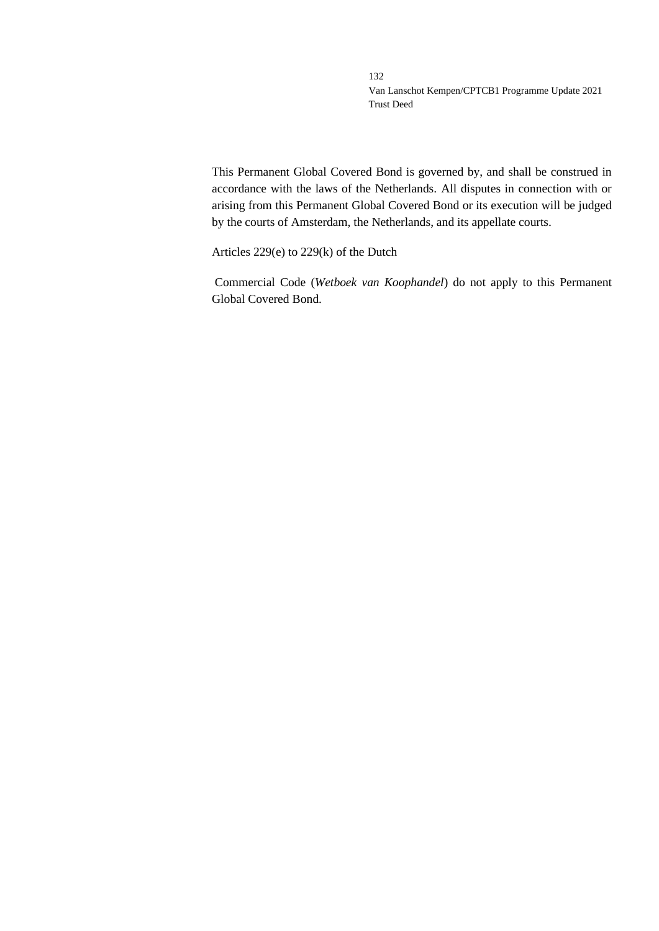This Permanent Global Covered Bond is governed by, and shall be construed in accordance with the laws of the Netherlands. All disputes in connection with or arising from this Permanent Global Covered Bond or its execution will be judged by the courts of Amsterdam, the Netherlands, and its appellate courts.

Articles 229(e) to 229(k) of the Dutch

Commercial Code (*Wetboek van Koophandel*) do not apply to this Permanent Global Covered Bond.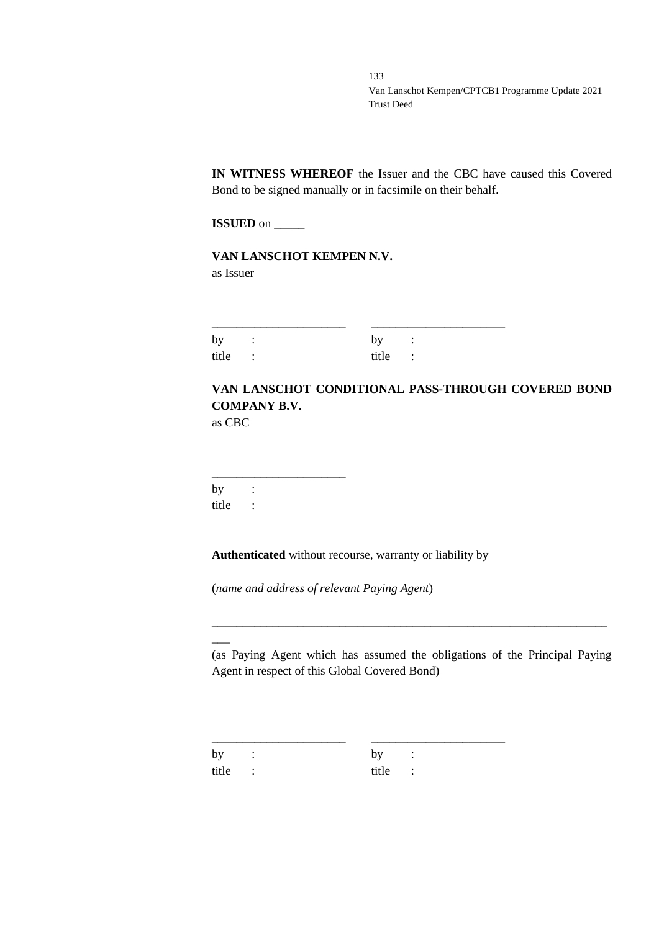**IN WITNESS WHEREOF** the Issuer and the CBC have caused this Covered Bond to be signed manually or in facsimile on their behalf.

**ISSUED** on \_\_\_\_\_

**VAN LANSCHOT KEMPEN N.V.** as Issuer

| by :    | by :    |  |
|---------|---------|--|
| title : | title : |  |

# **VAN LANSCHOT CONDITIONAL PASS-THROUGH COVERED BOND COMPANY B.V.**

as CBC

\_\_\_\_\_\_\_\_\_\_\_\_\_\_\_\_\_\_\_\_\_\_ by : title :

**Authenticated** without recourse, warranty or liability by

(*name and address of relevant Paying Agent*)

(as Paying Agent which has assumed the obligations of the Principal Paying Agent in respect of this Global Covered Bond)

\_\_\_\_\_\_\_\_\_\_\_\_\_\_\_\_\_\_\_\_\_\_\_\_\_\_\_\_\_\_\_\_\_\_\_\_\_\_\_\_\_\_\_\_\_\_\_\_\_\_\_\_\_\_\_\_\_\_\_\_\_\_\_\_\_

by : by : title : title :

 $\overline{\phantom{a}}$ 

\_\_\_\_\_\_\_\_\_\_\_\_\_\_\_\_\_\_\_\_\_\_ \_\_\_\_\_\_\_\_\_\_\_\_\_\_\_\_\_\_\_\_\_\_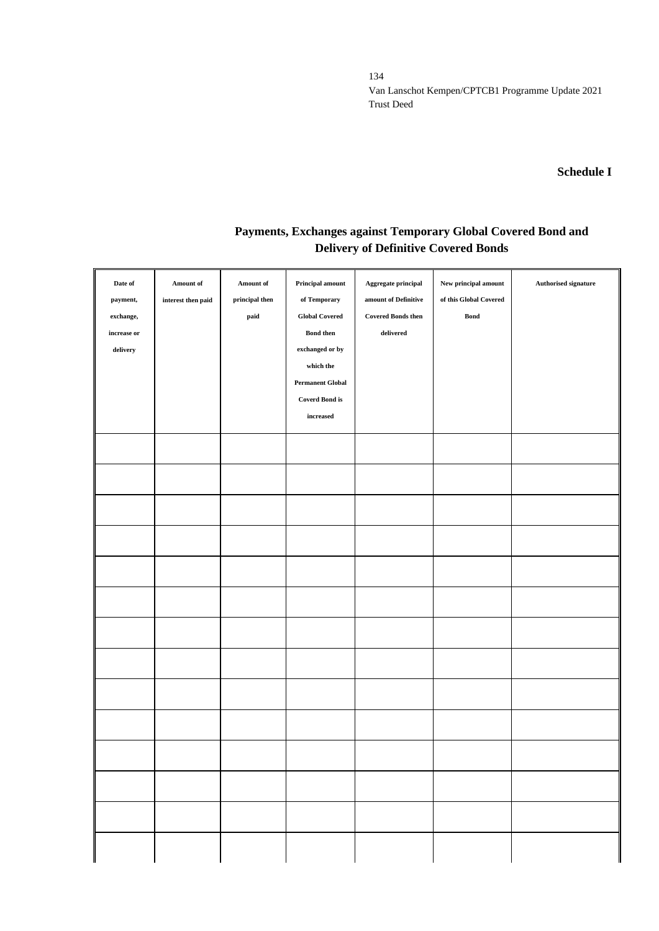### **Schedule I**

# **Payments, Exchanges against Temporary Global Covered Bond and Delivery of Definitive Covered Bonds**

| Date of<br>payment,<br>exchange,<br>increase or<br>${\bf delivery}$ | Amount of<br>interest then paid | Amount of<br>principal then<br>$\mathbf{paid}$ | Principal amount<br>of Temporary<br><b>Global Covered</b><br><b>Bond then</b><br>exchanged or by<br>which the<br><b>Permanent Global</b><br><b>Coverd Bond is</b><br>increased | $\label{eq:aggegate} \textbf{Aggregate principal}$<br>amount of Definitive<br><b>Covered Bonds then</b><br>delivered | ${\hbox{New principal amount}}$<br>of this Global Covered<br><b>Bond</b> | Authorised signature |
|---------------------------------------------------------------------|---------------------------------|------------------------------------------------|--------------------------------------------------------------------------------------------------------------------------------------------------------------------------------|----------------------------------------------------------------------------------------------------------------------|--------------------------------------------------------------------------|----------------------|
|                                                                     |                                 |                                                |                                                                                                                                                                                |                                                                                                                      |                                                                          |                      |
|                                                                     |                                 |                                                |                                                                                                                                                                                |                                                                                                                      |                                                                          |                      |
|                                                                     |                                 |                                                |                                                                                                                                                                                |                                                                                                                      |                                                                          |                      |
|                                                                     |                                 |                                                |                                                                                                                                                                                |                                                                                                                      |                                                                          |                      |
|                                                                     |                                 |                                                |                                                                                                                                                                                |                                                                                                                      |                                                                          |                      |
|                                                                     |                                 |                                                |                                                                                                                                                                                |                                                                                                                      |                                                                          |                      |
|                                                                     |                                 |                                                |                                                                                                                                                                                |                                                                                                                      |                                                                          |                      |
|                                                                     |                                 |                                                |                                                                                                                                                                                |                                                                                                                      |                                                                          |                      |
|                                                                     |                                 |                                                |                                                                                                                                                                                |                                                                                                                      |                                                                          |                      |
|                                                                     |                                 |                                                |                                                                                                                                                                                |                                                                                                                      |                                                                          |                      |
|                                                                     |                                 |                                                |                                                                                                                                                                                |                                                                                                                      |                                                                          |                      |
|                                                                     |                                 |                                                |                                                                                                                                                                                |                                                                                                                      |                                                                          |                      |
|                                                                     |                                 |                                                |                                                                                                                                                                                |                                                                                                                      |                                                                          |                      |
|                                                                     |                                 |                                                |                                                                                                                                                                                |                                                                                                                      |                                                                          |                      |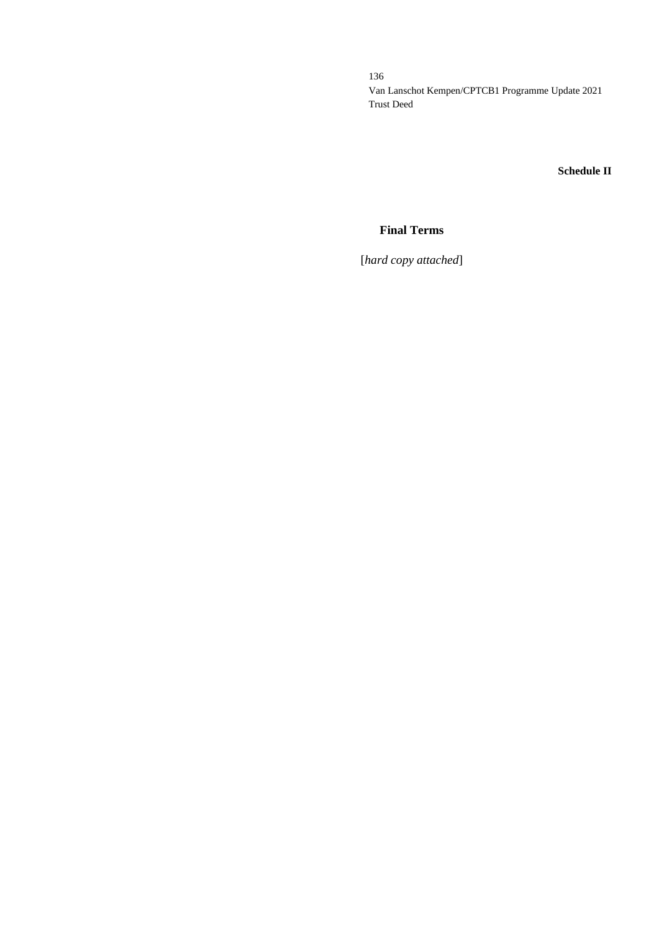**Schedule II**

## **Final Terms**

[*hard copy attached*]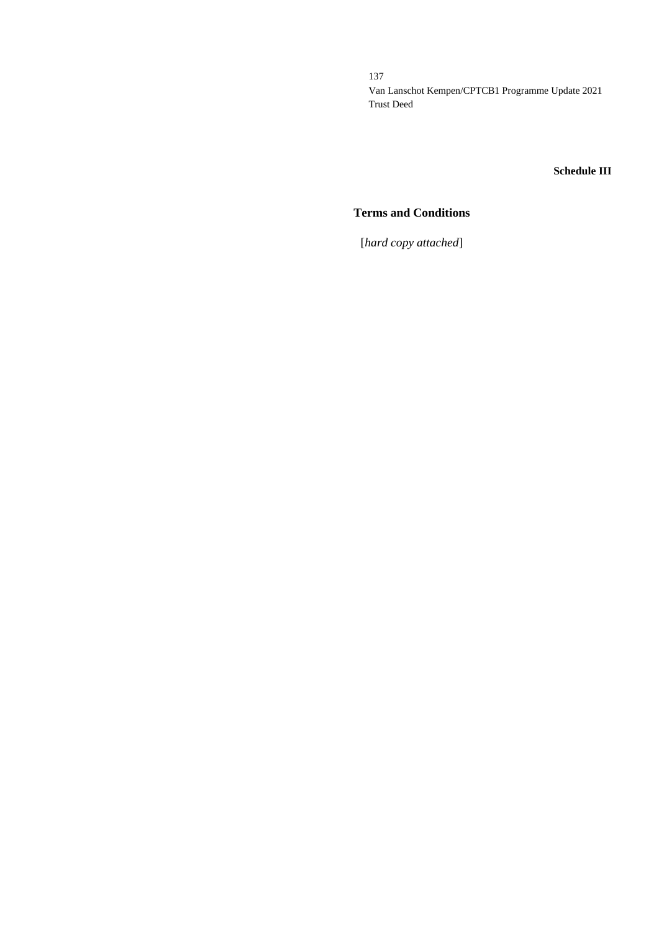#### **Schedule III**

### **Terms and Conditions**

[*hard copy attached*]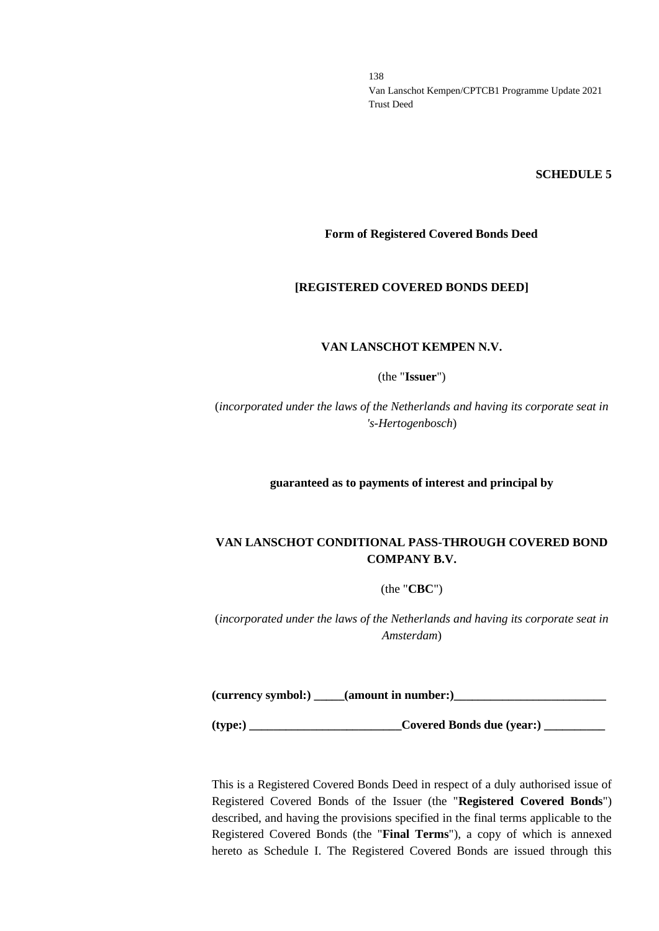#### **SCHEDULE 5**

#### **Form of Registered Covered Bonds Deed**

#### **[REGISTERED COVERED BONDS DEED]**

#### **VAN LANSCHOT KEMPEN N.V.**

(the "**Issuer**")

(*incorporated under the laws of the Netherlands and having its corporate seat in 's-Hertogenbosch*)

**guaranteed as to payments of interest and principal by**

### **VAN LANSCHOT CONDITIONAL PASS-THROUGH COVERED BOND COMPANY B.V.**

(the "**CBC**")

(*incorporated under the laws of the Netherlands and having its corporate seat in Amsterdam*)

**(currency symbol:) \_\_\_\_\_(amount in number:)\_\_\_\_\_\_\_\_\_\_\_\_\_\_\_\_\_\_\_\_\_\_\_\_\_**

**(type:) \_\_\_\_\_\_\_\_\_\_\_\_\_\_\_\_\_\_\_\_\_\_\_\_\_Covered Bonds due (year:) \_\_\_\_\_\_\_\_\_\_**

This is a Registered Covered Bonds Deed in respect of a duly authorised issue of Registered Covered Bonds of the Issuer (the "**Registered Covered Bonds**") described, and having the provisions specified in the final terms applicable to the Registered Covered Bonds (the "**Final Terms**"), a copy of which is annexed hereto as Schedule I. The Registered Covered Bonds are issued through this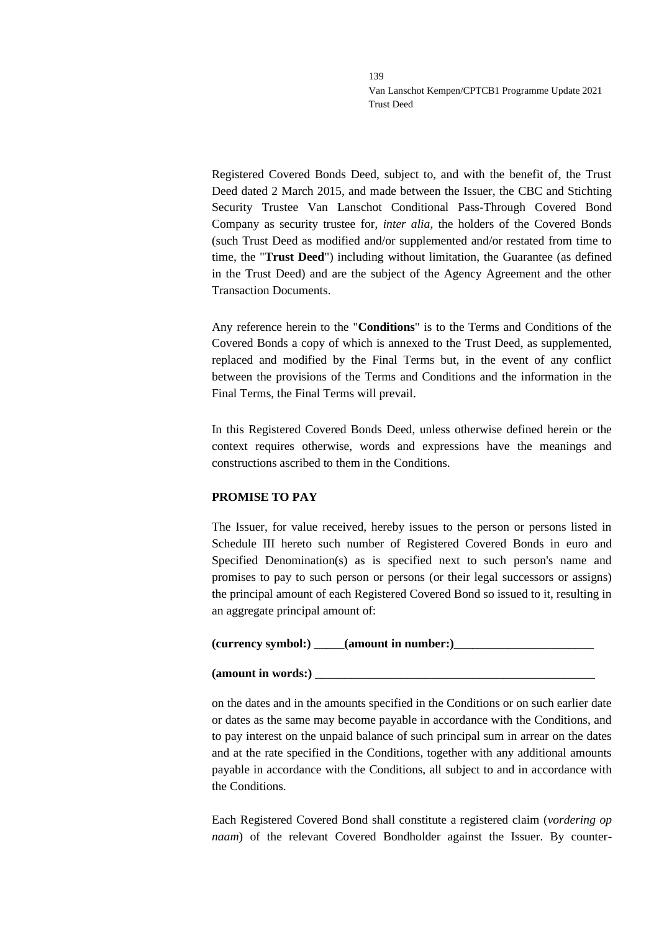Registered Covered Bonds Deed, subject to, and with the benefit of, the Trust Deed dated 2 March 2015, and made between the Issuer, the CBC and Stichting Security Trustee Van Lanschot Conditional Pass-Through Covered Bond Company as security trustee for, *inter alia*, the holders of the Covered Bonds (such Trust Deed as modified and/or supplemented and/or restated from time to time, the "**Trust Deed**") including without limitation, the Guarantee (as defined in the Trust Deed) and are the subject of the Agency Agreement and the other Transaction Documents.

Any reference herein to the "**Conditions**" is to the Terms and Conditions of the Covered Bonds a copy of which is annexed to the Trust Deed, as supplemented, replaced and modified by the Final Terms but, in the event of any conflict between the provisions of the Terms and Conditions and the information in the Final Terms, the Final Terms will prevail.

In this Registered Covered Bonds Deed, unless otherwise defined herein or the context requires otherwise, words and expressions have the meanings and constructions ascribed to them in the Conditions.

### **PROMISE TO PAY**

The Issuer, for value received, hereby issues to the person or persons listed in Schedule III hereto such number of Registered Covered Bonds in euro and Specified Denomination(s) as is specified next to such person's name and promises to pay to such person or persons (or their legal successors or assigns) the principal amount of each Registered Covered Bond so issued to it, resulting in an aggregate principal amount of:

| (currency symbol:) | (amount in number:) |  |
|--------------------|---------------------|--|
|--------------------|---------------------|--|

### **(amount in words:) \_\_\_\_\_\_\_\_\_\_\_\_\_\_\_\_\_\_\_\_\_\_\_\_\_\_\_\_\_\_\_\_\_\_\_\_\_\_\_\_\_\_\_\_\_\_**

on the dates and in the amounts specified in the Conditions or on such earlier date or dates as the same may become payable in accordance with the Conditions, and to pay interest on the unpaid balance of such principal sum in arrear on the dates and at the rate specified in the Conditions, together with any additional amounts payable in accordance with the Conditions, all subject to and in accordance with the Conditions.

Each Registered Covered Bond shall constitute a registered claim (*vordering op naam*) of the relevant Covered Bondholder against the Issuer. By counter-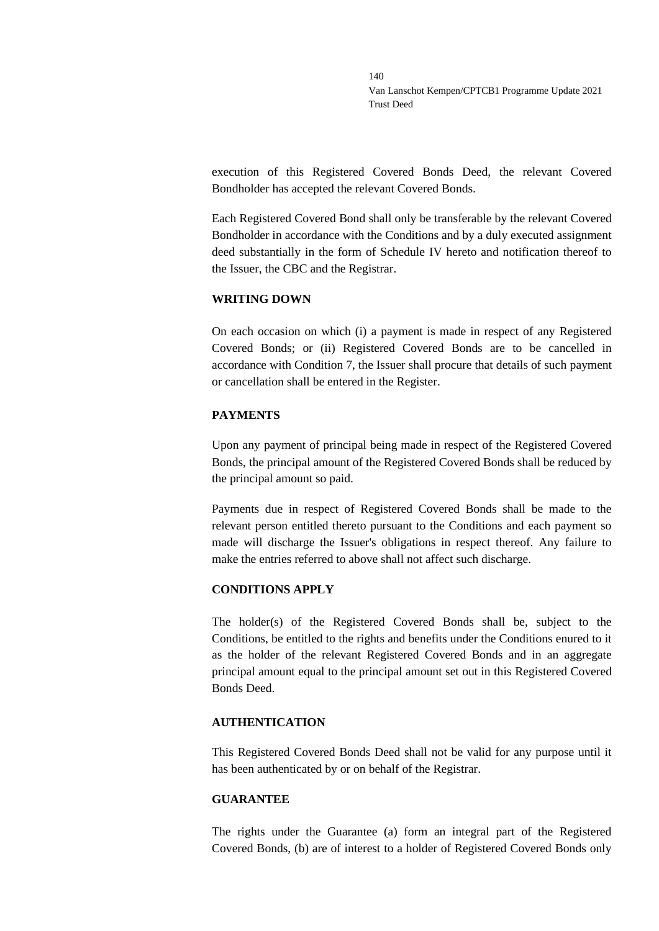execution of this Registered Covered Bonds Deed, the relevant Covered Bondholder has accepted the relevant Covered Bonds.

Each Registered Covered Bond shall only be transferable by the relevant Covered Bondholder in accordance with the Conditions and by a duly executed assignment deed substantially in the form of Schedule IV hereto and notification thereof to the Issuer, the CBC and the Registrar.

### **WRITING DOWN**

On each occasion on which (i) a payment is made in respect of any Registered Covered Bonds; or (ii) Registered Covered Bonds are to be cancelled in accordance with Condition 7, the Issuer shall procure that details of such payment or cancellation shall be entered in the Register.

### **PAYMENTS**

Upon any payment of principal being made in respect of the Registered Covered Bonds, the principal amount of the Registered Covered Bonds shall be reduced by the principal amount so paid.

Payments due in respect of Registered Covered Bonds shall be made to the relevant person entitled thereto pursuant to the Conditions and each payment so made will discharge the Issuer's obligations in respect thereof. Any failure to make the entries referred to above shall not affect such discharge.

### **CONDITIONS APPLY**

The holder(s) of the Registered Covered Bonds shall be, subject to the Conditions, be entitled to the rights and benefits under the Conditions enured to it as the holder of the relevant Registered Covered Bonds and in an aggregate principal amount equal to the principal amount set out in this Registered Covered Bonds Deed.

### **AUTHENTICATION**

This Registered Covered Bonds Deed shall not be valid for any purpose until it has been authenticated by or on behalf of the Registrar.

### **GUARANTEE**

The rights under the Guarantee (a) form an integral part of the Registered Covered Bonds, (b) are of interest to a holder of Registered Covered Bonds only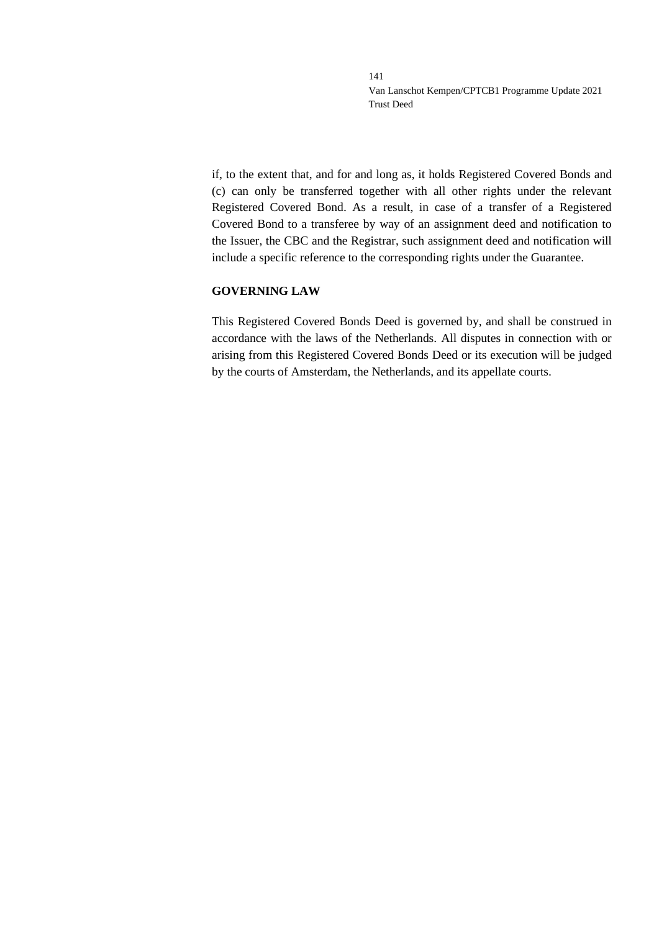if, to the extent that, and for and long as, it holds Registered Covered Bonds and (c) can only be transferred together with all other rights under the relevant Registered Covered Bond. As a result, in case of a transfer of a Registered Covered Bond to a transferee by way of an assignment deed and notification to the Issuer, the CBC and the Registrar, such assignment deed and notification will include a specific reference to the corresponding rights under the Guarantee.

### **GOVERNING LAW**

This Registered Covered Bonds Deed is governed by, and shall be construed in accordance with the laws of the Netherlands. All disputes in connection with or arising from this Registered Covered Bonds Deed or its execution will be judged by the courts of Amsterdam, the Netherlands, and its appellate courts.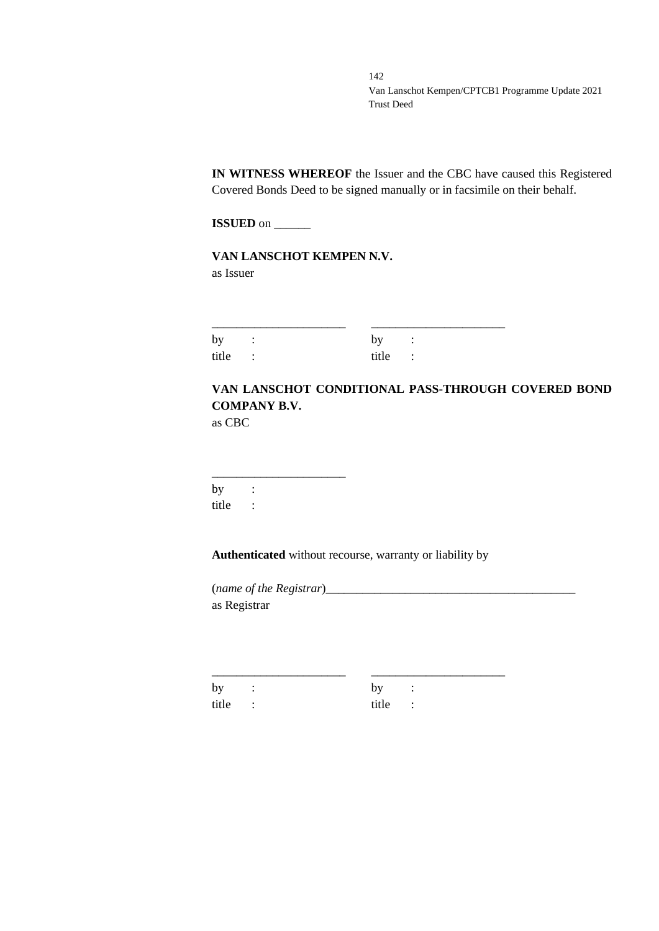**IN WITNESS WHEREOF** the Issuer and the CBC have caused this Registered Covered Bonds Deed to be signed manually or in facsimile on their behalf.

**ISSUED** on \_\_\_\_\_\_

**VAN LANSCHOT KEMPEN N.V.** as Issuer

| by :    | by:     |  |
|---------|---------|--|
| title : | title : |  |

# **VAN LANSCHOT CONDITIONAL PASS-THROUGH COVERED BOND COMPANY B.V.**

as CBC

\_\_\_\_\_\_\_\_\_\_\_\_\_\_\_\_\_\_\_\_\_\_  $by$  : title :

**Authenticated** without recourse, warranty or liability by

\_\_\_\_\_\_\_\_\_\_\_\_\_\_\_\_\_\_\_\_\_\_ \_\_\_\_\_\_\_\_\_\_\_\_\_\_\_\_\_\_\_\_\_\_

(*name of the Registrar*)\_\_\_\_\_\_\_\_\_\_\_\_\_\_\_\_\_\_\_\_\_\_\_\_\_\_\_\_\_\_\_\_\_\_\_\_\_\_\_\_\_ as Registrar

by : by : title : title :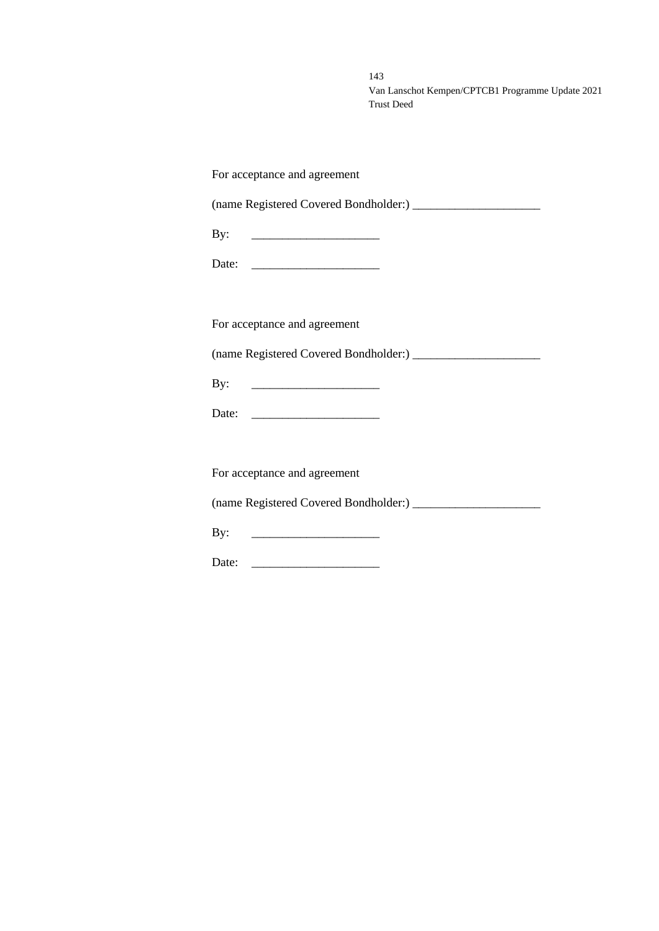| For acceptance and agreement |
|------------------------------|
|                              |
| By:                          |
|                              |
|                              |
| For acceptance and agreement |
|                              |
|                              |
|                              |
|                              |
| For acceptance and agreement |
|                              |
| By:                          |
| Date: $\qquad \qquad$        |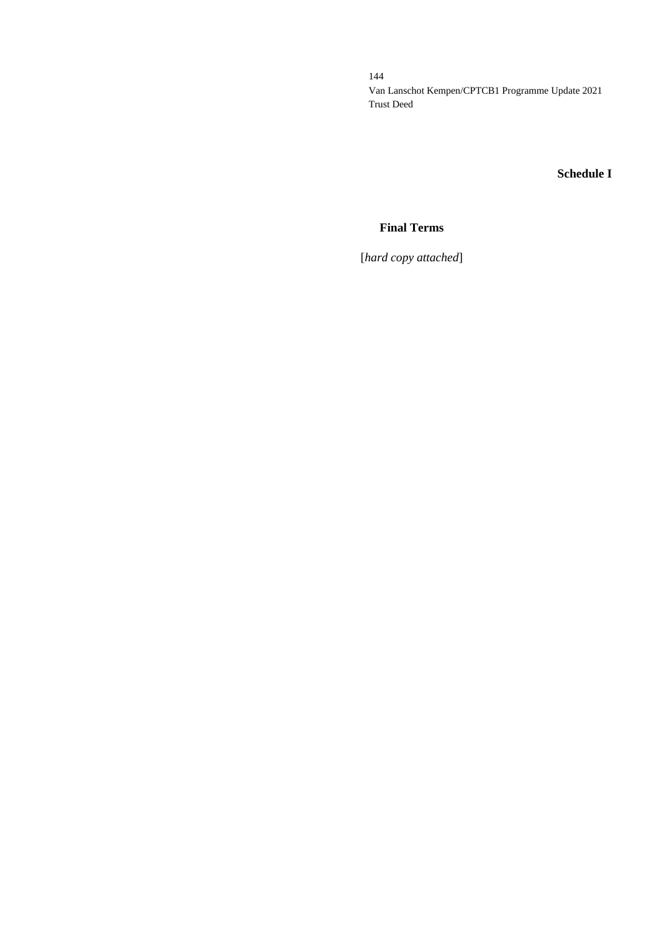## **Schedule I**

## **Final Terms**

[*hard copy attached*]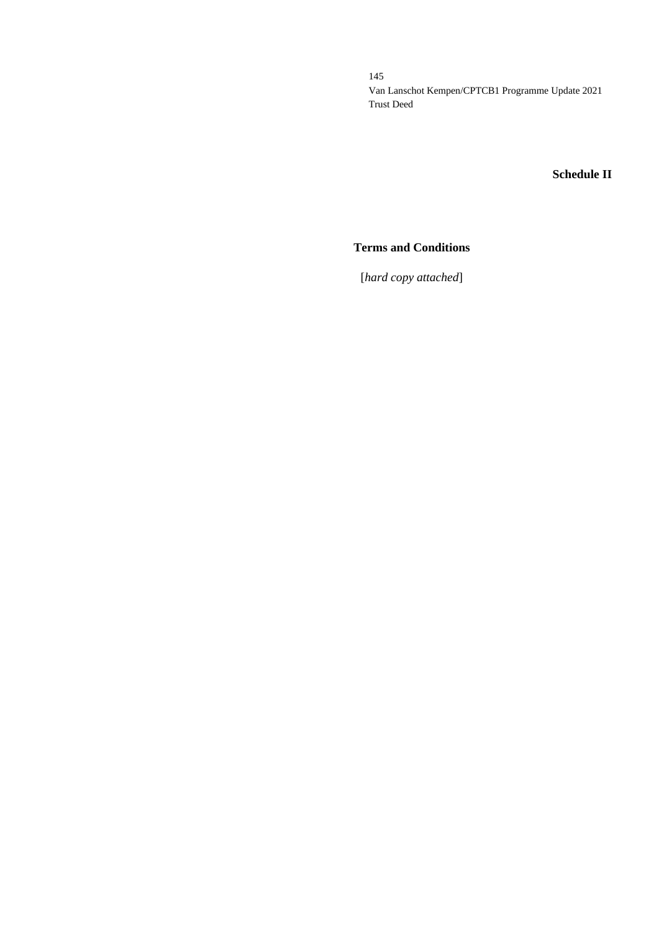## **Schedule II**

## **Terms and Conditions**

[*hard copy attached*]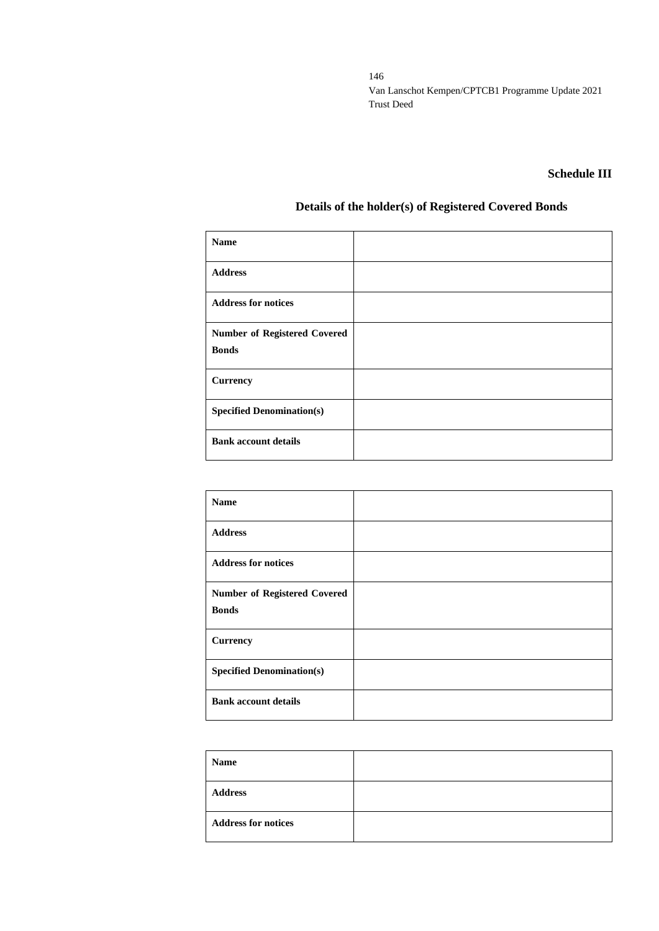### **Schedule III**

# **Details of the holder(s) of Registered Covered Bonds**

| <b>Name</b>                                         |  |
|-----------------------------------------------------|--|
| <b>Address</b>                                      |  |
| <b>Address for notices</b>                          |  |
| <b>Number of Registered Covered</b><br><b>Bonds</b> |  |
| <b>Currency</b>                                     |  |
| <b>Specified Denomination(s)</b>                    |  |
| <b>Bank account details</b>                         |  |

| <b>Name</b>                                         |  |
|-----------------------------------------------------|--|
| <b>Address</b>                                      |  |
| <b>Address for notices</b>                          |  |
| <b>Number of Registered Covered</b><br><b>Bonds</b> |  |
| <b>Currency</b>                                     |  |
| <b>Specified Denomination(s)</b>                    |  |
| <b>Bank account details</b>                         |  |

| <b>Name</b>                |  |
|----------------------------|--|
| <b>Address</b>             |  |
| <b>Address for notices</b> |  |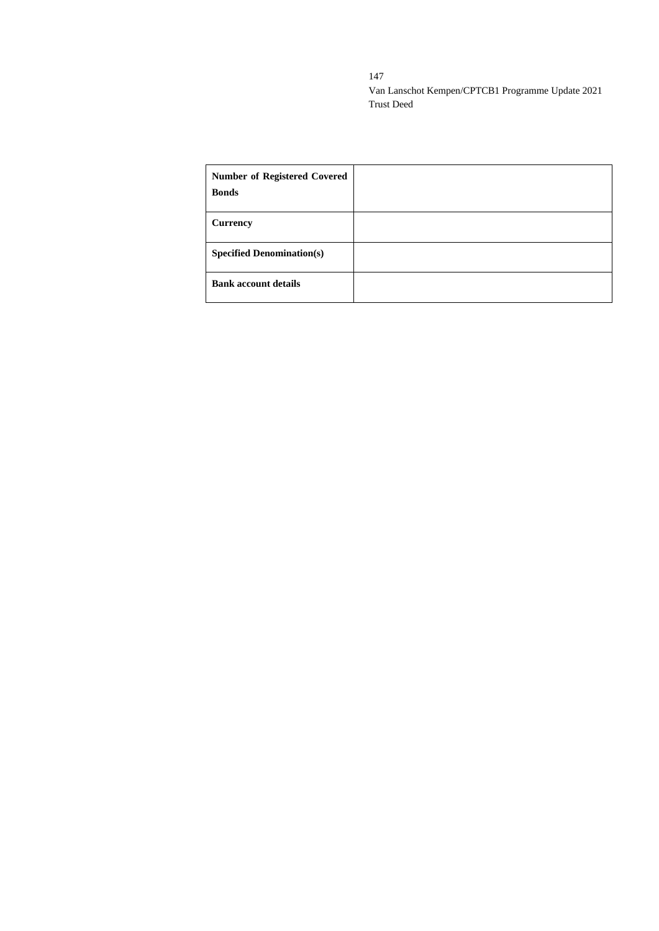| <b>Number of Registered Covered</b><br><b>Bonds</b> |  |
|-----------------------------------------------------|--|
| <b>Currency</b>                                     |  |
| <b>Specified Denomination(s)</b>                    |  |
| <b>Bank account details</b>                         |  |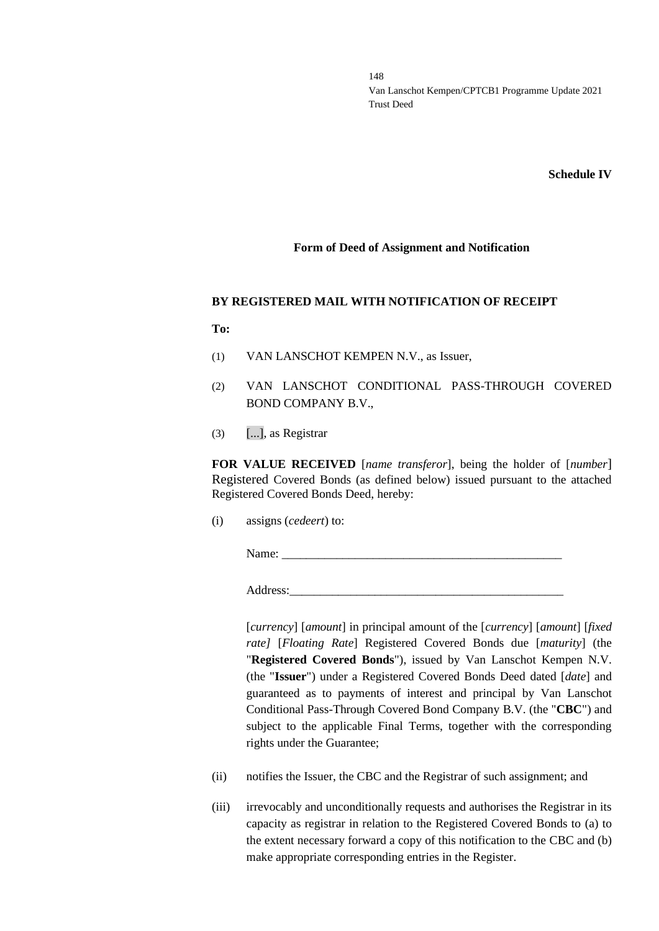**Schedule IV**

#### **Form of Deed of Assignment and Notification**

#### **BY REGISTERED MAIL WITH NOTIFICATION OF RECEIPT**

**To:**

- (1) VAN LANSCHOT KEMPEN N.V., as Issuer,
- (2) VAN LANSCHOT CONDITIONAL PASS-THROUGH COVERED BOND COMPANY B.V.,
- $(3)$  [...], as Registrar

**FOR VALUE RECEIVED** [*name transferor*], being the holder of [*number*] Registered Covered Bonds (as defined below) issued pursuant to the attached Registered Covered Bonds Deed, hereby:

(i) assigns (*cedeert*) to:

Name:

Address:

[*currency*] [*amount*] in principal amount of the [*currency*] [*amount*] [*fixed rate]* [*Floating Rate*] Registered Covered Bonds due [*maturity*] (the "**Registered Covered Bonds**"), issued by Van Lanschot Kempen N.V. (the "**Issuer**") under a Registered Covered Bonds Deed dated [*date*] and guaranteed as to payments of interest and principal by Van Lanschot Conditional Pass-Through Covered Bond Company B.V. (the "**CBC**") and subject to the applicable Final Terms, together with the corresponding rights under the Guarantee;

- (ii) notifies the Issuer, the CBC and the Registrar of such assignment; and
- (iii) irrevocably and unconditionally requests and authorises the Registrar in its capacity as registrar in relation to the Registered Covered Bonds to (a) to the extent necessary forward a copy of this notification to the CBC and (b) make appropriate corresponding entries in the Register.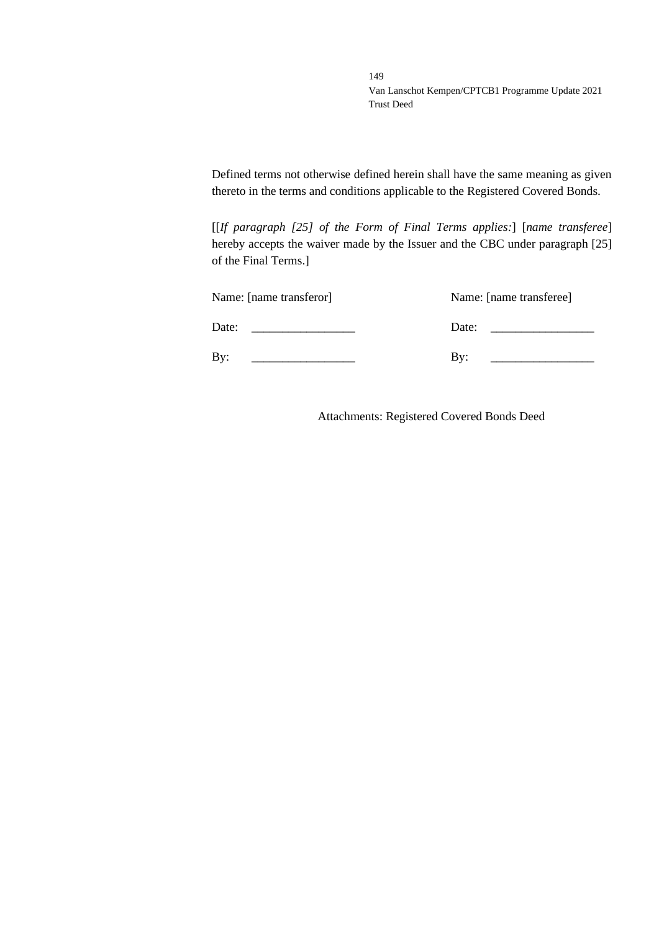Defined terms not otherwise defined herein shall have the same meaning as given thereto in the terms and conditions applicable to the Registered Covered Bonds.

[[*If paragraph [25] of the Form of Final Terms applies:*] [*name transferee*] hereby accepts the waiver made by the Issuer and the CBC under paragraph [25] of the Final Terms.]

| Name: [name transferor] | Name: [name transferee] |
|-------------------------|-------------------------|
| Date:                   | Date:                   |
| Bv:                     | Bv:                     |

Attachments: Registered Covered Bonds Deed